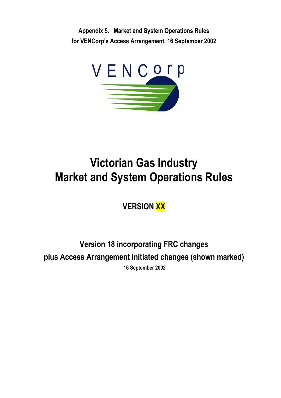**Appendix 5. Market and System Operations Rules for VENCorp's Access Arrangement, 16 September 2002** 



# **Victorian Gas Industry Market and System Operations Rules**

**VERSION XX** 

**Version 18 incorporating FRC changes plus Access Arrangement initiated changes (shown marked) 16 September 2002**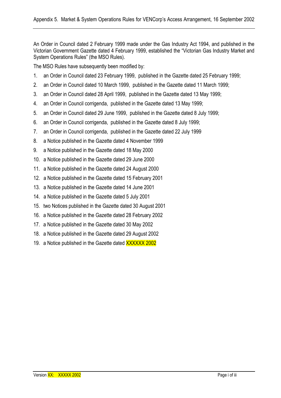An Order in Council dated 2 February 1999 made under the Gas Industry Act 1994, and published in the Victorian Government Gazette dated 4 February 1999, established the "Victorian Gas Industry Market and System Operations Rules" (the MSO Rules).

The MSO Rules have subsequently been modified by:

- 1. an Order in Council dated 23 February 1999, published in the Gazette dated 25 February 1999;
- 2. an Order in Council dated 10 March 1999, published in the Gazette dated 11 March 1999;
- 3. an Order in Council dated 28 April 1999, published in the Gazette dated 13 May 1999;
- 4. an Order in Council corrigenda, published in the Gazette dated 13 May 1999;
- 5. an Order in Council dated 29 June 1999, published in the Gazette dated 8 July 1999;
- 6. an Order in Council corrigenda, published in the Gazette dated 8 July 1999;
- 7. an Order in Council corrigenda, published in the Gazette dated 22 July 1999
- 8. a Notice published in the Gazette dated 4 November 1999
- 9. a Notice published in the Gazette dated 18 May 2000
- 10. a Notice published in the Gazette dated 29 June 2000
- 11. a Notice published in the Gazette dated 24 August 2000
- 12. a Notice published in the Gazette dated 15 February 2001
- 13. a Notice published in the Gazette dated 14 June 2001
- 14. a Notice published in the Gazette dated 5 July 2001
- 15. two Notices published in the Gazette dated 30 August 2001
- 16. a Notice published in the Gazette dated 28 February 2002
- 17. a Notice published in the Gazette dated 30 May 2002
- 18. a Notice published in the Gazette dated 29 August 2002
- 19. a Notice published in the Gazette dated XXXXXX 2002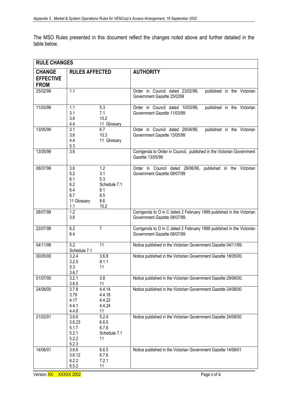The MSO Rules presented in this document reflect the changes noted above and further detailed in the table below.

| <b>RULE CHANGES</b>                              |                                                              |                                                                |                                                                                                       |  |  |  |
|--------------------------------------------------|--------------------------------------------------------------|----------------------------------------------------------------|-------------------------------------------------------------------------------------------------------|--|--|--|
| <b>CHANGE</b><br><b>EFFECTIVE</b><br><b>FROM</b> | <b>RULES AFFECTED</b>                                        |                                                                | <b>AUTHORITY</b>                                                                                      |  |  |  |
| 25/02/99                                         | 1.1                                                          |                                                                | Order in Council dated 23/02/99,<br>published in the Victorian<br>Government Gazette 25/0299          |  |  |  |
| 11/03/99                                         | 1.1<br>3.1<br>3.6<br>4.4                                     | 5.3<br>7.1<br>10.2<br>11 Glossary                              | Order in Council dated 10/03/99,<br>published in the Victorian<br>Government Gazette 11/03/99         |  |  |  |
| 13/05/99                                         | 3.1<br>3.6<br>4.4<br>5.3                                     | 6.7<br>10.3<br>11 Glossary                                     | Order in Council dated 29/04/99,<br>published in the Victorian<br>Government Gazette 13/05/99         |  |  |  |
| 13/05/99                                         | $\overline{3.6}$                                             |                                                                | Corrigenda to Order in Council, published in the Victorian Government<br>Gazette 13/05/99             |  |  |  |
| 08/07/99                                         | 3.6<br>5.2<br>6.1<br>6.2<br>6.4<br>6.7<br>11 Glossary<br>1.1 | 1.2<br>3.1<br>5.3<br>Schedule 7.1<br>8.1<br>8.5<br>8.6<br>10.2 | Order in Council dated 29/06/99, published in the Victorian<br>Government Gazette 08/07/99            |  |  |  |
| 08/07/99                                         | $\overline{1.2}$<br>3.6                                      |                                                                | Corrigenda to O in C dated 2 February 1999 published in the Victorian<br>Government Gazette 08/07/99. |  |  |  |
| 22/07/99                                         | 6.2<br>6.4                                                   | $\overline{7}$                                                 | Corrigenda to O in C dated 2 February 1999 published in the Victorian<br>Government Gazette 08/07/99. |  |  |  |
| 04/11/99                                         | $\overline{5.2}$<br>Schedule 7.1                             | 11                                                             | Notice published in the Victorian Government Gazette 04/11/99.                                        |  |  |  |
| 00/05/00                                         | 3.2.4<br>3.2.5<br>5.3<br>3.6.7                               | 3.6.8<br>9.1.1<br>11                                           | Notice published in the Victorian Government Gazette 18/05/00.                                        |  |  |  |
| 01/07/00                                         | 3.2.1<br>3.6.5                                               | 3.8<br>11                                                      | Notice published in the Victorian Government Gazette 29/06/00.                                        |  |  |  |
| 24/08/00                                         | 3.7.8<br>3.79<br>4.17<br>4.4.1<br>4.4.6                      | 4.4.14<br>4.4.18<br>4.4.22<br>4.4.24<br>11                     | Notice published in the Victorian Government Gazette 24/08/00                                         |  |  |  |
| 21/02/01                                         | 3.6.6<br>3.6.23<br>5.1.7<br>5.2.1<br>5.2.2<br>5.2.3          | 5.2.4<br>6.6.5<br>6.7.6<br>Schedule 7.1<br>11                  | Notice published in the Victorian Government Gazette 24/08/00                                         |  |  |  |
| 14/06/01                                         | 3.6.6<br>3.6.12<br>6.2.2<br>6.5.2                            | 6.6.5<br>6.7.6<br>7.2.1<br>11                                  | Notice published in the Victorian Government Gazette 14/06/01                                         |  |  |  |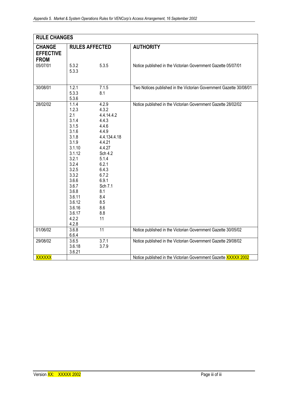| <b>RULE CHANGES</b>             |                |                       |                                                                    |  |  |  |  |
|---------------------------------|----------------|-----------------------|--------------------------------------------------------------------|--|--|--|--|
| <b>CHANGE</b>                   |                | <b>RULES AFFECTED</b> | <b>AUTHORITY</b>                                                   |  |  |  |  |
| <b>EFFECTIVE</b><br><b>FROM</b> |                |                       |                                                                    |  |  |  |  |
| 05/07/01                        | 5.3.2          | 5.3.5                 | Notice published in the Victorian Government Gazette 05/07/01      |  |  |  |  |
|                                 | 5.3.3          |                       |                                                                    |  |  |  |  |
|                                 |                |                       |                                                                    |  |  |  |  |
| 30/08/01                        | 1.2.1          | 7.1.5                 | Two Notices published in the Victorian Government Gazette 30/08/01 |  |  |  |  |
|                                 | 5.3.3<br>5.3.6 | 8.1                   |                                                                    |  |  |  |  |
| 28/02/02                        | 1.1.4          |                       |                                                                    |  |  |  |  |
|                                 | 1.2.3          | 4.2.9<br>4.3.2        | Notice published in the Victorian Government Gazette 28/02/02      |  |  |  |  |
|                                 | 2.1            | 4.4.14.4.2            |                                                                    |  |  |  |  |
|                                 | 3.1.4          | 4.4.3                 |                                                                    |  |  |  |  |
|                                 | 3.1.5          | 4.4.6                 |                                                                    |  |  |  |  |
|                                 | 3.1.6          | 4.4.9                 |                                                                    |  |  |  |  |
|                                 | 3.1.8          | 4.4.134.4.18          |                                                                    |  |  |  |  |
|                                 | 3.1.9          | 4.4.21                |                                                                    |  |  |  |  |
|                                 | 3.1.10         | 4.4.27                |                                                                    |  |  |  |  |
|                                 | 3.1.12         | Sch 4.2               |                                                                    |  |  |  |  |
|                                 | 3.2.1          | 5.1.4                 |                                                                    |  |  |  |  |
|                                 | 3.2.4          | 6.2.1                 |                                                                    |  |  |  |  |
|                                 | 3.2.5          | 6.4.3                 |                                                                    |  |  |  |  |
|                                 | 3.3.2<br>3.6.6 | 6.7.2<br>6.9.1        |                                                                    |  |  |  |  |
|                                 | 3.6.7          | Sch 7.1               |                                                                    |  |  |  |  |
|                                 | 3.6.8          | 8.1                   |                                                                    |  |  |  |  |
|                                 | 3.6.11         | 8.4                   |                                                                    |  |  |  |  |
|                                 | 3.6.12         | 8.5                   |                                                                    |  |  |  |  |
|                                 | 3.6.16         | 8.6                   |                                                                    |  |  |  |  |
|                                 | 3.6.17         | 8.8                   |                                                                    |  |  |  |  |
|                                 | 4.2.2          | 11                    |                                                                    |  |  |  |  |
|                                 | 4.2.8          |                       |                                                                    |  |  |  |  |
| 01/06/02                        | 3.6.8          | $\overline{11}$       | Notice published in the Victorian Government Gazette 30/05/02      |  |  |  |  |
|                                 | 6.6.4          |                       |                                                                    |  |  |  |  |
| 29/08/02                        | 3.6.5          | 3.7.1                 | Notice published in the Victorian Government Gazette 29/08/02      |  |  |  |  |
|                                 | 3.6.18         | 3.7.9                 |                                                                    |  |  |  |  |
|                                 | 3.6.21         |                       |                                                                    |  |  |  |  |
| <b>XXXXXX</b>                   |                |                       | Notice published in the Victorian Government Gazette XXXXX 2002    |  |  |  |  |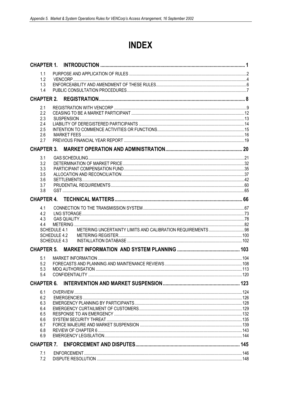# **INDEX**

| 1.1               |                     |  |
|-------------------|---------------------|--|
| 1.2               |                     |  |
| 1.3               |                     |  |
| 1.4               |                     |  |
|                   |                     |  |
| 2.1               |                     |  |
| 2.2               |                     |  |
| 2.3               |                     |  |
| 2.4               |                     |  |
| 2.5               |                     |  |
| 2.6               |                     |  |
| 2.7               |                     |  |
| <b>CHAPTER 3.</b> |                     |  |
| 3.1               |                     |  |
| 3.2               |                     |  |
| 3.3               |                     |  |
| 3.5<br>3.6        |                     |  |
| 3.7               |                     |  |
| 3.8               |                     |  |
|                   |                     |  |
|                   |                     |  |
| 4.1<br>4.2        |                     |  |
| 4.3               |                     |  |
| 4.4               |                     |  |
|                   | SCHEDULE 4.1        |  |
|                   | SCHEDULE 4.2        |  |
|                   | <b>SCHEDULE 4.3</b> |  |
|                   |                     |  |
| 5.1               |                     |  |
| 5.2               |                     |  |
| 5.3               |                     |  |
| 5.4               |                     |  |
| <b>CHAPTER 6.</b> |                     |  |
| 6.1               |                     |  |
| 6.2               |                     |  |
| 6.3               |                     |  |
| 6.4               |                     |  |
| 6.5               |                     |  |
| 6.6               |                     |  |
| 6.7               |                     |  |
| 6.8<br>6.9        |                     |  |
|                   |                     |  |
|                   |                     |  |
| 7.1               |                     |  |
| 7.2               |                     |  |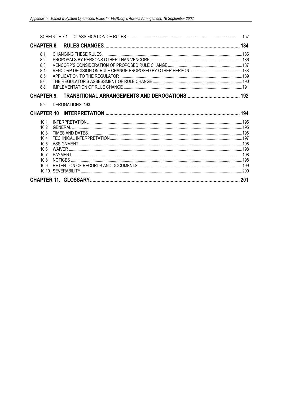| 8.1<br>8.2<br>8.3<br>8.4<br>8.5<br>8.6<br>8.8 |                 |  |
|-----------------------------------------------|-----------------|--|
|                                               |                 |  |
| 9.2                                           | DEROGATIONS 193 |  |
|                                               |                 |  |
| 10.1                                          |                 |  |
| 10.2                                          |                 |  |
| 10.3                                          |                 |  |
| 10.4                                          |                 |  |
| 10.5                                          |                 |  |
| 10.6                                          |                 |  |
| 10.7                                          |                 |  |
| 10.8<br>10.9                                  |                 |  |
| 10.10                                         |                 |  |
|                                               |                 |  |
|                                               |                 |  |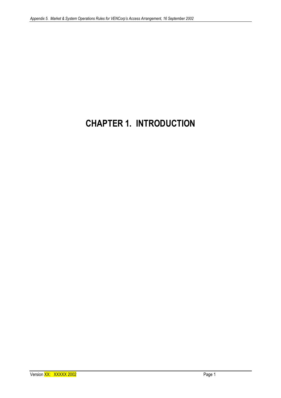# **CHAPTER 1. INTRODUCTION**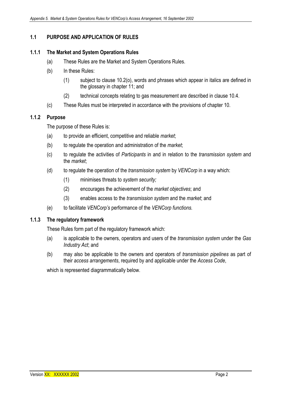# **1.1 PURPOSE AND APPLICATION OF RULES**

### **1.1.1 The Market and System Operations Rules**

- (a) These Rules are the Market and System Operations Rules.
- (b) In these Rules:
	- (1) subject to clause 10.2(o), words and phrases which appear in italics are defined in the glossary in chapter 11; and
	- (2) technical concepts relating to gas measurement are described in clause 10.4.
- (c) These Rules must be interpreted in accordance with the provisions of chapter 10.

#### **1.1.2 Purpose**

The purpose of these Rules is:

- (a) to provide an efficient, competitive and reliable *market*;
- (b) to regulate the operation and administration of the *market*;
- (c) to regulate the activities of *Participants* in and in relation to the *transmission system* and the *market*;
- (d) to regulate the operation of the *transmission system* by *VENCorp* in a way which:
	- (1) minimises threats to *system security;*
	- (2) encourages the achievement of the *market objectives*; and
	- (3) enables access to the *transmission system* and the *market*; and
- (e) to facilitate *VENCorp's* performance of the *VENCorp functions.*

#### **1.1.3 The regulatory framework**

These Rules form part of the regulatory framework which:

- (a) is applicable to the owners, operators and users of the *transmission system* under the *Gas Industry Act*; and
- (b) may also be applicable to the owners and operators of *transmission pipelines* as part of their *access arrangements*, required by and applicable under the *Access Code*,

which is represented diagrammatically below.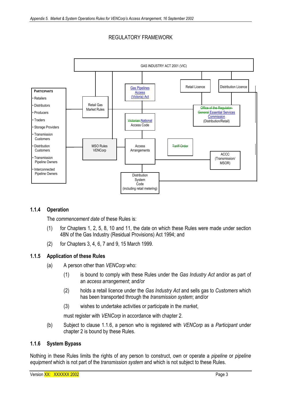# REGULATORY FRAMEWORK



#### **1.1.4 Operation**

The *commencement date* of these Rules is:

- (1) for Chapters 1, 2, 5, 8, 10 and 11, the date on which these Rules were made under section 48N of the Gas Industry (Residual Provisions) Act 1994; and
- (2) for Chapters 3, 4, 6, 7 and 9, 15 March 1999.

#### **1.1.5 Application of these Rules**

- (a) A person other than *VENCorp* who:
	- (1) is bound to comply with these Rules under the *Gas Industry Act* and/or as part of an *access arrangement*; and/or
	- (2) holds a retail licence under the *Gas Industry Act* and sells gas to *Customers* which has been transported through the *transmission system*; and/or
	- (3) wishes to undertake activities or participate in the *market*,

must register with *VENCorp* in accordance with chapter 2.

(b) Subject to clause 1.1.6, a person who is registered with *VENCorp* as a *Participant* under chapter 2 is bound by these Rules.

#### **1.1.6 System Bypass**

Nothing in these Rules limits the rights of any person to construct, own or operate a *pipeline* or *pipeline equipment* which is not part of the *transmission system* and which is not subject to these Rules.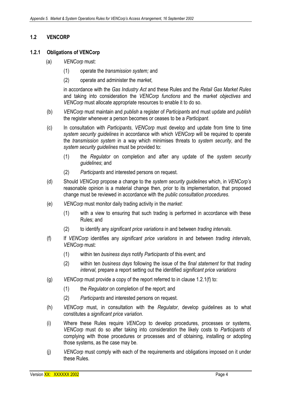### **1.2 VENCORP**

#### **1.2.1 Obligations of VENCorp**

- (a) *VENCorp* must:
	- (1) operate the *transmission system;* and
	- (2) operate and administer the *market*,

in accordance with the *Gas Industry Act* and these Rules and the *Retail Gas Market Rules* and taking into consideration the *VENCorp functions* and the *market objectives* and *VENCorp* must allocate appropriate resources to enable it to do so.

- (b) *VENCorp* must maintain and *publish* a register of *Participants* and must update and *publish*  the register whenever a person becomes or ceases to be a *Participant*.
- (c) In consultation with *Participants*, *VENCorp* must develop and update from time to time *system security guidelines* in accordance with which *VENCorp* will be required to operate the *transmission system* in a way which minimises threats to *system security*, and the *system security guidelines* must be provided to:
	- (1) the *Regulator* on completion and after any update of the *system security guidelines*; and
	- (2) *Participants* and interested persons on request.
- (d) Should *VENCorp* propose a change to the *system security guidelines* which, in *VENCorp's*  reasonable opinion is a material change then, prior to its implementation, that proposed change must be reviewed in accordance with the *public consultation procedures*.
- (e) *VENCorp* must monitor daily trading activity in the *market*:
	- (1) with a view to ensuring that such trading is performed in accordance with these Rules; and
	- (2) to identify any *significant price variations* in and between *trading intervals*.
- (f) If *VENCorp* identifies any *significant price variations* in and between *trading intervals*, *VENCorp* must:
	- (1) within ten *business days* notify *Participants* of this event; and
	- (2) within ten *business days* following the issue of the *final statement* for that *trading interval,* prepare a report setting out the identified *significant price variations*
- (g) *VENCorp* must provide a copy of the report referred to in clause 1.2.1(f) to:
	- (1) the *Regulator* on completion of the report; and
	- (2) *Participants* and interested persons on request.
- (h) *VENCorp* must, in consultation with the *Regulator*, develop guidelines as to what constitutes a *significant price variation*.
- (i) Where these Rules require *VENCorp* to develop procedures, processes or systems, *VENCorp* must do so after taking into consideration the likely costs to *Participants* of complying with those procedures or processes and of obtaining, installing or adopting those systems, as the case may be.
- (j) *VENCorp* must comply with each of the requirements and obligations imposed on it under these Rules.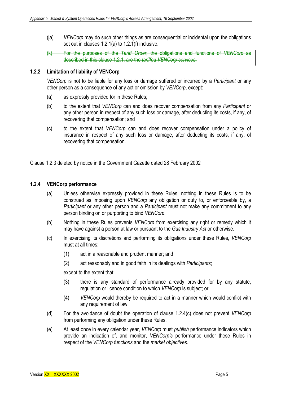- (ja) *VENCorp* may do such other things as are consequential or incidental upon the obligations set out in clauses 1.2.1(a) to 1.2.1(f) inclusive.
- (k) For the purposes of the *Tariff Order*, the obligations and functions of *VENCorp* as described in this clause 1.2.1, are the *tariffed VENCorp services*.

#### **1.2.2 Limitation of liability of VENCorp**

*VENCorp* is not to be liable for any loss or damage suffered or incurred by a *Participant* or any other person as a consequence of any act or omission by *VENCorp*, except:

- (a) as expressly provided for in these Rules;
- (b) to the extent that *VENCorp* can and does recover compensation from any *Participant* or any other person in respect of any such loss or damage, after deducting its costs, if any, of recovering that compensation; and
- (c) to the extent that *VENCorp* can and does recover compensation under a policy of insurance in respect of any such loss or damage, after deducting its costs, if any, of recovering that compensation.

Clause 1.2.3 deleted by notice in the Government Gazette dated 28 February 2002

#### **1.2.4 VENCorp performance**

- (a) Unless otherwise expressly provided in these Rules, nothing in these Rules is to be construed as imposing upon *VENCorp* any obligation or duty to, or enforceable by, a *Participant* or any other person and a *Participant* must not make any commitment to any person binding on or purporting to bind *VENCorp*.
- (b) Nothing in these Rules prevents *VENCorp* from exercising any right or remedy which it may have against a person at law or pursuant to the *Gas Industry Act* or otherwise.
- (c) In exercising its discretions and performing its obligations under these Rules, *VENCorp*  must at all times:
	- (1) act in a reasonable and prudent manner; and
	- (2) act reasonably and in good faith in its dealings with *Participants*;

except to the extent that:

- (3) there is any standard of performance already provided for by any statute, regulation or licence condition to which *VENCorp* is subject; or
- (4) *VENCorp* would thereby be required to act in a manner which would conflict with any requirement of law.
- (d) For the avoidance of doubt the operation of clause 1.2.4(c) does not prevent *VENCorp*  from performing any obligation under these Rules.
- (e) At least once in every calendar year, *VENCorp* must *publish* performance indicators which provide an indication of, and monitor, *VENCorp's* performance under these Rules in respect of the *VENCorp functions* and the *market objectives*.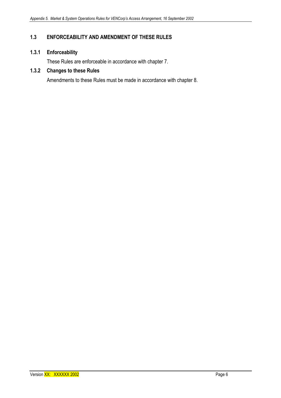# **1.3 ENFORCEABILITY AND AMENDMENT OF THESE RULES**

# **1.3.1 Enforceability**

These Rules are enforceable in accordance with chapter 7.

## **1.3.2 Changes to these Rules**

Amendments to these Rules must be made in accordance with chapter 8.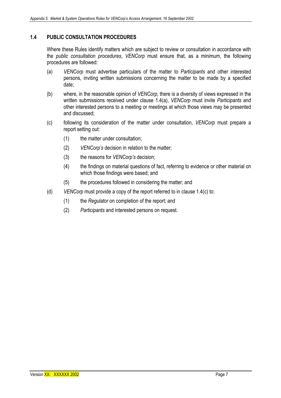### **1.4 PUBLIC CONSULTATION PROCEDURES**

Where these Rules identify matters which are subject to review or consultation in accordance with the *public consultation procedures*, *VENCorp* must ensure that, as a minimum, the following procedures are followed:

- (a) *VENCorp* must advertise particulars of the matter to *Participants* and other interested persons, inviting written submissions concerning the matter to be made by a specified date;
- (b) where, in the reasonable opinion of *VENCorp*, there is a diversity of views expressed in the written submissions received under clause 1.4(a), *VENCorp* must invite *Participants* and other interested persons to a meeting or meetings at which those views may be presented and discussed;
- (c) following its consideration of the matter under consultation, *VENCorp* must prepare a report setting out:
	- (1) the matter under consultation;
	- (2) *VENCorp's* decision in relation to the matter;
	- (3) the reasons for *VENCorp's* decision;
	- (4) the findings on material questions of fact, referring to evidence or other material on which those findings were based; and
	- (5) the procedures followed in considering the matter; and
- (d) *VENCorp* must provide a copy of the report referred to in clause 1.4(c) to:
	- (1) the *Regulator* on completion of the report; and
	- (2) *Participants* and interested persons on request.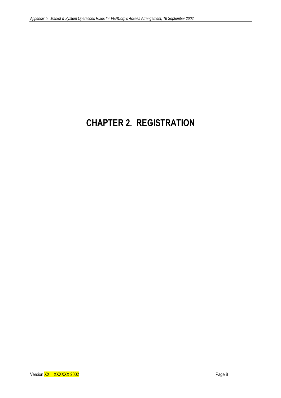# **CHAPTER 2. REGISTRATION**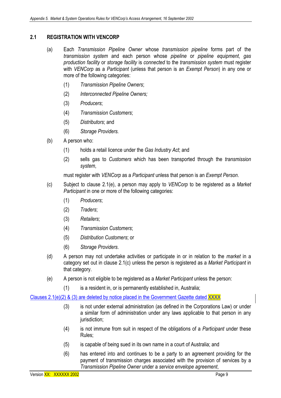#### **2.1 REGISTRATION WITH VENCORP**

- (a) Each *Transmission Pipeline Owner* whose *transmission pipeline* forms part of the *transmission system* and each person whose *pipeline* or *pipeline equipment*, *gas production facility* or *storage facility* is *connected* to the *transmission system* must register with *VENCorp* as a *Participant* (unless that person is an *Exempt Person*) in any one or more of the following categories:
	- (1) *Transmission Pipeline Owners*;
	- (2) *Interconnected Pipeline Owners;*
	- (3) *Producers*;
	- (4) *Transmission Customers*;
	- (5) *Distributors*; and
	- (6) *Storage Providers.*
- (b) A person who:
	- (1) holds a retail licence under the *Gas Industry Act*; and
	- (2) sells gas to *Customers* which has been transported through the *transmission system*,

must register with *VENCorp* as a *Participant* unless that person is an *Exempt Person*.

- (c) Subject to clause 2.1(e), a person may apply to *VENCorp* to be registered as a *Market Participant* in one or more of the following categories:
	- (1) *Producers*;
	- (2) *Traders*;
	- (3) *Retailers*;
	- (4) *Transmission Customers*;
	- (5) *Distribution Customers*; or
	- (6) *Storage Providers*.
- (d) A person may not undertake activities or participate in or in relation to the *market* in a category set out in clause 2.1(c) unless the person is registered as a *Market Participant* in that category.
- (e) A person is not eligible to be registered as a *Market Participant* unless the person:
	- (1) is a resident in, or is permanently established in, Australia;

#### Clauses 2.1(e)(2) & (3) are deleted by notice placed in the Government Gazette dated XXXX

- (3) is not under external administration (as defined in the Corporations Law) or under a similar form of administration under any laws applicable to that person in any jurisdiction;
- (4) is not immune from suit in respect of the obligations of a *Participant* under these Rules;
- (5) is capable of being sued in its own name in a court of Australia; and
- (6) has entered into and continues to be a party to an agreement providing for the payment of transmission charges associated with the provision of services by a *Transmission Pipeline Owner* under a *service envelope agreement*,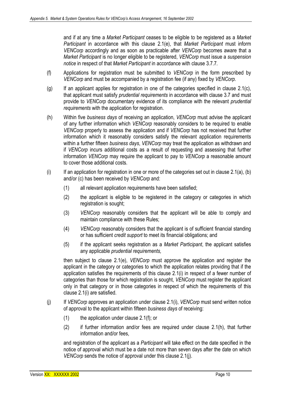and if at any time a *Market Participant* ceases to be eligible to be registered as a *Market Participant* in accordance with this clause 2.1(e), that *Market Participant* must inform *VENCorp* accordingly and as soon as practicable after *VENCorp* becomes aware that a *Market Participant* is no longer eligible to be registered, *VENCorp* must issue a *suspension notice* in respect of that *Market Participant* in accordance with clause 3.7.7*.*

- (f) Applications for registration must be submitted to *VENCorp* in the form prescribed by *VENCorp* and must be accompanied by a registration fee (if any) fixed by *VENCorp*.
- $(q)$  If an applicant applies for registration in one of the categories specified in clause 2.1(c), that applicant must satisfy *prudential requirements* in accordance with clause 3.7 and must provide to *VENCorp* documentary evidence of its compliance with the relevant *prudential requirements* with the application for registration.
- (h) Within five *business days* of receiving an application, *VENCorp* must advise the applicant of any further information which *VENCorp* reasonably considers to be required to enable *VENCorp* properly to assess the application and if *VENCorp* has not received that further information which it reasonably considers satisfy the relevant application requirements within a further fifteen *business days*, *VENCorp* may treat the application as withdrawn and if *VENCorp* incurs additional costs as a result of requesting and assessing that further information *VENCorp* may require the applicant to pay to *VENCorp* a reasonable amount to cover those additional costs.
- (i) If an application for registration in one or more of the categories set out in clause  $2.1(a)$ , (b) and/or (c) has been received by *VENCorp* and:
	- (1) all relevant application requirements have been satisfied;
	- (2) the applicant is eligible to be registered in the category or categories in which registration is sought;
	- (3) *VENCorp* reasonably considers that the applicant will be able to comply and maintain compliance with these Rules;
	- (4) *VENCorp* reasonably considers that the applicant is of sufficient financial standing or has sufficient *credit support* to meet its financial obligations; and
	- (5) if the applicant seeks registration as a *Market Participant*, the applicant satisfies any applicable *prudential requirements,*

then subject to clause 2.1(e), *VENCorp* must approve the application and register the applicant in the category or categories to which the application relates providing that if the application satisfies the requirements of this clause 2.1(i) in respect of a fewer number of categories than those for which registration is sought, *VENCorp* must register the applicant only in that category or in those categories in respect of which the requirements of this clause 2.1(i) are satisfied.

- (j) If *VENCorp* approves an application under clause 2.1(i), *VENCorp* must send written notice of approval to the applicant within fifteen *business days* of receiving:
	- (1) the application under clause 2.1(f); or
	- (2) if further information and/or fees are required under clause 2.1(h), that further information and/or fees,

and registration of the applicant as a *Participant* will take effect on the date specified in the notice of approval which must be a date not more than seven days after the date on which *VENCorp* sends the notice of approval under this clause 2.1(j).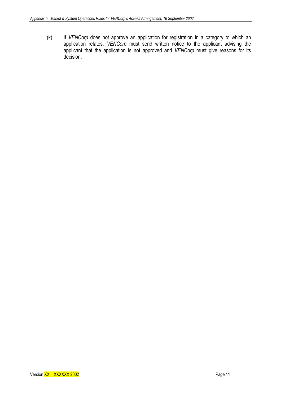(k) If *VENCorp* does not approve an application for registration in a category to which an application relates, VENCorp must send written notice to the applicant advising the applicant that the application is not approved and *VENCorp* must give reasons for its decision.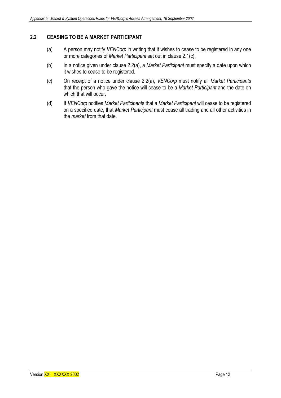### **2.2 CEASING TO BE A MARKET PARTICIPANT**

- (a) A person may notify *VENCorp* in writing that it wishes to cease to be registered in any one or more categories of *Market Participant* set out in clause 2.1(c).
- (b) In a notice given under clause 2.2(a), a *Market Participant* must specify a date upon which it wishes to cease to be registered.
- (c) On receipt of a notice under clause 2.2(a), *VENCorp* must notify all *Market Participants*  that the person who gave the notice will cease to be a *Market Participant* and the date on which that will occur.
- (d) If *VENCorp* notifies *Market Participant*s that a *Market Participant* will cease to be registered on a specified date, that *Market Participant* must cease all trading and all other activities in the *market* from that date.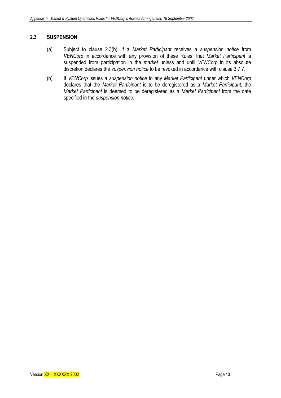#### **2.3 SUSPENSION**

- (a) Subject to clause 2.3(b), if a *Market Participant* receives a *suspension notice* from *VENCorp* in accordance with any provision of these Rules, that *Market Participant* is suspended from participation in the *market* unless and until *VENCorp* in its absolute discretion declares the *suspension notice* to be revoked in accordance with clause 3.7.7.
- (b) If *VENCorp* issues a *suspension notice* to any *Market Participant* under which *VENCorp* declares that the *Market Participant* is to be deregistered as a *Market Participant*, the *Market Participant* is deemed to be deregistered as a *Market Participant* from the date specified in the *suspension notice.*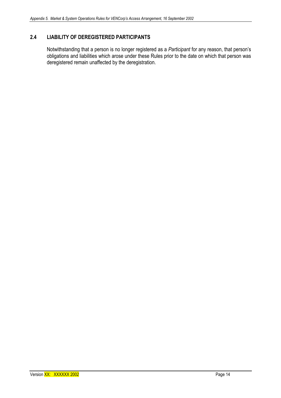# **2.4 LIABILITY OF DEREGISTERED PARTICIPANTS**

Notwithstanding that a person is no longer registered as a *Participant* for any reason, that person's obligations and liabilities which arose under these Rules prior to the date on which that person was deregistered remain unaffected by the deregistration.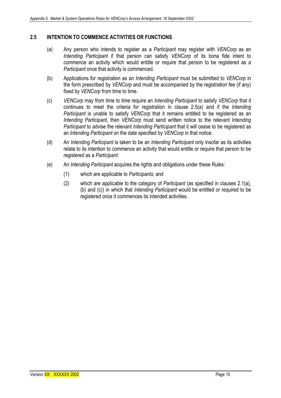### **2.5 INTENTION TO COMMENCE ACTIVITIES OR FUNCTIONS**

- (a) Any person who intends to register as a *Participant* may register with *VENCorp* as an *Intending Participant* if that person can satisfy *VENCorp* of its bona fide intent to commence an activity which would entitle or require that person to be registered as a *Participant* once that activity is commenced.
- (b) Applications for registration as an *Intending Participant* must be submitted to *VENCorp* in the form prescribed by *VENCorp* and must be accompanied by the registration fee (if any) fixed by *VENCorp* from time to time.
- (c) *VENCorp* may from time to time require an *Intending Participant* to satisfy *VENCorp* that it continues to meet the criteria for registration in clause 2.5(a) and if the *Intending Participant* is unable to satisfy *VENCorp* that it remains entitled to be registered as an *Intending Participant*, then *VENCorp* must send written notice to the relevant *Intending Participant* to advise the relevant *Intending Participant* that it will cease to be registered as an *Intending Participant* on the date specified by *VENCorp* in that notice.
- (d) An *Intending Participant* is taken to be an *Intending Participant* only insofar as its activities relate to its intention to commence an activity that would entitle or require that person to be registered as a *Participant*.
- (e) An *Intending Participant* acquires the rights and obligations under these Rules:
	- (1) which are applicable to *Participants*; and
	- (2) which are applicable to the category of *Participant* (as specified in clauses 2.1(a), (b) and (c)) in which that *Intending Participant* would be entitled or required to be registered once it commences its intended activities.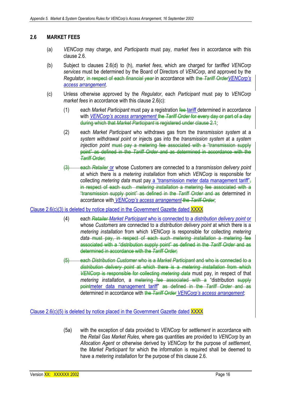#### **2.6 MARKET FEES**

- (a) *VENCorp* may charge, and *Participants* must pay, *market fees* in accordance with this clause 2.6.
- (b) Subject to clauses 2.6(d) to (h), *market fees*, which are charged for *tariffed VENCorp services* must be determined by the Board of Directors of *VENCorp*, and approved by the *Regulator*, in respect of each *financial year* in accordance with the *Tariff OrderVENCorp's access arrangement*.
- (c) Unless otherwise approved by the *Regulator*, each *Participant* must pay to *VENCorp market fees* in accordance with this clause 2.6(c):
	- (1) each *Market Participant* must pay a registration fee tariff determined in accordance with *VENCorp's access arrangement* the *Tariff Order* for every day or part of a day during which that *Market Participant* is registered under clause 2.1;
	- (2) each *Market Participant* who withdraws gas from the *transmission system* at a *system withdrawal point* or injects gas into the *transmission system* at a *system injection point* must pay a metering fee associated with a "transmission supply point" as defined in the *Tariff Order* and as determined in accordance with the *Tariff Order*;
	- (3) each *Retailer* or whose *Customers* are connected to a *transmission delivery point*  at which there is a *metering installation* from which *VENCorp* is responsible for collecting *metering data* must pay a "transmission meter data management tariff", in respect of each such *metering installation* a metering fee associated with a "transmission supply point" as defined in the *Tariff Order* and as determined in accordance with *VENCorp's access arrangement* the *Tariff Order*;

#### Clause 2.6(c)(3) is deleted by notice placed in the Government Gazette dated XXXX

- (4) each *Retailer Market Participant* who is connected to a *distribution delivery point* or whose *Customers* are connected to a *distribution delivery point* at which there is a *metering installation* from which *VENCorp* is responsible for collecting *metering data* must pay, in respect of each such *metering installation* a metering fee associated with a "distribution supply point" as defined in the *Tariff Order* and as determined in accordance with the *Tariff Order*;
- (5) each *Distribution Customer* who is a *Market Participant* and who is connected to a *distribution delivery point* at which there is a *metering installation* from which *VENCorp* is responsible for collecting *metering data* must pay, in respect of that *metering installation*, a metering fee associated with a "distribution supply pointmeter data management tariff" as defined in the *Tariff Order* and as determined in accordance with the *Tariff Order VENCorp's access arrangement*;

Clause 2.6(c)(5) is deleted by notice placed in the Government Gazette dated XXXX

(5a) with the exception of data provided to *VENCorp* for *settlement* in accordance with the *Retail Gas Market Rules*, where gas quantities are provided to *VENCorp* by an *Allocation Agent* or otherwise derived by *VENCorp* for the purpose of *settlement*, the *Market Participant* for which the information is required shall be deemed to have a *metering installation* for the purpose of this clause 2.6.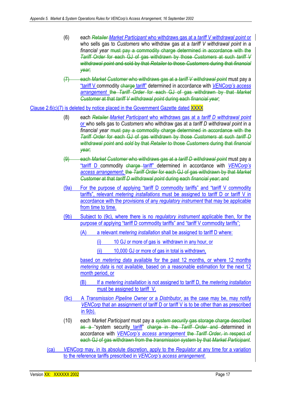- (6) each *Retailer Market Participant* who withdraws gas at a *tariff V withdrawal point* or who sells gas to *Customers* who withdraw gas at a *tariff V withdrawal point* in a *financial year* must pay a commodity charge determined in accordance with the *Tariff Order* for each GJ of gas withdrawn by those *Customers* at such *tariff V withdrawal point* and sold by that *Retailer* to those *Customers* during that *financial year*;
- (7) each *Market Customer* who withdraws gas at a *tariff V withdrawal point* must pay a "tariff V commodity charge tariff" determined in accordance with *VENCorp's access arrangement* the *Tariff Order* for each GJ of gas withdrawn by that *Market Customer* at that *tariff V withdrawal point* during each *financial year*;

Clause 2.6(c)(7) is deleted by notice placed in the Government Gazette dated XXXX

- (8) each *Retailer Market Participant* who withdraws gas at a *tariff D withdrawal point*  or who sells gas to *Customers* who withdraw gas at a *tariff D withdrawal point* in a *financial year* must pay a commodity charge determined in accordance with the *Tariff Order* for each GJ of gas withdrawn by those *Customers* at such *tariff D withdrawal point* and *sold* by that *Retailer* to those *Customers* during that *financial year*;
- (9) each *Market Customer* who withdraws gas at a *tariff D withdrawal point* must pay a "tariff D commodity charge tariff" determined in accordance with *VENCorp's access arrangement*; the *Tariff Order* for each GJ of gas withdrawn by that *Market Customer* at that *tariff D withdrawal point* during each *financial year*; and
- (9a) For the purpose of applying "tariff D commodity tariffs" and "tariff V commodity tariffs", relevant *metering installations* must be assigned to tariff D or tariff V in accordance with the provisions of any *regulatory instrument* that may be applicable from time to time.
- (9b) Subject to (9c), where there is no *regulatory instrument* applicable then, for the purpose of applying "tariff D commodity tariffs" and "tariff V commodity tariffs";
	- (A) a relevant *metering installation* shall be assigned to tariff D where:
		- (i) 10 GJ or more of gas is withdrawn in any hour, or
		- (ii) 10,000 GJ or more of gas in total is withdrawn,

based on *metering data* available for the past 12 months, or where 12 months *metering data* is not available, based on a reasonable estimation for the next 12 month period, or

- (B) If a *metering installation* is not assigned to tariff D, the *metering installation* must be assigned to tariff V.
- (9c) A *Transmission Pipeline Owner* or a *Distributor*, as the case may be, may notify *VENCorp* that an assignment of tariff D or tariff V is to be other than as prescribed in 9(b).
- (10) each *Market Participant* must pay a *system security* gas storage charge described as a "system security tariff" charge in the *Tariff Order* and determined in accordance with *VENCorp's access arrangement* the *Tariff Order*, in respect of each GJ of gas withdrawn from the *transmission system* by that *Market Participant*.
- (ca) *VENCorp* may, in its absolute discretion, apply to the *Regulator* at any time for a variation to the reference tariffs prescribed in *VENCorp's access arrangement*.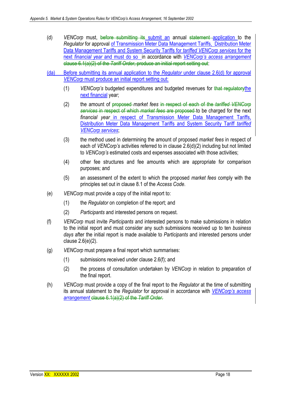- (d) *VENCorp* must, before submitting its submit an annual statement application to the *Regulator* for approval of Transmission Meter Data Management Tariffs, Distribution Meter Data Management Tariffs and System Security Tariffs for *tariffed VENCorp services* for the next *financial year* and must do soin accordance with *VENCorp's access arrangement* clause 6.1(a)(2) of the *Tariff Order*, produce an initial report setting out:
- (da) Before submitting its annual application to the *Regulator* under clause 2.6(d) for approval *VENCorp* must produce an initial report setting out:
	- (1) *VENCorp's* budgeted expenditures and budgeted revenues for that regulatorythe next financial year;
	- (2) the amount of proposed *market fees* in respect of each of the *tariffed VENCorp services* in respect of which *market fees* are proposed to be charged for the next *financial year* in respect of Transmission Meter Data Management Tariffs, Distribution Meter Data Management Tariffs and System Security Tariff *tariffed VENCorp services*;
	- (3) the method used in determining the amount of proposed *market fees* in respect of each of *VENCorp's* activities referred to in clause 2.6(d)(2) including but not limited to *VENCorp's* estimated costs and expenses associated with those activities;
	- (4) other fee structures and fee amounts which are appropriate for comparison purposes; and
	- (5) an assessment of the extent to which the proposed *market fees* comply with the principles set out in clause 8.1 of the *Access Code*.
- (e) *VENCorp* must provide a copy of the initial report to:
	- (1) the *Regulator* on completion of the report; and
	- (2) *Participants* and interested persons on request.
- (f) *VENCorp* must invite *Participants* and interested persons to make submissions in relation to the initial report and must consider any such submissions received up to ten *business days* after the initial report is made available to *Participants* and interested persons under clause 2.6(e)(2).
- (g) *VENCorp* must prepare a final report which summarises:
	- (1) submissions received under clause 2.6(f); and
	- (2) the process of consultation undertaken by *VENCorp* in relation to preparation of the final report.
- (h) *VENCorp* must provide a copy of the final report to the *Regulator* at the time of submitting its annual statement to the *Regulator* for approval in accordance with *VENCorp's access arrangement* clause 6.1(a)(2) of the *Tariff Order*.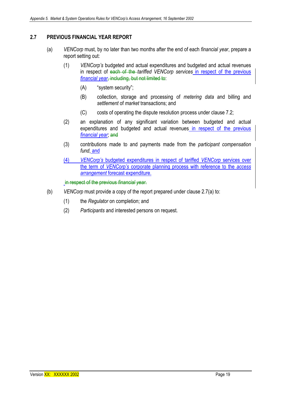# **2.7 PREVIOUS FINANCIAL YEAR REPORT**

- (a) *VENCorp* must, by no later than two months after the end of each *financial year*, prepare a report setting out:
	- (1) *VENCorp's* budgeted and actual expenditures and budgeted and actual revenues in respect of each of the *tariffed VENCorp services* in respect of the previous *financial year*, including, but not limited to:
		- (A) "system security";
		- (B) collection, storage and processing of *metering data* and billing and *settlement* of *market* transactions; and
		- (C) costs of operating the dispute resolution process under clause 7.2;
	- (2) an explanation of any significant variation between budgeted and actual expenditures and budgeted and actual revenues in respect of the previous *financial year*; and
	- (3) contributions made to and payments made from the *participant compensation fund*, and
	- (4) *VENCorp's* budgeted expenditures in respect of tariffed *VENCorp* services over the term of *VENCorp's* corporate planning process with reference to the *access arrangement* forecast expenditure.

in respect of the previous *financial year*.

- (b) *VENCorp* must provide a copy of the report prepared under clause 2.7(a) to:
	- (1) the *Regulator* on completion; and
	- (2) *Participants* and interested persons on request.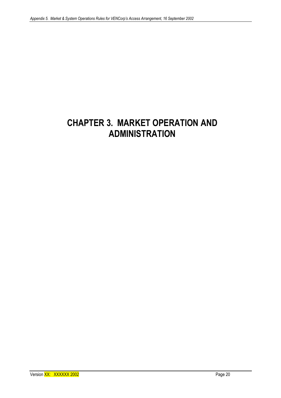# **CHAPTER 3. MARKET OPERATION AND ADMINISTRATION**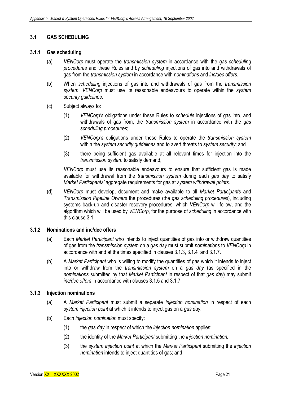#### **3.1 GAS SCHEDULING**

#### **3.1.1 Gas scheduling**

- (a) *VENCorp* must operate the *transmission system* in accordance with the *gas scheduling procedures* and these Rules and by *scheduling* injections of gas into and withdrawals of gas from the *transmission system* in accordance with *nominations* and *inc/dec offers*.
- (b) When *scheduling* injections of gas into and withdrawals of gas from the *transmission system*, *VENCorp* must use its reasonable endeavours to operate within the *system security guidelines*.
- (c) Subject always to:
	- (1) *VENCorp's* obligations under these Rules to *schedule* injections of gas into, and withdrawals of gas from, the *transmission system* in accordance with the *gas scheduling procedures*;
	- (2) *VENCorp's* obligations under these Rules to operate the *transmission system* within the *system security guidelines* and to avert threats to *system security*; and
	- (3) there being sufficient gas available at all relevant times for injection into the *transmission system* to satisfy demand,

*VENCorp* must use its reasonable endeavours to ensure that sufficient gas is made available for withdrawal from the *transmission system* during each *gas day* to satisfy *Market Participants'* aggregate requirements for gas at *system withdrawal points*.

(d) *VENCorp* must develop, document and make available to all *Market Participants* and *Transmission Pipeline Owners* the procedures (the *gas scheduling procedures*), including systems back-up and disaster recovery procedures, which *VENCorp* will follow, and the algorithm which will be used by *VENCorp*, for the purpose of *scheduling* in accordance with this clause 3.1.

#### **3.1.2 Nominations and inc/dec offers**

- (a) Each *Market Participant* who intends to inject quantities of gas into or withdraw quantities of gas from the *transmission system* on a *gas day* must submit *nominations* to *VENCorp* in accordance with and at the times specified in clauses 3.1.3, 3.1.4 and 3.1.7.
- (b) A *Market Participant* who is willing to modify the quantities of gas which it intends to inject into or withdraw from the *transmission system* on a *gas day* (as specified in the *nominations* submitted by that *Market Participant* in respect of that *gas day*) may submit *inc/dec offers* in accordance with clauses 3.1.5 and 3.1.7.

#### **3.1.3 Injection nominations**

- (a) A *Market Participant* must submit a separate *injection nomination* in respect of each *system injection point* at which it intends to inject gas on a *gas day*.
- (b) Each *injection nomination* must specify:
	- (1) the *gas day* in respect of which the *injection nomination* applies;
	- (2) the identity of the *Market Participant* submitting the *injection nomination;*
	- (3) the *system injection point* at which the *Market Participant* submitting the *injection nomination* intends to inject quantities of gas; and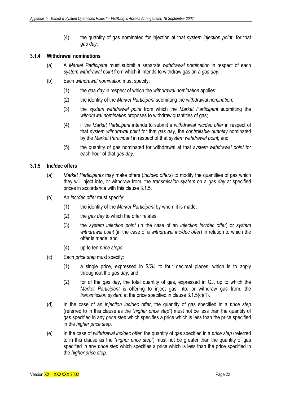(4) the quantity of gas nominated for injection at that *system injection point* for that *gas day*.

#### **3.1.4 Withdrawal nominations**

- (a) A *Market Participant* must submit a separate *withdrawal nomination* in respect of each *system withdrawal point* from which it intends to withdraw gas on a *gas day*.
- (b) Each *withdrawal nomination* must specify:
	- (1) the *gas day* in respect of which the *withdrawal nomination* applies;
	- (2) the identity of the *Market Participant* submitting the *withdrawal nomination*;
	- (3) the *system withdrawal point* from which the *Market Participant* submitting the *withdrawal nomination* proposes to withdraw quantities of gas;
	- (4) if the *Market Participant* intends to submit a *withdrawal inc/dec offer* in respect of that *system withdrawal point* for that *gas day*, the *controllable quantity* nominated by the *Market Participant* in respect of that *system withdrawal point*; and
	- (5) the quantity of gas nominated for withdrawal at that *system withdrawal point* for each hour of that *gas day*.

#### **3.1.5 Inc/dec offers**

- (a) *Market Participants* may make offers (*inc/dec offers*) to modify the quantities of gas which they will inject into, or withdraw from, the *transmission system* on a *gas day* at specified prices in accordance with this clause 3.1.5.
- (b) An *inc/dec offer* must specify:
	- (1) the identity of the *Market Participant* by whom it is made;
	- (2) the *gas day* to which the offer relates;
	- (3) the *system injection point* (in the case of an *injection inc/dec offer*) or *system withdrawal point* (in the case of a *withdrawal inc/dec offer*) in relation to which the offer is made; and
	- (4) up to ten *price steps*.
- (c) Each *price step* must specify:
	- (1) a single price, expressed in \$/GJ to four decimal places, which is to apply throughout the *gas day*; and
	- (2) for of the *gas day*, the total quantity of gas, expressed in GJ, up to which the *Market Participant* is offering to inject gas into, or withdraw gas from, the *transmission system* at the price specified in clause 3.1.5(c)(1).
- (d) In the case of an *injection inc/dec offer*, the quantity of gas specified in a *price step*  (referred to in this clause as the "*higher price step*") must not be less than the quantity of gas specified in any *price step* which specifies a price which is less than the price specified in the *higher price step*.
- (e) In the case of *withdrawal inc/dec offer*, the quantity of gas specified in a *price step* (referred to in this clause as the "*higher price step*") must not be greater than the quantity of gas specified in any *price step* which specifies a price which is less than the price specified in the *higher price step.*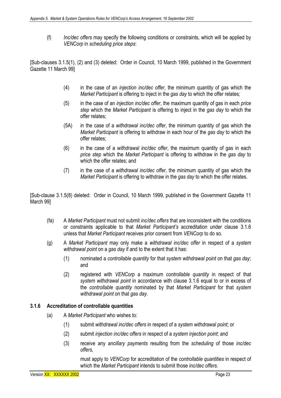(f) *Inc/dec offers* may specify the following conditions or constraints, which will be applied by *VENCorp* in *scheduling price steps*:

[Sub-clauses 3.1.5(1), (2) and (3) deleted: Order in Council, 10 March 1999, published in the Government Gazette 11 March 99]

- (4) in the case of an *injection inc/dec offer*, the minimum quantity of gas which the *Market Participant* is offering to inject in the *gas day* to which the offer relates*;*
- (5) in the case of an *injection inc/dec offer*, the maximum quantity of gas in each *price step* which the *Market Participant* is offering to inject in the *gas day* to which the offer relates;
- (5A) in the case of a *withdrawal inc/dec offer*, the minimum quantity of gas which the *Market Participant* is offering to withdraw in each hour of the *gas day* to which the offer relates;
- (6) in the case of a *withdrawal inc/dec offer*, the maximum quantity of gas in each *price step* which the *Market Participant* is offering to withdraw in the *gas day* to which the offer relates; and
- (7) in the case of a *withdrawal inc/dec offer*, the minimum quantity of gas which the *Market Participant* is offering to withdraw in the *gas day* to which the offer relates.

[Sub-clause 3.1.5(8) deleted: Order in Council, 10 March 1999, published in the Government Gazette 11 March 99]

- (fa) A *Market Participant* must not submit *inc/dec offers* that are inconsistent with the conditions or constraints applicable to that *Market Participant's* accreditation under clause 3.1.6 unless that *Market Participant* receives prior consent from *VENCorp* to do so.
- (g) A *Market Participant* may only make a *withdrawal inc/dec offer* in respect of a *system withdrawal point* on a *gas day* if and to the extent that it has:
	- (1) nominated a *controllable quantity* for that *system withdrawal point* on that *gas day*; and
	- (2) registered with *VENCorp* a maximum *controllable quantity* in respect of that *system withdrawal point* in accordance with clause 3.1.6 equal to or in excess of the *controllable quantity* nominated by that *Market Participant* for that *system withdrawal point* on that *gas day*.

#### **3.1.6 Accreditation of controllable quantities**

- (a) A *Market Participant* who wishes to:
	- (1) submit *withdrawal inc/dec offers* in respect of a *system withdrawal point*; or
	- (2) submit *injection inc/dec offers* in respect of a *system injection point*; and
	- (3) receive any *ancillary payments* resulting from the *scheduling* of those *inc/dec offers*,

must apply to *VENCorp* for accreditation of the *controllable quantities* in respect of which the *Market Participant* intends to submit those *inc/dec offers*.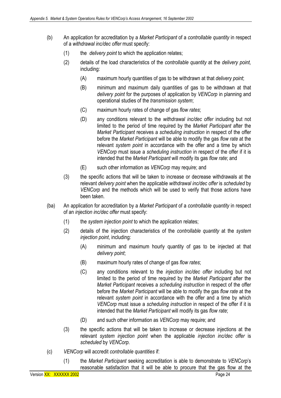- (b) An application for accreditation by a *Market Participant* of a *controllable quantity* in respect of a *withdrawal inc/dec offer* must specify:
	- (1) the *delivery point* to which the application relates;
	- (2) details of the load characteristics of the *controllable quantity* at the *delivery point,*  including:
		- (A) maximum hourly quantities of gas to be withdrawn at that *delivery point*;
		- (B) minimum and maximum daily quantities of gas to be withdrawn at that *delivery point* for the purposes of application by *VENCorp* in planning and operational studies of the *transmission system*;
		- (C) maximum hourly rates of change of gas *flow rates*;
		- (D) any conditions relevant to the *withdrawal inc/dec offer* including but not limited to the period of time required by the *Market Participant* after the *Market Participant* receives a *scheduling instruction* in respect of the offer before the *Market Participant* will be able to modify the gas *flow rate* at the relevant *system point* in accordance with the offer and a time by which *VENCorp* must issue a *scheduling instruction* in respect of the offer if it is intended that the *Market Participant* will modify its gas *flow rate*; and
		- (E) such other information as *VENCorp* may require; and
	- (3) the specific actions that will be taken to increase or decrease withdrawals at the relevant *delivery point* when the applicable *withdrawal inc/dec offer* is *scheduled* by *VENCorp* and the methods which will be used to verify that those actions have been taken.
- (ba) An application for accreditation by a *Market Participant* of a *controllable quantity* in respect of an *injection inc/dec offer* must specify:
	- (1) the *system injection point* to which the application relates;
	- (2) details of the injection characteristics of the *controllable quantity* at the *system injection point*, including:
		- (A) minimum and maximum hourly quantity of gas to be injected at that *delivery point*;
		- (B) maximum hourly rates of change of gas *flow rates*;
		- (C) any conditions relevant to the *injection inc/dec offer* including but not limited to the period of time required by the *Market Participant* after the *Market Participant* receives a *scheduling instruction* in respect of the offer before the *Market Participant* will be able to modify the gas *flow rate* at the relevant *system point* in accordance with the offer and a time by which *VENCorp* must issue a *scheduling instruction* in respect of the offer if it is intended that the *Market Participant* will modify its gas *flow rate*;
		- (D) and such other information as *VENCorp* may require; and
	- (3) the specific actions that will be taken to increase or decrease injections at the relevant *system injection point* when the applicable *injection inc/dec offer* is *scheduled* by *VENCorp*.
- (c) *VENCorp* will accredit *controllable quantities* if:
	- (1) the *Market Participant* seeking accreditation is able to demonstrate to *VENCorp*'s reasonable satisfaction that it will be able to procure that the gas flow at the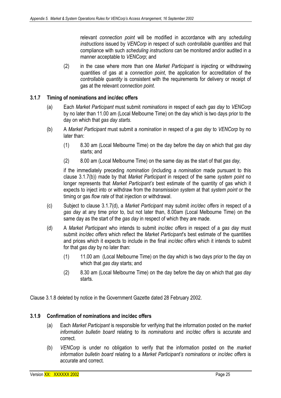relevant *connection point* will be modified in accordance with any *scheduling instructions* issued by *VENCorp* in respect of such *controllable quantities* and that compliance with such *scheduling instructions* can be monitored and/or audited in a manner acceptable to *VENCorp*; and

(2) in the case where more than one *Market Participant* is injecting or withdrawing quantities of gas at a *connection point*, the application for accreditation of the *controllable quantity* is consistent with the requirements for delivery or receipt of gas at the relevant *connection point*.

#### **3.1.7 Timing of nominations and inc/dec offers**

- (a) Each *Market Participant* must submit *nominations* in respect of each *gas day* to *VENCorp*  by no later than 11.00 am (Local Melbourne Time) on the day which is two days prior to the day on which that *gas day starts*.
- (b) A *Market Participant* must submit a *nomination* in respect of a *gas day* to *VENCorp* by no later than:
	- (1) 8.30 am (Local Melbourne Time) on the day before the day on which that *gas day*  starts; and
	- (2) 8.00 am (Local Melbourne Time) on the same day as the start of that *gas day*,

if the immediately preceding *nomination* (including a *nomination* made pursuant to this clause 3.1.7(b)) made by that *Market Participant* in respect of the same *system point* no longer represents that *Market Participant's* best estimate of the quantity of gas which it expects to inject into or withdraw from the *transmission system* at that *system point* or the timing or gas *flow rate* of that injection or withdrawal.

- (c) Subject to clause 3.1.7(d), a *Market Participant* may submit *inc/dec offers* in respect of a *gas day* at any time prior to, but not later than, 8.00am (Local Melbourne Time) on the same day as the start of the *gas day* in respect of which they are made.
- (d) A *Market Participant* who intends to submit *inc/dec offers* in respect of a *gas day* must submit *inc/dec offers* which reflect the *Market Participant*'s best estimate of the quantities and prices which it expects to include in the final *inc/dec offers* which it intends to submit for that *gas day* by no later than:
	- (1) 11.00 am (Local Melbourne Time) on the day which is two days prior to the day on which that *gas day* starts; and
	- (2) 8.30 am (Local Melbourne Time) on the day before the day on which that *gas day* starts*.*

Clause 3.1.8 deleted by notice in the Government Gazette dated 28 February 2002.

#### **3.1.9 Confirmation of nominations and inc/dec offers**

- (a) Each *Market Participant* is responsible for verifying that the information posted on the *market information bulletin board* relating to its *nominations* and *inc/dec offers* is accurate and correct.
- (b) *VENCorp* is under no obligation to verify that the information posted on the *market information bulletin board* relating to a *Market Participant's nominations* or *inc/dec offers* is accurate and correct.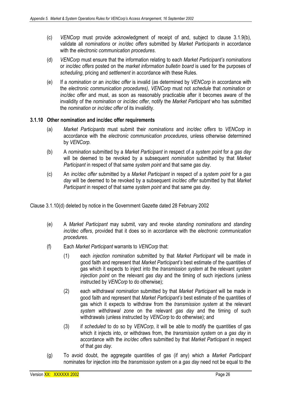- (c) *VENCorp* must provide acknowledgment of receipt of and, subject to clause 3.1.9(b), validate all *nominations* or *inc/dec offers* submitted by *Market Participants* in accordance with the *electronic communication procedures*.
- (d) *VENCorp* must ensure that the information relating to each *Market Participant's nominations*  or *inc/dec offers* posted on the *market information bulletin board* is used for the purposes of *scheduling*, pricing and *settlement* in accordance with these Rules.
- (e) If a *nomination* or an *inc/dec offer* is invalid (as determined by *VENCorp* in accordance with the *electronic communication procedures), VENCorp* must not *schedule* that *nomination* or *inc/dec offer* and must, as soon as reasonably practicable after it becomes aware of the invalidity of the *nomination* or *inc*/*dec offer*, notify the *Market Participant* who has submitted the *nomination* or *inc*/*dec offer* of its invalidity.

#### **3.1.10 Other nomination and inc/dec offer requirements**

- (a) *Market Participants* must submit their *nominations* and *inc/dec offers* to *VENCorp* in accordance with the *electronic communication procedures*, unless otherwise determined by *VENCorp*.
- (b) A *nomination* submitted by a *Market Participant* in respect of a *system point* for a *gas day*  will be deemed to be revoked by a subsequent *nomination* submitted by that *Market Participant* in respect of that same *system point* and that same *gas day*.
- (c) An *inc/dec offer* submitted by a *Market Participant* in respect of a *system point* for a *gas day* will be deemed to be revoked by a subsequent *inc/dec offer* submitted by that *Market Participant* in respect of that same *system point* and that same *gas day*.

Clause 3.1.10(d) deleted by notice in the Government Gazette dated 28 February 2002

- (e) A *Market Participant* may submit, vary and revoke *standing nominations* and *standing inc/dec offers*, provided that it does so in accordance with the *electronic communication procedures*.
- (f) Each *Market Participant* warrants to *VENCorp* that:
	- (1) each *injection nomination* submitted by that *Market Participant* will be made in good faith and represent that *Market Participant's* best estimate of the quantities of gas which it expects to inject into the *transmission system* at the relevant *system injection point* on the relevant *gas day* and the timing of such injections (unless instructed by *VENCorp* to do otherwise);
	- (2) each *withdrawal nomination* submitted by that *Market Participant* will be made in good faith and represent that *Market Participant's* best estimate of the quantities of gas which it expects to withdraw from the *transmission system* at the relevant *system withdrawal zone* on the relevant *gas day* and the timing of such withdrawals (unless instructed by *VENCorp* to do otherwise); and
	- (3) if *scheduled* to do so by *VENCorp*, it will be able to modify the quantities of gas which it injects into, or withdraws from, the *transmission system* on a *gas day* in accordance with the *inc/dec offers* submitted by that *Market Participant* in respect of that *gas day*.
- (g) To avoid doubt, the aggregate quantities of gas (if any) which a *Market Participant*  nominates for injection into the *transmission system* on a *gas day* need not be equal to the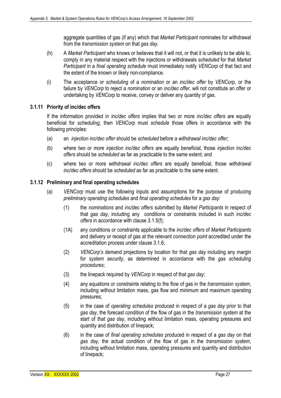aggregate quantities of gas (if any) which that *Market Participant* nominates for withdrawal from the *transmission system* on that *gas day*.

- (h) A *Market Participant* who knows or believes that it will not, or that it is unlikely to be able to, comply in any material respect with the injections or withdrawals *scheduled* for that *Market Participant* in a *final operating schedule* must immediately notify *VENCorp* of that fact and the extent of the known or likely non-compliance.
- (i) The acceptance or *scheduling* of a *nomination* or an *inc/dec offer* by *VENCorp,* or the failure by *VENCorp* to reject a *nomination* or an *inc/dec offer*, will not constitute an offer or undertaking by *VENCorp* to receive, convey or deliver any quantity of gas.

#### **3.1.11 Priority of inc/dec offers**

If the information provided in *inc/dec offers* implies that two or more *inc/dec offers* are equally beneficial for *scheduling*, then *VENCorp* must *schedule* those offers in accordance with the following principles:

- (a) an *injection inc/dec offer* should be *scheduled* before a *withdrawal inc/dec offer*;
- (b) where two or more *injection inc/dec offers* are equally beneficial, those *injection inc/dec offers* should be *scheduled* as far as practicable to the same extent; and
- (c) where two or more *withdrawal inc/dec offers* are equally beneficial, those *withdrawal inc/dec offers* should be *scheduled* as far as practicable to the same extent.

#### **3.1.12 Preliminary and final operating schedules**

- (a) *VENCorp* must use the following inputs and assumptions for the purpose of producing *preliminary operating schedules* and *final operating schedules* for a *gas day*:
	- (1) the *nominations* and *inc/dec offers* submitted by *Market Participants* in respect of that *gas day*, including any conditions or constraints included in such *inc/dec offers* in accordance with clause 3.1.5(f);
	- (1A) any conditions or constraints applicable to the *inc/dec offers* of *Market Participants*  and delivery or receipt of gas at the relevant *connection point* accredited under the accreditation process under clause 3.1.6;
	- (2) *VENCorp's* demand projections by location for that *gas day* including any margin for *system security*, as determined in accordance with the *gas scheduling procedures*;
	- (3) the linepack required by *VENCorp* in respect of that *gas day*;
	- (4) any equations or constraints relating to the flow of gas in the *transmission system*, including without limitation mass, gas flow and minimum and maximum operating pressures;
	- (5) in the case of *operating schedules* produced in respect of a *gas day* prior to that *gas day*, the forecast condition of the flow of gas in the *transmission system* at the start of that *gas day*, including without limitation mass, operating pressures and quantity and distribution of linepack;
	- (6) in the case of *final operating schedules* produced in respect of a *gas day* on that *gas day*, the actual condition of the flow of gas in the *transmission system*, including without limitation mass, operating pressures and quantity and distribution of linepack;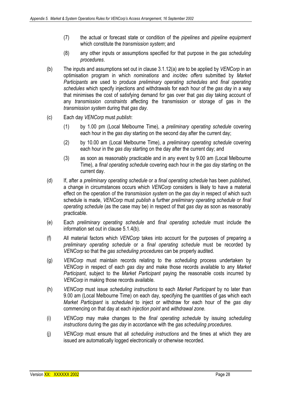- (7) the actual or forecast state or condition of the *pipelines* and *pipeline equipment*  which constitute the *transmission system*; and
- (8) any other inputs or assumptions specified for that purpose in the *gas scheduling procedures*.
- (b) The inputs and assumptions set out in clause 3.1.12(a) are to be applied by *VENCorp* in an optimisation program in which *nominations* and *inc/dec offers* submitted by *Market Participants* are used to produce *preliminary operating schedules* and *final operating schedules* which specify injections and withdrawals for each hour of the *gas day* in a way that minimises the cost of satisfying demand for gas over that *gas day* taking account of any *transmission constraints* affecting the transmission or storage of gas in the *transmission system* during that *gas day*.
- (c) Each day *VENCorp* must *publish*:
	- (1) by 1.00 pm (Local Melbourne Time), a *preliminary operating schedule* covering each hour in the *gas day* starting on the second day after the current day;
	- (2) by 10.00 am (Local Melbourne Time), a *preliminary operating schedule* covering each hour in the *gas day* starting on the day after the current day; and
	- (3) as soon as reasonably practicable and in any event by 9.00 am (Local Melbourne Time), a *final operating schedule* covering each hour in the *gas day* starting on the current day.
- (d) If, after a *preliminary operating schedule* or a *final operating schedule* has been *published*, a change in circumstances occurs which *VENCorp* considers is likely to have a material effect on the operation of the *transmission system* on the *gas day* in respect of which such schedule is made, *VENCorp* must *publish* a further *preliminary operating schedule* or *final operating schedule* (as the case may be) in respect of that *gas day* as soon as reasonably practicable.
- (e) Each *preliminary operating schedule* and *final operating schedule* must include the information set out in clause 5.1.4(b).
- (f) All material factors which *VENCorp* takes into account for the purposes of preparing a *preliminary operating schedule* or a *final operating schedule* must be recorded by *VENCorp* so that the *gas scheduling procedures* can be properly audited.
- (g) *VENCorp* must maintain records relating to the *scheduling* process undertaken by *VENCorp* in respect of each *gas day* and make those records available to any *Market Participant*, subject to the *Market Participant* paying the reasonable costs incurred by *VENCorp* in making those records available.
- (h) *VENCorp* must issue *scheduling instructions* to each *Market Participant* by no later than 9.00 am (Local Melbourne Time) on each day, specifying the quantities of gas which each *Market Participant* is *scheduled* to inject or withdraw for each hour of the *gas day*  commencing on that day at each *injection point* and *withdrawal zone*.
- (i) *VENCorp* may make changes to the *final operating schedule* by issuing *scheduling instructions* during the *gas day* in accordance with the *gas scheduling procedures*.
- (j) *VENCorp* must ensure that all *scheduling instructions* and the times at which they are issued are automatically logged electronically or otherwise recorded.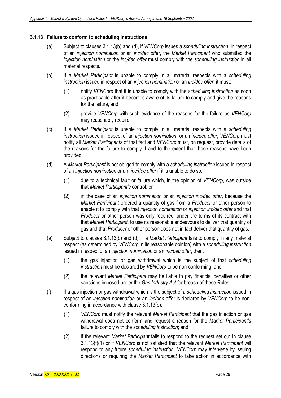#### **3.1.13 Failure to conform to scheduling instructions**

- (a) Subject to clauses 3.1.13(b) and (d), if *VENCorp* issues a *scheduling instruction* in respect of an *injection nomination* or an *inc/dec offer*, the *Market Participant* who submitted the *injection nomination* or the *inc/dec offer* must comply with the *scheduling instruction* in all material respects.
- (b) If a *Market Participant* is unable to comply in all material respects with a *scheduling instruction* issued in respect of an *injection nomination* or an *inc/dec offer*, it must:
	- (1) notify *VENCorp* that it is unable to comply with the *scheduling instruction* as soon as practicable after it becomes aware of its failure to comply and give the reasons for the failure; and
	- (2) provide *VENCorp* with such evidence of the reasons for the failure as *VENCorp*  may reasonably require.
- (c) If a *Market Participant* is unable to comply in all material respects with a *scheduling instruction* issued in respect of an *injection nomination* or an *inc/dec offer*, *VENCorp* must notify all *Market Participants* of that fact and *VENCorp* must, on request, provide details of the reasons for the failure to comply if and to the extent that those reasons have been provided.
- (d) A *Market Participant* is not obliged to comply with a *scheduling instruction* issued in respect of an *injection nomination* or an *inc/dec offer* if it is unable to do so:
	- (1) due to a technical fault or failure which, in the opinion of *VENCorp*, was outside that *Market Participant's* control; or
	- (2) in the case of an *injection nomination* or an *injection inc/dec offer*, because the *Market Participant* ordered a quantity of gas from a *Producer* or other person to enable it to comply with that *injection nomination* or *injection inc/dec offer* and that *Producer* or other person was only required, under the terms of its contract with that *Market Participant*, to use its reasonable endeavours to deliver that quantity of gas and that *Producer* or other person does not in fact deliver that quantity of gas.
- (e) Subject to clauses 3.1.13(b) and (d), if a *Market Participant* fails to comply in any material respect (as determined by *VENCorp* in its reasonable opinion) with a *scheduling instruction*  issued in respect of an *injection nomination* or an *inc/dec offer*, then:
	- (1) the gas injection or gas withdrawal which is the subject of that *scheduling instruction* must be declared by *VENCorp* to be non-conforming; and
	- (2) the relevant *Market Participant* may be liable to pay financial penalties or other sanctions imposed under the *Gas Industry Act* for breach of these Rules.
- (f) If a gas injection or gas withdrawal which is the subject of a *scheduling instruction* issued in respect of an *injection nomination* or an *inc/dec offer* is declared by *VENCorp* to be nonconforming in accordance with clause 3.1.13(e):
	- (1) *VENCorp* must notify the relevant *Market Participant* that the gas injection or gas withdrawal does not conform and request a reason for the *Market Participant's*  failure to comply with the *scheduling instruction*; and
	- (2) if the relevant *Market Participant* fails to respond to the request set out in clause 3.1.13(f)(1) or if *VENCorp* is not satisfied that the relevant *Market Participant* will respond to any future *scheduling instruction*, *VENCorp* may *intervene* by issuing directions or requiring the *Market Participant* to take action in accordance with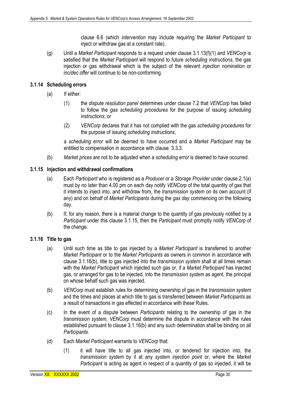clause 6.6 (which *intervention* may include requiring the *Market Participant* to inject or withdraw gas at a constant rate).

(g) Until a *Market Participant* responds to a request under clause 3.1.13(f)(1) and *VENCorp* is satisfied that the *Market Participant* will respond to future *scheduling instructions*, the gas injection or gas withdrawal which is the subject of the relevant *injection nomination* or *inc/dec offer* will continue to be non-conforming.

### **3.1.14 Scheduling errors**

- (a) If either:
	- (1) the *dispute resolution panel* determines under clause 7.2 that *VENCorp* has failed to follow the *gas scheduling procedures* for the purpose of issuing *scheduling instructions*; or
	- (2) *VENCorp* declares that it has not complied with the gas *scheduling procedures* for the purpose of issuing *scheduling instructions*,

a *scheduling error* will be deemed to have occurred and a *Market Participant* may be entitled to compensation in accordance with clause 3.3.3.

(b) *Market prices* are not to be adjusted when a *scheduling error* is deemed to have occurred.

#### **3.1.15 Injection and withdrawal confirmations**

- (a) Each *Participant* who is registered as a *Producer* or a *Storage Provider* under clause 2.1(a) must by no later than 4.00 pm on each day notify *VENCorp* of the total quantity of gas that it intends to inject into, and withdraw from, the *transmission system* on its own account (if any) and on behalf of *Market Participants* during the *gas day* commencing on the following day.
- (b) If, for any reason, there is a material change to the quantity of gas previously notified by a *Participant* under this clause 3.1.15, then the *Participant* must promptly notify *VENCorp* of the change.

#### **3.1.16 Title to gas**

- (a) Until such time as title to gas injected by a *Market Participant* is transferred to another *Market Participant* or to the *Market Participants* as owners in common in accordance with clause 3.1.16(b), title to gas injected into the *transmission system* shall at all times remain with the *Market Participant* which injected such gas or, if a *Market Participant* has injected gas, or arranged for gas to be injected, into the *transmission system* as agent, the principal on whose behalf such gas was injected.
- (b) *VENCorp* must establish rules for determining ownership of gas in the *transmission system* and the times and places at which title to gas is transferred between *Market Participants* as a result of transactions in gas effected in accordance with these Rules.
- (c) In the event of a dispute between *Participants* relating to the ownership of gas in the *transmission system*, *VENCorp* must determine the dispute in accordance with the rules established pursuant to clause 3.1.16(b) and any such determination shall be binding on all *Participants*.
- (d) Each *Market Participant* warrants to *VENCorp* that:
	- (1) it will have title to all gas injected into, or tendered for injection into, the *transmission system* by it at any *system injection point* or, where the *Market Participant* is acting as agent in respect of a quantity of gas so injected, it will be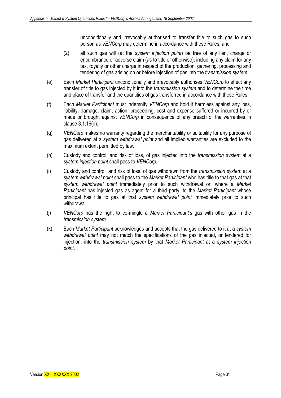unconditionally and irrevocably authorised to transfer title to such gas to such person as *VENCorp* may determine in accordance with these Rules; and

- (2) all such gas will (at the *system injection point*) be free of any lien, charge or encumbrance or adverse claim (as to title or otherwise), including any claim for any tax, royalty or other charge in respect of the production, gathering, processing and tendering of gas arising on or before injection of gas into the *transmission system*.
- (e) Each *Market Participant* unconditionally and irrevocably authorises *VENCorp* to effect any transfer of title to gas injected by it into the *transmission system* and to determine the time and place of transfer and the quantities of gas transferred in accordance with these Rules.
- (f) Each *Market Participant* must indemnify *VENCorp* and hold it harmless against any loss, liability, damage, claim, action, proceeding, cost and expense suffered or incurred by or made or brought against *VENCorp* in consequence of any breach of the warranties in clause 3.1.16(d).
- (g) *VENCorp* makes no warranty regarding the merchantability or suitability for any purpose of gas delivered at a *system withdrawal point* and all implied warranties are excluded to the maximum extent permitted by law.
- (h) Custody and control, and risk of loss, of gas injected into the *transmission system* at a *system injection point* shall pass to *VENCorp*.
- (i) Custody and control, and risk of loss, of gas withdrawn from the *transmission system* at a *system withdrawal point* shall pass to the *Market Participant* who has title to that gas at that *system withdrawal point* immediately prior to such withdrawal or, where a *Market Participant* has injected gas as agent for a third party, to the *Market Participant* whose principal has title to gas at that *system withdrawal point* immediately prior to such withdrawal.
- (j) *VENCorp* has the right to co-mingle a *Market Participant's* gas with other gas in the *transmission system*.
- (k) Each *Market Participant* acknowledges and accepts that the gas delivered to it at a *system withdrawal point* may not match the specifications of the gas injected, or tendered for injection, into the *transmission system* by that *Market Participant* at a *system injection point*.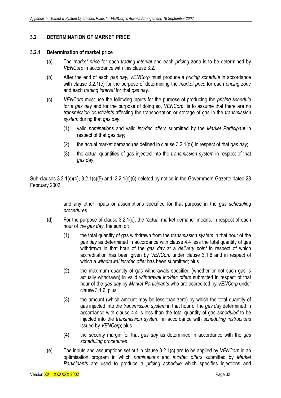# **3.2 DETERMINATION OF MARKET PRICE**

#### **3.2.1 Determination of market price**

- (a) The *market price* for each *trading interval* and each *pricing zone* is to be determined by *VENCorp* in accordance with this clause 3.2.
- (b) After the end of each *gas day*, *VENCorp* must produce a *pricing schedule* in accordance with clause 3.2.1(e) for the purpose of determining the *market price* for each *pricing zone* and each *trading interval* for that *gas day*.
- (c) *VENCorp* must use the following inputs for the purpose of producing the *pricing schedule*  for a *gas day* and for the purpose of doing so, *VENCorp* is to assume that there are no *transmission constraints* affecting the transportation or storage of gas in the *transmission system* during that *gas day*:
	- (1) valid *nominations* and valid *inc/dec offers* submitted by the *Market Participant* in respect of that *gas day*;
	- (2) the actual market demand (as defined in clause 3.2.1(d)) in respect of that *gas day*;
	- (3) the actual quantities of gas injected into the *transmission system* in respect of that *gas day*;

Sub-clauses 3.2.1(c)(4), 3.2.1(c)(5) and, 3.2.1(c)(6) deleted by notice in the Government Gazette dated 28 February 2002.

> and any other inputs or assumptions specified for that purpose in the *gas scheduling procedures*.

- (d) For the purpose of clause 3.2.1(c), the "actual market demand" means, in respect of each hour of the *gas day*, the sum of:
	- (1) the total quantity of gas withdrawn from the *transmission system* in that hour of the *gas day* as determined in accordance with clause 4.4 less the total quantity of gas withdrawn in that hour of the *gas day* at a *delivery point* in respect of which accreditation has been given by *VENCorp* under clause 3.1.6 and in respect of which a *withdrawal inc/dec offer* has been submitted; plus
	- (2) the maximum quantity of gas withdrawals specified (whether or not such gas is actually withdrawn) in valid *withdrawal inc/dec offers* submitted in respect of that hour of the *gas day* by *Market Participants* who are accredited by *VENCorp* under clause 3.1.6; plus
	- (3) the amount (which amount may be less than zero) by which the total quantity of gas injected into the *transmission system* in that hour of the *gas day* determined in accordance with clause 4.4 is less than the total quantity of gas *scheduled* to be injected into the *transmission system* in accordance with *scheduling instructions*  issued by *VENCorp*; plus
	- (4) the security margin for that *gas day* as determined in accordance with the *gas scheduling procedures*.
- (e) The inputs and assumptions set out in clause 3.2.1(c) are to be applied by *VENCorp* in an optimisation program in which *nominations* and *inc/dec offers* submitted by *Market Participants* are used to produce a *pricing schedule* which specifies injections and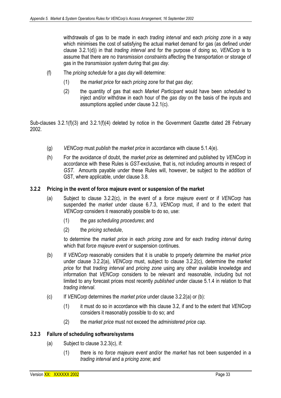withdrawals of gas to be made in each *trading interval* and each *pricing zone* in a way which minimises the cost of satisfying the actual market demand for gas (as defined under clause 3.2.1(d)) in that *trading interval* and for the purpose of doing so, *VENCorp* is to assume that there are no *transmission constraints* affecting the transportation or storage of gas in the *transmission system* during that *gas day*.

- (f) The *pricing schedule* for a *gas day* will determine:
	- (1) the *market price* for each *pricing zone* for that *gas day*;
	- (2) the quantity of gas that each *Market Participant* would have been *scheduled* to inject and/or withdraw in each hour of the *gas day* on the basis of the inputs and assumptions applied under clause 3.2.1(c).

Sub-clauses 3.2.1(f)(3) and 3.2.1(f)(4) deleted by notice in the Government Gazette dated 28 February 2002.

- (g) *VENCorp* must *publish* the *market price* in accordance with clause 5.1.4(e).
- (h) For the avoidance of doubt, the *market price* as determined and published by *VENCorp* in accordance with these Rules is *GST*-exclusive, that is, not including amounts in respect of *GST*. Amounts payable under these Rules will, however, be subject to the addition of GST, where applicable, under clause 3.8.

#### **3.2.2 Pricing in the event of force majeure event or suspension of the market**

- (a) Subject to clause 3.2.2(c), in the event of a *force majeure event* or if *VENCorp* has suspended the *market* under clause 6.7.3, *VENCorp* must, if and to the extent that *VENCorp* considers it reasonably possible to do so, use:
	- (1) the *gas scheduling procedures*; and
	- (2) the *pricing schedule*,

to determine the *market price* in each *pricing zone* and for each *trading interval* during which that *force majeure event* or suspension continues.

- (b) If *VENCorp* reasonably considers that it is unable to properly determine the *market price*  under clause 3.2.2(a), *VENCorp* must, subject to clause 3.2.2(c), determine the *market price* for that *trading interval* and *pricing zone* using any other available knowledge and information that *VENCorp* considers to be relevant and reasonable, including but not limited to any forecast prices most recently *published* under clause 5.1.4 in relation to that *trading interval*.
- (c) If *VENCorp* determines the *market price* under clause 3.2.2(a) or (b):
	- (1) it must do so in accordance with this clause 3.2, if and to the extent that *VENCorp*  considers it reasonably possible to do so; and
	- (2) the *market price* must not exceed the *administered price cap*.

#### **3.2.3 Failure of scheduling software/systems**

- (a) Subject to clause 3.2.3(c), if:
	- (1) there is no *force majeure event* and/or the *market* has not been suspended in a *trading interval* and a *pricing zone*; and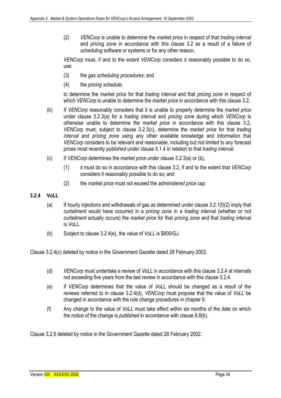(2) *VENCorp* is unable to determine the *market price* in respect of that *trading interval*  and *pricing zone* in accordance with this clause 3.2 as a result of a failure of *scheduling* software or systems or for any other reason,

*VENCorp* must, if and to the extent *VENCorp* considers it reasonably possible to do so, use:

- (3) the *gas scheduling procedures*; and
- (4) the *pricing schedule*,

to determine the *market price* for that *trading interval* and that *pricing zone* in respect of which *VENCorp* is unable to determine the *market price* in accordance with this clause 3.2.

- (b) If *VENCorp* reasonably considers that it is unable to properly determine the *market price*  under clause 3.2.3(a) for a *trading interval* and *pricing zone* during which *VENCorp* is otherwise unable to determine the *market price* in accordance with this clause 3.2, *VENCorp* must, subject to clause 3.2.3(c), determine the *market price* for that *trading interval* and *pricing zone* using any other available knowledge and information that *VENCorp* considers to be relevant and reasonable, including but not limited to any forecast prices most recently *published* under clause 5.1.4 in relation to that *trading interval.*
- (c) If *VENCorp* determines the *market price* under clause 3.2.3(a) or (b),
	- (1) it must do so in accordance with this clause 3.2, if and to the extent that *VENCorp* considers it reasonably possible to do so; and
	- (2) the *market price* must not exceed the *administered price cap.*

# **3.2.4 VoLL**

- $(a)$  If hourly injections and withdrawals of gas as determined under clause 3.2.1(f)(2) imply that *curtailment* would have occurred in a *pricing zone* in a *trading interval* (whether or not *curtailment* actually occurs) the *market price* for that *pricing zone* and that *trading interval*  is *VoLL*.
- (b) Subject to clause 3.2.4(e), the value of *VoLL* is \$800/GJ.

Clause 3.2.4(c) deleted by notice in the Government Gazette dated 28 February 2002.

- (d) *VENCorp* must undertake a review of *VoLL* in accordance with this clause 3.2.4 at intervals not exceeding five years from the last review in accordance with this clause 3.2.4.
- (e) If *VENCorp* determines that the value of *VoLL* should be changed as a result of the reviews referred to in clause 3.2.4(d), *VENCorp* must propose that the value of *VoLL* be changed in accordance with the rule change procedures in chapter 8.
- (f) Any change to the value of *VoLL* must take effect within six months of the date on which the notice of the change is *published* in accordance with clause 8.8(b).

Clause 3.2.5 deleted by notice in the Government Gazette dated 28 February 2002.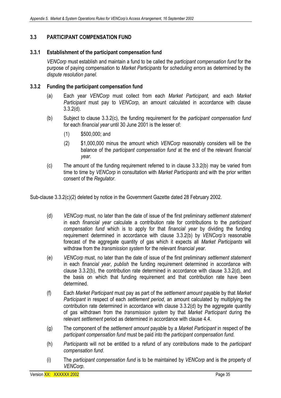# **3.3 PARTICIPANT COMPENSATION FUND**

## **3.3.1 Establishment of the participant compensation fund**

*VENCorp* must establish and maintain a fund to be called the *participant compensation fund* for the purpose of paying compensation to *Market Participants* for *scheduling errors* as determined by the *dispute resolution panel*.

#### **3.3.2 Funding the participant compensation fund**

- (a) Each year *VENCorp* must collect from each *Market Participant,* and each *Market Participant* must pay to *VENCorp,* an amount calculated in accordance with clause 3.3.2(d).
- (b) Subject to clause 3.3.2(c), the funding requirement for the *participant compensation fund*  for each *financial year* until 30 June 2001 is the lesser of:
	- (1) \$500,000; and
	- (2) \$1,000,000 minus the amount which *VENCorp* reasonably considers will be the balance of the *participant compensation fund* at the end of the relevant *financial year*.
- (c) The amount of the funding requirement referred to in clause 3.3.2(b) may be varied from time to time by *VENCorp* in consultation with *Market Participants* and with the prior written consent of the *Regulator*.

Sub-clause 3.3.2(c)(2) deleted by notice in the Government Gazette dated 28 February 2002.

- (d) *VENCorp* must, no later than the date of issue of the first preliminary *settlement statement*  in each *financial year* calculate a contribution rate for contributions to the *participant compensation fund* which is to apply for that *financial year* by dividing the funding requirement determined in accordance with clause 3.3.2(b) by *VENCorp's* reasonable forecast of the aggregate quantity of gas which it expects all *Market Participants* will withdraw from the *transmission system* for the relevant *financial year*.
- (e) *VENCorp* must, no later than the date of issue of the first preliminary *settlement statement* in each *financial year*, *publish* the funding requirement determined in accordance with clause 3.3.2(b), the contribution rate determined in accordance with clause 3.3.2(d), and the basis on which that funding requirement and that contribution rate have been determined.
- (f) Each *Market Participant* must pay as part of the *settlement amount* payable by that *Market Participant* in respect of each *settlement period*, an amount calculated by multiplying the contribution rate determined in accordance with clause 3.3.2(d) by the aggregate quantity of gas withdrawn from the *transmission system* by that *Market Participant* during the relevant *settlement* period as determined in accordance with clause 4.4.
- (g) The component of the *settlement amount* payable by a *Market Participant* in respect of the *participant compensation fund* must be paid into the *participant compensation fund.*
- (h) *Participants* will not be entitled to a refund of any contributions made to the *participant compensation fund*.
- (i) The *participant compensation fund* is to be maintained by *VENCorp* and is the property of *VENCorp*.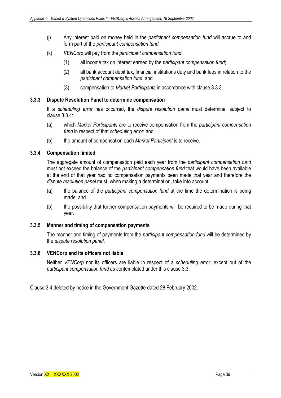- (j) Any interest paid on money held in the *participant compensation fund* will accrue to and form part of the *participant compensation fund*.
- (k) *VENCorp* will pay from the *participant compensation fund*:
	- (1) all income tax on interest earned by the *participant compensation fund*;
	- (2) all bank account debit tax, financial institutions duty and bank fees in relation to the *participant compensation fund*; and
	- (3) compensation to *Market Participants* in accordance with clause 3.3.3.

#### **3.3.3 Dispute Resolution Panel to determine compensation**

If a *scheduling error* has occurred, the *dispute resolution panel* must determine, subject to clause 3.3.4:

- (a) which *Market Participant*s are to receive compensation from the *participant compensation fund* in respect of that *scheduling error*; and
- (b) the amount of compensation each *Market Participant* is to receive.

## **3.3.4 Compensation limited**

The aggregate amount of compensation paid each year from the *participant compensation fund*  must not exceed the balance of the *participant compensation fund* that would have been available at the end of that year had no compensation payments been made that year and therefore the *dispute resolution panel* must, when making a determination, take into account:

- (a) the balance of the *participant compensation fund* at the time the determination is being made; and
- (b) the possibility that further compensation payments will be required to be made during that year.

#### **3.3.5 Manner and timing of compensation payments**

The manner and timing of payments from the *participant compensation fund* will be determined by the *dispute resolution panel*.

#### **3.3.6 VENCorp and its officers not liable**

Neither *VENCorp* nor its officers are liable in respect of a *scheduling error*, except out of the *participant compensation fund* as contemplated under this clause 3.3.

Clause 3.4 deleted by notice in the Government Gazette dated 28 February 2002.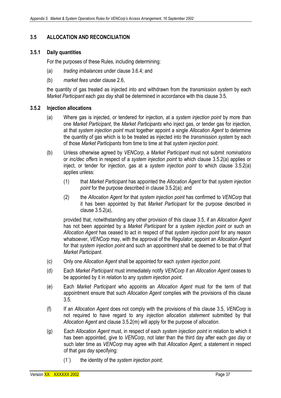# **3.5 ALLOCATION AND RECONCILIATION**

#### **3.5.1 Daily quantities**

For the purposes of these Rules, including determining:

- (a) *trading imbalances* under clause 3.6.4; and
- (b) *market fees* under clause 2.6,

the quantity of gas treated as injected into and withdrawn from the *transmission system* by each *Market Participant* each *gas day* shall be determined in accordance with this clause 3.5.

#### **3.5.2 Injection allocations**

- (a) Where gas is injected, or tendered for injection, at a *system injection point* by more than one *Market Participant*, the *Market Participants* who inject gas, or tender gas for injection, at that *system injection point* must together appoint a single *Allocation Agent* to determine the quantity of gas which is to be treated as injected into the *transmission system* by each of those *Market Participants* from time to time at that *system injection point*.
- (b) Unless otherwise agreed by *VENCorp*, a *Market Participant* must not submit *nominations*  or *inc/dec offers* in respect of a *system injection point* to which clause 3.5.2(a) applies or inject, or tender for injection, gas at a *system injection point* to which clause 3.5.2(a) applies unless:
	- (1) that *Market Participant* has appointed the *Allocation Agent* for that *system injection point* for the purpose described in clause 3.5.2(a); and
	- (2) the *Allocation Agent* for that *system injection point* has confirmed to *VENCorp* that it has been appointed by that *Market Participant* for the purpose described in clause 3.5.2(a),

provided that, notwithstanding any other provision of this clause 3.5, if an *Allocation Agent*  has not been appointed by a *Market Participant* for a *system injection point* or such an *Allocation Agent* has ceased to act in respect of that *system injection point* for any reason whatsoever, *VENCorp* may, with the approval of the *Regulator*, appoint an *Allocation Agent* for that *system injection point* and such an appointment shall be deemed to be that of that *Market Participant*.

- (c) Only one *Allocation Agent* shall be appointed for each *system injection point*.
- (d) Each *Market Participant* must immediately notify *VENCorp* if an *Allocation Agent* ceases to be appointed by it in relation to any *system injection point*.
- (e) Each *Market Participant* who appoints an *Allocation Agent* must for the term of that appointment ensure that such *Allocation Agent* complies with the provisions of this clause 3.5.
- (f) If an *Allocation Agent* does not comply with the provisions of this clause 3.5, *VENCorp* is not required to have regard to any *injection allocation statement* submitted by that *Allocation Agent* and clause 3.5.2(m) will apply for the purpose of *allocation*.
- (g) Each *Allocation Agent* must, in respect of each *system injection point* in relation to which it has been appointed, give to *VENCorp*, not later than the third day after each *gas day* or such later time as *VENCorp* may agree with that *Allocation Agent*, a statement in respect of that *gas day* specifying:
	- (1`) the identity of the *system injection point*;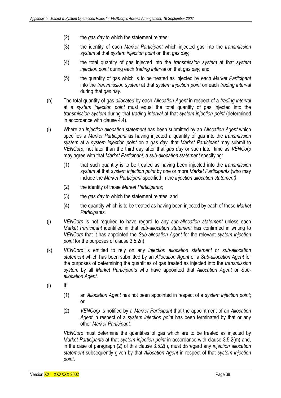- (2) the *gas day* to which the statement relates;
- (3) the identity of each *Market Participant* which injected gas into the *transmission system* at that *system injection point* on that *gas day*;
- (4) the total quantity of gas injected into the *transmission system* at that *system injection point* during each *trading interval* on that *gas day*; and
- (5) the quantity of gas which is to be treated as injected by each *Market Participant*  into the *transmission system* at that *system injection point* on each *trading interval*  during that *gas day*.
- (h) The total quantity of gas *allocated* by each *Allocation Agent* in respect of a *trading interval*  at a *system injection point* must equal the total quantity of gas injected into the *transmission system* during that *trading interval* at that *system injection point* (determined in accordance with clause 4.4).
- (i) Where an *injection allocation statement* has been submitted by an *Allocation Agent* which specifies a *Market Participant* as having injected a quantity of gas into the *transmission system* at a *system injection point* on a *gas day*, that *Market Participant* may submit to *VENCorp*, not later than the third day after that *gas day* or such later time as *VENCorp* may agree with that *Market Participant*, a *sub-allocation statement* specifying:
	- (1) that such quantity is to be treated as having been injected into the *transmission system* at that *system injection point* by one or more *Market Participants* (who may include the *Market Participant* specified in the *injection allocation statement)*;
	- (2) the identity of those *Market Participants*;
	- (3) the *gas day* to which the statement relates; and
	- (4) the quantity which is to be treated as having been injected by each of those *Market Participants*.
- (j) *VENCorp* is not required to have regard to any *sub-allocation statement* unless each *Market Participant* identified in that *sub-allocation statement* has confirmed in writing to *VENCorp* that it has appointed the *Sub-allocation Agent* for the relevant *system injection point* for the purposes of clause 3.5.2(i).
- (k) *VENCorp* is entitled to rely on any *injection allocation statement* or *sub-allocation statement* which has been submitted by an *Allocation Agent* or a *Sub-allocation Agent* for the purposes of determining the quantities of gas treated as injected into the *transmission system* by all *Market Participants* who have appointed that *Allocation Agent* or *Suballocation Agent*.
- (l) If:
	- (1) an *Allocation Agent* has not been appointed in respect of a *system injection point*; or
	- (2) *VENCorp* is notified by a *Market Participant* that the appointment of an *Allocation Agent* in respect of a *system injection point* has been terminated by that or any other *Market Participant,*

*VENCorp* must determine the quantities of gas which are to be treated as injected by *Market Participants* at that *system injection point* in accordance with clause 3.5.2(m) and, in the case of paragraph (2) of this clause 3.5.2(l), must disregard any *injection allocation statement* subsequently given by that *Allocation Agent* in respect of that *system injection point*.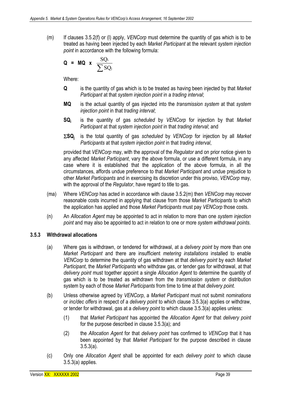(m) If clauses 3.5.2(f) or (l) apply, *VENCorp* must determine the quantity of gas which is to be treated as having been injected by each *Market Participant* at the relevant *system injection point* in accordance with the following formula:

$$
Q = MQ \times \frac{SQ_i}{\sum SQ_j}
$$

Where:

- **Q** is the quantity of gas which is to be treated as having been injected by that *Market Participant* at that *system injection point* in a *trading interval*;
- **MQ** is the actual quantity of gas injected into the *transmission system* at that *system injection point* in that *trading interval*;
- **SQi** is the quantity of gas *scheduled* by *VENCorp* for injection by that *Market Participant* at that *system injection point* in that *trading interval*; and
- Σ**SQj** is the total quantity of gas *scheduled* by *VENCorp* for injection by all *Market Participants* at that *system injection point* in that *trading interval*,

provided that *VENCorp* may, with the approval of the *Regulator* and on prior notice given to any affected *Market Participant*, vary the above formula, or use a different formula, in any case where it is established that the application of the above formula, in all the circumstances, affords undue preference to that *Market Participant* and undue prejudice to other *Market Participants* and in exercising its discretion under this proviso, *VENCorp* may, with the approval of the *Regulator*, have regard to title to gas.

- (ma) Where *VENCorp* has acted in accordance with clause 3.5.2(m) then *VENCorp* may recover reasonable costs incurred in applying that clause from those *Market Participants* to which the application has applied and those *Market Participants* must pay *VENCorp* those costs.
- (n) An *Allocation Agent* may be appointed to act in relation to more than one *system injection point* and may also be appointed to act in relation to one or more *system withdrawal points*.

## **3.5.3 Withdrawal allocations**

- (a) Where gas is withdrawn, or tendered for withdrawal, at a *delivery point* by more than one *Market Participant* and there are insufficient *metering installations* installed to enable *VENCorp* to determine the quantity of gas withdrawn at that *delivery point* by each *Market Participant*, the *Market Participants* who withdraw gas, or tender gas for withdrawal, at that *delivery point* must together appoint a single *Allocation Agent* to determine the quantity of gas which is to be treated as withdrawn from the *transmission system* or distribution system by each of those *Market Participants* from time to time at that *delivery point.*
- (b) Unless otherwise agreed by *VENCorp*, a *Market Participant* must not submit *nominations*  or *inc/dec offers* in respect of a *delivery point* to which clause 3.5.3(a) applies or withdraw, or tender for withdrawal, gas at a *delivery point* to which clause 3.5.3(a) applies unless:
	- (1) that *Market Participant* has appointed the *Allocation Agent* for that *delivery point* for the purpose described in clause 3.5.3(a); and
	- (2) the *Allocation Agent* for that *delivery point* has confirmed to *VENCorp* that it has been appointed by that *Market Participant* for the purpose described in clause 3.5.3(a).
- (c) Only one *Allocation Agent* shall be appointed for each *delivery point* to which clause 3.5.3(a) applies.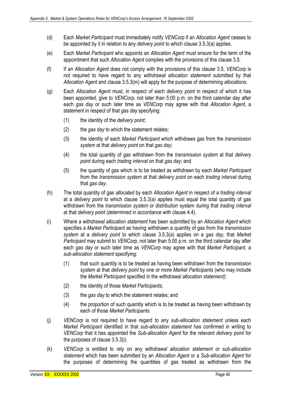- (d) Each *Market Participant* must immediately notify *VENCorp* if an *Allocation Agent* ceases to be appointed by it in relation to any *delivery point* to which clause 3.5.3(a) applies.
- (e) Each *Market Participant* who appoints an *Allocation Agent* must ensure for the term of the appointment that such *Allocation Agent* complies with the provisions of this clause 3.5.
- (f) If an *Allocation Agent* does not comply with the provisions of this clause 3.5, *VENCorp* is not required to have regard to any *withdrawal allocation statement* submitted by that *Allocation Agent* and clause 3.5.3(m) will apply for the purpose of determining *allocations*.
- (g) Each *Allocation Agent* must, in respect of each *delivery point* in respect of which it has been appointed, give to *VENCorp*, not later than 5:00 p.m. on the third calendar day after each *gas day* or such later time as *VENCorp* may agree with that *Allocation Agent*, a statement in respect of that *gas day* specifying:
	- (1) the identity of the *delivery point*;
	- (2) the *gas day* to which the statement relates;
	- (3) the identity of each *Market Participant* which withdraws gas from the *transmission system* at that *delivery point* on that *gas day*;
	- (4) the total quantity of gas withdrawn from the *transmission system* at that *delivery point* during each *trading interval* on that *gas day*; and
	- (5) the quantity of gas which is to be treated as withdrawn by each *Market Participant* from the *transmission system* at that *delivery point* on each *trading interval* during that *gas day*.
- (h) The total quantity of gas *allocated* by each *Allocation Agent* in respect of a *trading interval*  at a *delivery point* to which clause 3.5.3(a) applies must equal the total quantity of gas withdrawn from the *transmission system* or distribution system during that *trading interval*  at that *delivery point* (determined in accordance with clause 4.4).
- (i) Where a *withdrawal allocation statement* has been submitted by an *Allocation Agent* which specifies a *Market Participant* as having withdrawn a quantity of gas from the *transmission system* at a *delivery point* to which clause 3.5.3(a) applies on a *gas day*, that *Market Participant* may submit to *VENCorp*, not later than 5:00 p.m. on the third calendar day after each *gas day* or such later time as *VENCorp* may agree with that *Market Participant*, a *sub-allocation statement* specifying:
	- (1) that such quantity is to be treated as having been withdrawn from the *transmission system* at that *delivery point* by one or more *Market Participants* (who may include the *Market Participant* specified in the *withdrawal allocation statement)*;
	- (2) the identity of those *Market Participants*;
	- (3) the *gas day* to which the statement relates; and
	- (4) the proportion of such quantity which is to be treated as having been withdrawn by each of those *Market Participants*.
- (j) *VENCorp* is not required to have regard to any *sub-allocation statement* unless each *Market Participant* identified in that *sub-allocation statement* has confirmed in writing to *VENCorp* that it has appointed the *Sub-allocation Agent* for the relevant *delivery point* for the purposes of clause 3.5.3(i).
- (k) *VENCorp* is entitled to rely on any *withdrawal allocation statement* or *sub-allocation statement* which has been submitted by an *Allocation Agent* or a *Sub-allocation Agent* for the purposes of determining the quantities of gas treated as withdrawn from the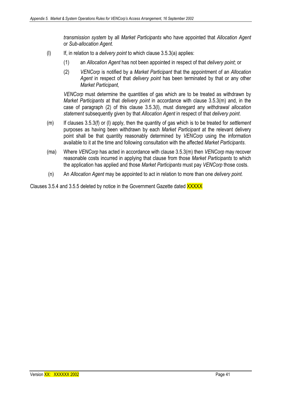*transmission system* by all *Market Participants* who have appointed that *Allocation Agent*  or *Sub-allocation Agent*.

- (l) If, in relation to a *delivery point* to which clause 3.5.3(a) applies:
	- (1) an *Allocation Agent* has not been appointed in respect of that *delivery point*; or
	- (2) *VENCorp* is notified by a *Market Participant* that the appointment of an *Allocation Agent* in respect of that *delivery point* has been terminated by that or any other *Market Participant,*

*VENCorp* must determine the quantities of gas which are to be treated as withdrawn by *Market Participants* at that *delivery point* in accordance with clause 3.5.3(m) and, in the case of paragraph (2) of this clause 3.5.3(l), must disregard any *withdrawal allocation statement* subsequently given by that *Allocation Agent* in respect of that *delivery point*.

- (m) If clauses 3.5.3(f) or (l) apply, then the quantity of gas which is to be treated for *settlement* purposes as having been withdrawn by each *Market Participant* at the relevant delivery point shall be that quantity reasonably determined by *VENCorp* using the information available to it at the time and following consultation with the affected *Market Participants*.
- (ma) Where *VENCorp* has acted in accordance with clause 3.5.3(m) then *VENCorp* may recover reasonable costs incurred in applying that clause from those *Market Participants* to which the application has applied and those *Market Participants* must pay *VENCorp* those costs.
- (n) An *Allocation Agent* may be appointed to act in relation to more than one *delivery point.*

Clauses 3.5.4 and 3.5.5 deleted by notice in the Government Gazette dated XXXXX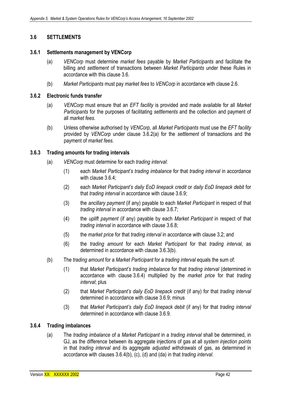# **3.6 SETTLEMENTS**

#### **3.6.1 Settlements management by VENCorp**

- (a) *VENCorp* must determine *market fees* payable by *Market Participants* and facilitate the billing and *settlement* of transactions between *Market Participants* under these Rules in accordance with this clause 3.6.
- (b) *Market Participants* must pay *market fees* to *VENCorp* in accordance with clause 2.6.

#### **3.6.2 Electronic funds transfer**

- (a) *VENCorp* must ensure that an *EFT facility* is provided and made available for all *Market Participants* for the purposes of facilitating *settlements* and the collection and payment of all *market fees*.
- (b) Unless otherwise authorised by *VENCorp,* all *Market Participants* must use the *EFT facility*  provided by *VENCorp* under clause 3.6.2(a) for the *settlement* of transactions and the payment of *market fees.*

#### **3.6.3 Trading amounts for trading intervals**

- (a) *VENCorp* must determine for each *trading interval*:
	- (1) each *Market Participant's trading imbalance* for that *trading interval* in accordance with clause 3.6.4:
	- (2) each *Market Participant's daily EoD linepack credit* or *daily EoD linepack debit* for that *trading interval* in accordance with clause 3.6.9;
	- (3) the *ancillary payment* (if any) payable to each *Market Participant* in respect of that *trading interval* in accordance with clause 3.6.7;
	- (4) the *uplift payment* (if any) payable by each *Market Participant* in respect of that *trading interval* in accordance with clause 3.6.8;
	- (5) the *market price* for that *trading interval* in accordance with clause 3.2; and
	- (6) the *trading amount* for each *Market Participant* for that *trading interval*, as determined in accordance with clause 3.6.3(b).
- (b) The *trading amount* for a *Market Participant* for a *trading interval* equals the sum of:
	- (1) that *Market Participant's trading imbalance* for that *trading interval* (determined in accordance with clause 3.6.4) multiplied by the *market price* for that *trading interval*; plus
	- (2) that *Market Participant's daily EoD linepack credit* (if any) for that *trading interval* determined in accordance with clause 3.6.9; minus
	- (3) that *Market Participant's daily EoD linepack debit* (if any) for that *trading interval* determined in accordance with clause 3.6.9.

#### **3.6.4 Trading imbalances**

(a) The *trading imbalance* of a *Market Participant* in a *trading interval* shall be determined, in GJ, as the difference between its aggregate injections of gas at all *system injection points*  in that *trading interval* and its aggregate *adjusted withdrawals* of gas, as determined in accordance with clauses 3.6.4(b), (c), (d) and (da) in that *trading interval*.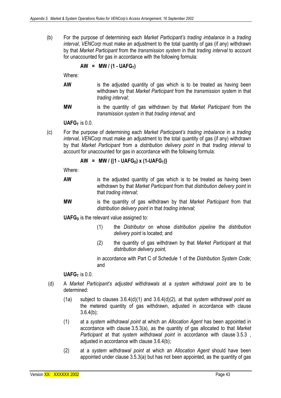(b) For the purpose of determining each *Market Participant's trading imbalance* in a *trading interval*, *VENCorp* must make an adjustment to the total quantity of gas (if any) withdrawn by that *Market Participant* from the *transmission system* in that *trading interval* to account for unaccounted for gas in accordance with the following formula:

#### $AW = MW / (1 - UAFG<sub>T</sub>)$

Where:

- **AW** is the adjusted quantity of gas which is to be treated as having been withdrawn by that *Market Participant* from the *transmission system* in that *trading interval*;
- **MW** is the quantity of gas withdrawn by that *Market Participant* from the *transmission system* in that *trading interval*; and

 $UAFG<sub>T</sub>$  is 0.0.

(c) For the purpose of determining each *Market Participant's trading imbalance* in a *trading interval, VENCorp* must make an adjustment to the total quantity of gas (if any) withdrawn by that *Market Participant* from a *distribution delivery point* in that *trading interval* to account for unaccounted for gas in accordance with the following formula:

AW = MW / 
$$
\{(1 - \text{UAFG}_D) \times (1 - \text{UAFG}_T)\}
$$

Where:

- AW is the adjusted quantity of gas which is to be treated as having been withdrawn by that *Market Participant* from that *distribution delivery point* in that *trading interval*;
- **MW** is the quantity of gas withdrawn by that *Market Participant* from that *distribution delivery point* in that *trading interval*;

**UAFG**<sub>D</sub> is the relevant value assigned to:

- (1) the *Distributor* on whose *distribution pipeline* the *distribution delivery point* is located; and
- (2) the quantity of gas withdrawn by that *Market Participant* at that *distribution delivery point,*

in accordance with Part C of Schedule 1 of the *Distribution System Code*; and

 $UAFG<sub>T</sub>$  is 0.0.

- (d) A *Market Participant's adjusted withdrawals* at a *system withdrawal point* are to be determined:
	- (1a) subject to clauses 3.6.4(d)(1) and 3.6.4(d)(2), at that *system withdrawal point* as the metered quantity of gas withdrawn, adjusted in accordance with clause  $3.6.4(b)$ ;
	- (1) at a *system withdrawal point* at which an *Allocation Agent* has been appointed in accordance with clause 3.5.3(a), as the quantity of gas allocated to that *Market Participant* at that *system withdrawal point* in accordance with clause 3.5.3 , adjusted in accordance with clause 3.6.4(b);
	- (2) at a *system withdrawal point* at which an *Allocation Agent* should have been appointed under clause 3.5.3(a) but has not been appointed, as the quantity of gas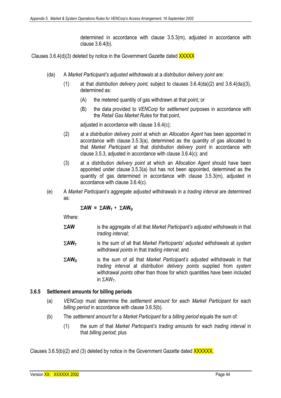determined in accordance with clause 3.5.3(m), adjusted in accordance with clause 3.6.4(b).

Clauses 3.6.4(d)(3) deleted by notice in the Government Gazette dated XXXXX

- (da) A *Market Participant's adjusted withdrawals* at a *distribution delivery point* are*:* 
	- (1) at that *distribution delivery point,* subject to clauses 3.6.4(da)(2) and 3.6.4(da)(3), determined as:
		- (A) the metered quantity of gas withdrawn at that point*;* or
		- (B) the data provided to *VENCorp* for *settlement* purposes in accordance with the *Retail Gas Market Rules* for that point,

adjusted in accordance with clause 3.6.4(c);

- (2) at a *distribution delivery point* at which an *Allocation Agent* has been appointed in accordance with clause 3.5.3(a), determined as the quantity of gas allocated to that *Market Participant* at that *distribution delivery point* in accordance with clause 3.5.3, adjusted in accordance with clause 3.6.4(c); and
- (3) at a *distribution delivery point* at which an *Allocation Agent* should have been appointed under clause 3.5.3(a) but has not been appointed, determined as the quantity of gas determined in accordance with clause 3.5.3(m), adjusted in accordance with clause 3.6.4(c).
- (e) A *Market Participant's* aggregate *adjusted withdrawals* in a *trading interval* are determined as:

## $\Sigma A W = \Sigma A W_T + \Sigma A W_D$

Where:

- Σ**AW** is the aggregate of all that *Market Participant's adjusted withdrawals* in that *trading interval*;
- Σ**AWT** is the sum of all that *Market Participants' adjusted withdrawals* at *system withdrawal points* in that *trading interval*; and
- Σ**AWD** is the sum of all that *Market Participant's adjusted withdrawals* in that *trading interval* at *distribution delivery points* supplied from *system withdrawal points* other than those for which quantities have been included in  $\Sigma$ AW<sub>T</sub>.

## **3.6.5 Settlement amounts for billing periods**

- (a) *VENCorp* must determine the *settlement amount* for each *Market Participant* for each *billing period* in accordance with clause 3.6.5(b)*.*
- (b) The *settlement amount* for a *Market Participant* for a *billing period* equals the sum of:
	- (1) the sum of that *Market Participant's trading amounts* for each *trading interval* in that *billing period*; plus

Clauses 3.6.5(b)(2) and (3) deleted by notice in the Government Gazette dated XXXXXX.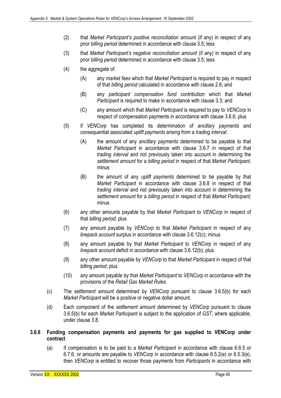- (2) that *Market Participant's positive reconciliation amount* (if any) in respect of any prior *billing period* determined in accordance with clause 3.5; less
- (3) that *Market Participant's negative reconciliation amount* (if any) in respect of any prior *billing period* determined in accordance with clause 3.5; less
- (4) the aggregate of:
	- (A) any *market fees* which that *Market Participant* is required to pay in respect of that *billing period* calculated in accordance with clause 2.6; and
	- (B) any *participant compensation fund* contribution which that *Market Participant* is required to make in accordance with clause 3.3; and
	- (C) any amount which that *Market Participant* is required to pay to *VENCorp* in respect of compensation payments in accordance with clause 3.6.6; plus
- (5) if *VENCorp* has completed its determination of *ancillary payments* and consequential associated *uplift payments* arising from a *trading interval*:
	- (A) the amount of any *ancillary payments* determined to be payable to that *Market Participant* in accordance with clause 3.6.7 in respect of that *trading interval* and not previously taken into account in determining the *settlement amount* for a *billing period* in respect of that *Market Participant*, minus
	- (B) the amount of any *uplift payments* determined to be payable by that *Market Participant* in accordance with clause 3.6.8 in respect of that *trading interval* and not previously taken into account in determining the *settlement amount* for a *billing period* in respect of that *Market Participant*; minus
- (6) any other amounts payable by that *Market Participant* to *VENCorp* in respect of that *billing period*; plus
- (7) any amount payable by *VENCorp* to that *Market Participant* in respect of any *linepack account* surplus in accordance with clause 3.6.12(c); minus
- (8) any amount payable by that *Market Participant* to *VENCorp* in respect of any *linepack account* deficit in accordance with clause 3.6.12(b); plus
- (9) any other amount payable by *VENCorp* to that *Market Participant* in respect of that *billing period*; plus
- (10) any amount payable by that *Market Participant* to *VENCorp* in accordance with the provisions of the *Retail Gas Market Rules.*
- (c) The *settlement amount* determined by *VENCorp* pursuant to clause 3.6.5(b) for each *Market Participant* will be a positive or negative dollar amount.
- (d) Each component of the *settlement amount* determined by *VENCorp* pursuant to clause 3.6.5(b) for each *Market Participant* is subject to the application of *GST*, where applicable, under clause 3.8.
- **3.6.6 Funding compensation payments and payments for gas supplied to VENCorp under contract** 
	- (a) If compensation is to be paid to a *Market Participant* in accordance with clause 6.6.5 or 6.7.6, or amounts are payable to *VENCorp* in accordance with clause 6.5.2(e) or 6.5.3(e), then *VENCorp* is entitled to recover those payments from *Participants* in accordance with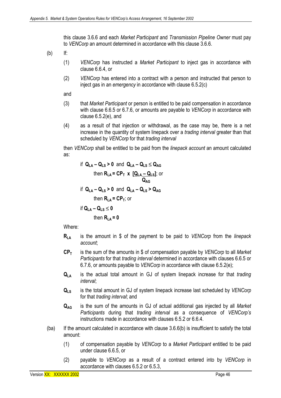this clause 3.6.6 and each *Market Participant* and *Transmission Pipeline Owner* must pay to *VENCorp* an amount determined in accordance with this clause 3.6.6.

(b) If:

- (1) *VENCorp* has instructed a *Market Participant* to inject gas in accordance with clause 6.6.4, or
- (2) *VENCorp* has entered into a contract with a person and instructed that person to inject gas in an *emergency* in accordance with clause 6.5.2(c)

and

- (3) that *Market Participant* or person is entitled to be paid compensation in accordance with clause 6.6.5 or 6.7.6, or amounts are payable to *VENCorp* in accordance with clause 6.5.2(e), and
- (4) as a result of that injection or withdrawal, as the case may be, there is a net increase in the quantity of system linepack over a *trading interval* greater than that scheduled by *VENCorp* for that *trading interval*

then *VENCorp* shall be entitled to be paid from the *linepack account* an amount calculated as:

if 
$$
Q_{LA} - Q_{LS} > 0
$$
 and  $Q_{LA} - Q_{LS} \leq Q_{AG}$  then  $R_{LA} = CP_T \times [Q_{LA} - Q_{LS}]$ ; or  $Q_{AG}$  if  $Q_{LA} - Q_{LS} > 0$  and  $Q_{LA} - Q_{LS} > Q_{AG}$  then  $R_{LA} = CP_T$ ; or if  $Q_{LA} - Q_{LS} \leq 0$  then  $R_{LA} = 0$ 

Where:

- **RLA** is the amount in \$ of the payment to be paid to *VENCorp* from the *linepack account*;
- **CPT** is the sum of the amounts in \$ of compensation payable by *VENCorp* to all *Market Participants* for that *trading interval* determined in accordance with clauses 6.6.5 or 6.7.6, or amounts payable to *VENCorp* in accordance with clause 6.5.2(e);
- **QLA** is the actual total amount in GJ of system linepack increase for that *trading interval*;
- **QLS** is the total amount in GJ of system linepack increase last scheduled by *VENCorp* for that *trading interval*; and
- **QAG** is the sum of the amounts in GJ of actual additional gas injected by all *Market Participants* during that *trading interval* as a consequence of *VENCorp's*  instructions made in accordance with clauses 6.5.2 or 6.6.4.
- $(ba)$  If the amount calculated in accordance with clause  $3.6.6(b)$  is insufficient to satisfy the total amount:
	- (1) of compensation payable by *VENCorp* to a *Market Participant* entitled to be paid under clause 6.6.5, or
	- (2) payable to *VENCorp* as a result of a contract entered into by *VENCorp* in accordance with clauses 6.5.2 or 6.5.3,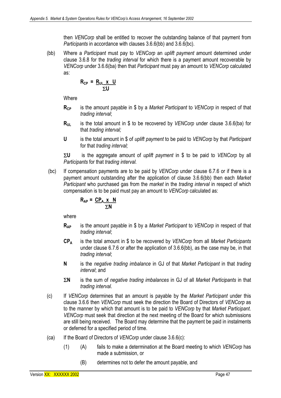then *VENCorp* shall be entitled to recover the outstanding balance of that payment from *Participants* in accordance with clauses 3.6.6(bb) and 3.6.6(bc).

(bb) Where a *Participant* must pay to *VENCorp* an *uplift payment* amount determined under clause 3.6.8 for the *trading interval* for which there is a payment amount recoverable by *VENCorp* under 3.6.6(ba) then that *Participant* must pay an amount to *VENCorp* calculated as:

$$
R_{CP} = \frac{R_{UL} \times U}{\Sigma U}
$$

**Where** 

- **R<sub>CP</sub>** is the amount payable in \$ by a *Market Participant* to *VENCorp* in respect of that *trading interval*;
- **R<sub>UL</sub>** is the total amount in \$ to be recovered by *VENCorp* under clause 3.6.6(ba) for that *trading interval;*
- **U** is the total amount in \$ of *uplift payment* to be paid to *VENCorp* by that *Participant* for that *trading interval;*

Σ**U** is the aggregate amount of *uplift payment* in \$ to be paid to *VENCorp* by all *Participants* for that *trading interval.* 

 (bc) If compensation payments are to be paid by *VENCorp* under clause 6.7.6 or if there is a payment amount outstanding after the application of clause 3.6.6(bb) then each *Market Participant* who purchased gas from the *market* in the *trading interval* in respect of which compensation is to be paid must pay an amount to *VENCorp* calculated as:

$$
R_{AP} = \frac{CP_A \times N}{\Sigma N}
$$

where

- **RAP** is the amount payable in \$ by a *Market Participant* to *VENCorp* in respect of that *trading interval*;
- **CPA** is the total amount in \$ to be recovered by *VENCorp* from all *Market Participants*  under clause 6.7.6 or after the application of 3.6.6(bb), as the case may be, in that *trading interval*;
- **N** is the *negative trading imbalance* in GJ of that *Market Participant* in that *trading interval*; and
- Σ**N** is the sum of *negative trading imbalances* in GJ of all *Market Participants* in that *trading interval.*
- (c) If *VENCorp* determines that an amount is payable by the *Market Participant* under this clause 3.6.6 then *VENCorp* must seek the direction the Board of Directors of *VENCorp* as to the manner by which that amount is to be paid to *VENCorp* by that *Market Participant*. *VENCorp* must seek that direction at the next meeting of the Board for which submissions are still being received. The Board may determine that the payment be paid in instalments or deferred for a specified period of time.
- (ca) If the Board of Directors of *VENCorp* under clause 3.6.6(c):
	- (1) (A) fails to make a determination at the Board meeting to which *VENCorp* has made a submission, or
		- (B) determines not to defer the amount payable, and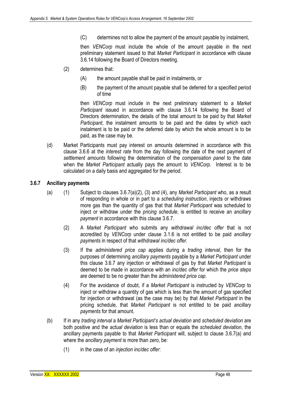(C) determines not to allow the payment of the amount payable by instalment,

then *VENCorp* must include the whole of the amount payable in the next preliminary statement issued to that *Market Participant* in accordance with clause 3.6.14 following the Board of Directors meeting.

- (2) determines that:
	- (A) the amount payable shall be paid in instalments, or
	- (B) the payment of the amount payable shall be deferred for a specified period of time

then *VENCorp* must include in the next preliminary statement to a *Market Participant* issued in accordance with clause 3.6.14 following the Board of Directors determination, the details of the total amount to be paid by that *Market Participant*, the instalment amounts to be paid and the dates by which each instalment is to be paid or the deferred date by which the whole amount is to be paid, as the case may be.

(d) Market Participants must pay interest on amounts determined in accordance with this clause 3.6.6 at the *interest rate* from the day following the date of the next payment of *settlement amounts* following the determination of the *compensation panel* to the date when the *Market Participant* actually pays the amount to *VENCorp*. Interest is to be calculated on a daily basis and aggregated for the period.

## **3.6.7 Ancillary payments**

- (a) (1) Subject to clauses 3.6.7(a)(2), (3) and (4), any *Market Participant* who, as a result of responding in whole or in part to a *scheduling instruction*, injects or withdraws more gas than the quantity of gas that that *Market Participant* was scheduled to inject or withdraw under the *pricing schedule*, is entitled to receive an *ancillary payment* in accordance with this clause 3.6.7.
	- (2) A *Market Participant* who submits any *withdrawal inc/dec offer* that is not accredited by *VENCorp* under clause 3.1.6 is not entitled to be paid *ancillary payments* in respect of that *withdrawal inc/dec offer*.
	- (3) If the *administered price cap* applies during a *trading interval*, then for the purposes of determining *ancillary payments* payable by a *Market Participant* under this clause 3.6.7 any injection or withdrawal of gas by that *Market Participant* is deemed to be made in accordance with an *inc/dec offer* for which the *price steps*  are deemed to be no greater than the *administered price cap*.
	- (4) For the avoidance of doubt, if a *Market Participant* is instructed by *VENCorp* to inject or withdraw a quantity of gas which is less than the amount of gas specified for injection or withdrawal (as the case may be) by that *Market Participant* in the pricing schedule, that *Market Participant* is not entitled to be paid *ancillary payments* for that amount.
- (b) If in any *trading interval* a *Market Participant's actual deviation* and *scheduled deviation* are both positive and the *actual deviation* is less than or equals the *scheduled deviation*, the ancillary payments payable to that *Market Participant* will, subject to clause 3.6.7(a) and where the *ancillary payment* is more than zero, be:
	- (1) in the case of an *injection inc/dec offer*: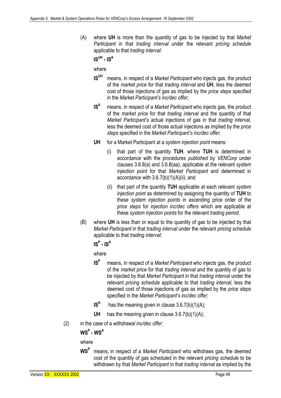(A) where **UH** is more than the quantity of gas to be injected by that *Market Participant* in that *trading interval* under the relevant *pricing schedule*  applicable to that *trading interval*:

 $IS^{UH} - IS^{A}$ 

where

- **ISUH** means, in respect of a *Market Participant* who injects gas, the product of the *market price* for that *trading interval* and **UH**, less the deemed cost of those injections of gas as implied by the *price steps* specified in the *Market Participant's inc/dec offer*;
- **IS<sup>A</sup>** means, in respect of a *Market Participant* who injects gas, the product of the *market price* for that *trading interval* and the quantity of that *Market Participant's* actual injections of gas in that *trading interval*, less the deemed cost of those actual injections as implied by the *price steps* specified in the *Market Participant's inc/dec offer*;
- **UH** for a Market Participant at a *system injection point* means:
	- (i) that part of the quantity **TUH**, where **TUH** is determined in accordance with the procedures *published* by *VENCorp* under clauses 3.6.8(a) and 3.6.8(aa), applicable at the relevant *system injection point* for that *Market Participant* and determined in accordance with 3.6.7(b)(1)(A)(ii); and
	- (ii) that part of the quantity **TUH** applicable at each relevant *system injection point* as determined by assigning the quantity of **TUH** to these *system injection points* in ascending price order of the *price steps* for *injection inc/dec offers* which are applicable at these *system injection points* for the relevant *trading period*.
- (B) where **UH** is less than or equal to the quantity of gas to be injected by that *Market Participant* in that *trading interval* under the relevant *pricing schedule*  applicable to that *trading interval*:

# $IS^P$  -  $IS^A$

where

- **ISP** means, in respect of a *Market Participant* who injects gas, the product of the *market price* for that *trading interval* and the quantity of gas to be injected by that *Market Participant* in that *trading interval* under the relevant *pricing schedule* applicable to that *trading interval*, less the deemed cost of those injections of gas as implied by the *price steps*  specified in the *Market Participant's inc/dec offer*;
- **IS<sup>A</sup>** has the meaning given in clause  $3.6.7(b)(1)(A)$ ;
- **UH** has the meaning given in clause 3.6.7(b)(1)(A);
- (2) in the case of a *withdrawal inc/dec offer*:

# **WSP - WSA**

where

**WSP** means, in respect of a *Market Participant* who withdraws gas, the deemed cost of the quantity of gas scheduled in the relevant *pricing schedule* to be withdrawn by that *Market Participant* in that *trading interval* as implied by the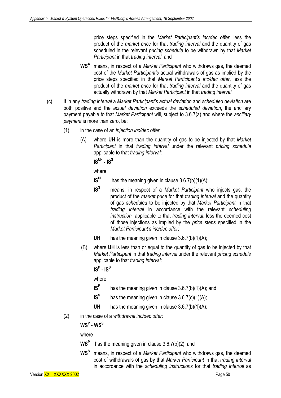price steps specified in the *Market Participant's inc/dec offer*, less the product of the *market price* for that *trading interval* and the quantity of gas scheduled in the relevant *pricing schedule* to be withdrawn by that *Market Participant* in that *trading interval*; and

- **WSA** means, in respect of a *Market Participant* who withdraws gas, the deemed cost of the *Market Participant's* actual withdrawals of gas as implied by the price steps specified in that *Market Participant's inc/dec offer*, less the product of the *market price* for that *trading interval* and the quantity of gas actually withdrawn by that *Market Participant* in that *trading interval*.
- (c) If in any *trading interval* a *Market Participant's actual deviation* and *scheduled deviation* are both positive and the *actual deviation* exceeds the *scheduled deviation*, the ancillary payment payable to that *Market Participant* will, subject to 3.6.7(a) and where the *ancillary payment* is more than zero, be:
	- (1) in the case of an *injection inc/dec offer*:
		- (A) where **UH** is more than the quantity of gas to be injected by that *Market Participant* in that *trading interval* under the relevant *pricing schedule*  applicable to that *trading interval*:

```
IS^{UH} - IS^{S}
```
where

- **IS<sup>UH</sup>** has the meaning given in clause  $3.6.7(b)(1)(A)$ ;
- **ISS** means, in respect of a *Market Participant* who injects gas, the product of the *market price* for that *trading interval* and the quantity of gas *scheduled* to be injected by that *Market Participant* in that *trading interval* in accordance with the relevant *scheduling instruction* applicable to that *trading interval*, less the deemed cost of those injections as implied by the *price steps* specified in the *Market Participant's inc/dec offer*;
- **UH** has the meaning given in clause 3.6.7(b)(1)(A);
- (B) where **UH** is less than or equal to the quantity of gas to be injected by that *Market Participant* in that *trading interval* under the relevant *pricing schedule*  applicable to that *trading interval*:

 $\textsf{IS}^\textsf{P}$  - IS $^\textsf{S}$ 

where

- **IS<sup>P</sup>** has the meaning given in clause 3.6.7(b)(1)(A); and
- **IS<sup>S</sup>** has the meaning given in clause  $3.6.7(c)(1)(A)$ ;
- **UH** has the meaning given in clause 3.6.7(b)(1)(A);
- (2) in the case of a *withdrawal inc/dec offer*:

# $\textsf{WS}^\textsf{P}$  - WS<sup>S</sup>

where

- WS<sup>P</sup> has the meaning given in clause 3.6.7(b)(2); and
- **WSS** means, in respect of a *Market Participant* who withdraws gas, the deemed cost of withdrawals of gas by that *Market Participant* in that *trading interval*  in accordance with the *scheduling instructions* for that *trading interval* as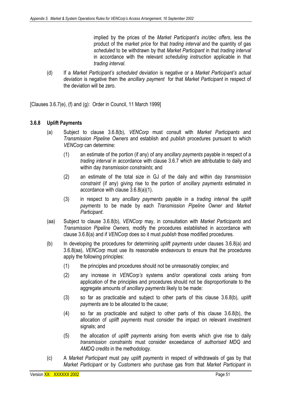implied by the prices of the *Market Participant's inc/dec offers*, less the product of the *market price* for that *trading interval* and the quantity of gas *scheduled* to be withdrawn by that *Market Participant* in that *trading interval* in accordance with the relevant *scheduling instruction* applicable in that *trading interval*.

(d) If a *Market Participant's scheduled deviation* is negative or a *Market Participant's actual deviation* is negative then the *ancillary payment* for that *Market Participant* in respect of the deviation will be zero.

[Clauses 3.6.7(e), (f) and (g): Order in Council, 11 March 1999]

# **3.6.8 Uplift Payments**

- (a) Subject to clause 3.6.8(b), *VENCorp* must consult with *Market Participants* and *Transmission Pipeline Owners* and establish and *publish* procedures pursuant to which *VENCorp* can determine:
	- (1) an estimate of the portion (if any) of any *ancillary payments* payable in respect of a *trading interval* in accordance with clause 3.6.7 which are attributable to daily and within day *transmission constraints*; and
	- (2) an estimate of the total size in GJ of the daily and within day *transmission constraint* (if any) giving rise to the portion of *ancillary payments* estimated in accordance with clause 3.6.8(a)(1).
	- (3) in respect to any *ancillary payments* payable in a *trading interval* the *uplift payments* to be made by each *Transmission Pipeline Owner* and *Market Participant*.
- (aa) Subject to clause 3.6.8(b), *VENCorp* may, in consultation with *Market Participants* and *Transmission Pipeline Owners,* modify the procedures established in accordance with clause 3.6.8(a) and if *VENCorp* does so it must *publish* those modified procedures.
- (b) In developing the procedures for determining *uplift payments* under clauses 3.6.8(a) and 3.6.8(aa), *VENCorp* must use its reasonable endeavours to ensure that the procedures apply the following principles:
	- (1) the principles and procedures should not be unreasonably complex; and
	- (2) any increase in *VENCorp's* systems and/or operational costs arising from application of the principles and procedures should not be disproportionate to the aggregate amounts of *ancillary payments* likely to be made:
	- (3) so far as practicable and subject to other parts of this clause 3.6.8(b), *uplift payments* are to be allocated to the cause;
	- (4) so far as practicable and subject to other parts of this clause 3.6.8(b), the allocation of *uplift payments* must consider the impact on relevant investment signals; and
	- (5) the allocation of *uplift payments* arising from events which give rise to daily *transmission constraints* must consider exceedance of *authorised MDQ* and *AMDQ credits* in the methodology.
- (c) A *Market Participant* must pay *uplift payments* in respect of withdrawals of gas by that *Market Participant* or by *Customers* who purchase gas from that *Market Participant* in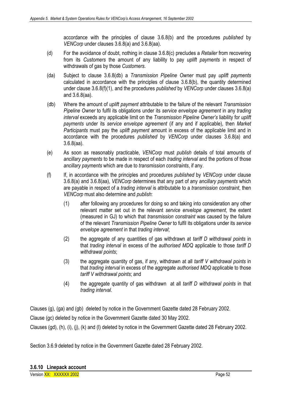accordance with the principles of clause 3.6.8(b) and the procedures *published* by *VENCorp* under clauses 3.6.8(a) and 3.6.8(aa).

- (d) For the avoidance of doubt, nothing in clause 3.6.8(c) precludes a *Retailer* from recovering from its *Customers* the amount of any liability to pay *uplift payments* in respect of withdrawals of gas by those *Customers*.
- (da) Subject to clause 3.6.8(db) a *Transmission Pipeline Owner* must pay *uplift payments* calculated in accordance with the principles of clause 3.6.8(b), the quantity determined under clause 3.6.8(f)(1), and the procedures *published* by *VENCorp* under clauses 3.6.8(a) and 3.6.8(aa).
- (db) Where the amount of *uplift payment* attributable to the failure of the relevant *Transmission Pipeline Owner* to fulfil its obligations under its *service envelope agreement* in any *trading interval* exceeds any applicable limit on the *Transmission Pipeline Owner's* liability for *uplift payments* under its *service envelope agreement* (if any and if applicable), then *Market Participants* must pay the *uplift payment* amount in excess of the applicable limit and in accordance with the procedures *published* by *VENCorp* under clauses 3.6.8(a) and 3.6.8(aa).
- (e) As soon as reasonably practicable, *VENCorp* must *publish* details of total amounts of *ancillary payments* to be made in respect of each *trading interval* and the portions of those *ancillary payments* which are due to *transmission constraints*, if any.
- (f) If, in accordance with the principles and procedures *published* by *VENCorp* under clause 3.6.8(a) and 3.6.8(aa), *VENCorp* determines that any part of any *ancillary payments* which are payable in respect of a *trading interval* is attributable to a *transmission constraint*, then *VENCorp* must also determine and *publish*:
	- (1) after following any procedures for doing so and taking into consideration any other relevant matter set out in the relevant *service envelope agreement*, the extent (measured in GJ) to which that *transmission constraint* was caused by the failure of the relevant *Transmission Pipeline Owner* to fulfil its obligations under its *service envelope agreement* in that *trading interval*;
	- (2) the aggregate of any quantities of gas withdrawn at *tariff D withdrawal points* in that *trading interval* in excess of the *authorised MDQ* applicable to those *tariff D withdrawal points*;
	- (3) the aggregate quantity of gas, if any, withdrawn at all *tariff V withdrawal points* in that *trading interval* in excess of the aggregate *authorised MDQ* applicable to those *tariff V withdrawal points*; and
	- (4) the aggregate quantity of gas withdrawn at all *tariff D withdrawal points* in that *trading interval*.

Clauses (g), (ga) and (gb) deleted by notice in the Government Gazette dated 28 February 2002.

Clause (gc) deleted by notice in the Government Gazette dated 30 May 2002.

Clauses (gd), (h), (i), (j), (k) and (l) deleted by notice in the Government Gazette dated 28 February 2002.

Section 3.6.9 deleted by notice in the Government Gazette dated 28 February 2002.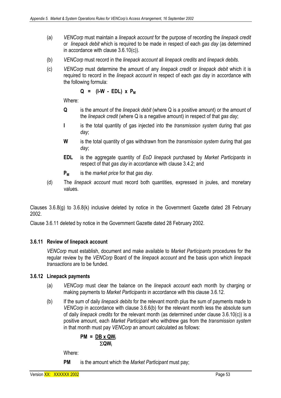- (a) *VENCorp* must maintain a *linepack account* for the purpose of recording the *linepack credit* or *linepack debit* which is required to be made in respect of each *gas day* (as determined in accordance with clause 3.6.10(c)).
- (b) *VENCorp* must record in the *linepack account* all *linepack credits* and *linepack debits*.
- (c) *VENCorp* must determine the amount of any *linepack credit* or *linepack debit* which it is required to record in the *linepack account* in respect of each *gas day* in accordance with the following formula:

$$
Q = (I-W - EDL) \times P_M
$$

Where:

- **Q** is the amount of the *linepack debit* (where Q is a positive amount) or the amount of the *linepack credit* (where Q is a negative amount) in respect of that *gas day*;
- **I** is the total quantity of gas injected into the *transmission system* during that *gas day*;
- **W** is the total quantity of gas withdrawn from the *transmission system* during that *gas day*;
- **EDL** is the aggregate quantity of *EoD linepack* purchased by *Market Participants* in respect of that *gas day* in accordance with clause 3.4.2; and
- **PM** is the *market price* for that *gas day*.
- (d) The *linepack account* must record both quantities, expressed in joules, and monetary values.

Clauses 3.6.8(g) to 3.6.8(k) inclusive deleted by notice in the Government Gazette dated 28 February 2002.

Clause 3.6.11 deleted by notice in the Government Gazette dated 28 February 2002.

## **3.6.11 Review of linepack account**

*VENCorp* must establish, document and make available to *Market Participants* procedures for the regular review by the *VENCorp* Board of the *linepack account* and the basis upon which *linepack transactions* are to be funded.

# **3.6.12 Linepack payments**

- (a) *VENCorp* must clear the balance on the *linepack account* each month by charging or making payments to *Market Participants* in accordance with this clause 3.6.12.
- (b) If the sum of daily *linepack debits* for the relevant month plus the sum of payments made to *VENCorp* in accordance with clause 3.6.6(b) for the relevant month less the absolute sum of daily *linepack credits* for the relevant month (as determined under clause 3.6.10(c)) is a positive amount, each *Market Participant* who withdrew gas from the *transmission system*  in that month must pay *VENCorp* an amount calculated as follows:

$$
PM = \frac{DB \times QW_i}{\Sigma QW_i}
$$

Where:

**PM** is the amount which the *Market Participant* must pay;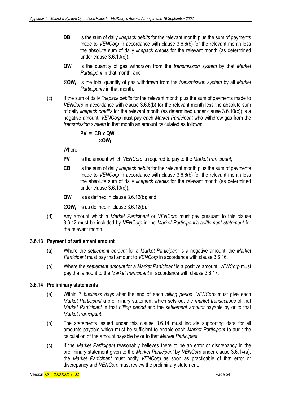- **DB** is the sum of daily *linepack debits* for the relevant month plus the sum of payments made to *VENCorp* in accordance with clause 3.6.6(b) for the relevant month less the absolute sum of daily *linepack credits* for the relevant month (as determined under clause 3.6.10(c));
- **QWi** is the quantity of gas withdrawn from the *transmission system* by that *Market Participant* in that month; and
- Σ**QWi** is the total quantity of gas withdrawn from the *transmission system* by all *Market Participants* in that month.
- (c) If the sum of daily *linepack debits* for the relevant month plus the sum of payments made to *VENCorp* in accordance with clause 3.6.6(b) for the relevant month less the absolute sum of daily *linepack credits* for the relevant month (as determined under clause 3.6.10(c)) is a negative amount*, VENCorp* must pay each *Market Participant* who withdrew gas from the *transmission system* in that month an amount calculated as follows:

$$
PV = \frac{CB \times QW_i}{\Sigma QW_i}
$$

Where:

- **PV** is the amount which *VENCorp* is required to pay to the *Market Participant*;
- **CB** is the sum of daily *linepack debits* for the relevant month plus the sum of payments made to *VENCorp* in accordance with clause 3.6.6(b) for the relevant month less the absolute sum of daily *linepack credits* for the relevant month (as determined under clause 3.6.10(c));
- **QWi** is as defined in clause 3.6.12(b); and
- Σ**QWi** is as defined in clause 3.6.12(b).
- (d) Any amount which a *Market Participant* or *VENCorp* must pay pursuant to this clause 3.6.12 must be included by *VENCorp* in the *Market Participant's settlement statement* for the relevant month*.*

## **3.6.13 Payment of settlement amount**

- (a) Where the *settlement amount* for a *Market Participant* is a negative amount, the *Market Participant* must pay that amount to *VENCorp* in accordance with clause 3.6.16.
- (b) Where the *settlement amount* for a *Market Participant* is a positive amount, *VENCorp* must pay that amount to the *Market Participant* in accordance with clause 3.6.17.

## **3.6.14 Preliminary statements**

- (a) Within 7 *business days* after the end of each *billing period*, *VENCorp* must give each *Market Participant* a preliminary statement which sets out the *market transactions* of that *Market Participant* in that *billing period* and the *settlement amount* payable by or to that *Market Participant*.
- (b) The statements issued under this clause 3.6.14 must include supporting data for all amounts payable which must be sufficient to enable each *Market Participant* to audit the calculation of the amount payable by or to that *Market Participant*.
- (c) If the *Market Participant* reasonably believes there to be an error or discrepancy in the preliminary statement given to the *Market Participant* by *VENCorp* under clause 3.6.14(a), the *Market Participant* must notify *VENCorp* as soon as practicable of that error or discrepancy and *VENCorp* must review the preliminary statement.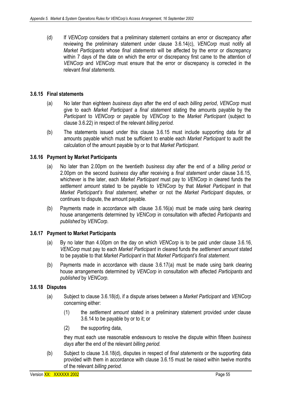(d) If *VENCorp* considers that a preliminary statement contains an error or discrepancy after reviewing the preliminary statement under clause 3.6.14(c), *VENCorp* must notify all *Market Participants* whose *final statements* will be affected by the error or discrepancy within 7 days of the date on which the error or discrepancy first came to the attention of *VENCorp* and *VENCorp* must ensure that the error or discrepancy is corrected in the relevant *final statements*.

## **3.6.15 Final statements**

- (a) No later than eighteen *business days* after the end of each *billing period*, *VENCorp* must give to each *Market Participant* a *final statement* stating the amounts payable by the *Participant* to *VENCorp* or payable by *VENCorp* to the *Market Participant* (subject to clause 3.6.22) in respect of the relevant *billing period.*
- (b) The statements issued under this clause 3.6.15 must include supporting data for all amounts payable which must be sufficient to enable each *Market Participant* to audit the calculation of the amount payable by or to that *Market Participant*.

#### **3.6.16 Payment by Market Participants**

- (a) No later than 2.00pm on the twentieth *business day* after the end of a *billing period* or 2.00pm on the second *business day* after receiving a *final statement* under clause 3.6.15, whichever is the later, each *Market Participant* must pay to *VENCorp* in cleared funds the *settlement amount* stated to be payable to *VENCorp* by that *Market Participant* in that *Market Participant's final statement*, whether or not the *Market Participant* disputes, or continues to dispute, the amount payable.
- (b) Payments made in accordance with clause 3.6.16(a) must be made using bank clearing house arrangements determined by *VENCorp* in consultation with affected *Participants* and *published* by *VENCorp*.

#### **3.6.17 Payment to Market Participants**

- (a) By no later than 4.00pm on the day on which *VENCorp* is to be paid under clause 3.6.16, *VENCorp* must pay to each *Market Participant* in cleared funds the *settlement amount* stated to be payable to that *Market Participant* in that *Market Participant's final statement*.
- (b) Payments made in accordance with clause 3.6.17(a) must be made using bank clearing house arrangements determined by *VENCorp* in consultation with affected *Participants* and *published* by *VENCorp*.

#### **3.6.18 Disputes**

- (a) Subject to clause 3.6.18(d), if a dispute arises between a *Market Participant* and *VENCorp* concerning either:
	- (1) the *settlement amount* stated in a preliminary statement provided under clause 3.6.14 to be payable by or to it; or
	- (2) the supporting data,

they must each use reasonable endeavours to resolve the dispute within fifteen *business days* after the end of the relevant *billing period.*

(b) Subject to clause 3.6.18(d), disputes in respect of *final statements* or the supporting data provided with them in accordance with clause 3.6.15 must be raised within twelve months of the relevant *billing period.*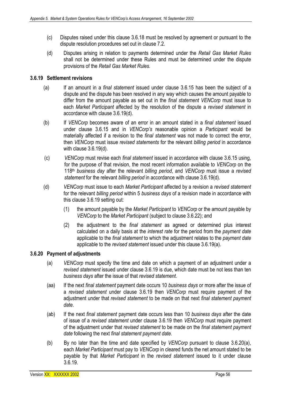- (c) Disputes raised under this clause 3.6.18 must be resolved by agreement or pursuant to the dispute resolution procedures set out in clause 7.2.
- (d) Disputes arising in relation to payments determined under the *Retail Gas Market Rules* shall not be determined under these Rules and must be determined under the dispute provisions of the *Retail Gas Market Rules.*

## **3.6.19 Settlement revisions**

- (a) If an amount in a *final statement* issued under clause 3.6.15 has been the subject of a dispute and the dispute has been resolved in any way which causes the amount payable to differ from the amount payable as set out in the *final statement VENCorp* must issue to each *Market Participant* affected by the resolution of the dispute a *revised statement* in accordance with clause 3.6.19(d).
- (b) If *VENCorp* becomes aware of an error in an amount stated in a *final statement* issued under clause 3.6.15 and in *VENCorp's* reasonable opinion a *Participant* would be materially affected if a revision to the *final statement* was not made to correct the error, then *VENCorp* must issue *revised statements* for the relevant *billing period* in accordance with clause 3.6.19(d).
- (c) *VENCorp* must revise each *final statement* issued in accordance with clause 3.6.15 using, for the purpose of that revision, the most recent information available to *VENCorp* on the 118th *business day* after the relevant *billing period*, and *VENCorp* must issue a *revised statement* for the relevant *billing period* in accordance with clause 3.6.19(d).
- (d) *VENCorp* must issue to each *Market Participant* affected by a revision a *revised statement* for the relevant *billing period* within 5 *business days* of a revision made in accordance with this clause 3.6.19 setting out:
	- (1) the amount payable by the *Market Participant* to *VENCorp* or the amount payable by *VENCorp* to the *Market Participant* (subject to clause 3.6.22); and
	- (2) the adjustment to the *final statement* as agreed or determined plus interest calculated on a daily basis at the *interest rate* for the period from the *payment date* applicable to the *final statement* to which the adjustment relates to the *payment date* applicable to the *revised statement* issued under this clause 3.6.19(a).

## **3.6.20 Payment of adjustments**

- (a) *VENCorp* must specify the time and date on which a payment of an adjustment under a *revised statement* issued under clause 3.6.19 is due, which date must be not less than ten *business days* after the issue of that *revised statement*.
- (aa) If the next *final statement* payment date occurs 10 *business days* or more after the issue of a *revised statement* under clause 3.6.19 then *VENCorp* must require payment of the adjustment under that *revised statement* to be made on that next *final statement payment date*.
- (ab) If the next *final statement* payment date occurs less than 10 *business days* after the date of issue of a *revised statement* under clause 3.6.19 then *VENCorp* must require payment of the adjustment under that *revised statement* to be made on the *final statement payment date* following the next *final statement payment date*.
- (b) By no later than the time and date specified by *VENCorp* pursuant to clause 3.6.20(a), each *Market Participant* must pay to *VENCorp* in cleared funds the net amount stated to be payable by that *Market Participant* in the *revised statement* issued to it under clause 3.6.19.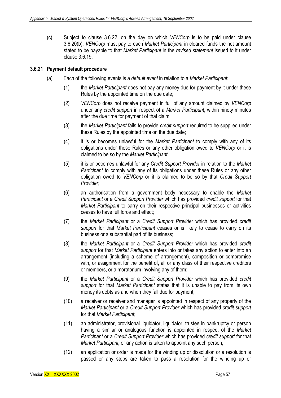(c) Subject to clause 3.6.22, on the day on which *VENCorp* is to be paid under clause 3.6.20(b), *VENCorp* must pay to each *Market Participant* in cleared funds the net amount stated to be payable to that *Market Participant* in the *revised statement* issued to it under clause 3.6.19.

## **3.6.21 Payment default procedure**

- (a) Each of the following events is a *default event* in relation to a *Market Participant*:
	- (1) the *Market Participant* does not pay any money due for payment by it under these Rules by the appointed time on the due date;
	- (2) *VENCorp* does not receive payment in full of any amount claimed by *VENCorp* under any *credit support* in respect of a *Market Participant*, within ninety minutes after the due time for payment of that claim;
	- (3) the *Market Participant* fails to provide *credit support* required to be supplied under these Rules by the appointed time on the due date;
	- (4) it is or becomes unlawful for the *Market Participant* to comply with any of its obligations under these Rules or any other obligation owed to *VENCorp* or it is claimed to be so by the *Market Participant*;
	- (5) it is or becomes unlawful for any *Credit Support Provider* in relation to the *Market Participant* to comply with any of its obligations under these Rules or any other obligation owed to *VENCorp* or it is claimed to be so by that *Credit Support Provider*;
	- (6) an authorisation from a government body necessary to enable the *Market Participant* or a *Credit Support Provider* which has provided *credit support* for that *Market Participant* to carry on their respective principal businesses or activities ceases to have full force and effect;
	- (7) the *Market Participant* or a *Credit Support Provider* which has provided *credit support* for that *Market Participant* ceases or is likely to cease to carry on its business or a substantial part of its business;
	- (8) the *Market Participant* or a *Credit Support Provider* which has provided *credit support* for that *Market Participant* enters into or takes any action to enter into an arrangement (including a scheme of arrangement), composition or compromise with, or assignment for the benefit of, all or any class of their respective creditors or members, or a moratorium involving any of them;
	- (9) the *Market Participant* or a *Credit Support Provider* which has provided *credit support* for that *Market Participant* states that it is unable to pay from its own money its debts as and when they fall due for payment;
	- (10) a receiver or receiver and manager is appointed in respect of any property of the *Market Participant* or a *Credit Support Provider* which has provided *credit support*  for that *Market Participant*;
	- (11) an administrator, provisional liquidator, liquidator, trustee in bankruptcy or person having a similar or analogous function is appointed in respect of the *Market Participant* or a *Credit Support Provider* which has provided *credit support* for that *Market Participant,* or any action is taken to appoint any such person;
	- (12) an application or order is made for the winding up or dissolution or a resolution is passed or any steps are taken to pass a resolution for the winding up or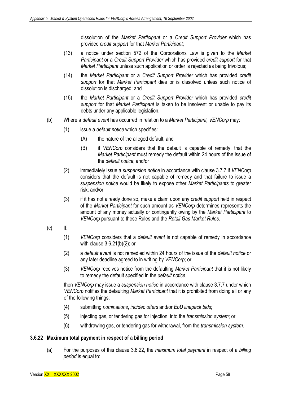dissolution of the *Market Participant* or a *Credit Support Provider* which has provided *credit support* for that *Market Participant*;

- (13) a notice under section 572 of the Corporations Law is given to the *Market Participant* or a *Credit Support Provider* which has provided *credit support* for that *Market Participant* unless such application or order is rejected as being frivolous;
- (14) the *Market Participant* or a *Credit Support Provider* which has provided *credit support* for that *Market Participant* dies or is dissolved unless such notice of dissolution is discharged; and
- (15) the *Market Participant* or a *Credit Support Provider* which has provided *credit support* for that *Market Participant* is taken to be insolvent or unable to pay its debts under any applicable legislation.
- (b) Where a *default event* has occurred in relation to a *Market Participant, VENCorp* may:
	- (1) issue a *default notice* which specifies:
		- (A) the nature of the alleged default; and
		- (B) if *VENCorp* considers that the default is capable of remedy, that the *Market Participant* must remedy the default within 24 hours of the issue of the *default notice*; and/or
	- (2) immediately issue a *suspension notice* in accordance with clause 3.7.7 if *VENCorp*  considers that the default is not capable of remedy and that failure to issue a *suspension notice* would be likely to expose other *Market Participants* to greater risk; and/or
	- (3) if it has not already done so, make a claim upon any *credit support* held in respect of the *Market Participant* for such amount as *VENCorp* determines represents the amount of any money actually or contingently owing by the *Market Participant* to *VENCorp* pursuant to these Rules and the *Retail Gas Market Rules*.
- (c) If:
	- (1) *VENCorp* considers that a *default event* is not capable of remedy in accordance with clause 3.6.21(b)(2); or
	- (2) a *default event* is not remedied within 24 hours of the issue of the *default notice* or any later deadline agreed to in writing by *VENCorp*; or
	- (3) *VENCorp* receives notice from the defaulting *Market Participant* that it is not likely to remedy the default specified in the *default notice*,

then *VENCorp* may issue a *suspension notice* in accordance with clause 3.7.7 under which *VENCorp* notifies the defaulting *Market Participant* that it is prohibited from doing all or any of the following things:

- (4) submitting *nominations*, *inc/dec offers* and/or *EoD linepack bids*;
- (5) injecting gas, or tendering gas for injection, into the *transmission system*; or
- (6) withdrawing gas, or tendering gas for withdrawal, from the *transmission system*.

#### **3.6.22 Maximum total payment in respect of a billing period**

(a) For the purposes of this clause 3.6.22, the *maximum total payment* in respect of a *billing period* is equal to: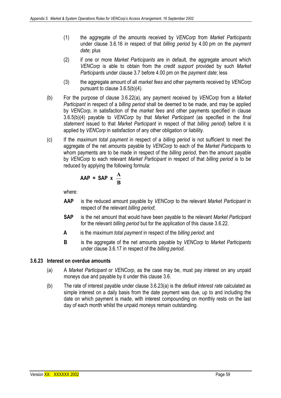- (1) the aggregate of the amounts received by *VENCorp* from *Market Participants* under clause 3.6.16 in respect of that *billing period* by 4.00 pm on the *payment date*; plus
- (2) if one or more *Market Participants* are in default, the aggregate amount which *VENCorp* is able to obtain from the *credit support* provided by such *Market Participant*s under clause 3.7 before 4.00 pm on the *payment date*; less
- (3) the aggregate amount of all *market fees* and other payments received by *VENCorp*  pursuant to clause 3.6.5(b)(4).
- (b) For the purpose of clause 3.6.22(a), any payment received by *VENCorp* from a *Market Participant* in respect of a *billing period* shall be deemed to be made, and may be applied by *VENCorp*, in satisfaction of the *market fees* and other payments specified in clause 3.6.5(b)(4) payable to *VENCorp* by that *Market Participant* (as specified in the *final statement* issued to that *Market Participant* in respect of that *billing period*) before it is applied by *VENCorp* in satisfaction of any other obligation or liability.
- (c) If the *maximum total payment* in respect of a *billing period* is not sufficient to meet the aggregate of the net amounts payable by *VENCorp* to each of the *Market Participant*s to whom payments are to be made in respect of the *billing period*, then the amount payable by *VENCorp* to each relevant *Market Participant* in respect of that *billing period* is to be reduced by applying the following formula:

$$
AAP = SAP \times \frac{A}{B}
$$

where:

- **AAP** is the reduced amount payable by *VENCorp* to the relevant *Market Participant* in respect of the relevant *billing period*;
- **SAP** is the net amount that would have been payable to the relevant *Market Participant* for the relevant *billing period* but for the application of this clause 3.6.22.
- **A** is the *maximum total payment* in respect of the *billing period*; and
- **B** is the aggregate of the net amounts payable by *VENCorp* to *Market Participants*  under clause 3.6.17 in respect of the *billing period*.

## **3.6.23 Interest on overdue amounts**

- (a) A *Market Participant* or *VENCorp*, as the case may be, must pay interest on any unpaid moneys due and payable by it under this clause 3.6.
- (b) The rate of interest payable under clause 3.6.23(a) is the *default interest rate* calculated as simple interest on a daily basis from the date payment was due, up to and including the date on which payment is made, with interest compounding on monthly rests on the last day of each month whilst the unpaid moneys remain outstanding.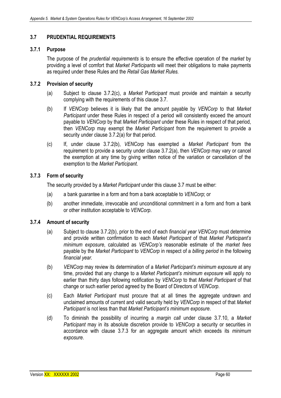# **3.7 PRUDENTIAL REQUIREMENTS**

## **3.7.1 Purpose**

The purpose of the *prudential requirements* is to ensure the effective operation of the *market* by providing a level of comfort that *Market Participants* will meet their obligations to make payments as required under these Rules and the *Retail Gas Market Rules.*

# **3.7.2 Provision of security**

- (a) Subject to clause 3.7.2(c), a *Market* P*articipant* must provide and maintain a security complying with the requirements of this clause 3.7.
- (b) If *VENCorp* believes it is likely that the amount payable by *VENCorp* to that *Market Participant* under these Rules in respect of a period will consistently exceed the amount payable to *VENCorp* by that *Market Participant* under these Rules in respect of that period, then *VENCorp* may exempt the *Market Participant* from the requirement to provide a security under clause 3.7.2(a) for that period.
- (c) If, under clause 3.7.2(b), *VENCorp* has exempted a *Market Participant* from the requirement to provide a security under clause 3.7.2(a), then *VENCorp* may vary or cancel the exemption at any time by giving written notice of the variation or cancellation of the exemption to the *Market Participant*.

# **3.7.3 Form of security**

The security provided by a *Market Participant* under this clause 3.7 must be either:

- (a) a bank guarantee in a form and from a bank acceptable to *VENCorp*; or
- (b) another immediate, irrevocable and unconditional commitment in a form and from a bank or other institution acceptable to *VENCorp*.

## **3.7.4 Amount of security**

- (a) Subject to clause 3.7.2(b), prior to the end of each *financial year VENCorp* must determine and provide written confirmation to each *Market Participant* of that *Market Participant's minimum exposure*, calculated as *VENCorp's* reasonable estimate of the *market fees* payable by the *Market Participant* to *VENCorp* in respect of a *billing period* in the following *financial year.*
- (b) *VENCorp* may review its determination of a *Market Participant's minimum exposure* at any time, provided that any change to a *Market Participant's minimum exposure* will apply no earlier than thirty days following notification by *VENCorp* to that *Market Participant* of that change or such earlier period agreed by the Board of Directors of *VENCorp*.
- (c) Each *Market Participant* must procure that at all times the aggregate undrawn and unclaimed amounts of current and valid security held by *VENCorp* in respect of that *Market Participant* is not less than that *Market Participant's minimum exposure*.
- (d) To diminish the possibility of incurring a *margin call* under clause 3.7.10, a *Market Participant* may in its absolute discretion provide to *VENCorp* a security or securities in accordance with clause 3.7.3 for an aggregate amount which exceeds its *minimum exposure*.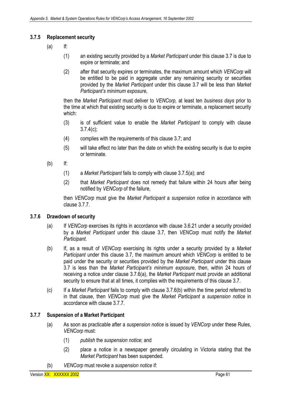# **3.7.5 Replacement security**

- $(a)$  If:
	- (1) an existing security provided by a *Market Participant* under this clause 3.7 is due to expire or terminate; and
	- (2) after that security expires or terminates, the maximum amount which *VENCorp* will be entitled to be paid in aggregate under any remaining security or securities provided by the *Market Participant* under this clause 3.7 will be less than *Market Participant's minimum exposure*,

then the *Market Participant* must deliver to *VENCorp,* at least ten *business days* prior to the time at which that existing security is due to expire or terminate, a replacement security which:

- (3) is of sufficient value to enable the *Market Participant* to comply with clause 3.7.4(c);
- (4) complies with the requirements of this clause 3.7; and
- (5) will take effect no later than the date on which the existing security is due to expire or terminate.
- (b) If:
	- (1) a *Market Participant* fails to comply with clause 3.7.5(a); and
	- (2) that *Market Participant* does not remedy that failure within 24 hours after being notified by *VENCorp* of the failure,

then *VENCorp* must give the *Market Participant* a *suspension notice* in accordance with clause 3.7.7.

## **3.7.6 Drawdown of security**

- (a) If *VENCorp* exercises its rights in accordance with clause 3.6.21 under a security provided by a *Market Participant* under this clause 3.7, then *VENCorp* must notify the *Market Participant*.
- (b) If, as a result of *VENCorp* exercising its rights under a security provided by a *Market Participant* under this clause 3.7, the maximum amount which *VENCorp* is entitled to be paid under the security or securities provided by the *Market Participant* under this clause 3.7 is less than the *Market Participant's minimum exposure*, then, within 24 hours of receiving a notice under clause 3.7.6(a), the *Market Participant* must provide an additional security to ensure that at all times, it complies with the requirements of this clause 3.7.
- (c) If a *Market Participant* fails to comply with clause 3.7.6(b) within the time period referred to in that clause, then *VENCorp* must give the *Market Participant* a *suspension notice* in accordance with clause 3.7.7.

## **3.7.7 Suspension of a Market Participant**

- (a) As soon as practicable after a *suspension notice* is issued by *VENCorp* under these Rules, *VENCorp* must:
	- (1) *publish* the *suspension notice*; and
	- (2) place a notice in a newspaper generally circulating in Victoria stating that the *Market Participant* has been suspended.
- (b) *VENCorp* must revoke a *suspension notice* if: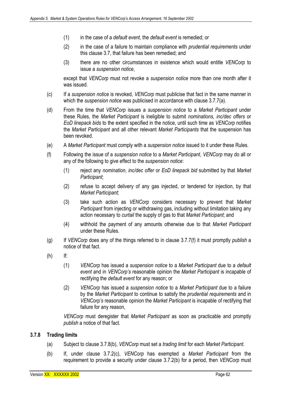- (1) in the case of a *default event*, the *default event* is remedied; or
- (2) in the case of a failure to maintain compliance with *prudential requirements* under this clause 3.7, that failure has been remedied; and
- (3) there are no other circumstances in existence which would entitle *VENCorp* to issue a *suspension notice*,

except that *VENCorp* must not revoke a *suspension notice* more than one month after it was issued*.*

- (c) If a *suspension notice* is revoked, *VENCorp* must publicise that fact in the same manner in which the *suspension notice* was publicised in accordance with clause 3.7.7(a).
- (d) From the time that *VENCorp* issues a *suspension notice* to a *Market Participant* under these Rules, the *Market Participant* is ineligible to submit *nominations*, *inc/dec offers* or *EoD linepack bids* to the extent specified in the notice, until such time as *VENCorp* notifies the *Market Participant* and all other relevant *Market Participants* that the suspension has been revoked.
- (e) A *Market Participant* must comply with a *suspension notice* issued to it under these Rules.
- (f) Following the issue of a *suspension notice* to a *Market Participant*, *VENCorp* may do all or any of the following to give effect to the *suspension notice*:
	- (1) reject any *nomination*, *inc/dec offer* or *EoD linepack bid* submitted by that *Market Participant*;
	- (2) refuse to accept delivery of any gas injected, or tendered for injection, by that *Market Participant*;
	- (3) take such action as *VENCorp* considers necessary to prevent that *Market Participant* from injecting or withdrawing gas, including without limitation taking any action necessary to *curtail* the supply of gas to that *Market Participant*; and
	- (4) withhold the payment of any amounts otherwise due to that *Market Participant* under these Rules*.*
- (g) If *VENCorp* does any of the things referred to in clause 3.7.7(f) it must promptly *publish* a notice of that fact.
- (h) If:
	- (1) *VENCorp* has issued a *suspension notice* to a *Market Participant* due to a *default event* and in *VENCorp's* reasonable opinion the *Market Participant* is incapable of rectifying the *default event* for any reason; or
	- (2) *VENCorp* has issued a *suspension notice* to a *Market Participant* due to a failure by the *Market Participant* to continue to satisfy the *prudential requirements* and in *VENCorp's* reasonable opinion the *Market Participant* is incapable of rectifying that failure for any reason,

*VENCorp* must deregister that *Market Participant* as soon as practicable and promptly *publish* a notice of that fact.

## **3.7.8 Trading limits**

- (a) Subject to clause 3.7.8(b), *VENCorp* must set a *trading limit* for each *Market Participant*.
- (b) If, under clause 3.7.2(c), *VENCorp* has exempted a *Market Participant* from the requirement to provide a security under clause 3.7.2(b) for a period, then *VENCorp* must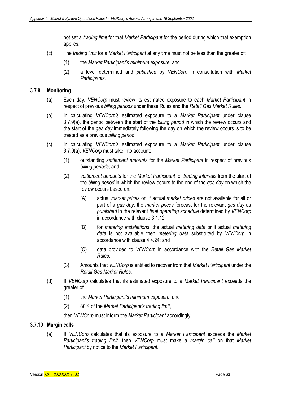not set a *trading limit* for that *Market Participant* for the period during which that exemption applies.

- (c) The *trading limit* for a *Market Participant* at any time must not be less than the greater of:
	- (1) the *Market Participant's minimum exposure*; and
	- (2) a level determined and *published* by *VENCorp* in consultation with *Market Participants*.

#### **3.7.9 Monitoring**

- (a) Each day, *VENCorp* must review its estimated exposure to each *Market Participant* in respect of previous *billing periods* under these Rules and the *Retail Gas Market Rules*.
- (b) In calculating *VENCorp's* estimated exposure to a *Market Participant* under clause 3.7.9(a), the period between the start of the *billing period* in which the review occurs and the start of the *gas day* immediately following the day on which the review occurs is to be treated as a previous *billing period*.
- (c) In calculating *VENCorp's* estimated exposure to a *Market Participant* under clause 3.7.9(a), *VENCorp* must take into account:
	- (1) outstanding *settlement amounts* for the *Market Participant* in respect of previous *billing periods*; and
	- (2) *settlement amounts* for the *Market Participant* for *trading intervals* from the start of the *billing period* in which the review occurs to the end of the *gas day* on which the review occurs based on:
		- (A) actual *market prices* or, if actual *market prices* are not available for all or part of a *gas day*, the *market prices* forecast for the relevant *gas day* as *published* in the relevant *final operating schedule* determined by *VENCorp* in accordance with clause 3.1.12;
		- (B) for *metering installations*, the actual *metering data* or if actual *metering data* is not available then *metering data* substituted by *VENCorp* in accordance with clause 4.4.24; and
		- (C) data provided to *VENCorp* in accordance with the *Retail Gas Market Rules*.
	- (3) Amounts that *VENCorp* is entitled to recover from that *Market Participant* under the *Retail Gas Market Rules*.
- (d) If *VENCorp* calculates that its estimated exposure to a *Market Participant* exceeds the greater of
	- (1) the *Market Participant's minimum exposure*; and
	- (2) 80% of the *Market Participant's trading limit*,

then *VENCorp* must inform the *Market Participant* accordingly.

## **3.7.10 Margin calls**

(a) If *VENCorp* calculates that its exposure to a *Market Participant* exceeds the *Market Participant's trading limit*, then *VENCorp* must make a *margin call* on that *Market Participant* by notice to the *Market Participant*.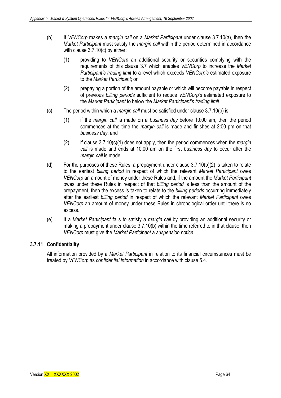- (b) If *VENCorp* makes a *margin call* on a *Market Participant* under clause 3.7.10(a), then the *Market Participant* must satisfy the *margin call* within the period determined in accordance with clause 3.7.10(c) by either:
	- (1) providing to *VENCorp* an additional security or securities complying with the requirements of this clause 3.7 which enables *VENCorp* to increase the *Market Participant's trading limit* to a level which exceeds *VENCorp's* estimated exposure to the *Market Participant*; or
	- (2) prepaying a portion of the amount payable or which will become payable in respect of previous *billing periods* sufficient to reduce *VENCorp's* estimated exposure to the *Market Participant* to below the *Market Participant's trading limit.*
- (c) The period within which a *margin call* must be satisfied under clause 3.7.10(b) is:
	- (1) if the *margin call* is made on a *business day* before 10:00 am, then the period commences at the time the *margin call* is made and finishes at 2:00 pm on that *business day*; and
	- (2) if clause 3.7.10(c)(1) does not apply, then the period commences when the *margin call* is made and ends at 10:00 am on the first *business day* to occur after the *margin call* is made.
- (d) For the purposes of these Rules, a prepayment under clause 3.7.10(b)(2) is taken to relate to the earliest *billing period* in respect of which the relevant *Market Participant* owes *VENCorp* an amount of money under these Rules and, if the amount the *Market Participant* owes under these Rules in respect of that *billing period* is less than the amount of the prepayment, then the excess is taken to relate to the *billing periods* occurring immediately after the earliest *billing period* in respect of which the relevant *Market Participant* owes *VENCorp* an amount of money under these Rules in chronological order until there is no excess.
- (e) If a *Market Participant* fails to satisfy a *margin call* by providing an additional security or making a prepayment under clause 3.7.10(b) within the time referred to in that clause, then *VENCorp* must give the *Market Participant* a *suspension notice*.

## **3.7.11 Confidentiality**

All information provided by a *Market Participant* in relation to its financial circumstances must be treated by *VENCorp* as *confidential information* in accordance with clause 5.4.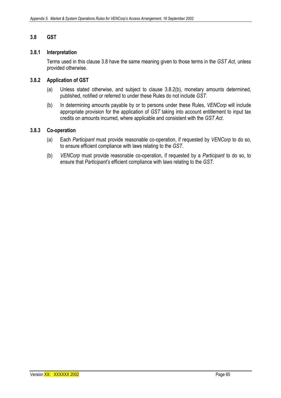## **3.8 GST**

#### **3.8.1 Interpretation**

Terms used in this clause 3.8 have the same meaning given to those terms in the *GST Act*, unless provided otherwise.

#### **3.8.2 Application of GST**

- (a) Unless stated otherwise, and subject to clause 3.8.2(b), monetary amounts determined, published, notified or referred to under these Rules do not include *GST*.
- (b) In determining amounts payable by or to persons under these Rules, *VENCorp* will include appropriate provision for the application of *GST* taking into account entitlement to input tax credits on amounts incurred, where applicable and consistent with the *GST Act*.

#### **3.8.3 Co-operation**

- (a) Each *Participant* must provide reasonable co-operation, if requested by *VENCorp* to do so, to ensure efficient compliance with laws relating to the *GST*.
- (b) *VENCorp* must provide reasonable co-operation, if requested by a *Participant* to do so, to ensure that *Participant's* efficient compliance with laws relating to the *GST*.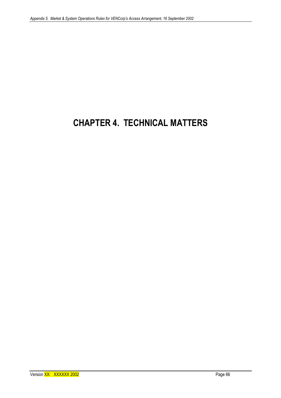# **CHAPTER 4. TECHNICAL MATTERS**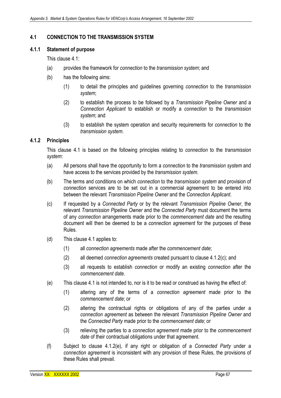## **4.1 CONNECTION TO THE TRANSMISSION SYSTEM**

#### **4.1.1 Statement of purpose**

This clause 4.1:

- (a) provides the framework for *connection* to the *transmission system*; and
- (b) has the following aims:
	- (1) to detail the principles and guidelines governing *connection* to the *transmission system*;
	- (2) to establish the process to be followed by a *Transmission Pipeline Owner* and a *Connection Applicant* to establish or modify a *connection* to the *transmission system*; and
	- (3) to establish the system operation and security requirements for *connection* to the *transmission system*.

### **4.1.2 Principles**

This clause 4.1 is based on the following principles relating to *connection* to the *transmission system*:

- (a) All persons shall have the opportunity to form a *connection* to the *transmission system* and have access to the services provided by the *transmission system*.
- (b) The terms and conditions on which *connection* to the *transmission system* and provision of *connection* services are to be set out in a commercial agreement to be entered into between the relevant *Transmission Pipeline Owner* and the *Connection Applicant*.
- (c) If requested by a *Connected Party* or by the relevant *Transmission Pipeline Owner*, the relevant *Transmission Pipeline Owner* and the *Connected Party* must document the terms of any *connection* arrangements made prior to the *commencement date* and the resulting document will then be deemed to be a *connection agreement* for the purposes of these Rules.
- (d) This clause 4.1 applies to:
	- (1) all *connection agreements* made after the *commencement date*;
	- (2) all deemed *connection agreements* created pursuant to clause 4.1.2(c); and
	- (3) all requests to establish *connection* or modify an existing *connection* after the *commencement date*.
- (e) This clause 4.1 is not intended to, nor is it to be read or construed as having the effect of:
	- (1) altering any of the terms of a *connection agreement* made prior to the *commencement date*; or
	- (2) altering the contractual rights or obligations of any of the parties under a *connection agreement* as between the relevant *Transmission Pipeline Owner* and the *Connected Party* made prior to the *commencement date*; or
	- (3) relieving the parties to a *connection agreement* made prior to the *commencement date* of their contractual obligations under that agreement.
- (f) Subject to clause 4.1.2(e), if any right or obligation of a *Connected Party* under a *connection agreement* is inconsistent with any provision of these Rules, the provisions of these Rules shall prevail.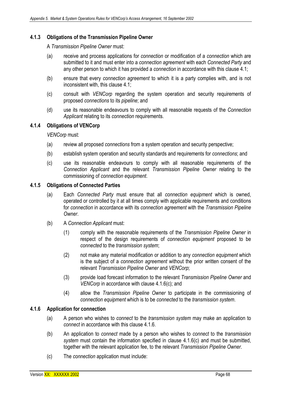## **4.1.3 Obligations of the Transmission Pipeline Owner**

A *Transmission Pipeline Owner* must:

- (a) receive and process applications for *connection* or modification of a *connection* which are submitted to it and must enter into a *connection agreement* with each *Connected Party* and any other person to which it has provided a *connection* in accordance with this clause 4.1;
- (b) ensure that every *connection agreement* to which it is a party complies with, and is not inconsistent with, this clause 4.1;
- (c) consult with *VENCorp* regarding the system operation and security requirements of proposed *connections* to its *pipeline*; and
- (d) use its reasonable endeavours to comply with all reasonable requests of the *Connection Applicant* relating to its *connection* requirements.

## **4.1.4 Obligations of VENCorp**

*VENCorp* must:

- (a) review all proposed *connections* from a system operation and security perspective;
- (b) establish system operation and security standards and requirements for *connections*; and
- (c) use its reasonable endeavours to comply with all reasonable requirements of the *Connection Applicant* and the relevant *Transmission Pipeline Owner* relating to the commissioning of *connection equipment*.

## **4.1.5 Obligations of Connected Parties**

- (a) Each *Connected Party* must ensure that all *connection equipment* which is owned, operated or controlled by it at all times comply with applicable requirements and conditions for *connection* in accordance with its *connection agreement* with the *Transmission Pipeline Owner*.
- (b) A *Connection Applicant* must:
	- (1) comply with the reasonable requirements of the *Transmission Pipeline Owner* in respect of the design requirements of *connection equipment* proposed to be *connected* to the *transmission system*;
	- (2) not make any material modification or addition to any *connection equipment* which is the subject of a *connection agreement* without the prior written consent of the relevant *Transmission Pipeline Owner* and *VENCorp*;
	- (3) provide load forecast information to the relevant *Transmission Pipeline Owner* and *VENCorp* in accordance with clause 4.1.6(c); and
	- (4) allow the *Transmission Pipeline Owner* to participate in the commissioning of *connection equipment* which is to be *connected* to the *transmission system*.

#### **4.1.6 Application for connection**

- (a) A person who wishes to *connect* to the *transmission system* may make an application to *connect* in accordance with this clause 4.1.6.
- (b) An application to *connect* made by a person who wishes to *connect* to the *transmission system* must contain the information specified in clause 4.1.6(c) and must be submitted, together with the relevant application fee, to the relevant *Transmission Pipeline Owner*.
- (c) The *connection* application must include: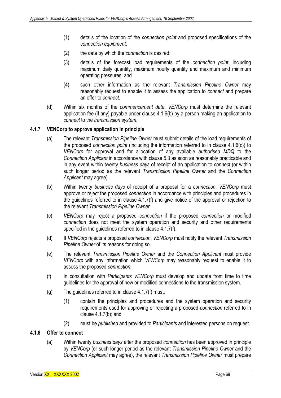- (1) details of the location of the *connection point* and proposed specifications of the *connection equipment*;
- (2) the date by which the *connection* is desired;
- (3) details of the forecast load requirements of the *connection point*, including maximum daily quantity, maximum hourly quantity and maximum and minimum operating pressures; and
- (4) such other information as the relevant *Transmission Pipeline Owner* may reasonably request to enable it to assess the application to *connect* and prepare an offer to *connect*.
- (d) Within six months of the *commencement date*, *VENCorp* must determine the relevant application fee (if any) payable under clause 4.1.6(b) by a person making an application to *connect* to the *transmission system*.

### **4.1.7 VENCorp to approve application in principle**

- (a) The relevant *Transmission Pipeline Owner* must submit details of the load requirements of the proposed *connection point* (including the information referred to in clause 4.1.6(c)) to *VENCorp* for approval and for allocation of any available *authorised MDQ* to the *Connection Applicant* in accordance with clause 5.3 as soon as reasonably practicable and in any event within twenty *business days* of receipt of an application to *connect* (or within such longer period as the relevant *Transmission Pipeline Owner* and the *Connection Applicant* may agree).
- (b) Within twenty *business days* of receipt of a proposal for a *connection*, *VENCorp* must approve or reject the proposed *connection* in accordance with principles and procedures in the guidelines referred to in clause 4.1.7(f) and give notice of the approval or rejection to the relevant *Transmission Pipeline Owner*.
- (c) *VENCorp* may reject a proposed *connection* if the proposed *connection* or modified *connection* does not meet the system operation and security and other requirements specified in the guidelines referred to in clause 4.1.7(f).
- (d) If *VENCorp* rejects a proposed *connection*, *VENCorp* must notify the relevant *Transmission Pipeline Owner* of its reasons for doing so.
- (e) The relevant *Transmission Pipeline Owner* and the *Connection Applicant* must provide *VENCorp* with any information which *VENCorp* may reasonably request to enable it to assess the proposed *connection*.
- (f) In consultation with *Participants VENCorp* must develop and update from time to time guidelines for the approval of new or modified connections to the transmission system.
- (g) The guidelines referred to in clause 4.1.7(f) must:
	- (1) contain the principles and procedures and the system operation and security requirements used for approving or rejecting a proposed *connection* referred to in clause 4.1.7(b); and
	- (2) must be *published* and provided to *Participants* and interested persons on request.

### **4.1.8 Offer to connect**

(a) Within twenty *business days* after the proposed *connection* has been approved in principle by *VENCorp* (or such longer period as the relevant *Transmission Pipeline Owner* and the *Connection Applicant* may agree), the relevant *Transmission Pipeline Owner* must prepare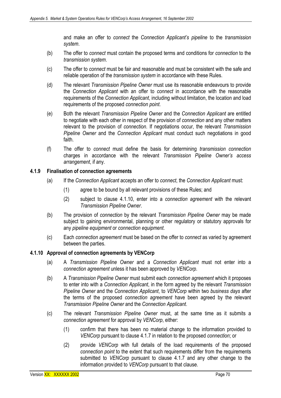and make an offer to *connect* the *Connection Applicant's pipeline* to the *transmission system*.

- (b) The offer to *connect* must contain the proposed terms and conditions for *connection* to the *transmission system*.
- (c) The offer to *connect* must be fair and reasonable and must be consistent with the safe and reliable operation of the *transmission system* in accordance with these Rules.
- (d) The relevant *Transmission Pipeline Owner* must use its reasonable endeavours to provide the *Connection Applicant* with an offer to *connect* in accordance with the reasonable requirements of the *Connection Applicant*, including without limitation, the location and load requirements of the proposed *connection point*.
- (e) Both the relevant *Transmission Pipeline Owner* and the *Connection Applicant* are entitled to negotiate with each other in respect of the provision of *connection* and any other matters relevant to the provision of *connection*. If negotiations occur, the relevant *Transmission Pipeline Owner* and the *Connection Applicant* must conduct such negotiations in good faith.
- (f) The offer to *connect* must define the basis for determining *transmission connection*  charges in accordance with the relevant *Transmission Pipeline Owner's access arrangement*, if any.

### **4.1.9 Finalisation of connection agreements**

- (a) If the *Connection Applicant* accepts an offer to *connect*, the *Connection Applicant* must:
	- (1) agree to be bound by all relevant provisions of these Rules; and
	- (2) subject to clause 4.1.10, enter into a *connection agreement* with the relevant *Transmission Pipeline Owner*.
- (b) The provision of *connection* by the relevant *Transmission Pipeline Owner* may be made subject to gaining environmental, planning or other regulatory or statutory approvals for any *pipeline equipment* or *connection equipment*.
- (c) Each *connection agreement* must be based on the offer to *connect* as varied by agreement between the parties.

## **4.1.10 Approval of connection agreements by VENCorp**

- (a) A *Transmission Pipeline Owner* and a *Connection Applicant* must not enter into a *connection agreement* unless it has been approved by *VENCorp*.
- (b) A *Transmission Pipeline Owner* must submit each *connection agreement* which it proposes to enter into with a *Connection Applicant*, in the form agreed by the relevant *Transmission Pipeline Owner* and the *Connection Applicant*, to *VENCorp* within two *business days* after the terms of the proposed *connection agreement* have been agreed by the relevant *Transmission Pipeline Owner* and the *Connection Applicant*.
- (c) The relevant *Transmission Pipeline Owner* must, at the same time as it submits a *connection agreement* for approval by *VENCorp*, either:
	- (1) confirm that there has been no material change to the information provided to *VENCorp* pursuant to clause 4.1.7 in relation to the proposed *connection*; or
	- (2) provide *VENCorp* with full details of the load requirements of the proposed *connection point* to the extent that such requirements differ from the requirements submitted to *VENCorp* pursuant to clause 4.1.7 and any other change to the information provided to *VENCorp* pursuant to that clause.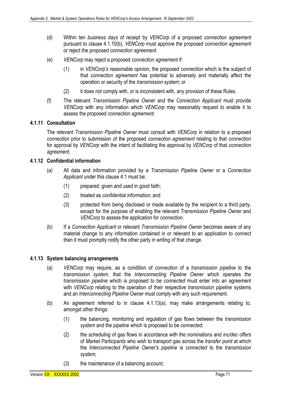- (d) Within ten *business days* of receipt by *VENCorp* of a proposed *connection agreement*  pursuant to clause 4.1.10(b), *VENCorp* must approve the proposed *connection agreement*  or reject the proposed *connection agreement*.
- (e) *VENCorp* may reject a proposed *connection agreement* if:
	- (1) in *VENCorp's* reasonable opinion, the proposed *connection* which is the subject of that *connection agreement* has potential to adversely and materially affect the operation or security of the *transmission system*; or
	- (2) it does not comply with, or is inconsistent with, any provision of these Rules.
- (f) The relevant *Transmission Pipeline Owner* and the *Connection Applicant* must provide *VENCorp* with any information which *VENCorp* may reasonably request to enable it to assess the proposed *connection agreement*.

### **4.1.11 Consultation**

The relevant *Transmission Pipeline Owner* must consult with *VENCorp* in relation to a proposed *connection* prior to submission of the proposed *connection agreement* relating to that *connection*  for approval by *VENCorp* with the intent of facilitating the approval by *VENCorp* of that *connection agreement*.

### **4.1.12 Confidential information**

- (a) All data and information provided by a *Transmission Pipeline Owner* or a *Connection Applicant* under this clause 4.1 must be:
	- (1) prepared, given and used in good faith;
	- (2) treated as *confidential information*; and
	- (3) protected from being disclosed or made available by the recipient to a third party, except for the purpose of enabling the relevant *Transmission Pipeline Owner* and *VENCorp* to assess the application for *connection*.
- (b) If a *Connection Applicant* or relevant *Transmission Pipeline Owner* becomes aware of any material change to any information contained in or relevant to an application to *connect*  then it must promptly notify the other party in writing of that change.

#### **4.1.13 System balancing arrangements**

- (a) *VENCorp* may require, as a condition of *connection* of a *transmission pipeline* to the *transmission system*, that the *Interconnecting Pipeline Owner* which operates the *transmission pipeline* which is proposed to be *connected* must enter into an agreement with *VENCorp* relating to the operation of their respective *transmission pipeline* systems and an *Interconnecting Pipeline Owner* must comply with any such requirement.
- (b) An agreement referred to in clause 4.1.13(a), may make arrangements relating to, amongst other things:
	- (1) the balancing, monitoring and regulation of gas flows between the *transmission system* and the *pipeline* which is proposed to be *connected*;
	- (2) the *scheduling* of gas flows in accordance with the *nominations* and *inc/dec offers*  of *Market Participants* who wish to transport gas across the *transfer point* at which the *Interconnected Pipeline Owner's pipeline* is *connected* to the *transmission system*;
	- (3) the maintenance of a balancing account;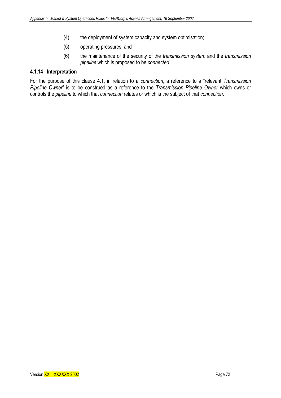- (4) the deployment of system capacity and system optimisation;
- (5) operating pressures; and
- (6) the maintenance of the security of the *transmission system* and the *transmission pipeline* which is proposed to be *connected*.

## **4.1.14 Interpretation**

For the purpose of this clause 4.1, in relation to a *connection*, a reference to a "relevant *Transmission Pipeline Owner*" is to be construed as a reference to the *Transmission Pipeline Owner* which owns or controls the *pipeline* to which that *connection* relates or which is the subject of that *connection*.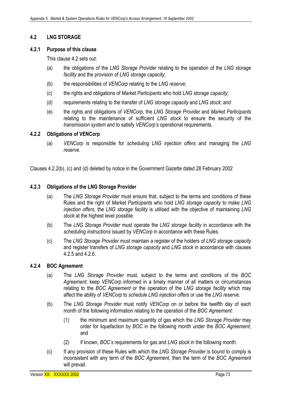# **4.2 LNG STORAGE**

## **4.2.1 Purpose of this clause**

This clause 4.2 sets out:

- (a) the obligations of the *LNG Storage Provider* relating to the operation of the *LNG storage facility* and the provision of *LNG storage capacity*;
- (b) the responsibilities of *VENCorp* relating to the *LNG reserve*;
- (c) the rights and obligations of *Market Participants* who hold *LNG storage capacity*;
- (d) requirements relating to the transfer of *LNG storage capacity* and *LNG stock*; and
- (e) the rights and obligations of *VENCorp*, the *LNG Storage Provider* and *Market Participants* relating to the maintenance of sufficient *LNG stock* to ensure the security of the *transmission system* and to satisfy *VENCorp's* operational requirements.

## **4.2.2 Obligations of VENCorp**

(a) *VENCorp* is responsible for *scheduling LNG injection offers* and managing the *LNG reserve*.

Clauses 4.2.2(b), (c) and (d) deleted by notice in the Government Gazette dated 28 February 2002

## **4.2.3 Obligations of the LNG Storage Provider**

- (a) The *LNG Storage Provider* must ensure that, subject to the terms and conditions of these Rules and the right of *Market Participants* who hold *LNG storage capacity* to make *LNG injection offers*, the *LNG storage facility* is utilised with the objective of maintaining *LNG stock* at the highest level possible.
- (b) The *LNG Storage Provider* must operate the *LNG storage facility* in accordance with the *scheduling instructions* issued by *VENCorp* in accordance with these Rules.
- (c) The *LNG Storage Provider* must maintain a register of the holders of *LNG storage capacity* and register transfers of *LNG storage capacity* and *LNG stock* in accordance with clauses 4.2.5 and 4.2.6.

## **4.2.4 BOC Agreement**

- (a) The *LNG Storage Provider* must, subject to the terms and conditions of the *BOC Agreement*, keep *VENCorp* informed in a timely manner of all matters or circumstances relating to the *BOC Agreement* or the operation of the *LNG storage facility* which may affect the ability of *VENCorp* to *schedule LNG injection offers* or use the *LNG reserve*.
- (b) The *LNG Storage Provider* must notify *VENCorp* on or before the twelfth day of each month of the following information relating to the operation of the *BOC Agreement*:
	- (1) the minimum and maximum quantity of gas which the *LNG Storage Provider* may order for liquefaction by *BOC* in the following month under the *BOC Agreement*; and
	- (2) if known, *BOC's* requirements for gas and *LNG stock* in the following month.
- (c) If any provision of these Rules with which the *LNG Storage Provider* is bound to comply is inconsistent with any term of the *BOC Agreement*, then the term of the *BOC Agreement* will prevail.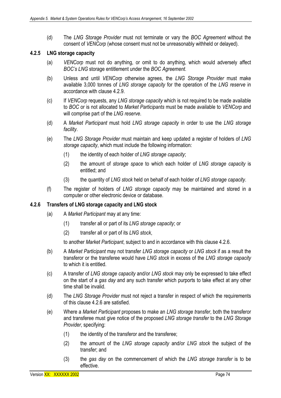(d) The *LNG Storage Provider* must not terminate or vary the *BOC Agreement* without the consent of *VENCorp* (whose consent must not be unreasonably withheld or delayed).

## **4.2.5 LNG storage capacity**

- (a) *VENCorp* must not do anything, or omit to do anything, which would adversely affect *BOC's LNG* storage entitlement under the *BOC Agreement*.
- (b) Unless and until *VENCorp* otherwise agrees, the *LNG Storage Provider* must make available 3,000 tonnes of *LNG storage capacity* for the operation of the *LNG reserve* in accordance with clause 4.2.9.
- (c) If *VENCorp* requests, any *LNG storage capacity* which is not required to be made available to *BOC* or is not allocated to *Market Participants* must be made available to *VENCorp* and will comprise part of the *LNG reserve*.
- (d) A *Market Participant* must hold *LNG storage capacity* in order to use the *LNG storage facility*.
- (e) The *LNG Storage Provider* must maintain and keep updated a register of holders of *LNG storage capacity*, which must include the following information:
	- (1) the identity of each holder of *LNG storage capacity*;
	- (2) the amount of *storage space* to which each holder of *LNG storage capacity* is entitled; and
	- (3) the quantity of *LNG stock* held on behalf of each holder of *LNG storage capacity*.
- (f) The register of holders of *LNG storage capacity* may be maintained and stored in a computer or other electronic device or database.

#### **4.2.6 Transfers of LNG storage capacity and LNG stock**

- (a) A *Market Participant* may at any time:
	- (1) transfer all or part of its *LNG storage capacity*; or
	- (2) transfer all or part of its *LNG stock*,

to another *Market Participant*, subject to and in accordance with this clause 4.2.6.

- (b) A *Market Participant* may not transfer *LNG storage capacity* or *LNG stock* if as a result the transferor or the transferee would have *LNG stock* in excess of the *LNG storage capacity*  to which it is entitled.
- (c) A transfer of *LNG storage capacity* and/or *LNG stock* may only be expressed to take effect on the start of a *gas day* and any such transfer which purports to take effect at any other time shall be invalid.
- (d) The *LNG Storage Provider* must not reject a transfer in respect of which the requirements of this clause 4.2.6 are satisfied.
- (e) Where a *Market Participant* proposes to make an *LNG storage transfer*, both the transferor and transferee must give notice of the proposed *LNG storage transfer* to the *LNG Storage Provider*, specifying:
	- (1) the identity of the transferor and the transferee;
	- (2) the amount of the *LNG storage capacity* and/or *LNG stock* the subject of the transfer; and
	- (3) the *gas day* on the commencement of which the *LNG storage transfer* is to be effective.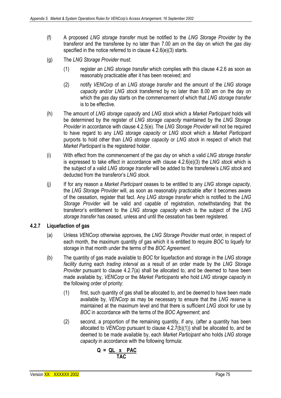- (f) A proposed *LNG storage transfer* must be notified to the *LNG Storage Provider* by the transferor and the transferee by no later than 7.00 am on the day on which the *gas day*  specified in the notice referred to in clause 4.2.6(e)(3) starts.
- (g) The *LNG Storage Provider* must:
	- (1) register an *LNG storage transfer* which complies with this clause 4.2.6 as soon as reasonably practicable after it has been received; and
	- (2) notify *VENCorp* of an *LNG storage transfer* and the amount of the *LNG storage capacity* and/or *LNG stock* transferred by no later than 8.00 am on the day on which the *gas day* starts on the commencement of which that *LNG storage transfer* is to be effective.
- (h) The amount of *LNG storage capacity* and *LNG stock* which a *Market Participant* holds will be determined by the register of *LNG storage capacity* maintained by the *LNG Storage Provider* in accordance with clause 4.2.5(e). The *LNG Storage Provider* will not be required to have regard to any *LNG storage capacity* or *LNG stock* which a *Market Participant* purports to hold other than *LNG storage capacity* or *LNG stock* in respect of which that *Market Participant* is the registered holder.
- (i) With effect from the commencement of the *gas day* on which a valid *LNG storage transfer* is expressed to take effect in accordance with clause 4.2.6(e)(3) the *LNG stock* which is the subject of a valid *LNG storage transfer* will be added to the transferee's *LNG stock* and deducted from the transferor's *LNG stock*.
- (j) If for any reason a *Market Participant* ceases to be entitled to any *LNG storage capacity*, the *LNG Storage Provider* will, as soon as reasonably practicable after it becomes aware of the cessation, register that fact. Any *LNG storage transfer* which is notified to the *LNG Storage Provider* will be valid and capable of registration, notwithstanding that the transferor's entitlement to the *LNG storage capacity* which is the subject of the *LNG storage transfer* has ceased, unless and until the cessation has been registered.

# **4.2.7 Liquefaction of gas**

- (a) Unless *VENCorp* otherwise approves, the *LNG Storage Provider* must order, in respect of each month, the maximum quantity of gas which it is entitled to require *BOC* to liquefy for storage in that month under the terms of the *BOC Agreement*.
- (b) The quantity of gas made available to *BOC* for liquefaction and storage in the *LNG storage facility* during each *trading interval* as a result of an order made by the *LNG Storage Provider* pursuant to clause 4.2.7(a) shall be allocated to, and be deemed to have been made available by, *VENCorp* or the *Market Participants* who hold *LNG storage capacity* in the following order of priority:
	- (1) first, such quantity of gas shall be allocated to, and be deemed to have been made available by, *VENCorp* as may be necessary to ensure that the *LNG reserve* is maintained at the maximum level and that there is sufficient *LNG stock* for use by *BOC* in accordance with the terms of the *BOC Agreement*; and
	- (2) second, a proportion of the remaining quantity, if any, (after a quantity has been allocated to *VENCorp* pursuant to clause 4.2.7(b)(1)) shall be allocated to, and be deemed to be made available by, each *Market Participant* who holds *LNG storage capacity* in accordance with the following formula:

$$
Q = QL \times PAC
$$
  
TAC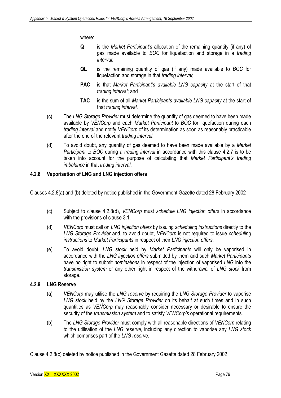where:

- **Q** is the *Market Participant's* allocation of the remaining quantity (if any) of gas made available to *BOC* for liquefaction and storage in a *trading interval*;
- **QL** is the remaining quantity of gas (if any) made available to *BOC* for liquefaction and storage in that *trading interval*;
- **PAC** is that *Market Participant's available LNG capacity* at the start of that *trading interval*; and
- **TAC** is the sum of all *Market Participants available LNG capacity* at the start of that *trading interval*.
- (c) The *LNG Storage Provider* must determine the quantity of gas deemed to have been made available by *VENCorp* and each *Market Participant* to *BOC* for liquefaction during each *trading interval* and notify *VENCorp* of its determination as soon as reasonably practicable after the end of the relevant *trading interval*.
- (d) To avoid doubt, any quantity of gas deemed to have been made available by a *Market Participant* to *BOC* during a *trading interval* in accordance with this clause 4.2.7 is to be taken into account for the purpose of calculating that *Market Participant's trading imbalance* in that *trading interval*.

# **4.2.8 Vaporisation of LNG and LNG injection offers**

Clauses 4.2.8(a) and (b) deleted by notice published in the Government Gazette dated 28 February 2002

- (c) Subject to clause 4.2.8(d), *VENCorp* must *schedule LNG injection offers* in accordance with the provisions of clause 3.1.
- (d) *VENCorp* must call on *LNG injection offers* by issuing *scheduling instructions* directly to the *LNG Storage Provider* and, to avoid doubt, *VENCorp* is not required to issue *scheduling instructions* to *Market Participants* in respect of their *LNG injection offers*.
- (e) To avoid doubt, *LNG stock* held by *Market Participants* will only be vaporised in accordance with the *LNG injection offers* submitted by them and such *Market Participants*  have no right to submit *nominations* in respect of the injection of vaporised *LNG* into the *transmission system* or any other right in respect of the withdrawal of *LNG stock* from storage.

# **4.2.9 LNG Reserve**

- (a) *VENCorp* may utilise the *LNG reserve* by requiring the *LNG Storage Provider* to vaporise *LNG stock* held by the *LNG Storage Provider* on its behalf at such times and in such quantities as *VENCorp* may reasonably consider necessary or desirable to ensure the security of the *transmission system* and to satisfy *VENCorp's* operational requirements.
- (b) The *LNG Storage Provider* must comply with all reasonable directions of *VENCorp* relating to the utilisation of the *LNG reserve*, including any direction to vaporise any *LNG stock*  which comprises part of the *LNG reserve*.

Clause 4.2.8(c) deleted by notice published in the Government Gazette dated 28 February 2002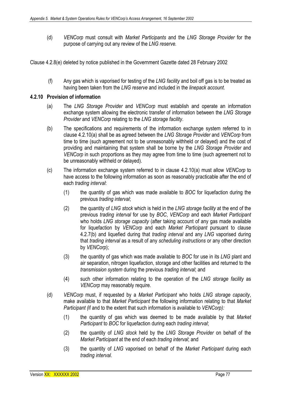(d) *VENCorp* must consult with *Market Participants* and the *LNG Storage Provider* for the purpose of carrying out any review of the *LNG reserve.* 

Clause 4.2.8(e) deleted by notice published in the Government Gazette dated 28 February 2002

 (f) Any gas which is vaporised for testing of the *LNG facility* and boil off gas is to be treated as having been taken from the *LNG reserve* and included in the *linepack account*.

## **4.2.10 Provision of information**

- (a) The *LNG Storage Provider* and *VENCorp* must establish and operate an information exchange system allowing the electronic transfer of information between the *LNG Storage Provider* and *VENCorp* relating to the *LNG storage facility*.
- (b) The specifications and requirements of the information exchange system referred to in clause 4.2.10(a) shall be as agreed between the *LNG Storage Provider* and *VENCorp* from time to time (such agreement not to be unreasonably withheld or delayed) and the cost of providing and maintaining that system shall be borne by the *LNG Storage Provider* and *VENCorp* in such proportions as they may agree from time to time (such agreement not to be unreasonably withheld or delayed).
- (c) The information exchange system referred to in clause 4.2.10(a) must allow *VENCorp* to have access to the following information as soon as reasonably practicable after the end of each *trading interval*:
	- (1) the quantity of gas which was made available to *BOC* for liquefaction during the previous *trading interval*;
	- (2) the quantity of *LNG stock* which is held in the *LNG storage facility* at the end of the previous *trading interval* for use by *BOC*, *VENCorp* and each *Market Participant* who holds *LNG storage capacity* (after taking account of any gas made available for liquefaction by *VENCorp* and each *Market Participant* pursuant to clause 4.2.7(b) and liquefied during that *trading interval* and any *LNG* vaporised during that *trading interval* as a result of any *scheduling instructions* or any other direction by *VENCorp*);
	- (3) the quantity of gas which was made available to *BOC* for use in its *LNG* plant and air separation, nitrogen liquefaction, storage and other facilities and returned to the *transmission system* during the previous *trading interval*; and
	- (4) such other information relating to the operation of the *LNG storage facility* as *VENCorp* may reasonably require.
- (d) *VENCorp* must, if requested by a *Market Participant* who holds *LNG storage capacity*, make available to that *Market Participant* the following information relating to that *Market Participant (*if and to the extent that such information is available to *VENCorp):*
	- (1) the quantity of gas which was deemed to be made available by that *Market Participant* to *BOC* for liquefaction during each *trading interval*;
	- (2) the quantity of *LNG stock* held by the *LNG Storage Provider* on behalf of the *Market Participant* at the end of each *trading interval*; and
	- (3) the quantity of *LNG* vaporised on behalf of the *Market Participant* during each *trading interval*.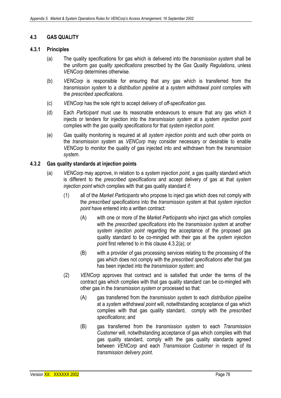# **4.3 GAS QUALITY**

## **4.3.1 Principles**

- (a) The quality specifications for gas which is delivered into the *transmission system* shall be the uniform *gas quality specifications* prescribed by the *Gas Quality Regulations*, unless *VENCorp* determines otherwise.
- (b) *VENCorp* is responsible for ensuring that any gas which is transferred from the *transmission system* to a *distribution pipeline* at a *system withdrawal point* complies with the *prescribed specifications*.
- (c) *VENCorp* has the sole right to accept delivery of *off-specification gas*.
- (d) Each *Participant* must use its reasonable endeavours to ensure that any gas which it injects or tenders for injection into the *transmission system* at a *system injection point*  complies with the *gas quality specifications* for that *system injection point*.
- (e) Gas quality monitoring is required at all *system injection points* and such other points on the *transmission system* as *VENCorp* may consider necessary or desirable to enable *VENCorp* to monitor the quality of gas injected into and withdrawn from the *transmission system*.

# **4.3.2 Gas quality standards at injection points**

- (a) *VENCorp* may approve, in relation to a *system injection point*, a gas quality standard which is different to the *prescribed specifications* and accept delivery of gas at that *system injection point* which complies with that gas quality standard if:
	- (1) all of the *Market Participants* who propose to inject gas which does not comply with the *prescribed specifications* into the *transmission system* at that *system injection point* have entered into a written contract:
		- (A) with one or more of the *Market Participants* who inject gas which complies with the *prescribed specifications* into the *transmission system* at another *system injection point* regarding the acceptance of the proposed gas quality standard to be co-mingled with their gas at the *system injection point* first referred to in this clause 4.3.2(a); or
		- (B) with a provider of gas processing services relating to the processing of the gas which does not comply with the *prescribed specifications* after that gas has been injected into the *transmission system*; and
	- (2) *VENCorp* approves that contract and is satisfied that under the terms of the contract gas which complies with that gas quality standard can be co-mingled with other gas in the *transmission system* or processed so that:
		- (A) gas transferred from the *transmission system* to each *distribution pipeline*  at a *system withdrawal point* will, notwithstanding acceptance of gas which complies with that gas quality standard, comply with the *prescribed specifications*; and
		- (B) gas transferred from the *transmission system* to each *Transmission Customer* will, notwithstanding acceptance of gas which complies with that gas quality standard, comply with the gas quality standards agreed between *VENCorp* and each *Transmission Customer* in respect of its *transmission delivery point*.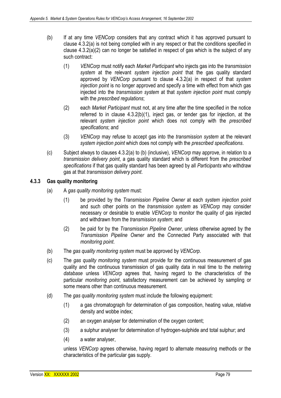- (b) If at any time *VENCorp* considers that any contract which it has approved pursuant to clause 4.3.2(a) is not being complied with in any respect or that the conditions specified in clause 4.3.2(a)(2) can no longer be satisfied in respect of gas which is the subject of any such contract:
	- (1) *VENCorp* must notify each *Market Participant* who injects gas into the *transmission system* at the relevant *system injection point* that the gas quality standard approved by *VENCorp* pursuant to clause 4.3.2(a) in respect of that *system injection point* is no longer approved and specify a time with effect from which gas injected into the *transmission system* at that *system injection point* must comply with the *prescribed regulations*;
	- (2) each *Market Participant* must not, at any time after the time specified in the notice referred to in clause 4.3.2(b)(1), inject gas, or tender gas for injection, at the relevant *system injection point* which does not comply with the *prescribed specifications*; and
	- (3) *VENCorp* may refuse to accept gas into the *transmission system* at the relevant *system injection point* which does not comply with the *prescribed specifications*.
- (c) Subject always to clauses 4.3.2(a) to (b) (inclusive), *VENCorp* may approve, in relation to a *transmission delivery point*, a gas quality standard which is different from the *prescribed specifications* if that gas quality standard has been agreed by all *Participants* who withdraw gas at that *transmission delivery point*.

## **4.3.3 Gas quality monitoring**

- (a) A *gas quality monitoring system* must:
	- (1) be provided by the *Transmission Pipeline Owner* at each *system injection point* and such other points on the *transmission system* as *VENCorp* may consider necessary or desirable to enable *VENCorp* to monitor the quality of gas injected and withdrawn from the *transmission system*; and
	- (2) be paid for by the *Transmission Pipeline Owner*, unless otherwise agreed by the *Transmission Pipeline Owner* and the Connected Party associated with that *monitoring point*.
- (b) The *gas quality monitoring system* must be approved by *VENCorp*.
- (c) The *gas quality monitoring system* must provide for the continuous measurement of gas quality and the continuous transmission of gas quality data in real time to the *metering database* unless *VENCorp* agrees that, having regard to the characteristics of the particular *monitoring point*, satisfactory measurement can be achieved by sampling or some means other than continuous measurement.
- (d) The *gas quality monitoring system* must include the following equipment:
	- (1) a gas chromatograph for determination of gas composition, heating value, relative density and wobbe index;
	- (2) an oxygen analyser for determination of the oxygen content;
	- (3) a sulphur analyser for determination of hydrogen-sulphide and total sulphur; and
	- (4) a water analyser,

unless *VENCorp* agrees otherwise, having regard to alternate measuring methods or the characteristics of the particular gas supply.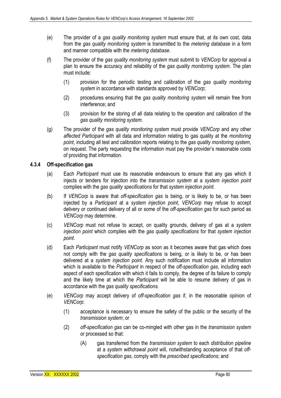- (e) The provider of a *gas quality monitoring system* must ensure that, at its own cost, data from the *gas quality monitoring system* is transmitted to the *metering database* in a form and manner compatible with the *metering database*.
- (f) The provider of the *gas quality monitoring system* must submit to *VENCorp* for approval a plan to ensure the accuracy and reliability of the *gas quality monitoring system*. The plan must include:
	- (1) provision for the periodic testing and calibration of the *gas quality monitoring system* in accordance with standards approved by *VENCorp*;
	- (2) procedures ensuring that the *gas quality monitoring system* will remain free from interference; and
	- (3) provision for the storing of all data relating to the operation and calibration of the *gas quality monitoring system*.
- (g) The provider of the *gas quality monitoring system* must provide *VENCorp* and any other *affected Participant* with all data and information relating to gas quality at the *monitoring point*, including all test and calibration reports relating to the *gas quality monitoring system*, on request. The party requesting the information must pay the provider's reasonable costs of providing that information.

## **4.3.4 Off-specification gas**

- (a) Each *Participant* must use its reasonable endeavours to ensure that any gas which it injects or tenders for injection into the *transmission system* at a *system injection point* complies with the *gas quality specifications* for that *system injection point*.
- (b) If *VENCorp* is aware that *off-specification gas* is being, or is likely to be, or has been injected by a *Participant* at a *system injection point*, *VENCorp* may refuse to accept delivery or continued delivery of all or some of the *off-specification gas* for such period as *VENCorp* may determine.
- (c) *VENCorp* must not refuse to accept, on quality grounds, delivery of gas at a *system injection point* which complies with the *gas quality specifications* for that *system injection point*.
- (d) Each *Participant* must notify *VENCorp* as soon as it becomes aware that gas which does not comply with the *gas quality specifications* is being, or is likely to be, or has been delivered at a *system injection point*. Any such notification must include all information which is available to the *Participant* in respect of the *off-specification gas*, including each aspect of each specification with which it fails to comply, the degree of its failure to comply and the likely time at which the *Participant* will be able to resume delivery of gas in accordance with the *gas quality specifications*.
- (e) *VENCorp* may accept delivery of *off-specification gas* if, in the reasonable opinion of *VENCorp*:
	- (1) acceptance is necessary to ensure the safety of the public or the security of the *transmission system*; or
	- (2) *off-specification gas* can be co-mingled with other gas in the *transmission system*  or processed so that:
		- (A) gas transferred from the *transmission system* to each *distribution pipeline*  at a *system withdrawal point* will, notwithstanding acceptance of that *offspecification gas*, comply with the *prescribed specifications*; and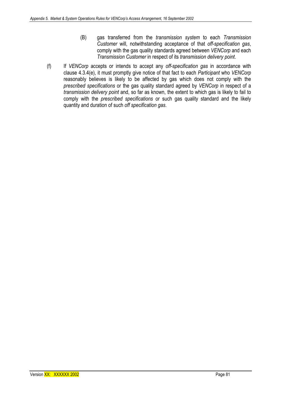- (B) gas transferred from the *transmission system* to each *Transmission Customer* will, notwithstanding acceptance of that *off-specification gas*, comply with the gas quality standards agreed between *VENCorp* and each *Transmission Customer* in respect of its *transmission delivery point*.
- (f) If *VENCorp* accepts or intends to accept any *off-specification gas* in accordance with clause 4.3.4(e), it must promptly give notice of that fact to each *Participant* who *VENCorp*  reasonably believes is likely to be affected by gas which does not comply with the *prescribed specifications* or the gas quality standard agreed by *VENCorp* in respect of a *transmission delivery point* and, so far as known, the extent to which gas is likely to fail to comply with the *prescribed specifications* or such gas quality standard and the likely quantity and duration of such *off specification gas*.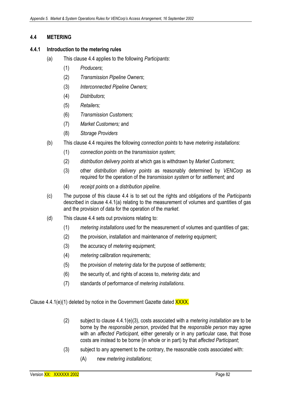## **4.4 METERING**

## **4.4.1 Introduction to the metering rules**

- (a) This clause 4.4 applies to the following *Participants*:
	- (1) *Producers*;
	- (2) *Transmission Pipeline Owners*;
	- (3) *Interconnected Pipeline Owners*;
	- (4) *Distributors*;
	- (5) *Retailers;*
	- (6) *Transmission Customers;*
	- (7) *Market Customers;* and
	- (8) *Storage Providers*
- (b) This clause 4.4 requires the following *connection points* to have *metering installations*:
	- (1) *connection points* on the *transmission system*;
	- (2) *distribution delivery points* at which gas is withdrawn by *Market Customers*;
	- (3) other *distribution delivery points* as reasonably determined by *VENCorp* as required for the operation of the *transmission system* or for *settlement;* and
	- (4) *receipt points* on a *distribution pipeline.*
- (c) The purpose of this clause 4.4 is to set out the rights and obligations of the *Participants* described in clause 4.4.1(a) relating to the measurement of volumes and quantities of gas and the provision of data for the operation of the *market*.
- (d) This clause 4.4 sets out provisions relating to:
	- (1) *metering installations* used for the measurement of volumes and quantities of gas;
	- (2) the provision, installation and maintenance of *metering* equipment;
	- (3) the accuracy of *metering* equipment;
	- (4) *metering* calibration requirements;
	- (5) the provision of *metering data* for the purpose of *settlements*;
	- (6) the security of, and rights of access to, *metering data;* and
	- (7) standards of performance of *metering installations*.

Clause 4.4.1(e)(1) deleted by notice in the Government Gazette dated **XXXX**.

- (2) subject to clause 4.4.1(e)(3), costs associated with a *metering installation* are to be borne by the *responsible person*, provided that the *responsible person* may agree with an *affected Participant*, either generally or in any particular case, that those costs are instead to be borne (in whole or in part) by that *affected Participant*;
- (3) subject to any agreement to the contrary, the reasonable costs associated with:
	- (A) new *metering installations*;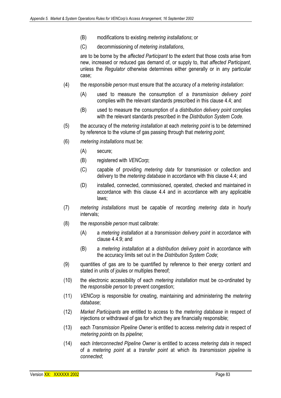- (B) modifications to existing *metering installations*; or
- (C) decommissioning of *metering installations*,

are to be borne by the *affected Participant* to the extent that those costs arise from new, increased or reduced gas demand of, or supply to, that *affected Participant*, unless the *Regulator* otherwise determines either generally or in any particular case;

- (4) the *responsible person* must ensure that the accuracy of a *metering installation*:
	- (A) used to measure the consumption of a *transmission delivery point*  complies with the relevant standards prescribed in this clause 4.4; and
	- (B) used to measure the consumption of a *distribution delivery point* complies with the relevant standards prescribed in the *Distribution System Code*.
- (5) the accuracy of the *metering installation* at each *metering point* is to be determined by reference to the volume of gas passing through that *metering point*;
- (6) *metering installations* must be:
	- (A) secure;
	- (B) registered with *VENCorp*;
	- (C) capable of providing *metering data* for transmission or collection and delivery to the *metering database* in accordance with this clause 4.4; and
	- (D) installed, connected, commissioned, operated, checked and maintained in accordance with this clause 4.4 and in accordance with any applicable laws;
- (7) *metering installations* must be capable of recording *metering data* in hourly intervals;
- (8) the *responsible person* must calibrate:
	- (A) a *metering installation* at a *transmission delivery point* in accordance with clause 4.4.9; and
	- (B) a *metering installation* at a *distribution delivery point* in accordance with the accuracy limits set out in the *Distribution System Code*;
- (9) quantities of gas are to be quantified by reference to their energy content and stated in units of joules or multiples thereof;
- (10) the electronic accessibility of each *metering installation* must be co-ordinated by the *responsible person* to prevent congestion;
- (11) *VENCorp* is responsible for creating, maintaining and administering the *metering database*;
- (12) *Market Participants* are entitled to access to the *metering database* in respect of injections or withdrawal of gas for which they are financially responsible;
- (13) each *Transmission Pipeline Owner* is entitled to access *metering data* in respect of *metering points* on its *pipeline*;
- (14) each *Interconnected Pipeline Owner* is entitled to access *metering data* in respect of a *metering point* at a *transfer point* at which its *transmission pipeline* is *connected*;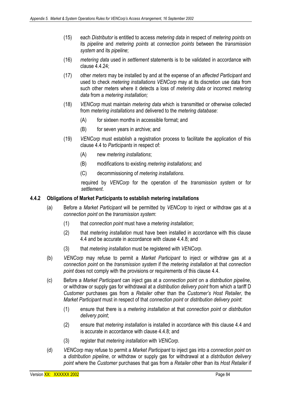- (15) each *Distributor* is entitled to access *metering data* in respect of *metering points* on its *pipeline* and *metering points* at *connection points* between the *transmission system* and its *pipeline*;
- (16) *metering data* used in *settlement* statements is to be validated in accordance with clause  $4.4.24$
- (17) other *meters* may be installed by and at the expense of an *affected Participant* and used to check *metering installations VENCorp* may at its discretion use data from such other meters where it detects a loss of *metering data* or incorrect *metering data* from a *metering installation;*
- (18) *VENCorp* must maintain *metering data* which is transmitted or otherwise collected from *metering installations* and delivered to the *metering database*:
	- (A) for sixteen months in accessible format; and
	- (B) for seven years in archive; and
- (19) *VENCorp* must establish a registration process to facilitate the application of this clause 4.4 to *Participants* in respect of:
	- (A) new *metering installations*;
	- (B) modifications to existing *metering installations*; and
	- (C) decommissioning of *metering installations*.

required by *VENCorp* for the operation of the *transmission system* or for *settlement*.

## **4.4.2 Obligations of Market Participants to establish metering installations**

- (a) Before a *Market Participant* will be permitted by *VENCorp* to inject or withdraw gas at a *connection point* on the *transmission system*:
	- (1) that *connection point* must have a *metering installation*;
	- (2) that *metering installation* must have been installed in accordance with this clause 4.4 and be accurate in accordance with clause 4.4.8; and
	- (3) that *metering installation* must be registered with *VENCorp*.
- (b) *VENCorp* may refuse to permit a *Market Participant* to inject or withdraw gas at a *connection point* on the *transmission system* if the *metering installation* at that *connection point* does not comply with the provisions or requirements of this clause 4.4.
- (c) Before a *Market Participant* can inject gas at a *connection point* on a *distribution pipeline*, or withdraw or supply gas for withdrawal at a *distribution delivery point* from which a tariff D *Customer* purchases gas from a *Retailer* other than the *Customer's Host Retailer*, the *Market Participant* must in respect of that *connection point* or *distribution delivery point*:
	- (1) ensure that there is a *metering installation* at that *connection point* or *distribution delivery point*;
	- (2) ensure that *metering installation* is installed in accordance with this clause 4.4 and is accurate in accordance with clause 4.4.8; and
	- (3) register that *metering installation* with *VENCorp*.
- (d) *VENCorp* may refuse to permit a *Market Participant* to inject gas into a *connection point* on a *distribution pipeline*, or withdraw or supply gas for withdrawal at a *distribution delivery point* where the *Customer* purchases that gas from a *Retailer* other than its *Host Retailer* if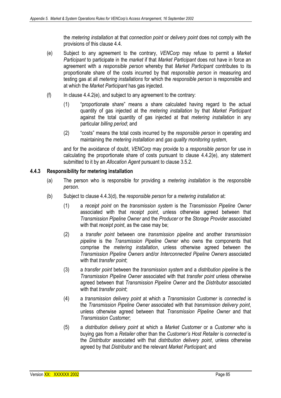the *metering installation* at that *connection point* or *delivery point* does not comply with the provisions of this clause 4.4.

- (e) Subject to any agreement to the contrary, *VENCorp* may refuse to permit a *Market Participant* to participate in the *market* if that *Market Participant* does not have in force an agreement with a *responsible person* whereby that *Market Participant* contributes to its proportionate share of the costs incurred by that *responsible person* in measuring and testing gas at all *metering installations* for which the *responsible person* is responsible and at which the *Market Participant* has gas injected.
- $(f)$  In clause 4.4.2(e), and subject to any agreement to the contrary:
	- (1) "proportionate share" means a share calculated having regard to the actual quantity of gas injected at the *metering installation* by that *Market Participant* against the total quantity of gas injected at that *metering installation* in any particular *billing period*; and
	- (2) "costs" means the total costs incurred by the *responsible person* in operating and maintaining the *metering installation* and *gas quality monitoring system*,

and for the avoidance of doubt, *VENCorp* may provide to a *responsible person* for use in calculating the proportionate share of costs pursuant to clause 4.4.2(e), any statement submitted to it by an *Allocation Agent* pursuant to clause 3.5.2.

## **4.4.3 Responsibility for metering installation**

- (a) The person who is responsible for providing a *metering installation* is the *responsible person*.
- (b) Subject to clause 4.4.3(d), the *responsible person* for a *metering installation* at:
	- (1) a *receipt point* on the *transmission system* is the *Transmission Pipeline Owner*  associated with that *receipt point*, unless otherwise agreed between that *Transmission Pipeline Owner* and the *Producer* or the *Storage Provider* associated with that *receipt point*, as the case may be;
	- (2) a *transfer point* between one *transmission pipeline* and another *transmission pipeline* is the *Transmission Pipeline Owner* who owns the components that comprise the *metering installation*, unless otherwise agreed between the *Transmission Pipeline Owners* and/or *Interconnected Pipeline Owners* associated with that *transfer point*;
	- (3) a *transfer point* between the *transmission system* and a *distribution pipeline* is the *Transmission Pipeline Owner* associated with that *transfer point* unless otherwise agreed between that *Transmission Pipeline Owner* and the *Distributor* associated with that *transfer point*;
	- (4) a *transmission delivery point* at which a *Transmission Customer* is *connected* is the *Transmission Pipeline Owner* associated with that *transmission delivery point*, unless otherwise agreed between that *Transmission Pipeline Owner* and that *Transmission Customer*;
	- (5) a *distribution delivery point* at which a *Market Customer* or a *Customer* who is buying gas from a *Retailer* other than the *Customer's Host Retailer* is *connected* is the *Distributor* associated with that *distribution delivery point*, unless otherwise agreed by that *Distributor* and the relevant *Market Participant*; and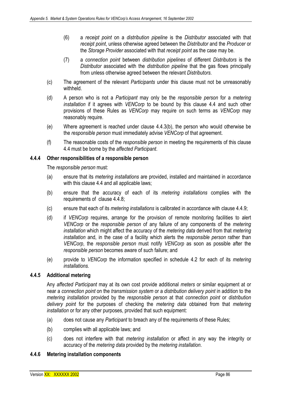- (6) a *receipt point* on a *distribution pipeline* is the *Distributor* associated with that *receipt point*, unless otherwise agreed between the *Distributor* and the *Producer* or the *Storage Provider* associated with that *receipt point* as the case may be.
- (7) a *connection point* between *distribution pipelines* of different *Distributors* is the *Distributor* associated with the *distribution pipeline* that the gas flows principally from unless otherwise agreed between the relevant *Distributors*.
- (c) The agreement of the relevant *Participants* under this clause must not be unreasonably withheld.
- (d) A person who is not a *Participant* may only be the *responsible person* for a *metering installation* if it agrees with *VENCorp* to be bound by this clause 4.4 and such other provisions of these Rules as *VENCorp* may require on such terms as *VENCorp* may reasonably require.
- (e) Where agreement is reached under clause 4.4.3(b), the person who would otherwise be the *responsible person* must immediately advise *VENCorp* of that agreement.
- (f) The reasonable costs of the *responsible person* in meeting the requirements of this clause 4.4 must be borne by the *affected Participant*.

## **4.4.4 Other responsibilities of a responsible person**

The *responsible person* must:

- (a) ensure that its *metering installations* are provided, installed and maintained in accordance with this clause 4.4 and all applicable laws;
- (b) ensure that the accuracy of each of its *metering installations* complies with the requirements of clause 4.4.8;
- (c) ensure that each of its *metering installations* is calibrated in accordance with clause 4.4.9;
- (d) if *VENCorp* requires, arrange for the provision of remote monitoring facilities to alert *VENCorp* or the *responsible person* of any failure of any components of the *metering installation* which might affect the accuracy of the *metering data* derived from that *metering installation* and, in the case of a facility which alerts the *responsible person* rather than *VENCorp*, the *responsible person* must notify *VENCorp* as soon as possible after the *responsible person* becomes aware of such failure; and
- (e) provide to *VENCorp* the information specified in schedule 4.2 for each of its *metering installations.*

## **4.4.5 Additional metering**

Any *affected Participant* may at its own cost provide additional *meters* or similar equipment at or near a *connection point* on the *transmission system* or a *distribution delivery point* in addition to the *metering installation* provided by the *responsible person* at that *connection point* or *distribution delivery point* for the purposes of checking the *metering data* obtained from that *metering installation* or for any other purposes, provided that such equipment:

- (a) does not cause any *Participant* to breach any of the requirements of these Rules;
- (b) complies with all applicable laws; and
- (c) does not interfere with that *metering installation* or affect in any way the integrity or accuracy of the *metering data* provided by the *metering installation*.

### **4.4.6 Metering installation components**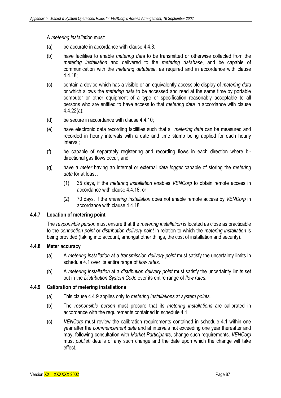A *metering installation* must:

- (a) be accurate in accordance with clause 4.4.8;
- (b) have facilities to enable *metering data* to be transmitted or otherwise collected from the *metering installation* and delivered to the *metering database*, and be capable of communication with the *metering database*, as required and in accordance with clause 4.4.18;
- (c) contain a device which has a visible or an equivalently accessible display of *metering data* or which allows the *metering data* to be accessed and read at the same time by portable computer or other equipment of a type or specification reasonably acceptable to all persons who are entitled to have access to that *metering data* in accordance with clause 4.4.22(a);
- (d) be secure in accordance with clause 4.4.10;
- (e) have electronic data recording facilities such that all *metering data* can be measured and recorded in hourly intervals with a date and time stamp being applied for each hourly interval;
- (f) be capable of separately registering and recording flows in each direction where bidirectional gas flows occur; and
- (g) have a *meter* having an internal or external *data logger* capable of storing the *metering data* for at least :
	- (1) 35 days, if the *metering installation* enables *VENCorp* to obtain remote access in accordance with clause 4.4.18; or
	- (2) 70 days, if the *metering installation* does not enable remote access by *VENCorp* in accordance with clause 4.4.18.

#### **4.4.7 Location of metering point**

The *responsible person* must ensure that the *metering installation* is located as close as practicable to the *connection point* or *distribution delivery point* in relation to which the *metering installation* is being provided (taking into account, amongst other things, the cost of installation and security).

#### **4.4.8 Meter accuracy**

- (a) A *metering installation* at a *transmission delivery point* must satisfy the uncertainty limits in schedule 4.1 over its entire range of *flow rates*.
- (b) A *metering installation* at a *distribution delivery point* must satisfy the uncertainty limits set out in the *Distribution System Code* over its entire range of *flow rates*.

#### **4.4.9 Calibration of metering installations**

- (a) This clause 4.4.9 applies only to *metering installations* at *system points.*
- (b) The *responsible person* must procure that its *metering installations* are calibrated in accordance with the requirements contained in schedule 4.1.
- (c) *VENCorp* must review the calibration requirements contained in schedule 4.1 within one year after the *commencement date* and at intervals not exceeding one year thereafter and may, following consultation with *Market Participants*, change such requirements. *VENCorp*  must *publish* details of any such change and the date upon which the change will take effect.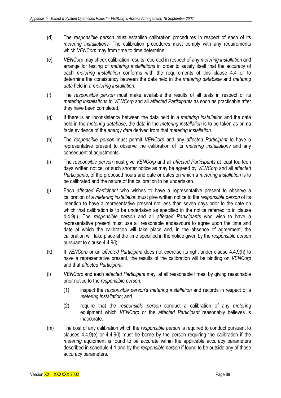- (d) The *responsible person* must establish calibration procedures in respect of each of its *metering installations.* The calibration procedures must comply with any requirements which *VENCorp* may from time to time determine.
- (e) *VENCorp* may check calibration results recorded in respect of any *metering installation* and arrange for testing of *metering installations* in order to satisfy itself that the accuracy of each *metering installation* conforms with the requirements of this clause 4.4 or to determine the consistency between the data held in the *metering database* and *metering data* held in a *metering installation*.
- (f) The *responsible person* must make available the results of all tests in respect of its *metering installations* to *VENCorp* and all *affected Participants* as soon as practicable after they have been completed.
- (g) If there is an inconsistency between the data held in a *metering installation* and the data held in the *metering database*, the data in the *metering installation* is to be taken as prima facie evidence of the *energy data* derived from that *metering installation*.
- (h) The *responsible person* must permit *VENCorp* and any *affected Participant* to have a representative present to observe the calibration of its *metering installations* and any consequential adjustments.
- (i) The *responsible person* must give *VENCorp* and all *affected Participants* at least fourteen days written notice, or such shorter notice as may be agreed by *VENCorp* and all *affected Participants*, of the proposed hours and date or dates on which a *metering installation* is to be calibrated and the nature of the calibration to be undertaken.
- (j) Each *affected Participant* who wishes to have a representative present to observe a calibration of a *metering installation* must give written notice to the *responsible person* of its intention to have a representative present not less than seven days prior to the date on which that calibration is to be undertaken as specified in the notice referred to in clause 4.4.9(i). The *responsible person* and all *affected Participants* who wish to have a representative present must use all reasonable endeavours to agree upon the time and date at which the calibration will take place and, in the absence of agreement, the calibration will take place at the time specified in the notice given by the *responsible person*  pursuant to clause 4.4.9(i).
- (k) If *VENCorp* or an *affected Participant* does not exercise its right under clause 4.4.9(h) to have a representative present, the results of the calibration will be binding on *VENCorp* and that *affected Participant*.
- (l) *VENCorp* and each *affected Participant* may, at all reasonable times, by giving reasonable prior notice to the *responsible person*:
	- (1) inspect the *responsible person*'s *metering installation* and records in respect of a *metering installation*; and
	- (2) require that the *responsible person* conduct a calibration of any *metering*  equipment which *VENCorp* or the *affected Participant* reasonably believes is inaccurate.
- (m) The cost of any calibration which the *responsible person* is required to conduct pursuant to clauses 4.4.9(e) or 4.4.9(l) must be borne by the person requiring the calibration if the *metering* equipment is found to be accurate within the applicable accuracy parameters described in schedule 4.1 and by the *responsible person* if found to be outside any of those accuracy parameters.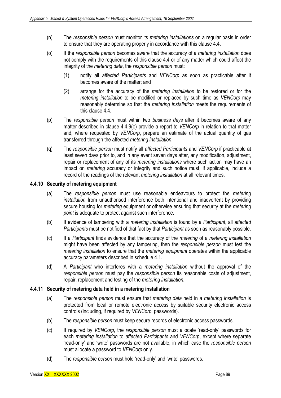- (n) The *responsible person* must monitor its *metering installations* on a regular basis in order to ensure that they are operating properly in accordance with this clause 4.4.
- (o) If the *responsible person* becomes aware that the accuracy of a *metering installation* does not comply with the requirements of this clause 4.4 or of any matter which could affect the integrity of the *metering data*, the *responsible person* must:
	- (1) notify all *affected Participants* and *VENCorp* as soon as practicable after it becomes aware of the matter; and
	- (2) arrange for the accuracy of the *metering installation* to be restored or for the *metering installation* to be modified or replaced by such time as *VENCorp* may reasonably determine so that the *metering installation* meets the requirements of this clause 4.4.
- (p) The *responsible person* must within two *business days* after it becomes aware of any matter described in clause 4.4.9(o) provide a report to *VENCorp* in relation to that matter and, where requested by *VENCorp*, prepare an estimate of the actual quantity of gas transferred through the affected *metering installation*.
- (q) The *responsible person* must notify all *affected Participants* and *VENCorp* if practicable at least seven days prior to, and in any event seven days after, any modification, adjustment, repair or replacement of any of its *metering installations* where such action may have an impact on *metering* accuracy or integrity and such notice must, if applicable, include a record of the readings of the relevant *metering installation* at all relevant times.

### **4.4.10 Security of metering equipment**

- (a) The *responsible person* must use reasonable endeavours to protect the *metering installation* from unauthorised interference both intentional and inadvertent by providing secure housing for *metering* equipment or otherwise ensuring that security at the *metering point* is adequate to protect against such interference.
- (b) If evidence of tampering with a *metering installation* is found by a *Participant*, all *affected Participants* must be notified of that fact by that *Participant* as soon as reasonably possible.
- (c) If a *Participant* finds evidence that the accuracy of the *metering* of a *metering installation*  might have been affected by any tampering, then the *responsible person* must test the *metering installation* to ensure that the *metering equipment* operates within the applicable accuracy parameters described in schedule 4.1.
- (d) A *Participant* who interferes with a *metering installation* without the approval of the *responsible person* must pay the *responsible person* its reasonable costs of adjustment, repair, replacement and testing of the *metering installation*.

#### **4.4.11 Security of metering data held in a metering installation**

- (a) The *responsible person* must ensure that *metering data* held in a *metering installation* is protected from local or remote electronic access by suitable security electronic access controls (including, if required by *VENCorp*, passwords).
- (b) The *responsible person* must keep secure records of electronic access passwords.
- (c) If required by *VENCorp*, the *responsible person* must allocate 'read-only' passwords for each *metering installation* to *affected Participants* and *VENCorp*, except where separate 'read-only' and 'write' passwords are not available, in which case the *responsible person* must allocate a password to *VENCorp* only.
- (d) The *responsible person* must hold 'read-only' and 'write' passwords.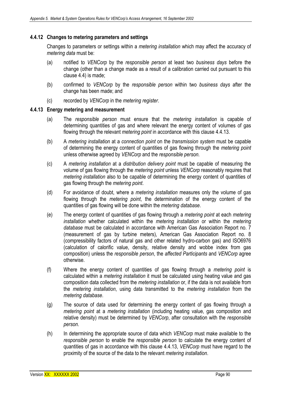## **4.4.12 Changes to metering parameters and settings**

Changes to parameters or settings within a *metering installation* which may affect the accuracy of *metering data* must be:

- (a) notified to *VENCorp* by the *responsible person* at least two *business days* before the change (other than a change made as a result of a calibration carried out pursuant to this clause 4.4) is made;
- (b) confirmed to *VENCorp* by the *responsible person* within two *business days* after the change has been made; and
- (c) recorded by *VENCorp* in the *metering register*.

#### **4.4.13 Energy metering and measurement**

- (a) The *responsible person* must ensure that the *metering installation* is capable of determining quantities of gas and where relevant the energy content of volumes of gas flowing through the relevant *metering point* in accordance with this clause 4.4.13.
- (b) A *metering installation* at a *connection point* on the *transmission system* must be capable of determining the energy content of quantities of gas flowing through the *metering point*  unless otherwise agreed by *VENCorp* and the *responsible person*.
- (c) A *metering installation* at a *distribution delivery point* must be capable of measuring the volume of gas flowing through the *metering point* unless *VENCorp* reasonably requires that *metering installation* also to be capable of determining the energy content of quantities of gas flowing through the *metering point*.
- (d) For avoidance of doubt, where a *metering installation* measures only the volume of gas flowing through the *metering point*, the determination of the energy content of the quantities of gas flowing will be done within the *metering database*.
- (e) The energy content of quantities of gas flowing through a *metering point* at each *metering installation* whether calculated within the *metering installation* or within the *metering database* must be calculated in accordance with American Gas Association Report no. 7 (measurement of gas by turbine meters), American Gas Association Report no. 8 (compressibility factors of natural gas and other related hydro-carbon gas) and ISO6976 (calculation of calorific value, density, relative density and wobbe index from gas composition) unless the *responsible person*, the *affected Participants* and *VENCorp* agree otherwise.
- (f) Where the energy content of quantities of gas flowing through a *metering point* is calculated within a *metering installation* it must be calculated using heating value and gas composition data collected from the *metering installation* or, if the data is not available from the *metering installation*, using data transmitted to the *metering installation* from the *metering database*.
- (g) The source of data used for determining the energy content of gas flowing through a *metering point* at a *metering installation* (including heating value, gas composition and relative density) must be determined by *VENCorp*, after consultation with the *responsible person*.
- (h) In determining the appropriate source of data which *VENCorp* must make available to the *responsible person* to enable the *responsible person* to calculate the energy content of quantities of gas in accordance with this clause 4.4.13, *VENCorp* must have regard to the proximity of the source of the data to the relevant *metering installation*.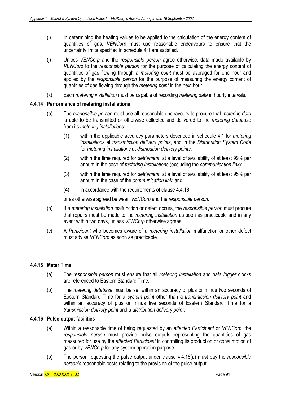- (i) In determining the heating values to be applied to the calculation of the energy content of quantities of gas, *VENCorp* must use reasonable endeavours to ensure that the uncertainty limits specified in schedule 4.1 are satisfied.
- (j) Unless *VENCorp* and the *responsible person* agree otherwise, data made available by *VENCorp* to the *responsible person* for the purpose of calculating the energy content of quantities of gas flowing through a *metering point* must be averaged for one hour and applied by the *responsible person* for the purpose of measuring the energy content of quantities of gas flowing through the *metering point* in the next hour.
- (k) Each *metering installation* must be capable of recording *metering data* in hourly intervals.

## **4.4.14 Performance of metering installations**

- (a) The *responsible person* must use all reasonable endeavours to procure that *metering data* is able to be transmitted or otherwise collected and delivered to the *metering database*  from its *metering installations*:
	- (1) within the applicable accuracy parameters described in schedule 4.1 for *metering installations* at *transmission delivery points*, and in the *Distribution System Code* for *metering installations* at *distribution delivery points*;
	- (2) within the time required for *settlement*, at a level of availability of at least 99% per annum in the case of *metering installations* (excluding the *communication link*);
	- (3) within the time required for *settlement*, at a level of availability of at least 95% per annum in the case of the *communication link*; and
	- (4) in accordance with the requirements of clause 4.4.18,

or as otherwise agreed between *VENCorp* and the *responsible person*.

- (b) If a *metering installation* malfunction or defect occurs, the *responsible person* must procure that repairs must be made to the *metering installation* as soon as practicable and in any event within two days, unless *VENCorp* otherwise agrees*.*
- (c) A *Participant* who becomes aware of a *metering installation* malfunction or other defect must advise *VENCorp* as soon as practicable.

### **4.4.15 Meter Time**

- (a) The *responsible person* must ensure that all *metering installation* and *data logger* clocks are referenced to Eastern Standard Time.
- (b) The *metering database* must be set within an accuracy of plus or minus two seconds of Eastern Standard Time for a *system point* other than a *transmission delivery point* and within an accuracy of plus or minus five seconds of Eastern Standard Time for a *transmission delivery point* and a *distribution delivery point*.

#### **4.4.16 Pulse output facilities**

- (a) Within a reasonable time of being requested by an *affected Participant* or *VENCorp*, the *responsible person* must provide pulse outputs representing the quantities of gas measured for use by the *affected Participant* in controlling its production or consumption of gas or by *VENCorp* for any system operation purpose.
- (b) The person requesting the pulse output under clause 4.4.16(a) must pay the *responsible person's* reasonable costs relating to the provision of the pulse output.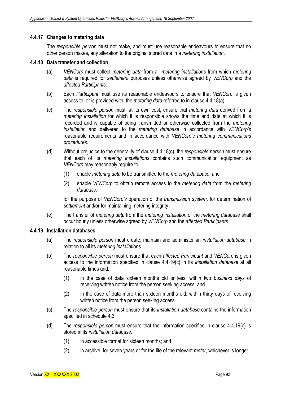### **4.4.17 Changes to metering data**

The *responsible person* must not make, and must use reasonable endeavours to ensure that no other person makes, any alteration to the original stored data in a *metering installation*.

#### **4.4.18 Data transfer and collection**

- (a) *VENCorp* must collect *metering data* from all *metering installations* from which *metering data* is required for *settlement* purposes unless otherwise agreed by *VENCorp* and the *affected Participants*.
- (b) Each *Participant* must use its reasonable endeavours to ensure that *VENCorp* is given access to, or is provided with, the *metering data* referred to in clause 4.4.18(a).
- (c) The *responsible person* must, at its own cost, ensure that *metering data* derived from a *metering installation* for which it is responsible shows the time and date at which it is recorded and is capable of being transmitted or otherwise collected from the *metering installation* and delivered to the *metering database* in accordance with *VENCorp's* reasonable requirements and in accordance with *VENCorp's metering communications procedures*.
- (d) Without prejudice to the generality of clause 4.4.18(c), the *responsible person* must ensure that each of its *metering installations* contains such communication equipment as *VENCorp* may reasonably require to:
	- (1) enable *metering data* to be transmitted to the *metering database*; and
	- (2) enable *VENCorp* to obtain remote access to the *metering data* from the *metering database*,

for the purpose of *VENCorp's* operation of the *transmission system*, for determination of *settlement* and/or for maintaining metering integrity.

(e) The transfer of *metering data* from the *metering installation* of the *metering database* shall occur hourly unless otherwise agreed by *VENCorp* and the *affected Participants*.

#### **4.4.19 Installation databases**

- (a) The *responsible person* must create, maintain and administer an *installation database* in relation to all its *metering installations*.
- (b) The *responsible person* must ensure that each *affected Participant* and *VENCorp* is given access to the information specified in clause 4.4.19(c) in its *installation database* at all reasonable times and:
	- (1) in the case of data sixteen months old or less, within two *business days* of receiving written notice from the person seeking access; and
	- (2) in the case of data more than sixteen months old, within thirty days of receiving written notice from the person seeking access.
- (c) The *responsible person* must ensure that its *installation database* contains the information specified in schedule 4.3.
- (d) The *responsible person* must ensure that the information specified in clause 4.4.19(c) is stored in its *installation database*:
	- (1) in accessible format for sixteen months; and
	- (2) in archive, for seven years or for the life of the relevant *meter*, whichever is longer.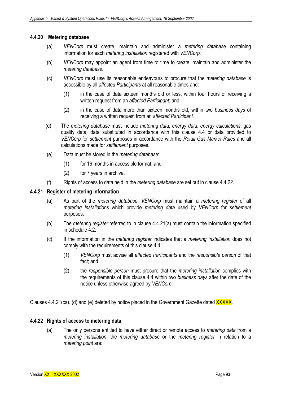### **4.4.20 Metering database**

- (a) *VENCorp* must create, maintain and administer a *metering database* containing information for each *metering installation* registered with *VENCorp.*
- (b) *VENCorp* may appoint an agent from time to time to create, maintain and administer the *metering database*.
- (c) *VENCorp* must use its reasonable endeavours to procure that the *metering database* is accessible by all *affected Participants* at all reasonable times and:
	- (1) in the case of data sixteen months old or less, within four hours of receiving a written request from an *affected Participant*; and
	- (2) in the case of data more than sixteen months old, within two *business days* of receiving a written request from an *affected Participant*.
- (d) The *metering database* must include *metering data*, *energy data*, *energy calculations*, gas quality data*,* data substituted in accordance with this clause 4.4 or data provided to *VENCorp* for *settlement* purposes in accordance with the *Retail Gas Market Rules* and all calculations made for *settlement* purposes.
- (e) Data must be stored in the *metering database*:
	- (1) for 16 months in accessible format; and
	- (2) for 7 years in archive.
- (f) Rights of access to data held in the *metering database* are set out in clause 4.4.22.

### **4.4.21 Register of metering information**

- (a) As part of the *metering database*, *VENCorp* must maintain a *metering register* of all *metering installations* which provide *metering data* used by *VENCorp* for *settlement*  purposes.
- (b) The *metering register* referred to in clause 4.4.21(a) must contain the information specified in schedule 4.2
- (c) If the information in the *metering register* indicates that a *metering installation* does not comply with the requirements of this clause 4.4:
	- (1) *VENCorp* must advise all *affected Participants* and the *responsible person* of that fact; and
	- (2) the *responsible person* must procure that the *metering installation* complies with the requirements of this clause 4.4 within two *business days* after the date of the notice unless otherwise agreed by *VENCorp*.

Clauses 4.4.21(ca). (d) and (e) deleted by notice placed in the Government Gazette dated XXXXX.

## **4.4.22 Rights of access to metering data**

(a) The only persons entitled to have either direct or remote access to *metering data* from a *metering installation*, the *metering database* or the *metering register* in relation to a *metering point* are: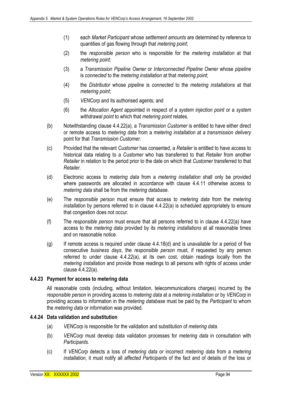- (1) each *Market Participant* whose *settlement amounts* are determined by reference to quantities of gas flowing through that *metering point*;
- (2) the *responsible person* who is responsible for the *metering installation* at that *metering point*;
- (3) a *Transmission Pipeline Owner* or *Interconnected Pipeline Owner* whose *pipeline*  is *connected* to the *metering installation* at that *metering point*;
- (4) the *Distributor* whose *pipeline* is *connected* to the *metering installations* at that *metering point*;
- (5) *VENCorp* and its authorised agents; and
- (6) the *Allocation Agent* appointed in respect of a *system injection point* or a *system withdrawal point* to which that *metering point* relates.
- (b) Notwithstanding clause 4.4.22(a), a *Transmission Customer* is entitled to have either direct or remote access to *metering data* from a *metering installation* at a *transmission delivery*  point for that *Transmission Customer*.
- (c) Provided that the relevant *Customer* has consented, a *Retailer* is entitled to have access to historical data relating to a *Customer* who has transferred to that *Retailer* from another *Retailer* in relation to the period prior to the date on which that *Customer* transferred to that *Retailer*.
- (d) Electronic access to *metering data* from a *metering installation* shall only be provided where passwords are allocated in accordance with clause 4.4.11 otherwise access to *metering data* shall be from the *metering database*.
- (e) The *responsible person* must ensure that access to *metering data* from the *metering installation* by persons referred to in clause 4.4.22(a) is scheduled appropriately to ensure that congestion does not occur.
- (f) The *responsible person* must ensure that all persons referred to in clause 4.4.22(a) have access to the *metering data* provided by its *metering installations* at all reasonable times and on reasonable notice.
- $(q)$  If remote access is required under clause  $4.4.18(d)$  and is unavailable for a period of five consecutive *business days*, the *responsible person* must, if requested by any person referred to under clause 4.4.22(a), at its own cost, obtain readings locally from the *metering installation* and provide those readings to all persons with rights of access under clause 4.4.22(a).

## **4.4.23 Payment for access to metering data**

All reasonable costs (including, without limitation, telecommunications charges) incurred by the *responsible person* in providing access to *metering data* at a *metering installation* or by *VENCorp* in providing access to information in the *metering database* must be paid by the *Participant* to whom the *metering data* or information was provided*.* 

## **4.4.24 Data validation and substitution**

- (a) *VENCorp* is responsible for the validation and substitution of *metering data*.
- (b) *VENCorp* must develop data validation processes for *metering data* in consultation with *Participants.*
- (c) If *VENCorp* detects a loss of *metering data* or incorrect *metering data* from a *metering installation*, it must notify all *affected Participants* of the fact and of details of the loss or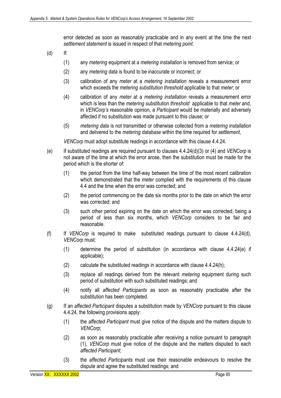error detected as soon as reasonably practicable and in any event at the time the next *settlement statement* is issued in respect of that *metering point*.

- (d) If:
	- (1) any *metering* equipment at a *metering installation* is removed from service; or
	- (2) any *metering data* is found to be inaccurate or incorrect; or
	- (3) calibration of any *meter* at a *metering installation* reveals a measurement error which exceeds the *metering substitution threshold* applicable to that *meter*; or
	- (4) calibration of any *meter* at a *metering installation* reveals a measurement error which is less than the *metering substitution threshold* applicable to that *meter* and, in *VENCorp's* reasonable opinion, a *Participant* would be materially and adversely affected if no substitution was made pursuant to this clause; or
	- (5) *metering data* is not transmitted or otherwise collected from a *metering installation*  and delivered to the *metering database* within the time required for *settlement*,

*VENCorp* must adopt substitute readings in accordance with this clause 4.4.24.

- (e) If substituted readings are required pursuant to clauses 4.4.24(d)(3) or (4) and *VENCorp* is not aware of the time at which the error arose, then the substitution must be made for the period which is the shorter of:
	- (1) the period from the time half-way between the time of the most recent calibration which demonstrated that the *meter* complied with the requirements of this clause 4.4 and the time when the error was corrected; and
	- (2) the period commencing on the date six months prior to the date on which the error was corrected; and
	- (3) such other period expiring on the date on which the error was corrected, being a period of less than six months, which *VENCorp* considers to be fair and reasonable.
- (f) If *VENCorp* is required to make substituted readings pursuant to clause 4.4.24(d), *VENCorp* must:
	- (1) determine the period of substitution (in accordance with clause 4.4.24(e) if applicable);
	- (2) calculate the substituted readings in accordance with clause 4.4.24(h);
	- (3) replace all readings derived from the relevant *metering* equipment during such period of substitution with such substituted readings; and
	- (4) notify all *affected Participants* as soon as reasonably practicable after the substitution has been completed.
- (g) If an *affected Participant* disputes a substitution made by *VENCorp* pursuant to this clause 4.4.24, the following provisions apply:
	- (1) the *affected Participant* must give notice of the dispute and the matters dispute to *VENCorp*;
	- (2) as soon as reasonably practicable after receiving a notice pursuant to paragraph (1), *VENCorp* must give notice of the dispute and the matters disputed to each *affected Participant*;
	- (3) the *affected Participants* must use their reasonable endeavours to resolve the dispute and agree the substituted readings; and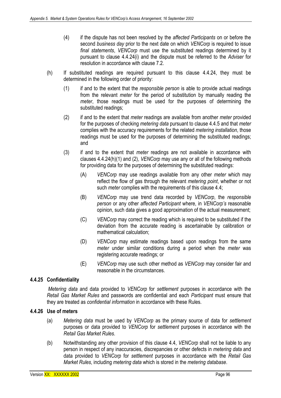- (4) if the dispute has not been resolved by the *affected Participants* on or before the second *business day* prior to the next date on which *VENCorp* is required to issue *final statements*, *VENCorp* must use the substituted readings determined by it pursuant to clause 4.4.24(i) and the dispute must be referred to the *Adviser* for resolution in accordance with clause 7.2.
- (h) If substituted readings are required pursuant to this clause 4.4.24, they must be determined in the following order of priority:
	- (1) if and to the extent that the *responsible person* is able to provide actual readings from the relevant *meter* for the period of substitution by manually reading the *meter*, those readings must be used for the purposes of determining the substituted readings;
	- (2) if and to the extent that *meter* readings are available from another *meter* provided for the purposes of checking *metering data* pursuant to clause 4.4.5 and that *meter*  complies with the accuracy requirements for the related *metering installation*, those readings must be used for the purposes of determining the substituted readings; and
	- (3) if and to the extent that *meter* readings are not available in accordance with clauses 4.4.24(h)(1) and (2), *VENCorp* may use any or all of the following methods for providing data for the purposes of determining the substituted readings:
		- (A) *VENCorp* may use readings available from any other *meter* which may reflect the flow of gas through the relevant *metering point*, whether or not such *meter* complies with the requirements of this clause 4.4;
		- (B) *VENCorp* may use trend data recorded by *VENCorp*, the *responsible person* or any other *affected Participant* where, in *VENCorp's* reasonable opinion, such data gives a good approximation of the actual measurement;
		- (C) *VENCorp* may correct the reading which is required to be substituted if the deviation from the accurate reading is ascertainable by calibration or mathematical calculation;
		- (D) *VENCorp* may estimate readings based upon readings from the same *meter* under similar conditions during a period when the *meter* was registering accurate readings; or
		- (E) *VENCorp* may use such other method as *VENCorp* may consider fair and reasonable in the circumstances.

# **4.4.25 Confidentiality**

 *Metering data* and data provided to *VENCorp* for *settlement* purposes in accordance with the *Retail Gas Market Rules* and passwords are confidential and each *Participant* must ensure that they are treated as *confidential information* in accordance with these Rules.

## **4.4.26 Use of meters**

- (a) *Metering data* must be used by *VENCorp* as the primary source of data for *settlement*  purposes or data provided to *VENCorp* for *settlement* purposes in accordance with the *Retail Gas Market Rules*.
- (b) Notwithstanding any other provision of this clause 4.4, *VENCorp* shall not be liable to any person in respect of any inaccuracies, discrepancies or other defects in *metering data* and data provided to *VENCorp* for *settlement* purposes in accordance with the *Retail Gas Market Rules*, including *metering data* which is stored in the *metering database*.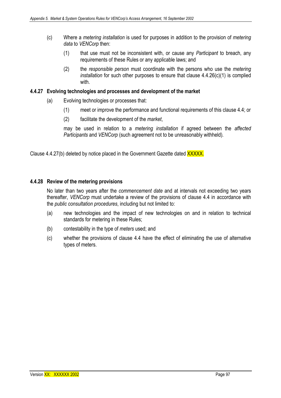- (c) Where a *metering installation* is used for purposes in addition to the provision of *metering data* to *VENCorp* then:
	- (1) that use must not be inconsistent with, or cause any *Participant* to breach, any requirements of these Rules or any applicable laws; and
	- (2) the *responsible person* must coordinate with the persons who use the *metering installation* for such other purposes to ensure that clause 4.4.26(c)(1) is complied with.

## **4.4.27 Evolving technologies and processes and development of the market**

- (a) Evolving technologies or processes that:
	- (1) meet or improve the performance and functional requirements of this clause 4.4; or
	- (2) facilitate the development of the *market*,

may be used in relation to a *metering installation* if agreed between the *affected Participants* and *VENCorp* (such agreement not to be unreasonably withheld)*.*

Clause 4.4.27(b) deleted by notice placed in the Government Gazette dated XXXXX.

### **4.4.28 Review of the metering provisions**

No later than two years after the *commencement date* and at intervals not exceeding two years thereafter, *VENCorp* must undertake a review of the provisions of clause 4.4 in accordance with the *public consultation procedures*, including but not limited to:

- (a) new technologies and the impact of new technologies on and in relation to technical standards for metering in these Rules;
- (b) contestability in the type of *meters* used; and
- (c) whether the provisions of clause 4.4 have the effect of eliminating the use of alternative types of meters.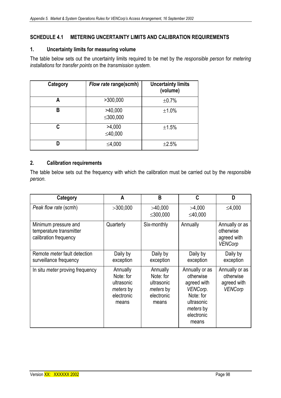# **SCHEDULE 4.1 METERING UNCERTAINTY LIMITS AND CALIBRATION REQUIREMENTS**

### **1. Uncertainty limits for measuring volume**

The table below sets out the uncertainty limits required to be met by the *responsible person* for *metering installations* for *transfer points* on the *transmission system*.

| Category | Flow rate range(scmh) | <b>Uncertainty limits</b><br>(volume) |
|----------|-----------------------|---------------------------------------|
| Α        | >300,000              | $\pm 0.7\%$                           |
| В        | >40,000<br>≤300,000   | $\pm 1.0\%$                           |
| C        | >4,000<br>≤40,000     | ±1.5%                                 |
| D        | ≤4,000                | $\pm 2.5%$                            |

## **2. Calibration requirements**

The table below sets out the frequency with which the calibration must be carried out by the *responsible person*.

| Category                                                                 | A                                                                       | B                                                                       | C                                                                                                                     | D                                                            |
|--------------------------------------------------------------------------|-------------------------------------------------------------------------|-------------------------------------------------------------------------|-----------------------------------------------------------------------------------------------------------------------|--------------------------------------------------------------|
| Peak flow rate (scmh)                                                    | >300,000                                                                | >40,000<br>≤300,000                                                     | >4,000<br>≤40,000                                                                                                     | ≤4,000                                                       |
| Minimum pressure and<br>temperature transmitter<br>calibration frequency | Quarterly                                                               | Six-monthly                                                             | Annually                                                                                                              | Annually or as<br>otherwise<br>agreed with<br><b>VENCorp</b> |
| Remote <i>meter</i> fault detection<br>surveillance frequency            | Daily by<br>exception                                                   | Daily by<br>exception                                                   | Daily by<br>exception                                                                                                 | Daily by<br>exception                                        |
| In situ <i>meter</i> proving frequency                                   | Annually<br>Note: for<br>ultrasonic<br>meters by<br>electronic<br>means | Annually<br>Note: for<br>ultrasonic<br>meters by<br>electronic<br>means | Annually or as<br>otherwise<br>agreed with<br>VENCorp.<br>Note: for<br>ultrasonic<br>meters by<br>electronic<br>means | Annually or as<br>otherwise<br>agreed with<br><b>VENCorp</b> |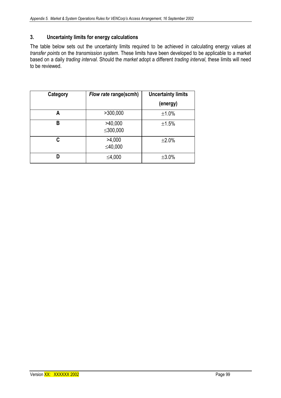## **3. Uncertainty limits for energy calculations**

The table below sets out the uncertainty limits required to be achieved in calculating energy values at *transfer points* on the *transmission system*. These limits have been developed to be applicable to a market based on a daily *trading interval*. Should the *market* adopt a different *trading interval*, these limits will need to be reviewed.

| Category | <b>Uncertainty limits</b><br>Flow rate range(scmh) |             |
|----------|----------------------------------------------------|-------------|
|          |                                                    | (energy)    |
| Α        | >300,000                                           | ±1.0%       |
| В        | >40,000<br>≤300,000                                | ±1.5%       |
| C        | >4,000<br>≤40,000                                  | $\pm 2.0\%$ |
| D        | ≤4,000                                             | $\pm 3.0\%$ |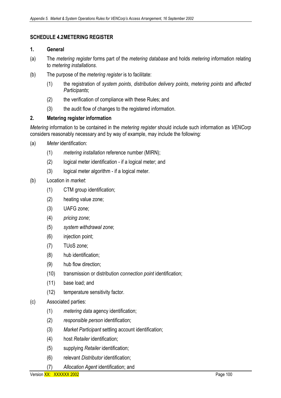# **SCHEDULE 4.2 METERING REGISTER**

### **1. General**

- (a) The *metering register* forms part of the *metering database* and holds *metering* information relating to *metering installations*.
- (b) The purpose of the *metering register* is to facilitate:
	- (1) the registration of *system points*, *distribution delivery points*, *metering points* and *affected Participants*;
	- (2) the verification of compliance with these Rules; and
	- (3) the audit flow of changes to the registered information.

## **2. Metering register information**

*Metering* information to be contained in the *metering register* should include such information as *VENCorp*  considers reasonably necessary and by way of example, may include the following:

- (a) *Meter* identification:
	- (1) *metering installation* reference number (MIRN);
	- (2) logical meter identification if a logical meter; and
	- (3) logical meter algorithm if a logical meter.

## (b) Location in *market*:

- (1) CTM group identification;
- (2) heating value zone;
- (3) UAFG zone;
- (4) *pricing zone*;
- (5) *system withdrawal zone*;
- (6) injection point;
- (7) TUoS zone;
- (8) hub identification;
- (9) hub flow direction;
- (10) transmission or distribution *connection point* identification;
- (11) base load; and
- (12) temperature sensitivity factor.

# (c) Associated parties:

- (1) *metering data* agency identification;
- (2) *responsible person* identification;
- (3) *Market Participant* settling account identification;
- (4) host *Retailer* identification;
- (5) supplying *Retailer* identification;
- (6) relevant *Distributor* identification;
- (7) *Allocation Agent* identification; and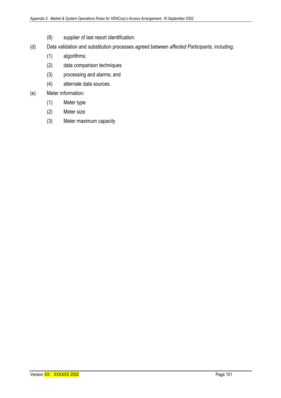- (8) supplier of last resort identification.
- (d) Data validation and substitution processes agreed between *affected Participants*, including:
	- (1) algorithms;
	- (2) data comparison techniques
	- (3) processing and alarms; and
	- (4) alternate data sources.

## (e) Meter information:

- (1) Meter type
- (2) Meter size
- (3) Meter maximum capacity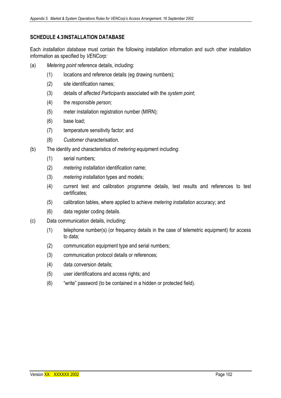## **SCHEDULE 4.3 INSTALLATION DATABASE**

Each *installation database* must contain the following installation information and such other installation information as specified by *VENCorp:*

- (a) *Metering point* reference details, including:
	- (1) locations and reference details (eg drawing numbers);
	- (2) site identification names;
	- (3) details of *affected Participants* associated with the *system point*;
	- (4) the *responsible person;*
	- (5) meter installation registration number (MIRN);
	- (6) base load;
	- (7) temperature sensitivity factor; and
	- (8) *Customer* characterisation.
- (b) The identity and characteristics of *metering* equipment including:
	- (1) serial numbers;
	- (2) *metering installation* identification name;
	- (3) *metering installation* types and models;
	- (4) current test and calibration programme details, test results and references to test certificates;
	- (5) calibration tables, where applied to achieve *metering installation* accuracy; and
	- (6) data register coding details.
- (c) Data communication details, including:
	- (1) telephone number(s) (or frequency details in the case of telemetric equipment) for access to data;
	- (2) communication equipment type and serial numbers;
	- (3) communication protocol details or references;
	- (4) data conversion details;
	- (5) user identifications and access rights; and
	- (6) "write" password (to be contained in a hidden or protected field).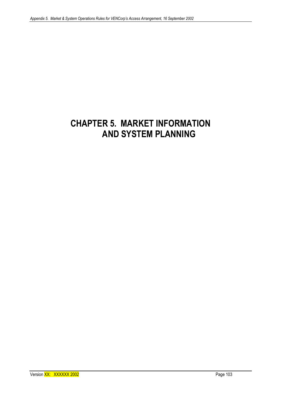# **CHAPTER 5. MARKET INFORMATION AND SYSTEM PLANNING**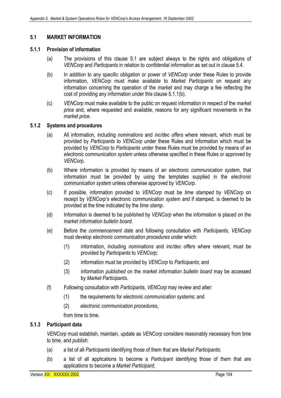# **5.1 MARKET INFORMATION**

### **5.1.1 Provision of information**

- (a) The provisions of this clause 5.1 are subject always to the rights and obligations of *VENCorp* and *Participants* in relation to *confidential information* as set out in clause 5.4.
- (b) In addition to any specific obligation or power of *VENCorp* under these Rules to provide information, *VENCorp* must make available to *Market Participants* on request any information concerning the operation of the *market* and may charge a fee reflecting the cost of providing any information under this clause 5.1.1(b).
- (c) *VENCorp* must make available to the public on request information in respect of the *market price* and, where requested and available, reasons for any significant movements in the *market price*.

## **5.1.2 Systems and procedures**

- (a) All information, including *nominations* and *inc/dec offers* where relevant, which must be provided by *Participants* to *VENCorp* under these Rules and information which must be provided by *VENCorp* to *Participants* under these Rules must be provided by means of an *electronic communication system* unless otherwise specified in these Rules or approved by *VENCorp*.
- (b) Where information is provided by means of an *electronic communication system*, that information must be provided by using the templates supplied in the *electronic communication system* unless otherwise approved by *VENCorp*.
- (c) If possible, information provided to *VENCorp* must be *time stamped* by *VENCorp* on receipt by *VENCorp's electronic communication system* and if stamped, is deemed to be provided at the time indicated by the *time stamp*.
- (d) Information is deemed to be *published* by *VENCorp* when the information is placed on the *market information bulletin board*.
- (e) Before the *commencement date* and following consultation with *Participants, VENCorp*  must develop *electronic communication procedures* under which:
	- (1) information, including *nominations* and *inc/dec offers* where relevant, must be provided by *Participants* to *VENCorp;*
	- (2) information must be provided by *VENCorp* to *Participants*; and
	- (3) information *published* on the *market information bulletin board* may be accessed by *Market Participants*.
- (f) Following consultation with *Participants*, *VENCorp* may review and alter:
	- (1) the requirements for *electronic communication systems*; and
	- (2) *electronic communication procedures*,

from time to time.

# **5.1.3 Participant data**

*VENCorp* must establish, maintain, update as *VENCorp* considers reasonably necessary from time to time, and *publish*:

- (a) a list of all *Participants* identifying those of them that are *Market Participants*;
- (b) a list of all applications to become a *Participant* identifying those of them that are applications to become a *Market Participant*;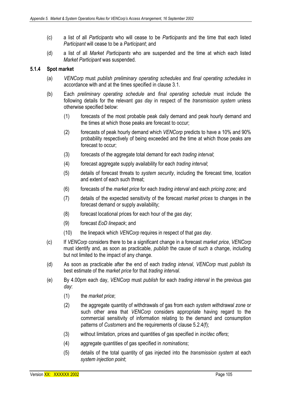- (c) a list of all *Participants* who will cease to be *Participants* and the time that each listed *Participant* will cease to be a *Participant*; and
- (d) a list of all *Market Participants* who are suspended and the time at which each listed *Market Participant* was suspended.

# **5.1.4 Spot market**

- (a) *VENCorp* must *publish preliminary operating schedules* and *final operating schedules* in accordance with and at the times specified in clause 3.1.
- (b) Each *preliminary operating schedule* and *final operating schedule* must include the following details for the relevant *gas day* in respect of the *transmission system* unless otherwise specified below:
	- (1) forecasts of the most probable peak daily demand and peak hourly demand and the times at which those peaks are forecast to occur;
	- (2) forecasts of peak hourly demand which *VENCorp* predicts to have a 10% and 90% probability respectively of being exceeded and the time at which those peaks are forecast to occur;
	- (3) forecasts of the aggregate total demand for each *trading interval*;
	- (4) forecast aggregate supply availability for each *trading interval*;
	- (5) details of forecast threats to *system security*, including the forecast time, location and extent of each such threat;
	- (6) forecasts of the *market price* for each *trading interval* and each *pricing zone;* and
	- (7) details of the expected sensitivity of the forecast *market prices* to changes in the forecast demand or supply availability;
	- (8) forecast locational prices for each hour of the *gas day*;
	- (9) forecast *EoD linepack*; and
	- (10) the linepack which *VENCorp* requires in respect of that *gas day*.
- (c) If *VENCorp* considers there to be a significant change in a forecast *market price*, *VENCorp* must identify and, as soon as practicable, *publish* the cause of such a change, including but not limited to the impact of any change.
- (d) As soon as practicable after the end of each *trading interval*, *VENCorp* must *publish* its best estimate of the *market price* for that *trading interval*.
- (e) By 4.00pm each day, *VENCorp* must *publish* for each *trading interval* in the previous *gas day*:
	- (1) the *market price*;
	- (2) the aggregate quantity of withdrawals of gas from each *system withdrawal zone* or such other area that *VENCorp* considers appropriate having regard to the commercial sensitivity of information relating to the demand and consumption patterns of *Customers* and the requirements of clause 5.2.4(f);
	- (3) without limitation, prices and quantities of gas specified in *inc/dec offers*;
	- (4) aggregate quantities of gas specified in *nominations*;
	- (5) details of the total quantity of gas injected into the *transmission system* at each *system injection point*;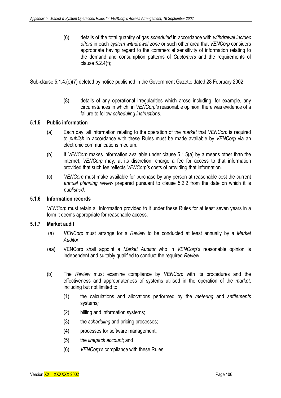(6) details of the total quantity of gas *scheduled* in accordance with *withdrawal inc/dec offers* in each *system withdrawal zone* or such other area that *VENCorp* considers appropriate having regard to the commercial sensitivity of information relating to the demand and consumption patterns of *Customers* and the requirements of clause 5.2.4(f);

Sub-clause 5.1.4.(e)(7) deleted by notice published in the Government Gazette dated 28 February 2002

(8) details of any operational irregularities which arose including, for example, any circumstances in which, in *VENCorp's* reasonable opinion, there was evidence of a failure to follow *scheduling instructions*.

# **5.1.5 Public information**

- (a) Each day, all information relating to the operation of the *market* that *VENCorp* is required to *publish* in accordance with these Rules must be made available by *VENCorp* via an electronic communications medium.
- (b) If *VENCorp* makes information available under clause 5.1.5(a) by a means other than the internet, *VENCorp* may, at its discretion, charge a fee for access to that information provided that such fee reflects *VENCorp's* costs of providing that information.
- (c) *VENCorp* must make available for purchase by any person at reasonable cost the current *annual planning review* prepared pursuant to clause 5.2.2 from the date on which it is *published*.

## **5.1.6 Information records**

*VENCorp* must retain all information provided to it under these Rules for at least seven years in a form it deems appropriate for reasonable access.

#### **5.1.7 Market audit**

- (a) *VENCorp* must arrange for a *Review* to be conducted at least annually by a *Market Auditor*.
- (aa) VENCorp shall appoint a *Market Auditor* who in *VENCorp's* reasonable opinion is independent and suitably qualified to conduct the required *Review*.
- (b) The *Review* must examine compliance by *VENCorp* with its procedures and the effectiveness and appropriateness of systems utilised in the operation of the *market*, including but not limited to:
	- (1) the calculations and allocations performed by the *metering* and *settlements*  systems*;*
	- (2) billing and information systems;
	- (3) the *scheduling* and pricing processes;
	- (4) processes for software management;
	- (5) the *linepack account*; and
	- (6) *VENCorp's* compliance with these Rules*.*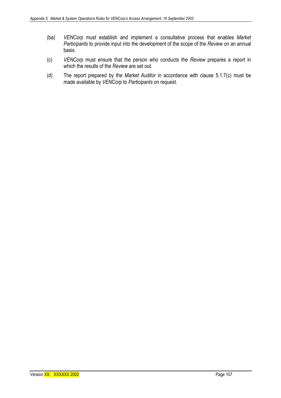- (ba) *VENCorp* must establish and implement a consultative process that enables *Market Participants* to provide input into the development of the scope of the *Review* on an annual basis.
- (c) *VENCorp* must ensure that the person who conducts the *Review* prepares a report in which the results of the *Review* are set out.
- (d) The report prepared by the *Market Auditor* in accordance with clause 5.1.7(c) must be made available by *VENCorp* to *Participants* on request.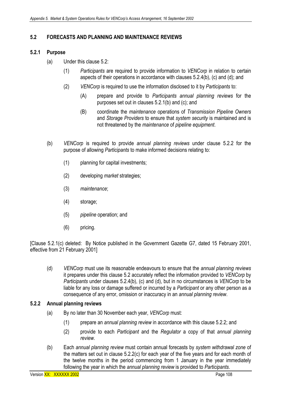# **5.2 FORECASTS AND PLANNING AND MAINTENANCE REVIEWS**

# **5.2.1 Purpose**

- (a) Under this clause 5.2:
	- (1) *Participants* are required to provide information to *VENCorp* in relation to certain aspects of their operations in accordance with clauses 5.2.4(b), (c) and (d); and
	- (2) *VENCorp* is required to use the information disclosed to it by *Participants* to:
		- (A) prepare and provide to *Participants annual planning reviews* for the purposes set out in clauses 5.2.1(b) and (c); and
		- (B) coordinate the *maintenance* operations of *Transmission Pipeline Owners*  and *Storage Providers* to ensure that *system security* is maintained and is not threatened by the *maintenance* of *pipeline equipment*.
- (b) *VENCorp* is required to provide *annual planning reviews* under clause 5.2.2 for the purpose of allowing *Participants* to make informed decisions relating to:
	- (1) planning for capital investments;
	- (2) developing *market* strategies;
	- (3) *maintenance*;
	- (4) storage;
	- (5) *pipeline* operation; and
	- (6) pricing.

[Clause 5.2.1(c) deleted: By Notice published in the Government Gazette G7, dated 15 February 2001, effective from 21 February 2001]

(d) *VENCorp* must use its reasonable endeavours to ensure that the *annual planning reviews* it prepares under this clause 5.2 accurately reflect the information provided to *VENCorp* by *Participants* under clauses 5.2.4(b), (c) and (d), but in no circumstances is *VENCorp* to be liable for any loss or damage suffered or incurred by a *Participant* or any other person as a consequence of any error, omission or inaccuracy in an *annual planning review*.

# **5.2.2 Annual planning reviews**

- (a) By no later than 30 November each year, *VENCorp* must:
	- (1) prepare an *annual planning review* in accordance with this clause 5.2.2; and
	- (2) provide to each *Participant* and the *Regulator* a copy of that *annual planning review.*
- (b) Each *annual planning review* must contain annual forecasts by *system withdrawal zone* of the matters set out in clause 5.2.2(c) for each year of the five years and for each month of the twelve months in the period commencing from 1 January in the year immediately following the year in which the *annual planning review* is provided to *Participants*.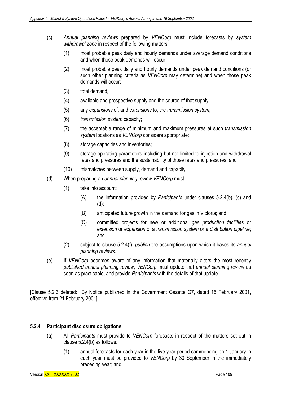- (c) *Annual planning reviews* prepared by *VENCorp* must include forecasts by *system withdrawal zone* in respect of the following matters:
	- (1) most probable peak daily and hourly demands under average demand conditions and when those peak demands will occur;
	- (2) most probable peak daily and hourly demands under peak demand conditions (or such other planning criteria as *VENCorp* may determine) and when those peak demands will occur;
	- (3) total demand*;*
	- (4) available and prospective supply and the source of that supply;
	- (5) any *expansions* of, and *extensions* to, the *transmission system*;
	- (6) *transmission system* capacity;
	- (7) the acceptable range of minimum and maximum pressures at such *transmission system* locations as *VENCorp* considers appropriate;
	- (8) storage capacities and inventories;
	- (9) storage operating parameters including but not limited to injection and withdrawal rates and pressures and the sustainability of those rates and pressures; and
	- (10) mismatches between supply, demand and capacity*.*
- (d) When preparing an *annual planning review VENCorp* must:
	- (1) take into account:
		- (A) the information provided by *Participants* under clauses 5.2.4(b), (c) and (d);
		- (B) anticipated future growth in the demand for gas in Victoria; and
		- (C) committed projects for new or additional *gas production facilities* or *extension* or *expansion* of a *transmission system* or a *distribution pipeline*; and
	- (2) subject to clause 5.2.4(f), *publish* the assumptions upon which it bases its *annual planning reviews*.
- (e) If *VENCorp* becomes aware of any information that materially alters the most recently *published annual planning review*, *VENCorp* must update that *annual planning review* as soon as practicable, and provide *Participants* with the details of that update.

[Clause 5.2.3 deleted: By Notice published in the Government Gazette G7, dated 15 February 2001, effective from 21 February 2001]

# **5.2.4 Participant disclosure obligations**

- (a) All *Participants* must provide to *VENCorp* forecasts in respect of the matters set out in clause 5.2.4(b) as follows:
	- (1) annual forecasts for each year in the five year period commencing on 1 January in each year must be provided to *VENCorp* by 30 September in the immediately preceding year; and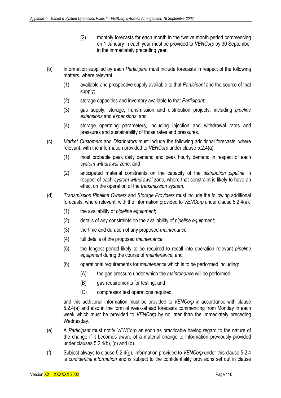- (2) monthly forecasts for each month in the twelve month period commencing on 1 January in each year must be provided to *VENCorp* by 30 September in the immediately preceding year.
- (b) Information supplied by each *Participant* must include forecasts in respect of the following matters, where relevant:
	- (1) available and prospective supply available to that *Participant* and the source of that supply;
	- (2) storage capacities and inventory available to that *Participant*;
	- (3) gas supply, storage, transmission and distribution projects, including *pipeline extensions* and *expansions*; and
	- (4) storage operating parameters, including injection and withdrawal rates and pressures and sustainability of those rates and pressures.
- (c) *Market Customers* and *Distributors* must include the following additional forecasts, where relevant, with the information provided to *VENCorp* under clause 5.2.4(a):
	- (1) most probable peak daily demand and peak hourly demand in respect of each *system withdrawal zone*; and
	- (2) anticipated material constraints on the capacity of the *distribution pipeline* in respect of each *system withdrawal zone,* where that constraint is likely to have an effect on the operation of the *transmission system*.
- (d) *Transmission Pipeline Owners* and *Storage Providers* must include the following additional forecasts, where relevant, with the information provided to *VENCorp* under clause 5.2.4(a):
	- (1) the availability of *pipeline equipment*;
	- (2) details of any constraints on the availability of *pipeline equipment;*
	- (3) the time and duration of any proposed *maintenance;*
	- (4) full details of the proposed *maintenance*;
	- (5) the longest period likely to be required to recall into operation relevant *pipeline equipment* during the course of *maintenance*; and
	- (6) operational requirements for *maintenance* which is to be performed including:
		- (A) the gas pressure under which the *maintenance* will be performed;
		- (B) gas requirements for testing; and
		- (C) compressor test operations required,

and this additional information must be provided to *VENCorp* in accordance with clause 5.2.4(a) and also in the form of week-ahead forecasts commencing from Monday in each week which must be provided to *VENCorp* by no later than the immediately preceding Wednesday.

- (e) A *Participant* must notify *VENCorp* as soon as practicable having regard to the nature of the change if it becomes aware of a material change to information previously provided under clauses 5.2.4(b), (c) and (d).
- (f) Subject always to clause 5.2.4(g), information provided to *VENCorp* under this clause 5.2.4 is *confidential information* and is subject to the confidentiality provisions set out in clause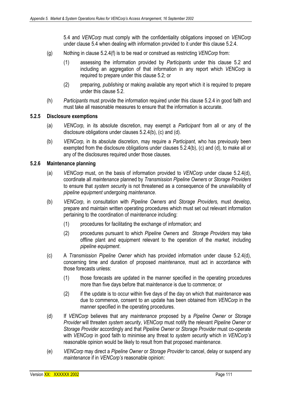5.4 and *VENCorp* must comply with the confidentiality obligations imposed on *VENCorp*  under clause 5.4 when dealing with information provided to it under this clause 5.2.4.

- (g) Nothing in clause 5.2.4(f) is to be read or construed as restricting *VENCorp* from:
	- (1) assessing the information provided by *Participants* under this clause 5.2 and including an aggregation of that information in any report which *VENCorp* is required to prepare under this clause 5.2; or
	- (2) preparing, *publishing* or making available any report which it is required to prepare under this clause 5.2.
- (h) *Participants* must provide the information required under this clause 5.2.4 in good faith and must take all reasonable measures to ensure that the information is accurate.

#### **5.2.5 Disclosure exemptions**

- (a) *VENCorp,* in its absolute discretion, may exempt a *Participant* from all or any of the disclosure obligations under clauses 5.2.4(b), (c) and (d).
- (b) *VENCorp,* in its absolute discretion, may require a *Participant,* who has previously been exempted from the disclosure obligations under clauses 5.2.4(b), (c) and (d), to make all or any of the disclosures required under those clauses.

## **5.2.6 Maintenance planning**

- (a) *VENCorp* must, on the basis of information provided to *VENCorp* under clause 5.2.4(d), coordinate all *maintenance* planned by *Transmission Pipeline Owners* or *Storage Providers*  to ensure that *system security* is not threatened as a consequence of the unavailability of *pipeline equipment* undergoing *maintenance*.
- (b) *VENCorp*, in consultation with *Pipeline Owners* and *Storage Providers,* must develop, prepare and maintain written operating procedures which must set out relevant information pertaining to the coordination of *maintenance* including:
	- (1) procedures for facilitating the exchange of information; and
	- (2) procedures pursuant to which *Pipeline Owners* and *Storage Providers* may take offline plant and equipment relevant to the operation of the *market,* including *pipeline equipment*.
- (c) A *Transmission Pipeline Owner* which has provided information under clause 5.2.4(d), concerning time and duration of proposed *maintenance,* must act in accordance with those forecasts unless:
	- (1) those forecasts are updated in the manner specified in the operating procedures more than five days before that *maintenance* is due to commence; or
	- (2) if the update is to occur within five days of the day on which that *maintenance* was due to commence, consent to an update has been obtained from *VENCorp* in the manner specified in the operating procedures.
- (d) If *VENCorp* believes that any *maintenance* proposed by a *Pipeline Owner* or *Storage Provider* will threaten *system security*, *VENCorp* must notify the relevant *Pipeline Owner* or *Storage Provider* accordingly and that *Pipeline Owner* or *Storage Provider* must co-operate with *VENCorp* in good faith to minimise any threat to *system security* which in *VENCorp's*  reasonable opinion would be likely to result from that proposed *maintenance*.
- (e) *VENCorp* may direct a *Pipeline Owner* or *Storage Provider* to cancel, delay or suspend any *maintenance* if in *VENCorp's* reasonable opinion: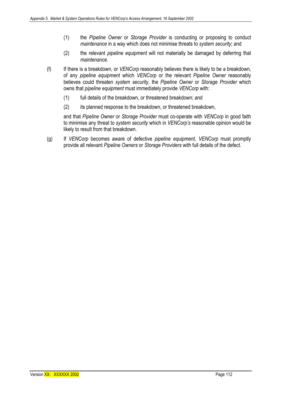- (1) the *Pipeline Owner* or *Storage Provider* is conducting or proposing to conduct *maintenance* in a way which does not minimise threats to *system security*; and
- (2) the relevant *pipeline equipment* will not materially be damaged by deferring that *maintenance.*
- (f) If there is a breakdown, or *VENCorp* reasonably believes there is likely to be a breakdown, of any *pipeline equipment* which *VENCorp* or the relevant *Pipeline Owner* reasonably believes could threaten *system security*, the *Pipeline Owner* or *Storage Provider* which owns that *pipeline equipment* must immediately provide *VENCorp* with:
	- (1) full details of the breakdown, or threatened breakdown; and
	- (2) its planned response to the breakdown, or threatened breakdown,

and that *Pipeline Owner* or *Storage Provider* must co-operate with *VENCorp* in good faith to minimise any threat to *system security* which in *VENCorp's* reasonable opinion would be likely to result from that breakdown.

(g) If *VENCorp* becomes aware of defective *pipeline equipment, VENCorp* must promptly provide all relevant *Pipeline Owners* or *Storage Providers* with full details of the defect.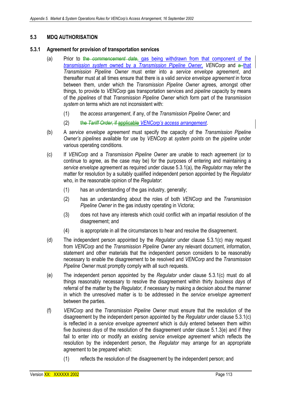# **5.3 MDQ AUTHORISATION**

### **5.3.1 Agreement for provision of transportation services**

- (a) Prior to the *commencement date*, gas being withdrawn from that component of the *transmission system* owned by a *Transmission Pipeline Owner, VENCorp* and a that *Transmission Pipeline Owner* must enter into a *service envelope agreement*, and thereafter must at all times ensure that there is a valid *service envelope agreement* in force between them, under which the *Transmission Pipeline Owner* agrees, amongst other things, to provide to *VENCorp* gas transportation services and *pipeline* capacity by means of the *pipelines* of that *Transmission Pipeline Owner* which form part of the *transmission system* on terms which are not inconsistent with:
	- (1) the *access arrangement*, if any, of the *Transmission Pipeline Owner*; and
	- (2) the *Tariff Order*, if applicable *VENCorp's access arrangement*.
- (b) A *service envelope agreement* must specify the capacity of the *Transmission Pipeline Owner's pipelines* available for use by *VENCorp* at *system points* on the *pipeline* under various operating conditions.
- (c) If *VENCorp* and a *Transmission Pipeline Owner* are unable to reach agreement (or to continue to agree, as the case may be) for the purposes of entering and maintaining a *service envelope agreement* as required under clause 5.3.1(a), the *Regulator* may refer the matter for resolution by a suitably qualified independent person appointed by the *Regulator*  who, in the reasonable opinion of the *Regulator*:
	- (1) has an understanding of the gas industry, generally;
	- (2) has an understanding about the roles of both *VENCorp* and the *Transmission Pipeline Owner* in the gas industry operating in Victoria;
	- (3) does not have any interests which could conflict with an impartial resolution of the disagreement; and
	- (4) is appropriate in all the circumstances to hear and resolve the disagreement.
- (d) The independent person appointed by the *Regulator* under clause 5.3.1(c) may request from *VENCorp* and the *Transmission Pipeline Owner* any relevant document, information, statement and other materials that the independent person considers to be reasonably necessary to enable the disagreement to be resolved and *VENCorp* and the *Transmission Pipeline Owner* must promptly comply with all such requests.
- (e) The independent person appointed by the *Regulator* under clause 5.3.1(c) must do all things reasonably necessary to resolve the disagreement within thirty *business days* of referral of the matter by the *Regulator*, if necessary by making a decision about the manner in which the unresolved matter is to be addressed in the *service envelope agreement* between the parties.
- (f) *VENCorp* and the *Transmission Pipeline Owner* must ensure that the resolution of the disagreement by the independent person appointed by the *Regulator* under clause 5.3.1(c) is reflected in a *service envelope agreement* which is duly entered between them within five *business days* of the resolution of the disagreement under clause 5.1.3(e) and if they fail to enter into or modify an existing *service envelope agreement* which reflects the resolution by the independent person, the *Regulator* may arrange for an appropriate agreement to be prepared which:
	- (1) reflects the resolution of the disagreement by the independent person; and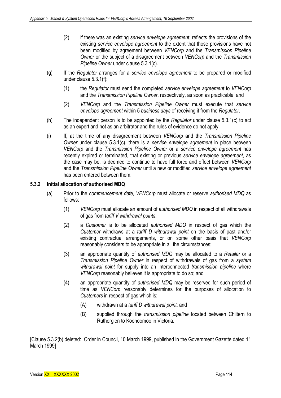- (2) if there was an existing *service envelope agreement*, reflects the provisions of the existing *service envelope agreement* to the extent that those provisions have not been modified by agreement between *VENCorp* and the *Transmission Pipeline Owner* or the subject of a disagreement between *VENCorp* and the *Transmission Pipeline Owner* under clause 5.3.1(c).
- (g) If the *Regulator* arranges for a *service envelope agreement* to be prepared or modified under clause 5.3.1(f):
	- (1) the *Regulator* must send the completed *service envelope agreement* to *VENCorp*  and the *Transmission Pipeline Owner*, respectively, as soon as practicable; and
	- (2) *VENCorp* and the *Transmission Pipeline Owner* must execute that *service envelope agreement* within 5 *business days* of receiving it from the *Regulator*.
- (h) The independent person is to be appointed by the *Regulator* under clause 5.3.1(c) to act as an expert and not as an arbitrator and the rules of evidence do not apply.
- (i) If, at the time of any disagreement between *VENCorp* and the *Transmission Pipeline Owner* under clause 5.3.1(c), there is a *service envelope agreement* in place between *VENCorp* and the *Transmission Pipeline Owner* or a *service envelope agreement* has recently expired or terminated, that existing or previous *service envelope agreement*, as the case may be, is deemed to continue to have full force and effect between *VENCorp*  and the *Transmission Pipeline Owner* until a new or modified *service envelope agreement*  has been entered between them.

# **5.3.2 Initial allocation of authorised MDQ**

- (a) Prior to the *commencement date, VENCorp* must allocate or reserve *authorised MDQ* as follows:
	- (1) *VENCorp* must allocate an amount of *authorised MDQ* in respect of all withdrawals of gas from *tariff V withdrawal points*;
	- (2) a *Customer* is to be allocated *authorised MDQ* in respect of gas which the *Customer* withdraws at a *tariff D withdrawal point* on the basis of past and/or existing contractual arrangements, or on some other basis that *VENCorp*  reasonably considers to be appropriate in all the circumstances;
	- (3) an appropriate quantity of *authorised MDQ* may be allocated to a *Retailer* or a *Transmission Pipeline Owner* in respect of withdrawals of gas from a *system withdrawal point* for supply into an interconnected *transmission pipeline* where *VENCorp* reasonably believes it is appropriate to do so; and
	- (4) an appropriate quantity of *authorised MDQ* may be reserved for such period of time as *VENCorp* reasonably determines for the purposes of allocation to *Customers* in respect of gas which is:
		- (A) withdrawn at a *tariff D withdrawal point*; and
		- (B) supplied through the *transmission pipeline* located between Chiltern to Rutherglen to Koonoomoo in Victoria.

[Clause 5.3.2(b) deleted: Order in Council, 10 March 1999, published in the Government Gazette dated 11 March 1999]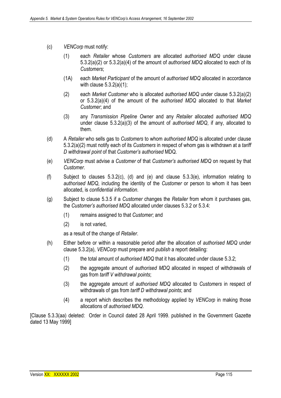- (c) *VENCorp* must notify:
	- (1) each *Retailer* whose *Customers* are allocated *authorised MDQ* under clause 5.3.2(a)(2) or 5.3.2(a)(4) of the amount of *authorised MDQ* allocated to each of its *Customers*;
	- (1A) each *Market Participant* of the amount of *authorised MDQ* allocated in accordance with clause  $5.3.2(a)(1)$ ;
	- (2) each *Market Customer* who is allocated *authorised MDQ* under clause 5.3.2(a)(2) or 5.3.2(a)(4) of the amount of the *authorised MDQ* allocated to that *Market Customer*; and
	- (3) any *Transmission Pipeline Owner* and any *Retailer* allocated *authorised MDQ*  under clause 5.3.2(a)(3) of the amount of *authorised MDQ*, if any, allocated to them.
- (d) A *Retailer* who sells gas to *Customers* to whom *authorised MDQ* is allocated under clause 5.3.2(a)(2) must notify each of its *Customers* in respect of whom gas is withdrawn at a *tariff D withdrawal point* of that *Customer's authorised* MDQ.
- (e) *VENCorp* must advise a *Customer* of that *Customer's authorised MDQ* on request by that *Customer*.
- (f) Subject to clauses 5.3.2(c), (d) and (e) and clause 5.3.3(e), information relating to *authorised MDQ*, including the identity of the *Customer* or person to whom it has been allocated, is *confidential information*.
- (g) Subject to clause 5.3.5 if a *Customer* changes the *Retailer* from whom it purchases gas, the *Customer's authorised MDQ* allocated under clauses 5.3.2 or 5.3.4:
	- (1) remains assigned to that *Customer*; and
	- (2) is not varied,

as a result of the change of *Retailer*.

- (h) Either before or within a reasonable period after the allocation of *authorised MDQ* under clause 5.3.2(a), *VENCorp* must prepare and *publish* a report detailing:
	- (1) the total amount of *authorised MDQ* that it has allocated under clause 5.3.2;
	- (2) the aggregate amount of *authorised MDQ* allocated in respect of withdrawals of gas from *tariff V withdrawal points*;
	- (3) the aggregate amount of *authorised MDQ* allocated to *Customers* in respect of withdrawals of gas from *tariff D withdrawal points*; and
	- (4) a report which describes the methodology applied by *VENCorp* in making those allocations of *authorised MDQ*.

[Clause 5.3.3(aa) deleted: Order in Council dated 28 April 1999. published in the Government Gazette dated 13 May 1999]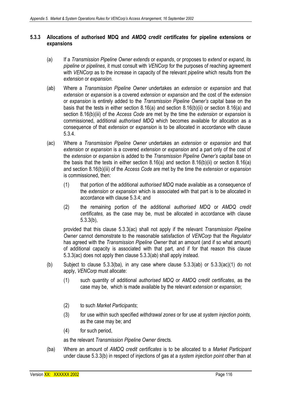## **5.3.3 Allocations of authorised MDQ and** *AMDQ credit certificates* **for pipeline extensions or expansions**

- (a) If a *Transmission Pipeline Owner extends* or *expands*, or proposes to *extend* or *expand*, its *pipeline* or *pipelines*, it must consult with *VENCorp* for the purposes of reaching agreement with *VENCorp* as to the increase in capacity of the relevant *pipeline* which results from the *extension* or *expansion*.
- (ab) Where a *Transmission Pipeline Owner* undertakes an *extension* or *expansion* and that *extension* or *expansion* is a covered *extension* or *expansion* and the cost of the *extension*  or *expansion* is entirely added to the *Transmission Pipeline Owner's* capital base on the basis that the tests in either section 8.16(a) and section 8.16(b)(ii) or section 8.16(a) and section 8.16(b)(iii) of the *Access Code* are met by the time the *extension* or *expansion* is commissioned, additional *authorised MDQ* which becomes available for allocation as a consequence of that *extension* or *expansion* is to be allocated in accordance with clause 5.3.4.
- (ac) Where a *Transmission Pipeline Owner* undertakes an *extension* or *expansion* and that *extension* or *expansion* is a covered *extension* or *expansion* and a part only of the cost of the *extension* or *expansion* is added to the *Transmission Pipeline Owner's* capital base on the basis that the tests in either section 8.16(a) and section 8.16(b)(ii) or section 8.16(a) and section 8.16(b)(iii) of the *Access Code* are met by the time the *extension* or *expansion*  is commissioned, then:
	- (1) that portion of the additional *authorised MDQ* made available as a consequence of the *extension* or *expansion* which is associated with that part is to be allocated in accordance with clause 5.3.4; and
	- (2) the remaining portion of the additional *authorised MDQ* or *AMDQ credit certificates,* as the case may be, must be allocated in accordance with clause 5.3.3(b),

provided that this clause 5.3.3(ac) shall not apply if the relevant *Transmission Pipeline Owner* cannot demonstrate to the reasonable satisfaction of *VENCorp* that the *Regulator*  has agreed with the *Transmission Pipeline Owner* that an amount (and if so what amount) of additional capacity is associated with that part, and if for that reason this clause 5.3.3(ac) does not apply then clause 5.3.3(ab) shall apply instead.

- (b) Subject to clause 5.3.3(ba), in any case where clause  $5.3.3$ (ab) or  $5.3.3$ (ac)(1) do not apply, *VENCorp* must allocate:
	- (1) such quantity of additional *authorised MDQ* or *AMDQ credit certificates*, as the case may be, which is made available by the relevant *extension* or *expansion*;
	- (2) to such *Market Participants*;
	- (3) for use within such specified *withdrawal zones* or for use at *system injection points,* as the case may be; and
	- (4) for such period,

as the relevant *Transmission Pipeline Owner* directs.

(ba) Where an amount of *AMDQ credit certificates* is to be allocated to a *Market Participant*  under clause 5.3.3(b) in respect of injections of gas at a *system injection point* other than at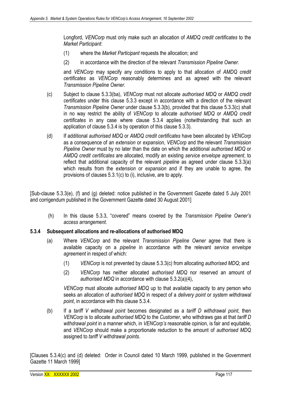Longford, *VENCorp* must only make such an allocation of *AMDQ credit certificates* to the *Market Participant*:

- (1) where the *Market Participant* requests the allocation; and
- (2) in accordance with the direction of the relevant *Transmission Pipeline Owner.*

and *VENCorp* may specify any conditions to apply to that allocation of *AMDQ credit certificates* as *VENCorp* reasonably determines and as agreed with the relevant *Transmission Pipeline Owner.* 

- (c) Subject to clause 5.3.3(ba), *VENCorp* must not allocate *authorised MDQ* or *AMDQ credit certificates* under this clause 5.3.3 except in accordance with a direction of the relevant *Transmission Pipeline Owner* under clause 5.3.3(b), provided that this clause 5.3.3(c) shall in no way restrict the ability of *VENCorp* to allocate *authorised MDQ* or *AMDQ credit certificates* in any case where clause 5.3.4 applies (notwithstanding that such an application of clause 5.3.4 is by operation of this clause 5.3.3).
- (d) If additional *authorised MDQ* or *AMDQ credit certificates* have been allocated by *VENCorp*  as a consequence of an *extension* or *expansion*, *VENCorp* and the relevant *Transmission Pipeline Owner* must by no later than the date on which the additional *authorised MDQ* or *AMDQ credit certificates* are allocated, modify an existing *service envelope agreement*, to reflect that additional capacity of the relevant *pipeline* as agreed under clause 5.3.3(a) which results from the *extension* or *expansion* and if they are unable to agree, the provisions of clauses 5.3.1(c) to (i), inclusive, are to apply.

[Sub-clause 5.3.3(e), (f) and (g) deleted: notice published in the Government Gazette dated 5 July 2001 and corrigendum published in the Government Gazette dated 30 August 2001]

 (h) In this clause 5.3.3, "covered" means covered by the *Transmission Pipeline Owner's access arrangement.* 

#### **5.3.4 Subsequent allocations and re-allocations of authorised MDQ**

- (a) Where *VENCorp* and the relevant *Transmission Pipeline Owner* agree that there is available capacity on a *pipeline* in accordance with the relevant *service envelope agreement* in respect of which:
	- (1) *VENCorp* is not prevented by clause 5.3.3(c) from allocating *authorised MDQ*; and
	- (2) *VENCorp* has neither allocated *authorised MDQ* nor reserved an amount of *authorised MDQ* in accordance with clause 5.3.2(a)(4),

*VENCorp* must allocate *authorised MDQ* up to that available capacity to any person who seeks an allocation of *authorised MDQ* in respect of a *delivery point* or *system withdrawal point*, in accordance with this clause 5.3.4.

(b) If a *tariff V withdrawal point* becomes designated as a *tariff D withdrawal point*, then *VENCorp* is to allocate *authorised MDQ* to the *Customer*, who withdraws gas at that *tariff D withdrawal point* in a manner which, in *VENCorp's* reasonable opinion, is fair and equitable, and *VENCorp* should make a proportionate reduction to the amount of *authorised MDQ* assigned to *tariff V withdrawal points*.

[Clauses 5.3.4(c) and (d) deleted: Order in Council dated 10 March 1999, published in the Government Gazette 11 March 1999]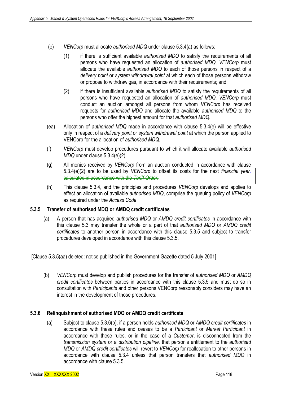- (e) *VENCorp* must allocate *authorised MDQ* under clause 5.3.4(a) as follows:
	- (1) if there is sufficient available *authorised MDQ* to satisfy the requirements of all persons who have requested an allocation of *authorised MDQ*, *VENCorp* must allocate the available *authorised MDQ* to each of those persons in respect of a *delivery point* or *system withdrawal point* at which each of those persons withdraw or propose to withdraw gas, in accordance with their requirements; and
	- (2) if there is insufficient available *authorised MDQ* to satisfy the requirements of all persons who have requested an allocation of *authorised MDQ*, *VENCorp* must conduct an auction amongst all persons from whom *VENCorp* has received requests for *authorised MDQ* and allocate the available *authorised MDQ* to the persons who offer the highest amount for that *authorised MDQ.*
- (ea) Allocation of *authorised MDQ* made in accordance with clause 5.3.4(e) will be effective only in respect of a *delivery point* or *system withdrawal point* at which the person applied to VENCorp for the allocation of *authorised MDQ.*
- (f) *VENCorp* must develop procedures pursuant to which it will allocate available *authorised MDQ* under clause 5.3.4(e)(2).
- (g) All monies received by *VENCorp* from an auction conducted in accordance with clause 5.3.4(e)(2) are to be used by *VENCorp* to offset its costs for the next *financial year.*  calculated in accordance with the *Tariff Order*.
- (h) This clause 5.3.4, and the principles and procedures *VENCorp* develops and applies to effect an allocation of available *authorised MDQ*, comprise the queuing policy of *VENCorp*  as required under the *Access Code*.

# **5.3.5 Transfer of authorised MDQ or AMDQ credit certificates**

(a) A person that has acquired *authorised MDQ* or *AMDQ credit certificates* in accordance with this clause 5.3 may transfer the whole or a part of that *authorised MDQ* or *AMDQ credit certificates* to another person in accordance with this clause 5.3.5 and subject to transfer procedures developed in accordance with this clause 5.3.5.

[Clause 5.3.5(aa) deleted: notice published in the Government Gazette dated 5 July 2001]

(b) *VENCorp* must develop and publish procedures for the transfer of *authorised MDQ* or *AMDQ credit certificates* between parties in accordance with this clause 5.3.5 and must do so in consultation with *Participants* and other persons VENCorp reasonably considers may have an interest in the development of those procedures.

#### **5.3.6 Relinquishment of authorised MDQ or AMDQ credit certificate**

(a) Subject to clause 5.3.6(b), if a person holds *authorised MDQ* or *AMDQ credit certificates* in accordance with these rules and ceases to be a *Participant* or *Market Participant* in accordance with these rules, or in the case of a *Customer*, is disconnected from the *transmission system* or a *distribution pipeline,* that person's entitlement to the *authorised MDQ* or *AMDQ credit certificates* will revert to *VENCorp* for reallocation to other persons in accordance with clause 5.3.4 unless that person transfers that *authorised MDQ* in accordance with clause 5.3.5.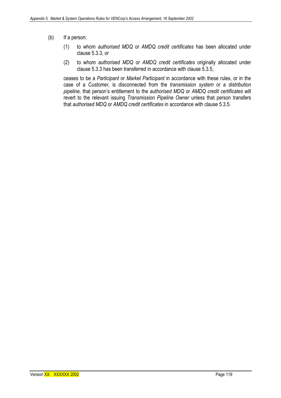- (b) If a person:
	- (1) to whom *authorised MDQ* or *AMDQ credit certificates* has been allocated under clause 5.3.3, or
	- (2) to whom *authorised MDQ* or *AMDQ credit certificates* originally allocated under clause 5.3.3 has been transferred in accordance with clause 5.3.5,

ceases to be a *Participant* or *Market Participant* in accordance with these rules, or in the case of a *Customer*, is disconnected from the *transmission system* or a *distribution pipeline,* that person's entitlement to the *authorised MDQ* or *AMDQ credit certificates* will revert to the relevant issuing *Transmission Pipeline Owner* unless that person transfers that *authorised MDQ* or *AMDQ credit certificates* in accordance with clause 5.3.5.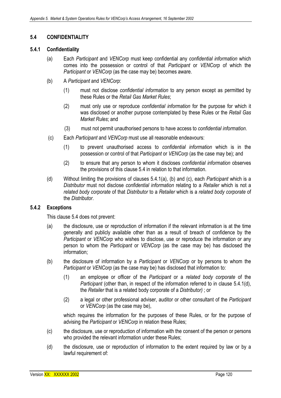# **5.4 CONFIDENTIALITY**

## **5.4.1 Confidentiality**

- (a) Each *Participant* and *VENCorp* must keep confidential any *confidential information* which comes into the possession or control of that *Participant* or *VENCorp* of which the *Participant* or *VENCorp* (as the case may be) becomes aware.
- (b) A *Participant* and *VENCorp*:
	- (1) must not disclose *confidential information* to any person except as permitted by these Rules or the *Retail Gas Market Rules*;
	- (2) must only use or reproduce *confidential information* for the purpose for which it was disclosed or another purpose contemplated by these Rules or the *Retail Gas Market Rules*; and
	- (3) must not permit unauthorised persons to have access to *confidential information*.
- (c) Each *Participant* and *VENCorp* must use all reasonable endeavours:
	- (1) to prevent unauthorised access to *confidential information* which is in the possession or control of that *Participant* or *VENCorp* (as the case may be); and
	- (2) to ensure that any person to whom it discloses *confidential information* observes the provisions of this clause 5.4 in relation to that information.
- (d) Without limiting the provisions of clauses 5.4.1(a), (b) and (c), each *Participant* which is a *Distributor* must not disclose *confidential information* relating to a *Retailer* which is not a *related body corporate* of that *Distributor* to a *Retailer* which is a *related body corporate* of the *Distributor*.

#### **5.4.2 Exceptions**

This clause 5.4 does not prevent:

- (a) the disclosure, use or reproduction of information if the relevant information is at the time generally and publicly available other than as a result of breach of confidence by the *Participant* or *VENCorp* who wishes to disclose, use or reproduce the information or any person to whom the *Participant* or *VENCorp* (as the case may be) has disclosed the information;
- (b) the disclosure of information by a *Participant* or *VENCorp* or by persons to whom the *Participant* or *VENCorp* (as the case may be) has disclosed that information to:
	- (1) an employee or officer of the *Participant* or a *related body corporate* of the *Participant* (other than, in respect of the information referred to in clause 5.4.1(d), the *Retailer* that is a related body corporate of a *Distributor)* ; or
	- (2) a legal or other professional adviser, auditor or other consultant of the *Participant* or *VENCorp* (as the case may be),

which requires the information for the purposes of these Rules, or for the purpose of advising the *Participant* or *VENCorp* in relation these Rules;

- (c) the disclosure, use or reproduction of information with the consent of the person or persons who provided the relevant information under these Rules;
- (d) the disclosure, use or reproduction of information to the extent required by law or by a lawful requirement of: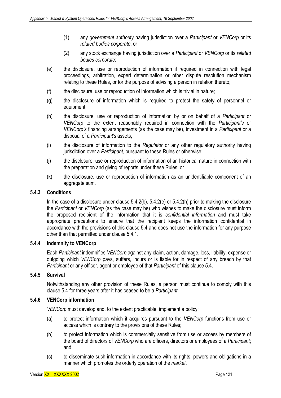- (1) any *government authority* having jurisdiction over a *Participant* or *VENCorp* or its *related bodies corporate*; or
- (2) any stock exchange having jurisdiction over a *Participant* or *VENCorp* or its *related bodies corporate*;
- (e) the disclosure, use or reproduction of information if required in connection with legal proceedings, arbitration, expert determination or other dispute resolution mechanism relating to these Rules, or for the purpose of advising a person in relation thereto;
- (f) the disclosure, use or reproduction of information which is trivial in nature;
- (g) the disclosure of information which is required to protect the safety of personnel or equipment;
- (h) the disclosure, use or reproduction of information by or on behalf of a *Participant* or *VENCorp* to the extent reasonably required in connection with the *Participant's* or *VENCorp's* financing arrangements (as the case may be), investment in a *Participant* or a disposal of a *Participant's* assets;
- (i) the disclosure of information to the *Regulator* or any other regulatory authority having jurisdiction over a *Participant*, pursuant to these Rules or otherwise;
- (j) the disclosure, use or reproduction of information of an historical nature in connection with the preparation and giving of reports under these Rules; or
- (k) the disclosure, use or reproduction of information as an unidentifiable component of an aggregate sum.

## **5.4.3 Conditions**

In the case of a disclosure under clause 5.4.2(b), 5.4.2(e) or 5.4.2(h) prior to making the disclosure the *Participant* or *VENCorp* (as the case may be) who wishes to make the disclosure must inform the proposed recipient of the information that it is *confidential information* and must take appropriate precautions to ensure that the recipient keeps the information confidential in accordance with the provisions of this clause 5.4 and does not use the information for any purpose other than that permitted under clause 5.4.1.

### **5.4.4 Indemnity to VENCorp**

Each *Participant* indemnifies *VENCorp* against any claim, action, damage, loss, liability, expense or outgoing which *VENCorp* pays, suffers, incurs or is liable for in respect of any breach by that *Participant* or any officer, agent or employee of that *Participant* of this clause 5.4.

# **5.4.5 Survival**

Notwithstanding any other provision of these Rules, a person must continue to comply with this clause 5.4 for three years after it has ceased to be a *Participant*.

# **5.4.6 VENCorp information**

*VENCorp* must develop and, to the extent practicable, implement a policy:

- (a) to protect information which it acquires pursuant to the *VENCorp* functions from use or access which is contrary to the provisions of these Rules;
- (b) to protect information which is commercially sensitive from use or access by members of the board of directors of *VENCorp* who are officers, directors or employees of a *Participant*; and
- (c) to disseminate such information in accordance with its rights, powers and obligations in a manner which promotes the orderly operation of the *market*.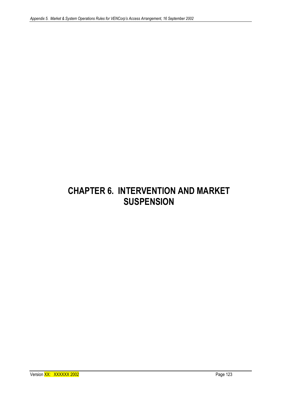# **CHAPTER 6. INTERVENTION AND MARKET SUSPENSION**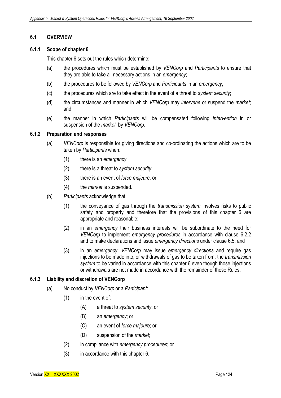## **6.1 OVERVIEW**

#### **6.1.1 Scope of chapter 6**

This chapter 6 sets out the rules which determine:

- (a) the procedures which must be established by *VENCorp* and *Participants* to ensure that they are able to take all necessary actions in an *emergency*;
- (b) the procedures to be followed by *VENCorp* and *Participants* in an *emergency*;
- (c) the procedures which are to take effect in the event of a threat to *system security*;
- (d) the circumstances and manner in which *VENCorp* may *intervene* or suspend the *market*; and
- (e) the manner in which *Participants* will be compensated following *intervention* in or suspension of the *market* by *VENCorp.*

#### **6.1.2 Preparation and responses**

- (a) *VENCorp* is responsible for giving directions and co-ordinating the actions which are to be taken by *Participants* when:
	- (1) there is an *emergency*;
	- (2) there is a threat to *system security*;
	- (3) there is an event of *force majeure*; or
	- (4) the *market* is suspended.
- (b) *Participants* acknowledge that:
	- (1) the conveyance of gas through the *transmission system* involves risks to public safety and property and therefore that the provisions of this chapter 6 are appropriate and reasonable;
	- (2) in an *emergency* their business interests will be subordinate to the need for *VENCorp* to implement *emergency procedures* in accordance with clause 6.2.2 and to make declarations and issue *emergency directions* under clause 6.5; and
	- (3) in an *emergency*, *VENCorp* may issue *emergency directions* and require gas injections to be made into, or withdrawals of gas to be taken from, the *transmission system* to be varied in accordance with this chapter 6 even though those injections or withdrawals are not made in accordance with the remainder of these Rules.

### **6.1.3 Liability and discretion of VENCorp**

- (a) No conduct by *VENCorp* or a *Participant*:
	- (1) in the event of:
		- (A) a threat to *system security*; or
		- (B) an *emergency*; or
		- (C) an event of *force majeure*; or
		- (D) suspension of the *market*;
	- (2) in compliance with *emergency procedures*; or
	- (3) in accordance with this chapter 6,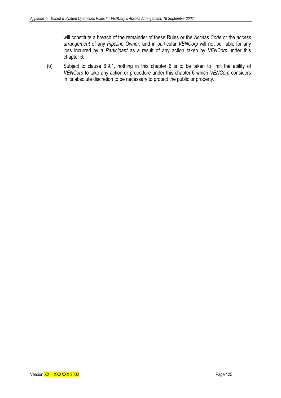will constitute a breach of the remainder of these Rules or the *Access Code* or the *access arrangement* of any *Pipeline Owner*, and in particular *VENCorp* will not be liable for any loss incurred by a *Participant* as a result of any action taken by *VENCorp* under this chapter 6.

(b) Subject to clause 6.9.1, nothing in this chapter 6 is to be taken to limit the ability of *VENCorp* to take any action or procedure under this chapter 6 which *VENCorp* considers in its absolute discretion to be necessary to protect the public or property.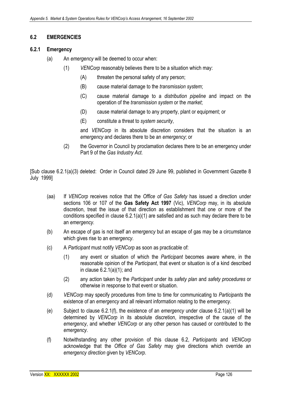# **6.2 EMERGENCIES**

### **6.2.1 Emergency**

- (a) An *emergency* will be deemed to occur when:
	- (1) *VENCorp* reasonably believes there to be a situation which may:
		- (A) threaten the personal safety of any person;
		- (B) cause material damage to the *transmission system*;
		- (C) cause material damage to a *distribution pipeline* and impact on the operation of the *transmission system* or the *market*;
		- (D) cause material damage to any property, plant or equipment; or
		- (E) constitute a threat to *system security*,

and *VENCorp* in its absolute discretion considers that the situation is an *emergency* and declares there to be an *emergency*; or

(2) the Governor in Council by proclamation declares there to be an emergency under Part 9 of the *Gas Industry Act*.

[Sub clause 6.2.1(a)(3) deleted: Order in Council dated 29 June 99, published in Government Gazette 8 July 1999]

- (aa) If *VENCorp* receives notice that the *Office of Gas Safety* has issued a direction under sections 106 or 107 of the **Gas Safety Act 1997** (Vic), *VENCorp* may, in its absolute discretion, treat the issue of that direction as establishment that one or more of the conditions specified in clause 6.2.1(a)(1) are satisfied and as such may declare there to be an *emergency.*
- (b) An escape of gas is not itself an *emergency* but an escape of gas may be a circumstance which gives rise to an *emergency*.
- (c) A *Participant* must notify *VENCorp* as soon as practicable of:
	- (1) any event or situation of which the *Participant* becomes aware where, in the reasonable opinion of the *Participant*, that event or situation is of a kind described in clause 6.2.1(a)(1); and
	- (2) any action taken by the *Participant* under its *safety plan* and *safety procedures* or otherwise in response to that event or situation.
- (d) *VENCorp* may specify procedures from time to time for communicating to *Participants* the existence of an *emergency* and all relevant information relating to the *emergency*.
- (e) Subject to clause 6.2.1(f), the existence of an *emergency* under clause 6.2.1(a)(1) will be determined by *VENCorp* in its absolute discretion, irrespective of the cause of the *emergency*, and whether *VENCorp* or any other person has caused or contributed to the *emergency*.
- (f) Notwithstanding any other provision of this clause 6.2, *Participants* and *VENCorp*  acknowledge that the *Office of Gas Safety* may give directions which override an *emergency direction* given by *VENCorp*.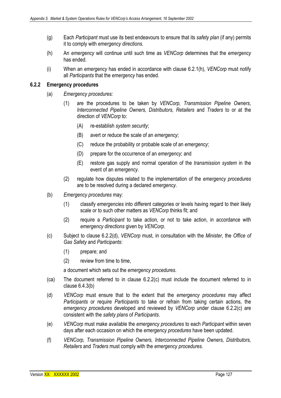- (g) Each *Participant* must use its best endeavours to ensure that its *safety plan* (if any) permits it to comply with *emergency directions*.
- (h) An *emergency* will continue until such time as *VENCorp* determines that the *emergency*  has ended.
- (i) When an *emergency* has ended in accordance with clause 6.2.1(h), *VENCorp* must notify all *Participants* that the *emergency* has ended.

## **6.2.2 Emergency procedures**

- (a) *Emergency procedures:* 
	- (1) are the procedures to be taken by *VENCorp, Transmission Pipeline Owners*, *Interconnected Pipeline Owners, Distributors, Retailers* and *Traders* to or at the direction of *VENCorp* to:
		- (A) re-establish *system security*;
		- (B) avert or reduce the scale of an *emergency*;
		- (C) reduce the probability or probable scale of an *emergency*;
		- (D) prepare for the occurrence of an *emergency*; and
		- (E) restore gas supply and normal operation of the *transmission system* in the event of an *emergency*.
	- (2) regulate how disputes related to the implementation of the *emergency procedures* are to be resolved during a declared *emergency*.
- (b) *Emergency procedures* may*:* 
	- (1) classify *emergencies* into different categories or levels having regard to their likely scale or to such other matters as *VENCorp* thinks fit; and
	- (2) require a *Participant* to take action, or not to take action, in accordance with *emergency directions* given by *VENCorp.*
- (c) Subject to clause 6.2.2(d), *VENCorp* must, in consultation with the *Minister*, the *Office of Gas Safety* and *Participants*:
	- (1) prepare; and
	- (2) review from time to time,

a document which sets out the *emergency procedures*.

- (ca) The document referred to in clause 6.2.2(c) must include the document referred to in clause 6.4.3(b)
- (d) *VENCorp* must ensure that to the extent that the *emergency procedures* may affect *Participants* or require *Participants* to take or refrain from taking certain actions, the *emergency procedures* developed and reviewed by *VENCorp* under clause 6.2.2(c) are consistent with the *safety plans* of *Participants*.
- (e) *VENCorp* must make available the *emergency procedures* to each *Participant* within seven days after each occasion on which the *emergency procedures* have been updated.
- (f) *VENCorp, Transmission Pipeline Owners, Interconnected Pipeline Owners, Distributors, Retailers* and *Traders* must comply with the *emergency procedures.*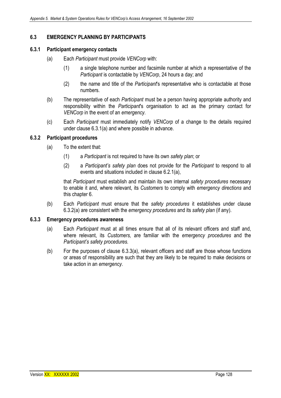# **6.3 EMERGENCY PLANNING BY PARTICIPANTS**

#### **6.3.1 Participant emergency contacts**

- (a) Each *Participant* must provide *VENCorp* with:
	- (1) a single telephone number and facsimile number at which a representative of the *Participant* is contactable by *VENCorp*, 24 hours a day; and
	- (2) the name and title of the *Participant*'s representative who is contactable at those numbers.
- (b) The representative of each *Participant* must be a person having appropriate authority and responsibility within the *Participant*'s organisation to act as the primary contact for *VENCorp* in the event of an *emergency*.
- (c) Each *Participant* must immediately notify *VENCorp* of a change to the details required under clause 6.3.1(a) and where possible in advance.

#### **6.3.2 Participant procedures**

- (a) To the extent that:
	- (1) a *Participant* is not required to have its own *safety plan*; or
	- (2) a *Participant's safety plan* does not provide for the *Participant* to respond to all events and situations included in clause 6.2.1(a),

that *Participant* must establish and maintain its own internal *safety procedures* necessary to enable it and, where relevant, its *Customers* to comply with *emergency directions* and this chapter 6.

(b) Each *Participant* must ensure that the *safety procedures* it establishes under clause 6.3.2(a) are consistent with the *emergency procedures* and its *safety plan* (if any).

## **6.3.3 Emergency procedures awareness**

- (a) Each *Participant* must at all times ensure that all of its relevant officers and staff and, where relevant, its *Customers,* are familiar with the *emergency procedures* and the *Participant's safety procedures.*
- (b) For the purposes of clause 6.3.3(a), relevant officers and staff are those whose functions or areas of responsibility are such that they are likely to be required to make decisions or take action in an *emergency*.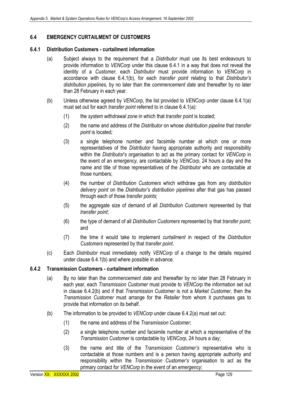# **6.4 EMERGENCY CURTAILMENT OF CUSTOMERS**

#### **6.4.1 Distribution Customers - curtailment information**

- (a) Subject always to the requirement that a *Distributor* must use its best endeavours to provide information to *VENCorp* under this clause 6.4.1 in a way that does not reveal the identity of a *Customer*, each *Distributor* must provide information to *VENCorp* in accordance with clause 6.4.1(b), for each *transfer point* relating to that *Distributor's distribution pipelines*, by no later than the *commencement date* and thereafter by no later than 28 February in each year*.*
- (b) Unless otherwise agreed by *VENCorp*, the list provided to *VENCorp* under clause 6.4.1(a) must set out for each *transfer point* referred to in clause 6.4.1(a):
	- (1) the *system withdrawal zone* in which that *transfer point* is located;
	- (2) the name and address of the *Distributor* on whose *distribution pipeline* that *transfer point* is located*;*
	- (3) a single telephone number and facsimile number at which one or more representatives of the *Distributor* having appropriate authority and responsibility within the *Distributor*'*s* organisation to act as the primary contact for *VENCorp* in the event of an *emergency*, are contactable by *VENCorp*, 24 hours a day and the name and title of those representatives of the *Distributor* who are contactable at those numbers;
	- (4) the number of *Distribution Customers* which withdraw gas from any *distribution delivery point* on the *Distributor's distribution pipelines* after that gas has passed through each of those *transfer points*;
	- (5) the aggregate size of demand of all *Distribution Customers* represented by that *transfer point*;
	- (6) the type of demand of all *Distribution Customers* represented by that *transfer point*; and
	- (7) the time it would take to implement *curtailment* in respect of the *Distribution Customers* represented by that *transfer point*.
- (c) Each *Distributor* must immediately notify *VENCorp* of a change to the details required under clause 6.4.1(b) and where possible in advance.

# **6.4.2 Transmission Customers - curtailment information**

- (a) By no later than the *commencement date* and thereafter by no later than 28 February in each year, each *Transmission Customer* must provide to *VENCorp* the information set out in clause 6.4.2(b) and if that *Transmission Customer* is not a *Market Customer*, then the *Transmission Customer* must arrange for the *Retailer* from whom it purchases gas to provide that information on its behalf.
- (b) The information to be provided to *VENCorp* under clause 6.4.2(a) must set out:
	- (1) the name and address of the *Transmission Customer*;
	- (2) a single telephone number and facsimile number at which a representative of the *Transmission Customer* is contactable by *VENCorp*, 24 hours a day;
	- (3) the name and title of the *Transmission Customer's* representative who is contactable at those numbers and is a person having appropriate authority and responsibility within the *Transmission Customer's* organisation to act as the primary contact for *VENCorp* in the event of an *emergency*;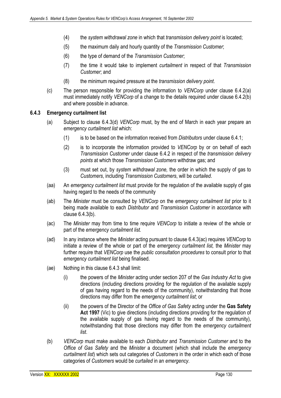- (4) the *system withdrawal zone* in which that *transmission delivery point* is located;
- (5) the maximum daily and hourly quantity of the *Transmission Customer*;
- (6) the type of demand of the *Transmission Customer*;
- (7) the time it would take to implement *curtailment* in respect of that *Transmission Customer*; and
- (8) the minimum required pressure at the *transmission delivery point*.
- (c) The person responsible for providing the information to *VENCorp* under clause 6.4.2(a) must immediately notify *VENCorp* of a change to the details required under clause 6.4.2(b) and where possible in advance.

## **6.4.3 Emergency curtailment list**

- (a) Subject to clause 6.4.3(d) *VENCorp* must, by the end of March in each year prepare an *emergency curtailment list* which:
	- (1) is to be based on the information received from *Distributors* under clause 6.4.1;
	- (2) is to incorporate the information provided to *VENCorp* by or on behalf of each *Transmission Customer* under clause 6.4.2 in respect of the *transmission delivery points* at which those *Transmission Customers* withdraw gas; and
	- (3) must set out, by *system withdrawal zone,* the order in which the supply of gas to *Customers*, including *Transmission Customers*, will be *curtailed*.
- (aa) An *emergency curtailment list* must provide for the regulation of the available supply of gas having regard to the needs of the community
- (ab) The *Minister* must be consulted by *VENCorp* on the *emergency curtailment list* prior to it being made available to each *Distributor* and *Transmission Customer* in accordance with clause 6.4.3(b).
- (ac) The *Minister* may from time to time require *VENCorp* to initiate a review of the whole or part of the *emergency curtailment list.*
- (ad) In any instance where the *Minister* acting pursuant to clause 6.4.3(ac) requires *VENCorp* to initiate a review of the whole or part of the *emergency curtailment list,* the *Minister* may further require that *VENCorp* use the *public consultation procedures* to consult prior to that *emergency curtailment list* being finalised.
- (ae) Nothing in this clause 6.4.3 shall limit:
	- (i) the powers of the *Minister* acting under section 207 of the *Gas Industry Act* to give directions (including directions providing for the regulation of the available supply of gas having regard to the needs of the community), notwithstanding that those directions may differ from the *emergency curtailment list*; or
	- (ii) the powers of the Director of the *Office of Gas Safety* acting under the **Gas Safety Act 1997** (Vic) to give directions (including directions providing for the regulation of the available supply of gas having regard to the needs of the community), notwithstanding that those directions may differ from the *emergency curtailment list*.
- (b) *VENCorp* must make available to each *Distributor* and *Transmission Customer* and to the *Office of Gas Safety* and the *Minister* a document (which shall include the *emergency curtailment list*) which sets out categories of *Customers* in the order in which each of those categories of *Customers* would be *curtailed* in an *emergency*.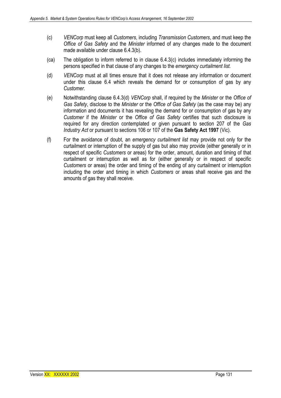- (c) *VENCorp* must keep all *Customers*, including *Transmission Customers*, and must keep the *Office of Gas Safety* and the *Minister* informed of any changes made to the document made available under clause 6.4.3(b).
- (ca) The obligation to inform referred to in clause 6.4.3(c) includes immediately informing the persons specified in that clause of any changes to the *emergency curtailment list.*
- (d) *VENCorp* must at all times ensure that it does not release any information or document under this clause 6.4 which reveals the demand for or consumption of gas by any *Customer*.
- (e) Notwithstanding clause 6.4.3(d) *VENCorp* shall, if required by the *Minister* or the *Office of Gas Safety*, disclose to the *Minister* or the *Office of Gas Safety* (as the case may be) any information and documents it has revealing the demand for or consumption of gas by any *Customer* if the *Minister* or the *Office of Gas Safety* certifies that such disclosure is required for any direction contemplated or given pursuant to section 207 of the *Gas Industry Act* or pursuant to sections 106 or 107 of the **Gas Safety Act 1997** (Vic).
- (f) For the avoidance of doubt, an *emergency curtailment list* may provide not only for the curtailment or interruption of the supply of gas but also may provide (either generally or in respect of specific *Customers* or areas) for the order, amount, duration and timing of that curtailment or interruption as well as for (either generally or in respect of specific *Customers* or areas) the order and timing of the ending of any curtailment or interruption including the order and timing in which *Customers* or areas shall receive gas and the amounts of gas they shall receive.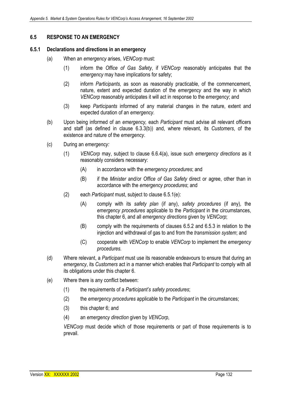# **6.5 RESPONSE TO AN EMERGENCY**

## **6.5.1 Declarations and directions in an emergency**

- (a) When an *emergency* arises, *VENCorp* must:
	- (1) inform the *Office of Gas Safety*, if *VENCorp* reasonably anticipates that the *emergency* may have implications for safety;
	- (2) inform *Participants,* as soon as reasonably practicable, of the commencement, nature, extent and expected duration of the *emergency* and the way in which *VENCorp* reasonably anticipates it will act in response to the *emergency*; and
	- (3) keep *Participants* informed of any material changes in the nature, extent and expected duration of an *emergency*.
- (b) Upon being informed of an *emergency,* each *Participant* must advise all relevant officers and staff (as defined in clause 6.3.3(b)) and, where relevant, its *Customers*, of the existence and nature of the *emergency*.
- (c) During an *emergency:* 
	- (1) *VENCorp* may, subject to clause 6.6.4(a), issue such *emergency directions* as it reasonably considers necessary:
		- (A) in accordance with the *emergency procedures*; and
		- (B) if the *Minister* and/or *Office of Gas Safety* direct or agree, other than in accordance with the *emergency procedures*; and
	- (2) each *Participant* must, subject to clause 6.5.1(e):
		- (A) comply with its *safety plan* (if any), *safety procedures* (if any)*,* the *emergency procedures* applicable to the *Participant* in the circumstances, this chapter 6, and all *emergency directions* given by *VENCorp*;
		- (B) comply with the requirements of clauses 6.5.2 and 6.5.3 in relation to the injection and withdrawal of gas to and from the *transmission system*; and
		- (C) cooperate with *VENCorp* to enable *VENCorp* to implement the *emergency procedures.*
- (d) Where relevant, a *Participant* must use its reasonable endeavours to ensure that during an *emergency*, its *Customers* act in a manner which enables that *Participant* to comply with all its obligations under this chapter 6.
- (e) Where there is any conflict between:
	- (1) the requirements of a *Participant's safety procedures*;
	- (2) the *emergency procedures* applicable to the *Participant* in the circumstances;
	- (3) this chapter 6; and
	- (4) an *emergency direction* given by *VENCorp*,

*VENCorp* must decide which of those requirements or part of those requirements is to prevail.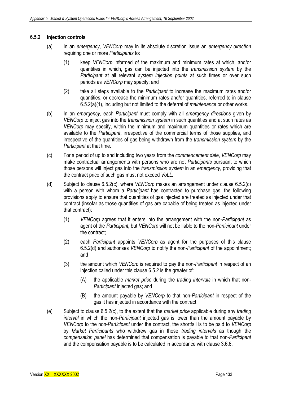# **6.5.2 Injection controls**

- (a) In an *emergency*, *VENCorp* may in its absolute discretion issue an *emergency direction*  requiring one or more *Participants* to:
	- (1) keep *VENCorp* informed of the maximum and minimum rates at which, and/or quantities in which, gas can be injected into the *transmission system* by the *Participant* at all relevant *system injection points* at such times or over such periods as *VENCorp* may specify; and
	- (2) take all steps available to the *Participant* to increase the maximum rates and/or quantities, or decrease the minimum rates and/or quantities, referred to in clause 6.5.2(a)(1), including but not limited to the deferral of *maintenance* or other works.
- (b) In an *emergency,* each *Participant* must comply with all *emergency directions* given by *VENCorp* to inject gas into the *transmission system* in such quantities and at such rates as *VENCorp* may specify, within the minimum and maximum quantities or rates which are available to the *Participant*, irrespective of the commercial terms of those supplies, and irrespective of the quantities of gas being withdrawn from the *transmission system* by the *Participant* at that time.
- (c) For a period of up to and including two years from the *commencement date*, *VENCorp* may make contractual arrangements with persons who are not *Participants* pursuant to which those persons will inject gas into the *transmission system* in an *emergency*, providing that the contract price of such gas must not exceed *VoLL*.
- (d) Subject to clause 6.5.2(c), where *VENCorp* makes an arrangement under clause 6.5.2(c) with a person with whom a *Participant* has contracted to purchase gas, the following provisions apply to ensure that quantities of gas injected are treated as injected under that contract (insofar as those quantities of gas are capable of being treated as injected under that contract):
	- (1) *VENCorp* agrees that it enters into the arrangement with the non-*Participant* as agent of the *Participant,* but *VENCorp* will not be liable to the non-*Participant* under the contract;
	- (2) each *Participant* appoints *VENCorp* as agent for the purposes of this clause 6.5.2(d) and authorises *VENCorp* to notify the non-*Participant* of the appointment; and
	- (3) the amount which *VENCorp* is required to pay the non-*Participant* in respect of an injection called under this clause 6.5.2 is the greater of:
		- (A) the applicable *market price* during the *trading intervals* in which that non-*Participant* injected gas; and
		- (B) the amount payable by *VENCorp* to that non-*Participant* in respect of the gas it has injected in accordance with the contract.
- (e) Subject to clause 6.5.2(c), to the extent that the *market price* applicable during any *trading interval* in which the non-*Participant* injected gas is lower than the amount payable by *VENCorp* to the non-*Participant* under the contract, the shortfall is to be paid to *VENCorp* by *Market Participants* who withdrew gas in those *trading intervals* as though the *compensation panel* has determined that compensation is payable to that non-*Participant*  and the compensation payable is to be calculated in accordance with clause 3.6.6.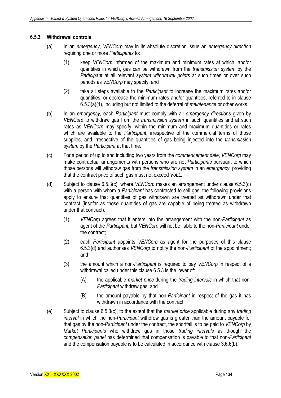# **6.5.3 Withdrawal controls**

- (a) In an *emergency*, *VENCorp* may in its absolute discretion issue an *emergency direction*  requiring one or more *Participants* to:
	- (1) keep *VENCorp* informed of the maximum and minimum rates at which, and/or quantities in which, gas can be withdrawn from the *transmission system* by the *Participant* at all relevant *system withdrawal points* at such times or over such periods as *VENCorp* may specify; and
	- (2) take all steps available to the *Participant* to increase the maximum rates and/or quantities, or decrease the minimum rates and/or quantities, referred to in clause 6.5.3(a)(1), including but not limited to the deferral of *maintenance* or other works.
- (b) In an *emergency*, each *Participant* must comply with all *emergency directions* given by *VENCorp* to withdraw gas from the *transmission system* in such quantities and at such rates as *VENCorp* may specify, within the minimum and maximum quantities or rates which are available to the *Participant*, irrespective of the commercial terms of those supplies, and irrespective of the quantities of gas being injected into the *transmission system* by the *Participant* at that time.
- (c) For a period of up to and including two years from the *commencement date*, *VENCorp* may make contractual arrangements with persons who are not *Participants* pursuant to which those persons will withdraw gas from the *transmission system* in an *emergency*, providing that the contract price of such gas must not exceed *VoLL*.
- (d) Subject to clause 6.5.3(c), where *VENCorp* makes an arrangement under clause 6.5.3(c) with a person with whom a *Participant* has contracted to sell gas, the following provisions apply to ensure that quantities of gas withdrawn are treated as withdrawn under that contract (insofar as those quantities of gas are capable of being treated as withdrawn under that contract):
	- (1) *VENCorp* agrees that it enters into the arrangement with the non-*Participant* as agent of the *Participant,* but *VENCorp* will not be liable to the non-*Participant* under the contract;
	- (2) each *Participant* appoints *VENCorp* as agent for the purposes of this clause 6.5.3(d) and authorises *VENCorp* to notify the non-*Participant* of the appointment; and
	- (3) the amount which a non-*Participant* is required to pay *VENCorp* in respect of a withdrawal called under this clause 6.5.3 is the lower of:
		- (A) the applicable *market price* during the *trading intervals* in which that non-*Participant* withdrew gas; and
		- (B) the amount payable by that non-*Participant* in respect of the gas it has withdrawn in accordance with the contract.
- (e) Subject to clause 6.5.3(c), to the extent that the *market price* applicable during any *trading interval* in which the non-*Participant* withdrew gas is greater than the amount payable for that gas by the non-*Participant* under the contract, the shortfall is to be paid to *VENCorp* by *Market Participants* who withdrew gas in those *trading intervals* as though the *compensation panel* has determined that compensation is payable to that non-*Participant*  and the compensation payable is to be calculated in accordance with clause 3.6.6(b).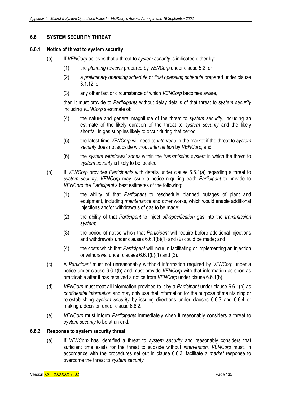# **6.6 SYSTEM SECURITY THREAT**

## **6.6.1 Notice of threat to system security**

- (a) If *VENCorp* believes that a threat to *system security* is indicated either by:
	- (1) the *planning reviews* prepared by *VENCorp* under clause 5.2; or
	- (2) a *preliminary operating schedule* or *final operating schedule* prepared under clause 3.1.12; or
	- (3) any other fact or circumstance of which *VENCorp* becomes aware,

then it must provide to *Participants* without delay details of that threat to *system security*  including *VENCorp's* estimate of:

- (4) the nature and general magnitude of the threat to *system security*, including an estimate of the likely duration of the threat to *system security* and the likely shortfall in gas supplies likely to occur during that period;
- (5) the latest time *VENCorp* will need to *intervene* in the market if the threat to *system security* does not subside without *intervention* by *VENCorp*; and
- (6) the *system withdrawal zones* within the *transmission system* in which the threat to *system security* is likely to be located.
- (b) If *VENCorp* provides *Participants* with details under clause 6.6.1(a) regarding a threat to *system security, VENCorp* may issue a notice requiring each *Participant* to provide to *VENCorp* the *Participant's* best estimates of the following:
	- (1) the ability of that *Participant* to reschedule planned outages of plant and equipment, including *maintenance* and other works, which would enable additional injection*s* and/or withdrawals of gas to be made;
	- (2) the ability of that *Participant* to inject *off-specification* gas into the *transmission system*;
	- (3) the period of notice which that *Participant* will require before additional injections and withdrawals under clauses 6.6.1(b)(1) and (2) could be made; and
	- (4) the costs which that *Participant* will incur in facilitating or implementing an injection or withdrawal under clauses 6.6.1(b)(1) and (2).
- (c) A *Participant* must not unreasonably withhold information required by *VENCorp* under a notice under clause 6.6.1(b) and must provide *VENCorp* with that information as soon as practicable after it has received a notice from *VENCorp* under clause 6.6.1(b).
- (d) *VENCorp* must treat all information provided to it by a *Participant* under clause 6.6.1(b) as *confidential information* and may only use that information for the purpose of maintaining or re-establishing *system security* by issuing directions under clauses 6.6.3 and 6.6.4 or making a decision under clause 6.6.2.
- (e) *VENCorp* must inform *Participants* immediately when it reasonably considers a threat to *system security* to be at an end.

#### **6.6.2 Response to system security threat**

(a) If *VENCorp* has identified a threat to *system security* and reasonably considers that sufficient time exists for the threat to subside without *intervention, VENCorp* must, in accordance with the procedures set out in clause 6.6.3, facilitate a *market* response to overcome the threat to *system security*.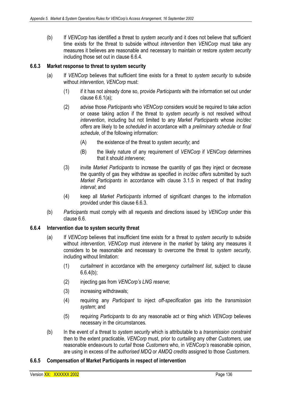(b) If *VENCorp* has identified a threat to *system security* and it does not believe that sufficient time exists for the threat to subside without *intervention* then *VENCorp* must take any measures it believes are reasonable and necessary to maintain or restore *system security*  including those set out in clause 6.6.4*.*

## **6.6.3 Market response to threat to system security**

- (a) If *VENCorp* believes that sufficient time exists for a threat to *system security* to subside without *intervention, VENCorp* must:
	- (1) if it has not already done so, provide *Participants* with the information set out under clause 6.6.1(a);
	- (2) advise those *Participants* who *VENCorp* considers would be required to take action or cease taking action if the threat to *system security* is not resolved without *intervention*, including but not limited to any *Market Participants* whose *inc/dec offers* are likely to be *scheduled* in accordance with a *preliminary schedule* or *final schedule*, of the following information:
		- (A) the existence of the threat to *system security*; and
		- (B) the likely nature of any requirement of *VENCorp* if *VENCorp* determines that it should *intervene*;
	- (3) invite *Market Participants* to increase the quantity of gas they inject or decrease the quantity of gas they withdraw as specified in *inc/dec offers* submitted by such *Market Participants* in accordance with clause 3.1.5 in respect of that *trading interval*; and
	- (4) keep all *Market Participants* informed of significant changes to the information provided under this clause 6.6.3.
- (b) *Participants* must comply with all requests and directions issued by *VENCorp* under this clause 6.6.

#### **6.6.4 Intervention due to system security threat**

- (a) If *VENCorp* believes that insufficient time exists for a threat to *system security* to subside without *intervention, VENCorp* must *intervene* in the *market* by taking any measures it considers to be reasonable and necessary to overcome the threat to *system security,*  including without limitation:
	- (1) *curtailment* in accordance with the *emergency curtailment list*, subject to clause 6.6.4(b);
	- (2) injecting gas from *VENCorp's LNG reserve*;
	- (3) increasing withdrawals;
	- (4) requiring any *Participant* to inject *off-specification* gas into the *transmission system*; and
	- (5) requiring *Participants* to do any reasonable act or thing which *VENCorp* believes necessary in the circumstances*.*
- (b) In the event of a threat to *system security* which is attributable to a *transmission constraint* then to the extent practicable, *VENCorp* must, prior to *curtailing* any other *Customers,* use reasonable endeavours to *curtail* those *Customers* who, in *VENCorp's* reasonable opinion, are using in excess of the *authorised MDQ* or *AMDQ credits* assigned to those *Customers*.

# **6.6.5 Compensation of Market Participants in respect of intervention**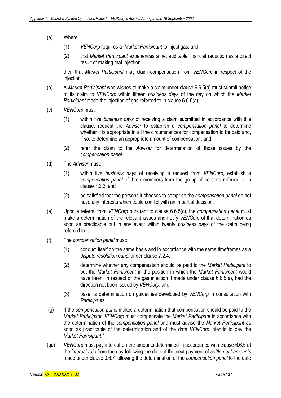- (a) Where:
	- (1) *VENCorp* requires a *Market Participant* to inject gas; and
	- (2) that *Market Participant* experiences a net auditable financial reduction as a direct result of making that injection*,*

then that *Market Participant* may claim compensation from *VENCorp* in respect of the injection.

- (b) A *Market Participant* who wishes to make a claim under clause 6.6.5(a) must submit notice of its claim to *VENCorp* within fifteen *business days* of the day on which the *Market Participant* made the injection of gas referred to in clause 6.6.5(a).
- (c) *VENCorp* must:
	- (1) within five *business days* of receiving a claim submitted in accordance with this clause, request the *Adviser* to establish a *compensation panel* to determine whether it is appropriate in all the circumstances for compensation to be paid and, if so, to determine an appropriate amount of compensation; and
	- (2) refer the claim to the *Adviser* for determination of those issues by the *compensation panel*.
- (d) The *Adviser* must:
	- (1) within five *business days* of receiving a request from *VENCorp*, establish a *compensation panel* of three members from the group of persons referred to in clause 7.2.2; and
	- (2) be satisfied that the persons it chooses to comprise the *compensation panel* do not have any interests which could conflict with an impartial decision.
- (e) Upon a referral from *VENCorp* pursuant to clause 6.6.5(c), the *compensation panel* must make a determination of the relevant issues and notify *VENCorp* of that determination as soon as practicable but in any event within twenty *business days* of the claim being referred to it.
- (f) The *compensation panel* must:
	- (1) conduct itself on the same basis and in accordance with the same timeframes as a *dispute resolution panel* under clause 7.2.4;
	- (2) determine whether any compensation should be paid to the *Market Participant* to put the *Market Participant* in the position in which the *Market Participant* would have been, in respect of the gas injection it made under clause 6.6.5(a), had the direction not been issued by *VENCorp*; and
	- (3) base its determination on guidelines developed by *VENCorp* in consultation with *Participants*.
- (g) If the *compensation panel* makes a determination that compensation should be paid to the *Market Participant*, *VENCorp* must compensate the *Market Participant* in accordance with the determination of the *compensation panel* and must advise the *Market Participant* as soon as practicable of the determination and of the date *VENCorp* intends to pay the *Market Participant*."
- (ga) *VENCorp* must pay interest on the amounts determined in accordance with clause 6.6.5 at the *interest rate* from the day following the date of the next payment of *settlement amounts* made under clause 3.6.7 following the determination of the *compensation panel* to the date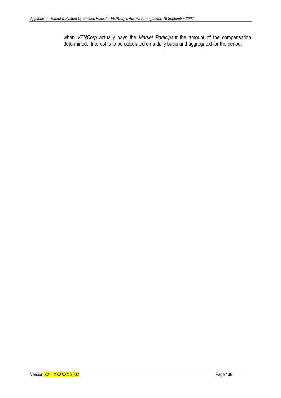when *VENCorp* actually pays the *Market Participant* the amount of the compensation determined. Interest is to be calculated on a daily basis and aggregated for the period.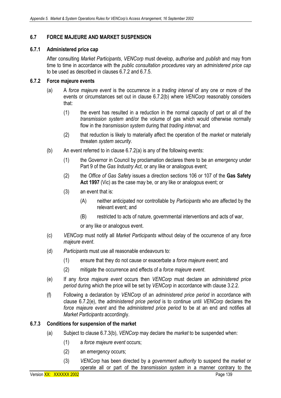# **6.7 FORCE MAJEURE AND MARKET SUSPENSION**

#### **6.7.1 Administered price cap**

After consulting *Market Participants*, *VENCorp* must develop, authorise and *publish* and may from time to time in accordance with the *public consultation procedures* vary an *administered price cap* to be used as described in clauses 6.7.2 and 6.7.5.

#### **6.7.2 Force majeure events**

- (a) A *force majeure event* is the occurrence in a *trading interval* of any one or more of the events or circumstances set out in clause 6.7.2(b) where *VENCorp* reasonably considers that:
	- (1) the event has resulted in a reduction in the normal capacity of part or all of the *transmission system* and/or the volume of gas which would otherwise normally flow in the *transmission system* during that *trading interval*; and
	- (2) that reduction is likely to materially affect the operation of the *market* or materially threaten *system security*.
- (b) An event referred to in clause 6.7.2(a) is any of the following events:
	- (1) the Governor in Council by proclamation declares there to be an *emergency* under Part 9 of the *Gas Industry Act*, or any like or analogous event;
	- (2) the *Office of Gas Safety* issues a direction sections 106 or 107 of the **Gas Safety Act 1997** (Vic) as the case may be, or any like or analogous event; or
	- (3) an event that is:
		- (A) neither anticipated nor controllable by *Participants* who are affected by the relevant event; and
		- (B) restricted to acts of nature, governmental interventions and acts of war,

or any like or analogous event.

- (c) *VENCorp* must notify all *Market Participants* without delay of the occurrence of any *force majeure event*.
- (d) *Participants* must use all reasonable endeavours to:
	- (1) ensure that they do not cause or exacerbate a *force majeure event*; and
	- (2) mitigate the occurrence and effects of a *force majeure event*.
- (e) If any *force majeure event* occurs then *VENCorp* must declare an *administered price period* during which the price will be set by *VENCorp* in accordance with clause 3.2.2.
- (f) Following a declaration by *VENCorp* of an *administered price period* in accordance with clause 6.7.2(e), the *administered price period* is to continue until *VENCorp* declares the *force majeure event* and the *administered price period* to be at an end and notifies all *Market Participants* accordingly.

## **6.7.3 Conditions for suspension of the market**

- (a) Subject to clause 6.7.3(b), *VENCorp* may declare the *market* to be suspended when:
	- (1) a *force majeure event* occurs;
	- (2) an *emergency* occurs;
	- (3) *VENCorp* has been directed by a *government authority* to suspend the *market* or operate all or part of the *transmission system* in a manner contrary to the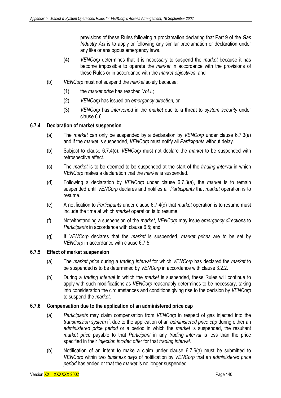provisions of these Rules following a proclamation declaring that Part 9 of the *Gas Industry Act* is to apply or following any similar proclamation or declaration under any like or analogous emergency laws.

- (4) *VENCorp* determines that it is necessary to suspend the *market* because it has become impossible to operate the *market* in accordance with the provisions of these Rules or in accordance with the *market objectives*; and
- (b) *VENCorp* must not suspend the *market* solely because:
	- (1) the *market price* has reached *VoLL*;
	- (2) *VENCorp* has issued an *emergency direction;* or
	- (3) *VENCorp* has *intervened* in the *market* due to a threat to *system security* under clause 6.6.

#### **6.7.4 Declaration of market suspension**

- (a) The *market* can only be suspended by a declaration by *VENCorp* under clause 6.7.3(a) and if the *market* is suspended, *VENCorp* must notify all *Participants* without delay.
- (b) Subject to clause 6.7.4(c), *VENCorp* must not declare the *market* to be suspended with retrospective effect.
- (c) The *market* is to be deemed to be suspended at the start of the *trading interval* in which *VENCorp* makes a declaration that the *market* is suspended.
- (d) Following a declaration by *VENCorp* under clause 6.7.3(a), the *market* is to remain suspended until *VENCorp* declares and notifies all *Participants* that *market* operation is to resume.
- (e) A notification to *Participants* under clause 6.7.4(d) that *market* operation is to resume must include the time at which *market* operation is to resume*.*
- (f) Notwithstanding a suspension of the *market*, *VENCorp* may issue *emergency directions* to *Participants* in accordance with clause 6.5; and
- (g) If *VENCorp* declares that the *market* is suspended, *market prices* are to be set by *VENCorp* in accordance with clause 6.7.5.

#### **6.7.5 Effect of market suspension**

- (a) The *market price* during a *trading interval* for which *VENCorp* has declared the *market* to be suspended is to be determined by *VENCorp* in accordance with clause 3.2.2.
- (b) During a *trading interval* in which the *market* is suspended, these Rules will continue to apply with such modifications as *VENCorp* reasonably determines to be necessary, taking into consideration the circumstances and conditions giving rise to the decision by *VENCorp*  to suspend the *market*.

#### **6.7.6 Compensation due to the application of an administered price cap**

- (a) *Participants* may claim compensation from *VENCorp* in respect of gas injected into the *transmission system* if, due to the application of an *administered price cap* during either an *administered price period* or a period in which the *market* is suspended, the resultant *market price* payable to that *Participant* in any *trading interval* is less than the price specified in their *injection inc/dec offer* for that *trading interval*.
- (b) Notification of an intent to make a claim under clause 6.7.6(a) must be submitted to *VENCorp* within two *business days* of notification by *VENCorp* that an *administered price period* has ended or that the *market* is no longer suspended.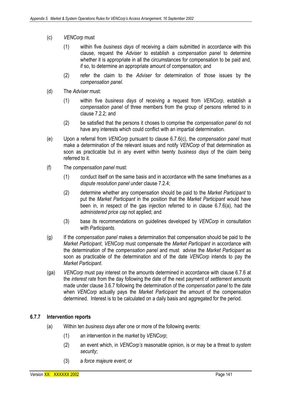- (c) *VENCorp* must
	- (1) within five *business days* of receiving a claim submitted in accordance with this clause, request the *Adviser* to establish a *compensation panel* to determine whether it is appropriate in all the circumstances for compensation to be paid and, if so, to determine an appropriate amount of compensation; and
	- (2) refer the claim to the *Adviser* for determination of those issues by the *compensation panel*.
- (d) The *Adviser* must:
	- (1) within five *business days* of receiving a request from *VENCorp*, establish a *compensation panel* of three members from the group of persons referred to in clause 7.2.2; and
	- (2) be satisfied that the persons it choses to comprise the *compensation panel* do not have any interests which could conflict with an impartial determination.
- (e) Upon a referral from *VENCorp* pursuant to clause 6.7.6(c), the *compensation panel* must make a determination of the relevant issues and notify *VENCorp* of that determination as soon as practicable but in any event within twenty *business days* of the claim being referred to it.
- (f) The *compensation panel* must:
	- (1) conduct itself on the same basis and in accordance with the same timeframes as a *dispute resolution panel* under clause 7.2.4;
	- (2) determine whether any compensation should be paid to the *Market Participant* to put the *Market Participant* in the position that the *Market Participant* would have been in, in respect of the gas injection referred to in clause 6.7.6(a), had the *administered price cap* not applied; and
	- (3) base its recommendations on guidelines developed by *VENCorp* in consultation with *Participants*.
- (g) If the *compensation panel* makes a determination that compensation should be paid to the *Market Participant*, *VENCorp* must compensate the *Market Participant* in accordance with the determination of the *compensation panel* and must advise the *Market Participant* as soon as practicable of the determination and of the date *VENCorp* intends to pay the *Market Participant*.
- (ga) *VENCorp* must pay interest on the amounts determined in accordance with clause 6.7.6 at the *interest rate* from the day following the date of the next payment of *settlement amounts* made under clause 3.6.7 following the determination of the *compensation panel* to the date when *VENCorp* actually pays the *Market Participant* the amount of the compensation determined. Interest is to be calculated on a daily basis and aggregated for the period.

# **6.7.7 Intervention reports**

- (a) Within ten *business days* after one or more of the following events:
	- (1) an intervention in the *market* by *VENCorp*;
	- (2) an event which, in *VENCorp's* reasonable opinion, is or may be a threat to *system security*;
	- (3) a *force majeure event*; or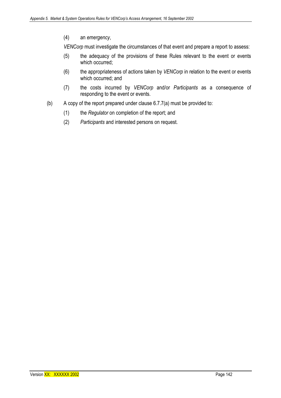(4) an *emergency*,

*VENCorp* must investigate the circumstances of that event and prepare a report to assess:

- (5) the adequacy of the provisions of these Rules relevant to the event or events which occurred;
- (6) the appropriateness of actions taken by *VENCorp* in relation to the event or events which occurred; and
- (7) the costs incurred by *VENCorp* and/or *Participants* as a consequence of responding to the event or events.
- (b) A copy of the report prepared under clause 6.7.7(a) must be provided to:
	- (1) the *Regulator* on completion of the report; and
	- (2) *Participants* and interested persons on request.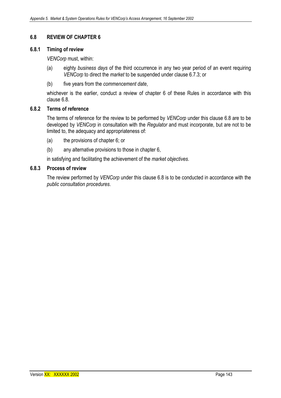## **6.8 REVIEW OF CHAPTER 6**

#### **6.8.1 Timing of review**

*VENCorp* must, within:

- (a) eighty *business days* of the third occurrence in any two year period of an event requiring *VENCorp* to direct the *market* to be suspended under clause 6.7.3; or
- (b) five years from the *commencement date*,

whichever is the earlier, conduct a review of chapter 6 of these Rules in accordance with this clause 6.8.

#### **6.8.2 Terms of reference**

The terms of reference for the review to be performed by *VENCorp* under this clause 6.8 are to be developed by *VENCorp* in consultation with the *Regulator* and must incorporate, but are not to be limited to, the adequacy and appropriateness of:

- (a) the provisions of chapter 6; or
- (b) any alternative provisions to those in chapter 6,

in satisfying and facilitating the achievement of the *market objectives*.

#### **6.8.3 Process of review**

The review performed by *VENCorp* under this clause 6.8 is to be conducted in accordance with the *public consultation procedures*.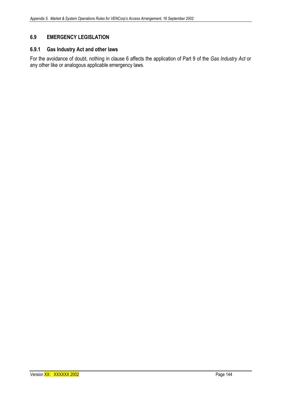# **6.9 EMERGENCY LEGISLATION**

## **6.9.1 Gas Industry Act and other laws**

For the avoidance of doubt, nothing in clause 6 affects the application of Part 9 of the *Gas Industry Act* or any other like or analogous applicable emergency laws.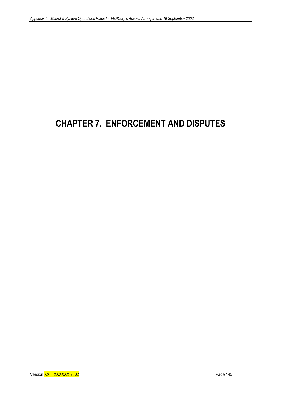# **CHAPTER 7. ENFORCEMENT AND DISPUTES**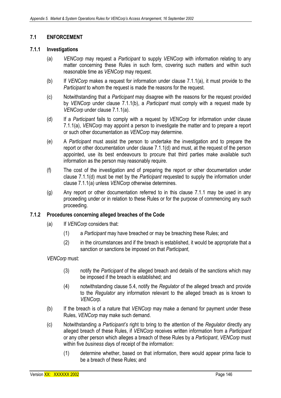## **7.1 ENFORCEMENT**

#### **7.1.1 Investigations**

- (a) *VENCorp* may request a *Participant* to supply *VENCorp* with information relating to any matter concerning these Rules in such form, covering such matters and within such reasonable time as *VENCorp* may request.
- (b) If *VENCorp* makes a request for information under clause 7.1.1(a), it must provide to the *Participant* to whom the request is made the reasons for the request.
- (c) Notwithstanding that a *Participant* may disagree with the reasons for the request provided by *VENCorp* under clause 7.1.1(b), a *Participant* must comply with a request made by *VENCorp* under clause 7.1.1(a).
- (d) If a *Participant* fails to comply with a request by *VENCorp* for information under clause 7.1.1(a), *VENCorp* may appoint a person to investigate the matter and to prepare a report or such other documentation as *VENCorp* may determine.
- (e) A *Participant* must assist the person to undertake the investigation and to prepare the report or other documentation under clause 7.1.1(d) and must, at the request of the person appointed, use its best endeavours to procure that third parties make available such information as the person may reasonably require.
- (f) The cost of the investigation and of preparing the report or other documentation under clause 7.1.1(d) must be met by the *Participant* requested to supply the information under clause 7.1.1(a) unless *VENCorp* otherwise determines.
- (g) Any report or other documentation referred to in this clause 7.1.1 may be used in any proceeding under or in relation to these Rules or for the purpose of commencing any such proceeding.

## **7.1.2 Procedures concerning alleged breaches of the Code**

- (a) If *VENCorp* considers that:
	- (1) a *Participant* may have breached or may be breaching these Rules; and
	- (2) in the circumstances and if the breach is established, it would be appropriate that a sanction or sanctions be imposed on that *Participant*,

*VENCorp* must:

- (3) notify the *Participant* of the alleged breach and details of the sanctions which may be imposed if the breach is established; and
- (4) notwithstanding clause 5.4, notify the *Regulator* of the alleged breach and provide to the *Regulator* any information relevant to the alleged breach as is known to *VENCorp*.
- (b) If the breach is of a nature that *VENCorp* may make a demand for payment under these Rules, *VENCorp* may make such demand.
- (c) Notwithstanding a *Participant's* right to bring to the attention of the *Regulator* directly any alleged breach of these Rules, if *VENCorp* receives written information from a *Participant*  or any other person which alleges a breach of these Rules by a *Participant*, *VENCorp* must within five *business day*s of receipt of the information:
	- (1) determine whether, based on that information, there would appear prima facie to be a breach of these Rules; and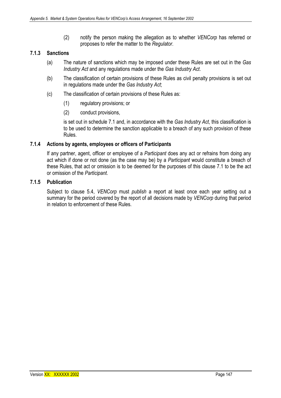(2) notify the person making the allegation as to whether *VENCorp* has referred or proposes to refer the matter to the *Regulator*.

## **7.1.3 Sanctions**

- (a) The nature of sanctions which may be imposed under these Rules are set out in the *Gas Industry Act* and any regulations made under the *Gas Industry Act*.
- (b) The classification of certain provisions of these Rules as civil penalty provisions is set out in regulations made under the *Gas Industry Act*;
- (c) The classification of certain provisions of these Rules as:
	- (1) regulatory provisions; or
	- (2) conduct provisions,

is set out in schedule 7.1 and, in accordance with the *Gas Industry Act*, this classification is to be used to determine the sanction applicable to a breach of any such provision of these Rules.

#### **7.1.4 Actions by agents, employees or officers of Participants**

If any partner, agent, officer or employee of a *Participant* does any act or refrains from doing any act which if done or not done (as the case may be) by a *Participant* would constitute a breach of these Rules, that act or omission is to be deemed for the purposes of this clause 7.1 to be the act or omission of the *Participant*.

#### **7.1.5 Publication**

Subject to clause 5.4, *VENCorp* must *publish* a report at least once each year setting out a summary for the period covered by the report of all decisions made by *VENCorp* during that period in relation to enforcement of these Rules.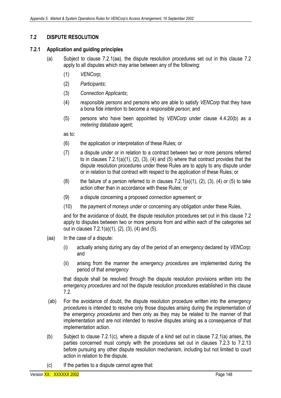# **7.2 DISPUTE RESOLUTION**

## **7.2.1 Application and guiding principles**

- (a) Subject to clause 7.2.1(aa), the dispute resolution procedures set out in this clause 7.2 apply to all disputes which may arise between any of the following:
	- (1) *VENCorp*;
	- (2) *Participants*;
	- (3) *Connection Applicants*;
	- (4) *responsible persons* and persons who are able to satisfy *VENCorp* that they have a bona fide intention to become a *responsible person*; and
	- (5) persons who have been appointed by *VENCorp* under clause 4.4.20(b) as a *metering database* agent;

as to:

- (6) the application or interpretation of these Rules; or
- (7) a dispute under or in relation to a contract between two or more persons referred to in clauses 7.2.1(a)(1), (2), (3), (4) and (5) where that contract provides that the dispute resolution procedures under these Rules are to apply to any dispute under or in relation to that contract with respect to the application of these Rules; or
- (8) the failure of a person referred to in clauses  $7.2.1(a)(1)$ ,  $(2)$ ,  $(3)$ ,  $(4)$  or  $(5)$  to take action other than in accordance with these Rules; or
- (9) a dispute concerning a proposed *connection agreement*; or
- (10) the payment of moneys under or concerning any obligation under these Rules,

and for the avoidance of doubt, the dispute resolution procedures set out in this clause 7.2 apply to disputes between two or more persons from and within each of the categories set out in clauses 7.2.1(a)(1), (2), (3), (4) and (5).

- (aa) In the case of a dispute:
	- (i) actually arising during any day of the period of an *emergency* declared by *VENCorp;* and
	- (ii) arising from the manner the *emergency procedures* are implemented during the period of that *emergency*

that dispute shall be resolved through the dispute resolution provisions written into the *emergency procedures* and not the dispute resolution procedures established in this clause 7.2.

- (ab) For the avoidance of doubt, the dispute resolution procedure written into the *emergency procedures* is intended to resolve only those disputes arising during the implementation of the *emergency procedures* and then only as they may be related to the manner of that implementation and are not intended to resolve disputes arising as a consequence of that implementation action.
- (b) Subject to clause 7.2.1(c), where a dispute of a kind set out in clause 7.2.1(a) arises, the parties concerned must comply with the procedures set out in clauses 7.2.3 to 7.2.13 before pursuing any other dispute resolution mechanism, including but not limited to court action in relation to the dispute.
- (c) If the parties to a dispute cannot agree that: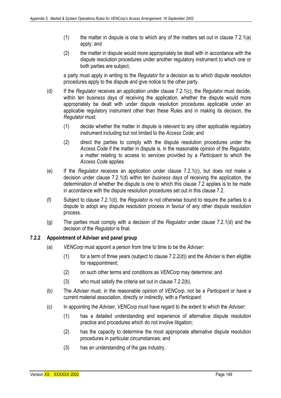- $(1)$  the matter in dispute is one to which any of the matters set out in clause 7.2.1(a) apply; and
- (2) the matter in dispute would more appropriately be dealt with in accordance with the dispute resolution procedures under another regulatory instrument to which one or both parties are subject,

a party must apply in writing to the *Regulator* for a decision as to which dispute resolution procedures apply to the dispute and give notice to the other party.

- (d) If the *Regulator* receives an application under clause 7.2.1(c), the *Regulator* must decide, within ten *business days* of receiving the application, whether the dispute would more appropriately be dealt with under dispute resolution procedures applicable under an applicable regulatory instrument other than these Rules and in making its decision, the *Regulator* must:
	- (1) decide whether the matter in dispute is relevant to any other applicable regulatory instrument including but not limited to the *Access Code*; and
	- (2) direct the parties to comply with the dispute resolution procedures under the *Access Code* if the matter in dispute is, in the reasonable opinion of the *Regulator*, a matter relating to access to services provided by a *Participant* to which the *Access Code* applies.
- (e) If the *Regulator* receives an application under clause 7.2.1(c), but does not make a decision under clause 7.2.1(d) within ten *business days* of receiving the application, the determination of whether the dispute is one to which this clause 7.2 applies is to be made in accordance with the dispute resolution procedures set out in this clause 7.2.
- (f) Subject to clause 7.2.1(d), the *Regulator* is not otherwise bound to require the parties to a dispute to adopt any dispute resolution process in favour of any other dispute resolution process.
- (g) The parties must comply with a decision of the *Regulator* under clause 7.2.1(d) and the decision of the *Regulator* is final.

## **7.2.2 Appointment of Adviser and panel group**

- (a) *VENCorp* must appoint a person from time to time to be the *Adviser*:
	- (1) for a term of three years (subject to clause 7.2.2(d)) and the *Adviser* is then eligible for reappointment;
	- (2) on such other terms and conditions as *VENCorp* may determine; and
	- (3) who must satisfy the criteria set out in clause 7.2.2(b).
- (b) The *Adviser* must, in the reasonable opinion of *VENCorp*, not be a *Participant* or have a current material association, directly or indirectly, with a *Participant*.
- (c) In appointing the *Adviser*, *VENCorp* must have regard to the extent to which the *Adviser*:
	- (1) has a detailed understanding and experience of alternative dispute resolution practice and procedures which do not involve litigation;
	- (2) has the capacity to determine the most appropriate alternative dispute resolution procedures in particular circumstances; and
	- (3) has an understanding of the gas industry.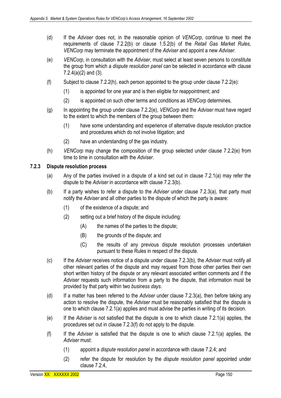- (d) If the *Adviser* does not, in the reasonable opinion of *VENCorp*, continue to meet the requirements of clause 7.2.2(b) or clause 1.5.2(b) of the *Retail Gas Market Rules*, *VENCorp* may terminate the appointment of the *Adviser* and appoint a new *Adviser*.
- (e) *VENCorp*, in consultation with the *Adviser*, must select at least seven persons to constitute the group from which a *dispute resolution panel* can be selected in accordance with clause  $7.2.4(a)(2)$  and  $(3)$ .
- (f) Subject to clause 7.2.2(h), each person appointed to the group under clause 7.2.2(e):
	- (1) is appointed for one year and is then eligible for reappointment; and
	- (2) is appointed on such other terms and conditions as *VENCorp* determines.
- (g) In appointing the group under clause 7.2.2(e), *VENCorp* and the *Adviser* must have regard to the extent to which the members of the group between them:
	- (1) have some understanding and experience of alternative dispute resolution practice and procedures which do not involve litigation; and
	- (2) have an understanding of the gas industry.
- (h) *VENCorp* may change the composition of the group selected under clause 7.2.2(e) from time to time in consultation with the *Adviser*.

#### **7.2.3 Dispute resolution process**

- (a) Any of the parties involved in a dispute of a kind set out in clause 7.2.1(a) may refer the dispute to the *Adviser* in accordance with clause 7.2.3(b).
- (b) If a party wishes to refer a dispute to the *Adviser* under clause 7.2.3(a), that party must notify the *Adviser* and all other parties to the dispute of which the party is aware:
	- (1) of the existence of a dispute; and
	- (2) setting out a brief history of the dispute including:
		- $(A)$  the names of the parties to the dispute:
		- (B) the grounds of the dispute; and
		- (C) the results of any previous dispute resolution processes undertaken pursuant to these Rules in respect of the dispute.
- (c) If the *Adviser* receives notice of a dispute under clause 7.2.3(b), the *Adviser* must notify all other relevant parties of the dispute and may request from those other parties their own short written history of the dispute or any relevant associated written comments and if the *Adviser* requests such information from a party to the dispute, that information must be provided by that party within two *business days*.
- (d) If a matter has been referred to the *Adviser* under clause 7.2.3(a), then before taking any action to resolve the dispute, the *Adviser* must be reasonably satisfied that the dispute is one to which clause 7.2.1(a) applies and must advise the parties in writing of its decision.
- (e) If the *Adviser* is not satisfied that the dispute is one to which clause 7.2.1(a) applies, the procedures set out in clause 7.2.3(f) do not apply to the dispute.
- (f) If the *Adviser* is satisfied that the dispute is one to which clause 7.2.1(a) applies, the *Adviser* must:
	- (1) appoint a *dispute resolution panel* in accordance with clause 7.2.4; and
	- (2) refer the dispute for resolution by the *dispute resolution panel* appointed under clause 7.2.4,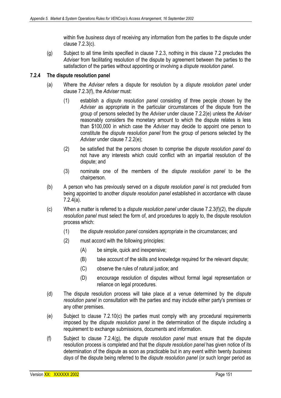within five *business days* of receiving any information from the parties to the dispute under clause 7.2.3(c).

(g) Subject to all time limits specified in clause 7.2.3, nothing in this clause 7.2 precludes the *Adviser* from facilitating resolution of the dispute by agreement between the parties to the satisfaction of the parties without appointing or involving a *dispute resolution panel*.

#### **7.2.4 The dispute resolution panel**

- (a) Where the *Adviser* refers a dispute for resolution by a *dispute resolution panel* under clause 7.2.3(f), the *Adviser* must:
	- (1) establish a *dispute resolution panel* consisting of three people chosen by the *Adviser* as appropriate in the particular circumstances of the dispute from the group of persons selected by the *Adviser* under clause 7.2.2(e) unless the *Adviser*  reasonably considers the monetary amount to which the dispute relates is less than \$100,000 in which case the *Adviser* may decide to appoint one person to constitute the *dispute resolution panel* from the group of persons selected by the *Adviser* under clause 7.2.2(e);
	- (2) be satisfied that the persons chosen to comprise the *dispute resolution panel* do not have any interests which could conflict with an impartial resolution of the dispute; and
	- (3) nominate one of the members of the *dispute resolution panel* to be the chairperson.
- (b) A person who has previously served on a *dispute resolution panel* is not precluded from being appointed to another *dispute resolution panel* established in accordance with clause 7.2.4(a).
- (c) When a matter is referred to a *dispute resolution panel* under clause 7.2.3(f)(2), the *dispute resolution panel* must select the form of, and procedures to apply to, the dispute resolution process which:
	- (1) the *dispute resolution panel* considers appropriate in the circumstances; and
	- (2) must accord with the following principles:
		- (A) be simple, quick and inexpensive;
		- (B) take account of the skills and knowledge required for the relevant dispute;
		- (C) observe the rules of natural justice; and
		- (D) encourage resolution of disputes without formal legal representation or reliance on legal procedures.
- (d) The dispute resolution process will take place at a venue determined by the *dispute resolution panel* in consultation with the parties and may include either party's premises or any other premises.
- (e) Subject to clause 7.2.10(c) the parties must comply with any procedural requirements imposed by the *dispute resolution panel* in the determination of the dispute including a requirement to exchange submissions, documents and information.
- (f) Subject to clause 7.2.4(g), the *dispute resolution panel* must ensure that the dispute resolution process is completed and that the *dispute resolution panel* has given notice of its determination of the dispute as soon as practicable but in any event within twenty *business days* of the dispute being referred to the *dispute resolution panel* (or such longer period as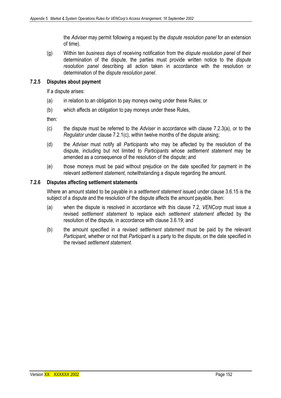the *Adviser* may permit following a request by the *dispute resolution panel* for an extension of time).

(g) Within ten *business days* of receiving notification from the *dispute resolution panel* of their determination of the dispute, the parties must provide written notice to the *dispute resolution panel* describing all action taken in accordance with the resolution or determination of the *dispute resolution panel*.

#### **7.2.5 Disputes about payment**

If a dispute arises:

- (a) in relation to an obligation to pay moneys owing under these Rules; or
- (b) which affects an obligation to pay moneys under these Rules,

then:

- (c) the dispute must be referred to the *Adviser* in accordance with clause 7.2.3(a), or to the *Regulator* under clause 7.2.1(c), within twelve months of the dispute arising;
- (d) the *Adviser* must notify all *Participants* who may be affected by the resolution of the dispute, including but not limited to *Participants* whose *settlement statement* may be amended as a consequence of the resolution of the dispute; and
- (e) those moneys must be paid without prejudice on the date specified for payment in the relevant *settlement statement*, notwithstanding a dispute regarding the amount.

#### **7.2.6 Disputes affecting settlement statements**

Where an amount stated to be payable in a *settlement statement* issued under clause 3.6.15 is the subject of a dispute and the resolution of the dispute affects the amount payable, then:

- (a) when the dispute is resolved in accordance with this clause 7.2, *VENCorp* must issue a revised *settlement statement* to replace each *settlement statement* affected by the resolution of the dispute, in accordance with clause 3.6.19; and
- (b) the amount specified in a revised *settlement statement* must be paid by the relevant *Participant*, whether or not that *Participant* is a party to the dispute, on the date specified in the revised *settlement statement*.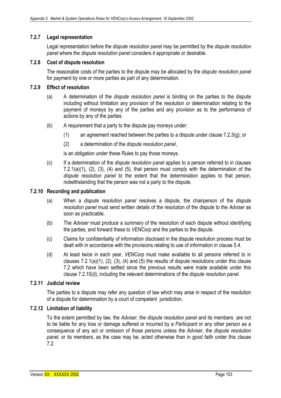# **7.2.7 Legal representation**

Legal representation before the *dispute resolution panel* may be permitted by the *dispute resolution panel* where the *dispute resolution panel* considers it appropriate or desirable.

## **7.2.8 Cost of dispute resolution**

The reasonable costs of the parties to the dispute may be allocated by the *dispute resolution panel* for payment by one or more parties as part of any determination.

## **7.2.9 Effect of resolution**

- (a) A determination of the *dispute resolution panel* is binding on the parties to the dispute including without limitation any provision of the resolution or determination relating to the payment of moneys by any of the parties and any provision as to the performance of actions by any of the parties.
- (b) A requirement that a party to the dispute pay moneys under:
	- (1) an agreement reached between the parties to a dispute under clause 7.2.3(g); or
	- (2) a determination of the *dispute resolution panel*,

is an obligation under these Rules to pay those moneys.

(c) If a determination of the *dispute resolution panel* applies to a person referred to in clauses 7.2.1(a)(1), (2), (3), (4) and (5), that person must comply with the determination of the *dispute resolution panel* to the extent that the determination applies to that person, notwithstanding that the person was not a party to the dispute.

#### **7.2.10 Recording and publication**

- (a) When a *dispute resolution panel* resolves a dispute, the chairperson of the *dispute resolution panel* must send written details of the resolution of the dispute to the *Adviser* as soon as practicable.
- (b) The *Adviser* must produce a summary of the resolution of each dispute without identifying the parties, and forward these to *VENCorp* and the parties to the dispute.
- (c) Claims for confidentiality of information disclosed in the dispute resolution process must be dealt with in accordance with the provisions relating to use of information in clause 5.4.
- (d) At least twice in each year, *VENCorp* must make available to all persons referred to in clauses 7.2.1(a)(1), (2), (3), (4) and (5) the results of dispute resolutions under this clause 7.2 which have been settled since the previous results were made available under this clause 7.2.10(d), including the relevant determinations of the *dispute resolution panel*.

#### **7.2.11 Judicial review**

The parties to a dispute may refer any question of law which may arise in respect of the resolution of a dispute for determination by a court of competent jurisdiction.

#### **7.2.12 Limitation of liability**

To the extent permitted by law, the *Adviser*, the *dispute resolution panel* and its members are not to be liable for any loss or damage suffered or incurred by a *Participant* or any other person as a consequence of any act or omission of those persons unless the *Adviser*, the *dispute resolution panel,* or its members, as the case may be, acted otherwise than in good faith under this clause 7.2.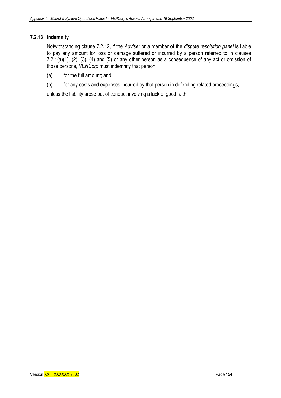# **7.2.13 Indemnity**

Notwithstanding clause 7.2.12, if the *Adviser* or a member of the *dispute resolution panel* is liable to pay any amount for loss or damage suffered or incurred by a person referred to in clauses 7.2.1(a)(1), (2), (3), (4) and (5) or any other person as a consequence of any act or omission of those persons, *VENCorp* must indemnify that person:

- (a) for the full amount; and
- (b) for any costs and expenses incurred by that person in defending related proceedings,

unless the liability arose out of conduct involving a lack of good faith.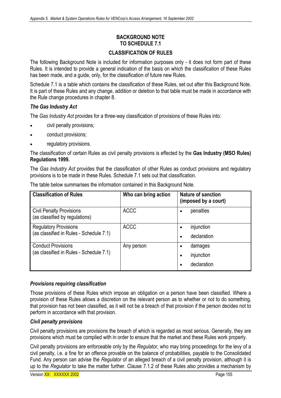# **BACKGROUND NOTE TO SCHEDULE 7.1**

# **CLASSIFICATION OF RULES**

The following Background Note is included for information purposes only - it does not form part of these Rules. It is intended to provide a general indication of the basis on which the classification of these Rules has been made, and a guide, only, for the classification of future new Rules.

Schedule 7.1 is a table which contains the classification of these Rules, set out after this Background Note. It is part of these Rules and any change, addition or deletion to that table must be made in accordance with the Rule change procedures in chapter 8.

# *The Gas Industry Act*

The *Gas Industry Act* provides for a three-way classification of provisions of these Rules into:

- civil penalty provisions;
- conduct provisions;
- regulatory provisions.

The classification of certain Rules as civil penalty provisions is effected by the **Gas Industry (MSO Rules) Regulations 1999.** 

The *Gas Industry Act* provides that the classification of other Rules as conduct provisions and regulatory provisions is to be made in these Rules. Schedule 7.1 sets out that classification.

| <b>Classification of Rules</b>                                          | Who can bring action | <b>Nature of sanction</b><br>(imposed by a court) |
|-------------------------------------------------------------------------|----------------------|---------------------------------------------------|
| <b>Civil Penalty Provisions</b><br>(as classified by regulations)       | <b>ACCC</b>          | penalties<br>٠                                    |
| <b>Regulatory Provisions</b><br>(as classified in Rules - Schedule 7.1) | <b>ACCC</b>          | injunction<br>٠<br>declaration<br>٠               |
| <b>Conduct Provisions</b><br>(as classified in Rules - Schedule 7.1)    | Any person           | damages<br>injunction<br>declaration              |

The table below summarises the information contained in this Background Note.

# *Provisions requiring classification*

Those provisions of these Rules which impose an obligation on a person have been classified. Where a provision of these Rules allows a discretion on the relevant person as to whether or not to do something, that provision has not been classified, as it will not be a breach of that provision if the person decides not to perform in accordance with that provision.

## *Civil penalty provisions*

Civil penalty provisions are provisions the breach of which is regarded as most serious. Generally, they are provisions which must be complied with in order to ensure that the market and these Rules work properly.

Civil penalty provisions are enforceable only by the *Regulator*, who may bring proceedings for the levy of a civil penalty, i.e. a fine for an offence provable on the balance of probabilities, payable to the Consolidated Fund. Any person can advise the *Regulator* of an alleged breach of a civil penalty provision, although it is up to the *Regulator* to take the matter further. Clause 7.1.2 of these Rules also provides a mechanism by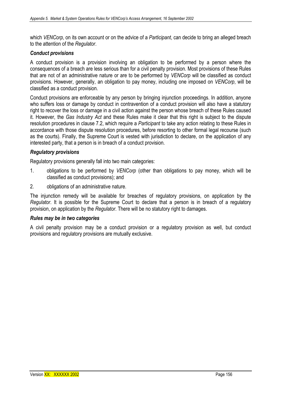which *VENCorp*, on its own account or on the advice of a *Participant*, can decide to bring an alleged breach to the attention of the *Regulator*.

#### *Conduct provisions*

A conduct provision is a provision involving an obligation to be performed by a person where the consequences of a breach are less serious than for a civil penalty provision. Most provisions of these Rules that are not of an administrative nature or are to be performed by *VENCorp* will be classified as conduct provisions. However, generally, an obligation to pay money, including one imposed on *VENCorp*, will be classified as a conduct provision.

Conduct provisions are enforceable by any person by bringing injunction proceedings. In addition, anyone who suffers loss or damage by conduct in contravention of a conduct provision will also have a statutory right to recover the loss or damage in a civil action against the person whose breach of these Rules caused it. However, the *Gas Industry Act* and these Rules make it clear that this right is subject to the dispute resolution procedures in clause 7.2, which require a *Participant* to take any action relating to these Rules in accordance with those dispute resolution procedures, before resorting to other formal legal recourse (such as the courts). Finally, the Supreme Court is vested with jurisdiction to declare, on the application of any interested party, that a person is in breach of a conduct provision.

#### *Regulatory provisions*

Regulatory provisions generally fall into two main categories:

- 1. obligations to be performed by *VENCorp* (other than obligations to pay money, which will be classified as conduct provisions); and
- 2. obligations of an administrative nature.

The injunction remedy will be available for breaches of regulatory provisions, on application by the *Regulator*. It is possible for the Supreme Court to declare that a person is in breach of a regulatory provision, on application by the *Regulator*. There will be no statutory right to damages.

#### *Rules may be in two categories*

A civil penalty provision may be a conduct provision or a regulatory provision as well, but conduct provisions and regulatory provisions are mutually exclusive.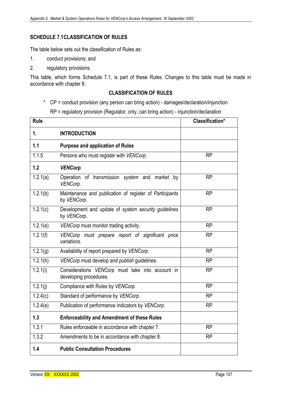# **SCHEDULE 7.1 CLASSIFICATION OF RULES**

The table below sets out the classification of Rules as:

- 1. conduct provisions; and
- 2. regulatory provisions.

This table, which forms Schedule 7.1, is part of these Rules. Changes to this table must be made in accordance with chapter 8.

## **CLASSIFICATION OF RULES**

```
* CP = conduct provision (any person can bring action) - damages/declaration/injunction
```
RP = regulatory provision (Regulator, only, can bring action) - injunction/declaration

| Rule                   |                                                                            | <b>Classification*</b> |
|------------------------|----------------------------------------------------------------------------|------------------------|
| 1.                     | <b>INTRODUCTION</b>                                                        |                        |
| 1.1                    | <b>Purpose and application of Rules</b>                                    |                        |
| 1.1.5                  | Persons who must register with VENCorp.                                    | <b>RP</b>              |
| 1.2                    | <b>VENCorp</b>                                                             |                        |
| 1.2.1(a)               | Operation of transmission system and market by<br>VENCorp.                 | <b>RP</b>              |
| $\overline{1}$ .2.1(b) | Maintenance and publication of register of Participants<br>by VENCorp.     | <b>RP</b>              |
| 1.2.1(c)               | Development and update of system security guidelines<br>by VENCorp.        | <b>RP</b>              |
| 1.2.1(e)               | VENCorp must monitor trading activity.                                     | <b>RP</b>              |
| 1.2.1(f)               | VENCorp must prepare report of significant price<br>variations.            | <b>RP</b>              |
| 1.2.1(g)               | Availability of report prepared by VENCorp.                                | <b>RP</b>              |
| 1.2.1(h)               | VENCorp must develop and publish guidelines.                               | <b>RP</b>              |
| 1.2.1(i)               | Considerations VENCorp must take into account in<br>developing procedures. | <b>RP</b>              |
| 1.2.1(i)               | Compliance with Rules by VENCorp.                                          | <b>RP</b>              |
| 1.2.4(c)               | Standard of performance by VENCorp.                                        | <b>RP</b>              |
| 1.2.4(e)               | Publication of performance indicators by VENCorp.                          | <b>RP</b>              |
| 1.3                    | <b>Enforceability and Amendment of these Rules</b>                         |                        |
| 1.3.1                  | Rules enforceable in accordance with chapter 7.                            | <b>RP</b>              |
| 1.3.2                  | Amendments to be in accordance with chapter 8.                             | <b>RP</b>              |
| 1.4                    | <b>Public Consultation Procedures</b>                                      |                        |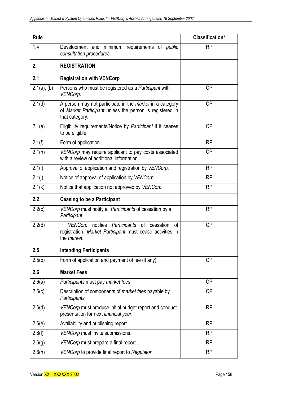| <b>Rule</b>    |                                                                                                                                               | Classification* |
|----------------|-----------------------------------------------------------------------------------------------------------------------------------------------|-----------------|
| 1.4            | Development and minimum requirements of <i>public</i><br>consultation procedures.                                                             | <b>RP</b>       |
| 2.             | <b>REGISTRATION</b>                                                                                                                           |                 |
| 2.1            | <b>Registration with VENCorp</b>                                                                                                              |                 |
| $2.1(a)$ , (b) | Persons who must be registered as a Participant with<br>VENCorp.                                                                              | <b>CP</b>       |
| 2.1(d)         | A person may not participate in the <i>market</i> in a category<br>of Market Participant unless the person is registered in<br>that category. | <b>CP</b>       |
| 2.1(e)         | Eligibility requirements/Notice by Participant if it ceases<br>to be eligible.                                                                | <b>CP</b>       |
| 2.1(f)         | Form of application.                                                                                                                          | <b>RP</b>       |
| 2.1(h)         | VENCorp may require applicant to pay costs associated<br>with a review of additional information.                                             | <b>CP</b>       |
| 2.1(i)         | Approval of application and registration by VENCorp.                                                                                          | <b>RP</b>       |
| 2.1(j)         | Notice of approval of application by VENCorp.                                                                                                 | <b>RP</b>       |
| 2.1(k)         | Notice that application not approved by VENCorp.                                                                                              | <b>RP</b>       |
| 2.2            | <b>Ceasing to be a Participant</b>                                                                                                            |                 |
| 2.2(c)         | VENCorp must notify all Participants of cessation by a<br>Participant.                                                                        | <b>RP</b>       |
| 2.2(d)         | VENCorp notifies Participants of cessation<br>lf<br>0f<br>registration, Market Participant must cease activities in<br>the market.            | <b>CP</b>       |
| 2.5            | <b>Intending Participants</b>                                                                                                                 |                 |
| 2.5(b)         | Form of application and payment of fee (if any).                                                                                              | <b>CP</b>       |
| 2.6            | <b>Market Fees</b>                                                                                                                            |                 |
| 2.6(a)         | Participants must pay market fees.                                                                                                            | <b>CP</b>       |
| 2.6(c)         | Description of components of <i>market fees</i> payable by<br>Participants.                                                                   | <b>CP</b>       |
| 2.6(d)         | VENCorp must produce initial budget report and conduct<br>presentation for next financial year.                                               | <b>RP</b>       |
| 2.6(e)         | Availability and publishing report.                                                                                                           | <b>RP</b>       |
| 2.6(f)         | VENCorp must invite submissions.                                                                                                              | <b>RP</b>       |
| 2.6(g)         | VENCorp must prepare a final report.                                                                                                          | <b>RP</b>       |
| 2.6(h)         | VENCorp to provide final report to Regulator.                                                                                                 | <b>RP</b>       |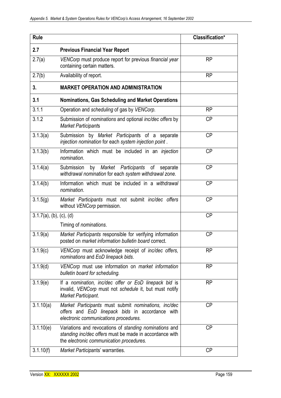| <b>Rule</b>                |                                                                                                                                                               | Classification* |
|----------------------------|---------------------------------------------------------------------------------------------------------------------------------------------------------------|-----------------|
| 2.7                        | <b>Previous Financial Year Report</b>                                                                                                                         |                 |
| 2.7(a)                     | VENCorp must produce report for previous financial year<br>containing certain matters.                                                                        | <b>RP</b>       |
| 2.7(b)                     | Availability of report.                                                                                                                                       | <b>RP</b>       |
| 3.                         | <b>MARKET OPERATION AND ADMINISTRATION</b>                                                                                                                    |                 |
| 3.1                        | <b>Nominations, Gas Scheduling and Market Operations</b>                                                                                                      |                 |
| 3.1.1                      | Operation and scheduling of gas by VENCorp.                                                                                                                   | <b>RP</b>       |
| 3.1.2                      | Submission of nominations and optional inc/dec offers by<br><b>Market Participants</b>                                                                        | <b>CP</b>       |
| 3.1.3(a)                   | Submission by Market Participants of a separate<br>injection nomination for each system injection point.                                                      | <b>CP</b>       |
| 3.1.3(b)                   | Information which must be included in an injection<br>nomination.                                                                                             | <b>CP</b>       |
| 3.1.4(a)                   | Submission<br>by Market Participants of separate<br>withdrawal nomination for each system withdrawal zone.                                                    | <b>CP</b>       |
| 3.1.4(b)                   | Information which must be included in a withdrawal<br>nomination.                                                                                             | <b>CP</b>       |
| 3.1.5(g)                   | Market Participants must not submit inc/dec offers<br>without VENCorp permission.                                                                             | <b>CP</b>       |
| $3.1.7(a)$ , (b), (c), (d) |                                                                                                                                                               | <b>CP</b>       |
|                            | Timing of <i>nominations</i> .                                                                                                                                |                 |
| 3.1.9(a)                   | Market Participants responsible for verifying information<br>posted on market information bulletin board correct.                                             | <b>CP</b>       |
| 3.1.9(c)                   | VENCorp must acknowledge receipt of inc/dec offers,<br>nominations and EoD linepack bids.                                                                     | <b>RP</b>       |
| 3.1.9(d)                   | VENCorp must use information on market information<br>bulletin board for scheduling.                                                                          | <b>RP</b>       |
| 3.1.9(e)                   | If a nomination, inc/dec offer or EoD linepack bid is<br>invalid, VENCorp must not schedule it, but must notify<br>Market Participant.                        | <b>RP</b>       |
| 3.1.10(a)                  | Market Participants must submit nominations, inc/dec<br>offers and EoD linepack bids in accordance with<br>electronic communications procedures.              | <b>CP</b>       |
| 3.1.10(e)                  | Variations and revocations of standing nominations and<br>standing inc/dec offers must be made in accordance with<br>the electronic communication procedures. | <b>CP</b>       |
| 3.1.10(f)                  | Market Participants' warranties.                                                                                                                              | <b>CP</b>       |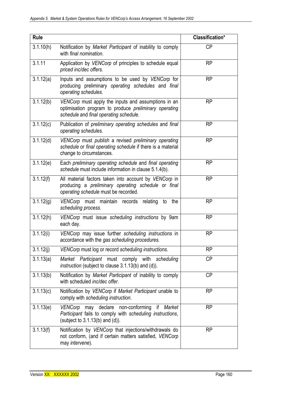| <b>Rule</b> |                                                                                                                                                               | Classification* |
|-------------|---------------------------------------------------------------------------------------------------------------------------------------------------------------|-----------------|
| 3.1.10(h)   | Notification by Market Participant of inability to comply<br>with final nomination.                                                                           | <b>CP</b>       |
| 3.1.11      | Application by VENCorp of principles to schedule equal<br>priced inc/dec offers.                                                                              | <b>RP</b>       |
| 3.1.12(a)   | Inputs and assumptions to be used by VENCorp for<br>producing preliminary operating schedules and final<br>operating schedules.                               | <b>RP</b>       |
| 3.1.12(b)   | VENCorp must apply the inputs and assumptions in an<br>optimisation program to produce <i>preliminary</i> operating<br>schedule and final operating schedule. | <b>RP</b>       |
| 3.1.12(c)   | Publication of preliminary operating schedules and final<br>operating schedules.                                                                              | <b>RP</b>       |
| 3.1.12(d)   | VENCorp must publish a revised preliminary operating<br>schedule or final operating schedule if there is a material<br>change to circumstances.               | <b>RP</b>       |
| 3.1.12(e)   | Each preliminary operating schedule and final operating<br>schedule must include information in clause 5.1.4(b).                                              | <b>RP</b>       |
| 3.1.12(f)   | All material factors taken into account by VENCorp in<br>producing a <i>preliminary</i> operating schedule or final<br>operating schedule must be recorded.   | <b>RP</b>       |
| 3.1.12(g)   | VENCorp must maintain records relating<br>to<br>the<br>scheduling process.                                                                                    | <b>RP</b>       |
| 3.1.12(h)   | VENCorp must issue scheduling instructions by 9am<br>each day.                                                                                                | <b>RP</b>       |
| 3.1.12(i)   | VENCorp may issue further scheduling instructions in<br>accordance with the gas scheduling procedures.                                                        | <b>RP</b>       |
| 3.1.12(j)   | VENCorp must log or record scheduling instructions.                                                                                                           | <b>RP</b>       |
| 3.1.13(a)   | Market Participant must comply with scheduling<br>instruction (subject to clause 3.1.13(b) and (d)).                                                          | <b>CP</b>       |
| 3.1.13(b)   | Notification by Market Participant of inability to comply<br>with scheduled inc/dec offer.                                                                    | <b>CP</b>       |
| 3.1.13(c)   | Notification by VENCorp if Market Participant unable to<br>comply with scheduling instruction.                                                                | <b>RP</b>       |
| 3.1.13(e)   | VENCorp may declare non-conforming<br>if<br>Market<br>Participant fails to comply with scheduling instructions,<br>(subject to $3.1.13(b)$ and $(d)$ ).       | <b>RP</b>       |
| 3.1.13(f)   | Notification by VENCorp that injections/withdrawals do<br>not conform, (and if certain matters satisfied, VENCorp<br>may intervene).                          | <b>RP</b>       |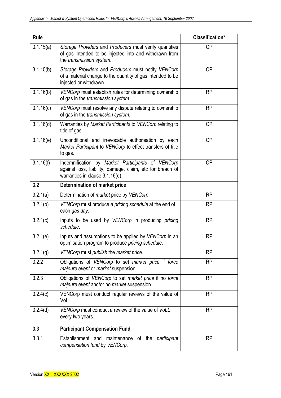| <b>Rule</b>             |                                                                                                                                                   | Classification* |
|-------------------------|---------------------------------------------------------------------------------------------------------------------------------------------------|-----------------|
| 3.1.15(a)               | Storage Providers and Producers must verify quantities<br>of gas intended to be injected into and withdrawn from<br>the transmission system.      | <b>CP</b>       |
| 3.1.15(b)               | Storage Providers and Producers must notify VENCorp<br>of a material change to the quantity of gas intended to be<br>injected or withdrawn.       | <b>CP</b>       |
| 3.1.16(b)               | VENCorp must establish rules for determining ownership<br>of gas in the transmission system.                                                      | <b>RP</b>       |
| 3.1.16(c)               | VENCorp must resolve any dispute relating to ownership<br>of gas in the transmission system.                                                      | <b>RP</b>       |
| 3.1.16(d)               | Warranties by Market Participants to VENCorp relating to<br>title of gas.                                                                         | <b>CP</b>       |
| 3.1.16(e)               | Unconditional and irrevocable authorisation by each<br>Market Participant to VENCorp to effect transfers of title<br>to gas.                      | <b>CP</b>       |
| $\overline{3.1.16}$ (f) | Indemnification by Market Participants of VENCorp<br>against loss, liability, damage, claim, etc for breach of<br>warranties in clause 3.1.16(d). | <b>CP</b>       |
| 3.2                     | Determination of market price                                                                                                                     |                 |
| 3.2.1(a)                | Determination of market price by VENCorp                                                                                                          | <b>RP</b>       |
| 3.2.1(b)                | VENCorp must produce a pricing schedule at the end of<br>each gas day.                                                                            | <b>RP</b>       |
| 3.2.1(c)                | Inputs to be used by VENCorp in producing pricing<br>schedule.                                                                                    | <b>RP</b>       |
| 3.2.1(e)                | Inputs and assumptions to be applied by VENCorp in an<br>optimisation program to produce pricing schedule.                                        | <b>RP</b>       |
| 3.2.1(g)                | VENCorp must publish the market price.                                                                                                            | <b>RP</b>       |
| 3.2.2                   | Obligations of VENCorp to set market price if force<br>majeure event or market suspension.                                                        | <b>RP</b>       |
| 3.2.3                   | Obligations of VENCorp to set market price if no force<br>majeure event and/or no market suspension.                                              | <b>RP</b>       |
| 3.2.4(c)                | VENCorp must conduct regular reviews of the value of<br>VoLL                                                                                      | <b>RP</b>       |
| 3.2.4(d)                | VENCorp must conduct a review of the value of VoLL<br>every two years.                                                                            | <b>RP</b>       |
| 3.3                     | <b>Participant Compensation Fund</b>                                                                                                              |                 |
| 3.3.1                   | Establishment and maintenance of the participant<br>compensation fund by VENCorp.                                                                 | <b>RP</b>       |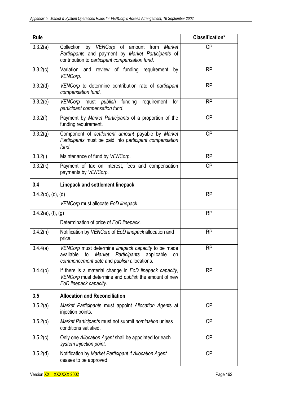| <b>Rule</b>                |                                                                                                                                                                    | Classification* |
|----------------------------|--------------------------------------------------------------------------------------------------------------------------------------------------------------------|-----------------|
| 3.3.2(a)                   | Collection by VENCorp of amount from<br>Market<br>Participants and payment by Market Participants of<br>contribution to participant compensation fund.             | <b>CP</b>       |
| 3.3.2(c)                   | Variation and review of funding requirement<br>by<br>VENCorp.                                                                                                      | <b>RP</b>       |
| 3.3.2(d)                   | VENCorp to determine contribution rate of participant<br>compensation fund.                                                                                        | <b>RP</b>       |
| 3.3.2(e)                   | VENCorp must publish funding requirement<br>for<br>participant compensation fund.                                                                                  | <b>RP</b>       |
| 3.3.2(f)                   | Payment by Market Participants of a proportion of the<br>funding requirement.                                                                                      | <b>CP</b>       |
| 3.3.2(g)                   | Component of settlement amount payable by Market<br>Participants must be paid into participant compensation<br>fund.                                               | <b>CP</b>       |
| 3.3.2(i)                   | Maintenance of fund by VENCorp.                                                                                                                                    | <b>RP</b>       |
| 3.3.2(k)                   | Payment of tax on interest, fees and compensation<br>payments by VENCorp.                                                                                          | <b>CP</b>       |
| 3.4                        | Linepack and settlement linepack                                                                                                                                   |                 |
| $3.4.2(b)$ , (c), (d)      |                                                                                                                                                                    | <b>RP</b>       |
|                            | VENCorp must allocate EoD linepack.                                                                                                                                |                 |
| $3.4.2(e)$ , $(f)$ , $(g)$ |                                                                                                                                                                    | <b>RP</b>       |
|                            | Determination of price of EoD linepack.                                                                                                                            |                 |
| 3.4.2(h)                   | Notification by VENCorp of EoD linepack allocation and<br>price.                                                                                                   | <b>RP</b>       |
| 3.4.4(a)                   | VENCorp must determine linepack capacity to be made<br>available<br>Market<br>Participants<br>to<br>applicable<br>on<br>commencement date and publish allocations. | <b>RP</b>       |
| 3.4.4(b)                   | If there is a material change in EoD linepack capacity,<br>VENCorp must determine and publish the amount of new<br>EoD linepack capacity.                          | <b>RP</b>       |
| 3.5                        | <b>Allocation and Reconciliation</b>                                                                                                                               |                 |
| 3.5.2(a)                   | Market Participants must appoint Allocation Agents at<br>injection points.                                                                                         | <b>CP</b>       |
| 3.5.2(b)                   | Market Participants must not submit nomination unless<br>conditions satisfied.                                                                                     | <b>CP</b>       |
| 3.5.2(c)                   | Only one Allocation Agent shall be appointed for each<br>system injection point.                                                                                   | <b>CP</b>       |
| 3.5.2(d)                   | Notification by Market Participant if Allocation Agent<br>ceases to be approved.                                                                                   | <b>CP</b>       |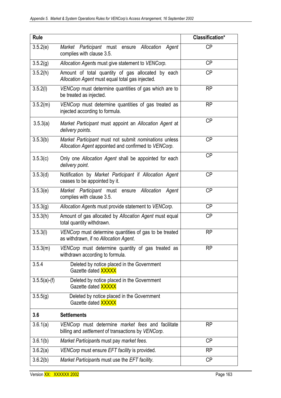| <b>Rule</b>    |                                                                                                               | Classification* |
|----------------|---------------------------------------------------------------------------------------------------------------|-----------------|
| 3.5.2(e)       | Market Participant must ensure Allocation Agent<br>complies with clause 3.5.                                  | СP              |
| 3.5.2(g)       | Allocation Agents must give statement to VENCorp.                                                             | <b>CP</b>       |
| 3.5.2(h)       | Amount of total quantity of gas allocated by each<br>Allocation Agent must equal total gas injected.          | <b>CP</b>       |
| 3.5.2(l)       | VENCorp must determine quantities of gas which are to<br>be treated as injected.                              | <b>RP</b>       |
| 3.5.2(m)       | VENCorp must determine quantities of gas treated as<br>injected according to formula.                         | <b>RP</b>       |
| 3.5.3(a)       | Market Participant must appoint an Allocation Agent at<br>delivery points.                                    | <b>CP</b>       |
| 3.5.3(b)       | Market Participant must not submit nominations unless<br>Allocation Agent appointed and confirmed to VENCorp. | <b>CP</b>       |
| 3.5.3(c)       | Only one Allocation Agent shall be appointed for each<br>delivery point.                                      | <b>CP</b>       |
| 3.5.3(d)       | Notification by Market Participant if Allocation Agent<br>ceases to be appointed by it.                       | <b>CP</b>       |
| 3.5.3(e)       | Market Participant must ensure Allocation<br>Agent<br>complies with clause 3.5.                               | <b>CP</b>       |
| 3.5.3(g)       | Allocation Agents must provide statement to VENCorp.                                                          | <b>CP</b>       |
| 3.5.3(h)       | Amount of gas allocated by Allocation Agent must equal<br>total quantity withdrawn.                           | СP              |
| 3.5.3(l)       | VENCorp must determine quantities of gas to be treated<br>as withdrawn, if no Allocation Agent.               | <b>RP</b>       |
| 3.5.3(m)       | VENCorp must determine quantity of gas treated as<br>withdrawn according to formula.                          | <b>RP</b>       |
| 3.5.4          | Deleted by notice placed in the Government<br>Gazette dated XXXXX                                             |                 |
| $3.5.5(a)-(f)$ | Deleted by notice placed in the Government<br>Gazette dated XXXXX                                             |                 |
| 3.5.5(g)       | Deleted by notice placed in the Government<br>Gazette dated <b>XXXXX</b>                                      |                 |
| 3.6            | <b>Settlements</b>                                                                                            |                 |
| 3.6.1(a)       | VENCorp must determine market fees and facilitate<br>billing and settlement of transactions by VENCorp.       | <b>RP</b>       |
| 3.6.1(b)       | Market Participants must pay market fees.                                                                     | <b>CP</b>       |
| 3.6.2(a)       | VENCorp must ensure EFT facility is provided.                                                                 | <b>RP</b>       |
| 3.6.2(b)       | Market Participants must use the EFT facility.                                                                | <b>CP</b>       |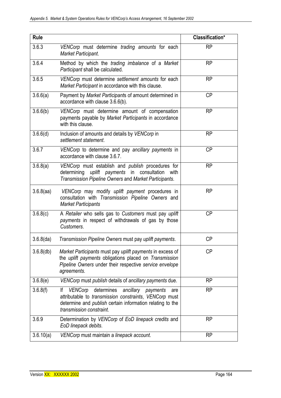| <b>Rule</b>    |                                                                                                                                                                                                                            | Classification* |
|----------------|----------------------------------------------------------------------------------------------------------------------------------------------------------------------------------------------------------------------------|-----------------|
| 3.6.3          | VENCorp must determine trading amounts for each<br>Market Participant.                                                                                                                                                     | <b>RP</b>       |
| 3.6.4          | Method by which the trading imbalance of a Market<br>Participant shall be calculated.                                                                                                                                      | <b>RP</b>       |
| 3.6.5          | VENCorp must determine settlement amounts for each<br>Market Participant in accordance with this clause.                                                                                                                   | <b>RP</b>       |
| 3.6.6(a)       | Payment by Market Participants of amount determined in<br>accordance with clause 3.6.6(b).                                                                                                                                 | <b>CP</b>       |
| 3.6.6(b)       | VENCorp must determine amount of compensation<br>payments payable by Market Participants in accordance<br>with this clause.                                                                                                | <b>RP</b>       |
| 3.6.6(d)       | Inclusion of amounts and details by VENCorp in<br>settlement statement.                                                                                                                                                    | <b>RP</b>       |
| 3.6.7          | VENCorp to determine and pay ancillary payments in<br>accordance with clause 3.6.7.                                                                                                                                        | <b>CP</b>       |
| 3.6.8(a)       | VENCorp must establish and publish procedures for<br>determining uplift payments in consultation<br>with<br>Transmission Pipeline Owners and Market Participants.                                                          | <b>RP</b>       |
| $3.6.8$ (aa)   | VENCorp may modify uplift payment procedures in<br>consultation with Transmission Pipeline Owners and<br><b>Market Participants</b>                                                                                        | <b>RP</b>       |
| 3.6.8(c)       | A Retailer who sells gas to Customers must pay uplift<br>payments in respect of withdrawals of gas by those<br>Customers.                                                                                                  | <b>CP</b>       |
| $3.6.8$ $(da)$ | Transmission Pipeline Owners must pay uplift payments.                                                                                                                                                                     | <b>CP</b>       |
| $3.6.8$ (db)   | Market Participants must pay uplift payments in excess of<br>the uplift payments obligations placed on Transmission<br>Pipeline Owners under their respective service envelope<br>agreements.                              | <b>CP</b>       |
| 3.6.8(e)       | VENCorp must publish details of ancillary payments due.                                                                                                                                                                    | <b>RP</b>       |
| 3.6.8(f)       | VENCorp<br>determines<br>ancillary payments<br>lf<br>are<br>attributable to <i>transmission constraints</i> , VENCorp must<br>determine and <i>publish</i> certain information relating to the<br>transmission constraint. | <b>RP</b>       |
| 3.6.9          | Determination by VENCorp of EoD linepack credits and<br>EoD linepack debits.                                                                                                                                               | <b>RP</b>       |
| 3.6.10(a)      | VENCorp must maintain a linepack account.                                                                                                                                                                                  | <b>RP</b>       |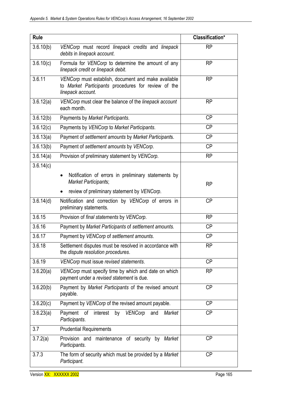| <b>Rule</b> |                                                                                                                                 | <b>Classification*</b> |
|-------------|---------------------------------------------------------------------------------------------------------------------------------|------------------------|
| 3.6.10(b)   | VENCorp must record linepack credits and linepack<br>debits in linepack account.                                                | <b>RP</b>              |
| 3.6.10(c)   | Formula for VENCorp to determine the amount of any<br>linepack credit or linepack debit.                                        | <b>RP</b>              |
| 3.6.11      | VENCorp must establish, document and make available<br>to Market Participants procedures for review of the<br>linepack account. | <b>RP</b>              |
| 3.6.12(a)   | VENCorp must clear the balance of the linepack account<br>each month.                                                           | <b>RP</b>              |
| 3.6.12(b)   | Payments by Market Participants.                                                                                                | <b>CP</b>              |
| 3.6.12(c)   | Payments by VENCorp to Market Participants.                                                                                     | <b>CP</b>              |
| 3.6.13(a)   | Payment of settlement amounts by Market Participants.                                                                           | <b>CP</b>              |
| 3.6.13(b)   | Payment of settlement amounts by VENCorp.                                                                                       | <b>CP</b>              |
| 3.6.14(a)   | Provision of preliminary statement by VENCorp.                                                                                  | <b>RP</b>              |
| 3.6.14(c)   |                                                                                                                                 |                        |
|             | Notification of errors in preliminary statements by<br>$\bullet$<br>Market Participants;                                        | <b>RP</b>              |
|             | review of preliminary statement by VENCorp.                                                                                     |                        |
| 3.6.14(d)   | Notification and correction by VENCorp of errors in<br>preliminary statements.                                                  | <b>CP</b>              |
| 3.6.15      | Provision of final statements by VENCorp.                                                                                       | <b>RP</b>              |
| 3.6.16      | Payment by Market Participants of settlement amounts.                                                                           | <b>CP</b>              |
| 3.6.17      | Payment by VENCorp of settlement amounts.                                                                                       | <b>CP</b>              |
| 3.6.18      | Settlement disputes must be resolved in accordance with<br>the dispute resolution procedures.                                   | <b>RP</b>              |
| 3.6.19      | VENCorp must issue revised statements.                                                                                          | <b>CP</b>              |
| 3.6.20(a)   | VENCorp must specify time by which and date on which<br>payment under a revised statement is due.                               | <b>RP</b>              |
| 3.6.20(b)   | Payment by Market Participants of the revised amount<br>payable.                                                                | <b>CP</b>              |
| 3.6.20(c)   | Payment by VENCorp of the revised amount payable.                                                                               | <b>CP</b>              |
| 3.6.23(a)   | Payment of<br>interest by<br>VENCorp and<br>Market<br>Participants.                                                             | <b>CP</b>              |
| 3.7         | <b>Prudential Requirements</b>                                                                                                  |                        |
| 3.7.2(a)    | Provision and<br>maintenance of security by Market<br>Participants.                                                             | <b>CP</b>              |
| 3.7.3       | The form of security which must be provided by a Market<br>Participant.                                                         | <b>CP</b>              |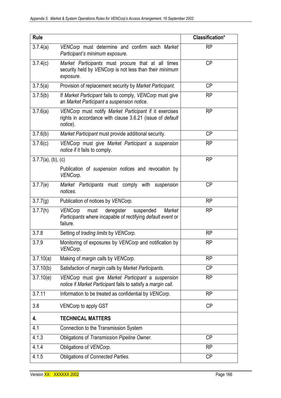| <b>Rule</b>           |                                                                                                                                        | Classification* |
|-----------------------|----------------------------------------------------------------------------------------------------------------------------------------|-----------------|
| 3.7.4(a)              | VENCorp must determine and confirm each Market<br>Participant's minimum exposure.                                                      | <b>RP</b>       |
| 3.7.4(c)              | Market Participants must procure that at all times<br>security held by VENCorp is not less than their minimum<br>exposure.             | <b>CP</b>       |
| 3.7.5(a)              | Provision of replacement security by Market Participant.                                                                               | <b>CP</b>       |
| 3.7.5(b)              | If Market Participant fails to comply, VENCorp must give<br>an Market Participant a suspension notice.                                 | <b>RP</b>       |
| 3.7.6(a)              | VENCorp must notify Market Participant if it exercises<br>rights in accordance with clause 3.6.21 (issue of default<br>notice).        | <b>RP</b>       |
| 3.7.6(b)              | Market Participant must provide additional security.                                                                                   | <b>CP</b>       |
| 3.7.6(c)              | VENCorp must give Market Participant a suspension<br>notice if it fails to comply.                                                     | <b>RP</b>       |
| $3.7.7(a)$ , (b), (c) |                                                                                                                                        | <b>RP</b>       |
|                       | Publication of suspension notices and revocation by<br>VENCorp.                                                                        |                 |
| 3.7.7(e)              | Market Participants must comply with suspension<br>notices.                                                                            | <b>CP</b>       |
| 3.7.7(g)              | Publication of notices by VENCorp.                                                                                                     | <b>RP</b>       |
| 3.7.7(h)              | deregister<br>suspended<br><b>VENCorp</b><br>must<br>Market<br>Participants where incapable of rectifying default event or<br>failure. | <b>RP</b>       |
| 3.7.8                 | Setting of trading limits by VENCorp.                                                                                                  | <b>RP</b>       |
| 3.7.9                 | Monitoring of exposures by VENCorp and notification by<br>VENCorp.                                                                     | RP              |
| 3.7.10(a)             | Making of margin calls by VENCorp.                                                                                                     | <b>RP</b>       |
| 3.7.10(b)             | Satisfaction of margin calls by Market Participants.                                                                                   | <b>CP</b>       |
| 3.7.10(e)             | VENCorp must give Market Participant a suspension<br>notice if Market Participant fails to satisfy a margin call.                      | <b>RP</b>       |
| 3.7.11                | Information to be treated as confidential by VENCorp.                                                                                  | <b>RP</b>       |
| 3.8                   | <b>VENCorp to apply GST</b>                                                                                                            | <b>CP</b>       |
| 4.                    | <b>TECHNICAL MATTERS</b>                                                                                                               |                 |
| 4.1                   | Connection to the Transmission System                                                                                                  |                 |
| 4.1.3                 | Obligations of Transmission Pipeline Owner.                                                                                            | <b>CP</b>       |
| 4.1.4                 | Obligations of VENCorp.                                                                                                                | <b>RP</b>       |
| 4.1.5                 | Obligations of Connected Parties.                                                                                                      | <b>CP</b>       |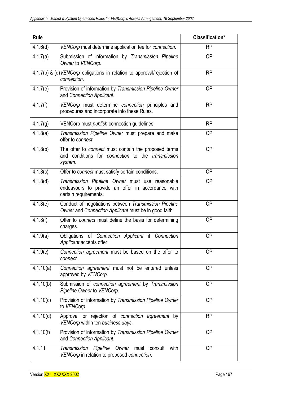| <b>Rule</b> |                                                                                                                               | Classification* |
|-------------|-------------------------------------------------------------------------------------------------------------------------------|-----------------|
| 4.1.6(d)    | VENCorp must determine application fee for connection.                                                                        | <b>RP</b>       |
| 4.1.7(a)    | Submission of information by Transmission Pipeline<br>Owner to VENCorp.                                                       | <b>CP</b>       |
|             | 4.1.7(b) & (d) VENCorp obligations in relation to approval/rejection of<br>connection.                                        | <b>RP</b>       |
| 4.1.7(e)    | Provision of information by Transmission Pipeline Owner<br>and Connection Applicant.                                          | <b>CP</b>       |
| 4.1.7(f)    | VENCorp must determine connection principles and<br>procedures and incorporate into these Rules.                              | <b>RP</b>       |
| 4.1.7(g)    | VENCorp must <i>publish</i> connection guidelines.                                                                            | <b>RP</b>       |
| 4.1.8(a)    | Transmission Pipeline Owner must prepare and make<br>offer to connect.                                                        | <b>CP</b>       |
| 4.1.8(b)    | The offer to <i>connect</i> must contain the proposed terms<br>and conditions for connection to the transmission<br>system.   | <b>CP</b>       |
| 4.1.8(c)    | Offer to connect must satisfy certain conditions.                                                                             | <b>CP</b>       |
| 4.1.8(d)    | Transmission Pipeline Owner must use reasonable<br>endeavours to provide an offer in accordance with<br>certain requirements. | <b>CP</b>       |
| 4.1.8(e)    | Conduct of negotiations between Transmission Pipeline<br>Owner and Connection Applicant must be in good faith.                | <b>CP</b>       |
| 4.1.8(f)    | Offer to <i>connect</i> must define the basis for determining<br>charges.                                                     | <b>CP</b>       |
| 4.1.9(a)    | Obligations of Connection Applicant if Connection<br>Applicant accepts offer.                                                 | <b>CP</b>       |
| 4.1.9(c)    | Connection agreement must be based on the offer to<br>connect.                                                                | <b>CP</b>       |
| 4.1.10(a)   | Connection agreement must not be entered unless<br>approved by VENCorp.                                                       | <b>CP</b>       |
| 4.1.10(b)   | Submission of connection agreement by Transmission<br>Pipeline Owner to VENCorp.                                              | <b>CP</b>       |
| 4.1.10(c)   | Provision of information by Transmission Pipeline Owner<br>to VENCorp.                                                        | <b>CP</b>       |
| 4.1.10(d)   | Approval or rejection of connection agreement by<br>VENCorp within ten business days.                                         | <b>RP</b>       |
| 4.1.10(f)   | Provision of information by Transmission Pipeline Owner<br>and Connection Applicant.                                          | <b>CP</b>       |
| 4.1.11      | Transmission Pipeline Owner must consult<br>with<br>VENCorp in relation to proposed connection.                               | <b>CP</b>       |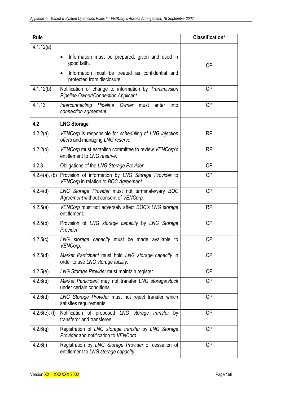| <b>Rule</b>      |                                                                                                                                             | Classification* |
|------------------|---------------------------------------------------------------------------------------------------------------------------------------------|-----------------|
| 4.1.12(a)        | Information must be prepared, given and used in<br>$\bullet$<br>good faith.<br>Information must be treated as confidential and<br>$\bullet$ | <b>CP</b>       |
|                  | protected from disclosure.                                                                                                                  |                 |
| 4.1.12(b)        | Notification of change to information by Transmission<br><b>Pipeline Owner/Connection Applicant.</b>                                        | <b>CP</b>       |
| 4.1.13           | Interconnecting Pipeline<br>Owner must enter<br>into<br>connection agreement.                                                               | <b>CP</b>       |
| 4.2              | <b>LNG Storage</b>                                                                                                                          |                 |
| 4.2.2(a)         | VENCorp is responsible for scheduling of LNG injection<br>offers and managing LNG reserve.                                                  | <b>RP</b>       |
| 4.2.2(b)         | VENCorp must establish committee to review VENCorp's<br>entitlement to LNG reserve.                                                         | <b>RP</b>       |
| 4.2.3            | Obligations of the LNG Storage Provider.                                                                                                    | <b>CP</b>       |
|                  | 4.2.4(a), (b) Provision of information by LNG Storage Provider to<br>VENCorp in relation to BOC Agreement.                                  | <b>CP</b>       |
| 4.2.4(d)         | LNG Storage Provider must not terminate/vary BOC<br>Agreement without consent of VENCorp.                                                   | <b>CP</b>       |
| 4.2.5(a)         | VENCorp must not adversely affect BOC's LNG storage<br>entitlement.                                                                         | <b>RP</b>       |
| 4.2.5(b)         | Provision of LNG storage capacity by LNG Storage<br>Provider.                                                                               | <b>CP</b>       |
| 4.2.5(c)         | LNG storage capacity must be made available to<br>VENCorp.                                                                                  | <b>CP</b>       |
| 4.2.5(d)         | Market Participant must hold LNG storage capacity in<br>order to use LNG storage facility.                                                  | <b>CP</b>       |
| 4.2.5(e)         | LNG Storage Provider must maintain register.                                                                                                | <b>CP</b>       |
| 4.2.6(b)         | Market Participant may not transfer LNG storage/stock<br>under certain conditions.                                                          | <b>CP</b>       |
| 4.2.6(d)         | LNG Storage Provider must not reject transfer which<br>satisfies requirements.                                                              | <b>CP</b>       |
| $4.2.6(e)$ , (f) | Notification of proposed LNG storage transfer by<br>transferor and transferee.                                                              | <b>CP</b>       |
| 4.2.6(g)         | Registration of LNG storage transfer by LNG Storage<br>Provider and notification to VENCorp.                                                | <b>CP</b>       |
| 4.2.6(i)         | Registration by LNG Storage Provider of cessation of<br>entitlement to LNG storage capacity.                                                | <b>CP</b>       |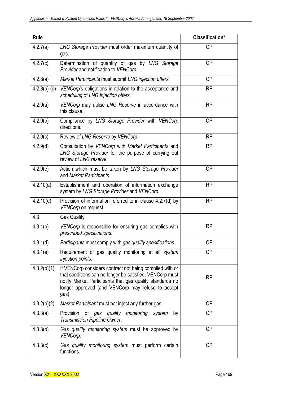| <b>Rule</b>    |                                                                                                                                                                                                                                                | Classification* |
|----------------|------------------------------------------------------------------------------------------------------------------------------------------------------------------------------------------------------------------------------------------------|-----------------|
| 4.2.7(a)       | LNG Storage Provider must order maximum quantity of<br>gas.                                                                                                                                                                                    | <b>CP</b>       |
| 4.2.7(c)       | Determination of quantity of gas by LNG Storage<br>Provider and notification to VENCorp.                                                                                                                                                       | <b>CP</b>       |
| 4.2.8(a)       | Market Participants must submit LNG injection offers.                                                                                                                                                                                          | <b>CP</b>       |
| $4.2.8(b)-(d)$ | VENCorp's obligations in relation to the acceptance and<br>scheduling of LNG injection offers.                                                                                                                                                 | <b>RP</b>       |
| 4.2.9(a)       | VENCorp may utilise LNG Reserve in accordance with<br>this clause.                                                                                                                                                                             | <b>RP</b>       |
| 4.2.9(b)       | Compliance by LNG Storage Provider with VENCorp<br>directions.                                                                                                                                                                                 | <b>CP</b>       |
| 4.2.9(c)       | Review of LNG Reserve by VENCorp.                                                                                                                                                                                                              | <b>RP</b>       |
| 4.2.9(d)       | Consultation by VENCorp with Market Participants and<br>LNG Storage Provider for the purpose of carrying out<br>review of LNG reserve.                                                                                                         | <b>RP</b>       |
| 4.2.9(e)       | Action which must be taken by LNG Storage Provider<br>and Market Participants.                                                                                                                                                                 | <b>CP</b>       |
| 4.2.10(a)      | Establishment and operation of information exchange<br>system by LNG Storage Provider and VENCorp.                                                                                                                                             | <b>RP</b>       |
| 4.2.10(d)      | Provision of information referred to in clause 4.2.7(d) by<br>VENCorp on request.                                                                                                                                                              | <b>RP</b>       |
| 4.3            | <b>Gas Quality</b>                                                                                                                                                                                                                             |                 |
| 4.3.1(b)       | VENCorp is responsible for ensuring gas complies with<br>prescribed specifications.                                                                                                                                                            | <b>RP</b>       |
| 4.3.1(d)       | Participants must comply with gas quality specifications.                                                                                                                                                                                      | CP              |
| 4.3.1(e)       | Requirement of gas quality monitoring at all system<br>injection points.                                                                                                                                                                       | <b>CP</b>       |
| 4.3.2(b)(1)    | If VENCorp considers contract not being complied with or<br>that conditions can no longer be satisfied, VENCorp must<br>notify Market Participants that gas quality standards no<br>longer approved (and VENCorp may refuse to accept<br>gas). | <b>RP</b>       |
| 4.3.2(b)(2)    | Market Participant must not inject any further gas.                                                                                                                                                                                            | <b>CP</b>       |
| 4.3.3(a)       | Provision<br>of<br>quality monitoring<br>gas<br>system<br>by<br><b>Transmission Pipeline Owner.</b>                                                                                                                                            | <b>CP</b>       |
| 4.3.3(b)       | Gas quality monitoring system must be approved by<br>VENCorp.                                                                                                                                                                                  | <b>CP</b>       |
| 4.3.3(c)       | Gas quality monitoring system must perform certain<br>functions.                                                                                                                                                                               | <b>CP</b>       |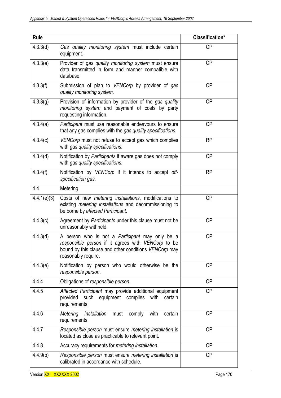| <b>Rule</b> |                                                                                                                                                                                              | Classification* |
|-------------|----------------------------------------------------------------------------------------------------------------------------------------------------------------------------------------------|-----------------|
| 4.3.3(d)    | Gas quality monitoring system must include certain<br>equipment.                                                                                                                             | <b>CP</b>       |
| 4.3.3(e)    | Provider of gas quality monitoring system must ensure<br>data transmitted in form and manner compatible with<br>database.                                                                    | <b>CP</b>       |
| 4.3.3(f)    | Submission of plan to VENCorp by provider of gas<br>quality monitoring system.                                                                                                               | <b>CP</b>       |
| 4.3.3(g)    | Provision of information by provider of the gas quality<br>monitoring system and payment of costs by party<br>requesting information.                                                        | <b>CP</b>       |
| 4.3.4(a)    | Participant must use reasonable endeavours to ensure<br>that any gas complies with the gas quality specifications.                                                                           | <b>CP</b>       |
| 4.3.4(c)    | VENCorp must not refuse to accept gas which complies<br>with gas quality specifications.                                                                                                     | <b>RP</b>       |
| 4.3.4(d)    | Notification by Participants if aware gas does not comply<br>with gas quality specifications.                                                                                                | <b>CP</b>       |
| 4.3.4(f)    | Notification by VENCorp if it intends to accept off-<br>specification gas.                                                                                                                   | <b>RP</b>       |
| 4.4         | Metering                                                                                                                                                                                     |                 |
| 4.4.1(e)(3) | Costs of new metering installations, modifications to<br>existing metering installations and decommissioning to<br>be borne by affected Participant.                                         | <b>CP</b>       |
| 4.4.3(c)    | Agreement by Participants under this clause must not be<br>unreasonably withheld.                                                                                                            | <b>CP</b>       |
| 4.4.3(d)    | A person who is not a <i>Participant</i> may only be a<br>responsible person if it agrees with VENCorp to be<br>bound by this clause and other conditions VENCorp may<br>reasonably require. | <b>CP</b>       |
| 4.4.3(e)    | Notification by person who would otherwise be the<br>responsible person.                                                                                                                     | <b>CP</b>       |
| 4.4.4       | Obligations of responsible person.                                                                                                                                                           | <b>CP</b>       |
| 4.4.5       | Affected Participant may provide additional equipment<br>provided<br>such equipment complies with<br>certain<br>requirements.                                                                | <b>CP</b>       |
| 4.4.6       | Metering<br>installation<br>with<br>comply<br>certain<br>must<br>requirements.                                                                                                               | <b>CP</b>       |
| 4.4.7       | Responsible person must ensure metering installation is<br>located as close as practicable to relevant point.                                                                                | <b>CP</b>       |
| 4.4.8       | Accuracy requirements for metering installation.                                                                                                                                             | <b>CP</b>       |
| 4.4.9(b)    | Responsible person must ensure metering installation is<br>calibrated in accordance with schedule.                                                                                           | <b>CP</b>       |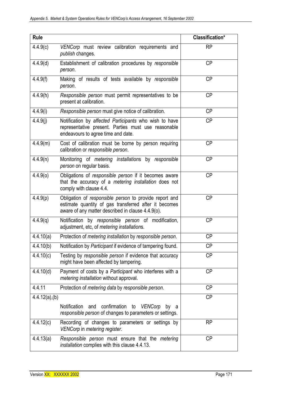| <b>Rule</b>       |                                                                                                                                                                      | Classification* |
|-------------------|----------------------------------------------------------------------------------------------------------------------------------------------------------------------|-----------------|
| 4.4.9(c)          | VENCorp must review calibration requirements and<br>publish changes.                                                                                                 | <b>RP</b>       |
| 4.4.9(d)          | Establishment of calibration procedures by responsible<br>person.                                                                                                    | <b>CP</b>       |
| 4.4.9(f)          | Making of results of tests available by responsible<br>person.                                                                                                       | <b>CP</b>       |
| 4.4.9(h)          | Responsible person must permit representatives to be<br>present at calibration.                                                                                      | <b>CP</b>       |
| 4.4.9(i)          | Responsible person must give notice of calibration.                                                                                                                  | <b>CP</b>       |
| 4.4.9(i)          | Notification by affected Participants who wish to have<br>representative present. Parties must use reasonable<br>endeavours to agree time and date.                  | <b>CP</b>       |
| 4.4.9(m)          | Cost of calibration must be borne by person requiring<br>calibration or responsible person.                                                                          | <b>CP</b>       |
| 4.4.9(n)          | Monitoring of metering installations by responsible<br>person on regular basis.                                                                                      | <b>CP</b>       |
| 4.4.9(0)          | Obligations of responsible person if it becomes aware<br>that the accuracy of a metering installation does not<br>comply with clause 4.4.                            | <b>CP</b>       |
| 4.4.9(p)          | Obligation of responsible person to provide report and<br>estimate quantity of gas transferred after it becomes<br>aware of any matter described in clause 4.4.9(o). | <b>CP</b>       |
| 4.4.9(q)          | Notification by responsible person of modification,<br>adjustment, etc, of metering installations.                                                                   | <b>CP</b>       |
| 4.4.10(a)         | Protection of <i>metering installation</i> by <i>responsible</i> person.                                                                                             | <b>CP</b>       |
| 4.4.10(b)         | Notification by Participant if evidence of tampering found.                                                                                                          | <b>CP</b>       |
| 4.4.10(c)         | Testing by responsible person if evidence that accuracy<br>might have been affected by tampering.                                                                    | <b>CP</b>       |
| 4.4.10(d)         | Payment of costs by a Participant who interferes with a<br>metering installation without approval.                                                                   | <b>CP</b>       |
| 4.4.11            | Protection of metering data by responsible person.                                                                                                                   | <b>CP</b>       |
| $4.4.12(a)$ , (b) |                                                                                                                                                                      | <b>CP</b>       |
|                   | confirmation<br><b>Notification</b><br>and<br>to<br>VENCorp<br>by<br>a<br>responsible person of changes to parameters or settings.                                   |                 |
| 4.4.12(c)         | Recording of changes to parameters or settings by<br>VENCorp in metering register.                                                                                   | <b>RP</b>       |
| 4.4.13(a)         | Responsible person must ensure that the metering<br>installation complies with this clause 4.4.13.                                                                   | <b>CP</b>       |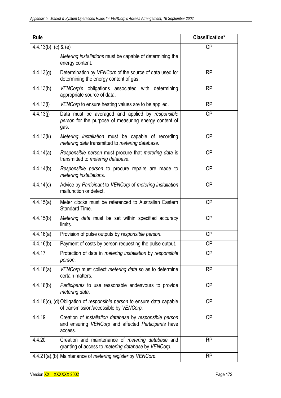| <b>Rule</b>             |                                                                                                                                  | Classification* |
|-------------------------|----------------------------------------------------------------------------------------------------------------------------------|-----------------|
| $4.4.13(b)$ , (c) & (e) |                                                                                                                                  | <b>CP</b>       |
|                         | Metering installations must be capable of determining the<br>energy content.                                                     |                 |
| 4.4.13(g)               | Determination by VENCorp of the source of data used for<br>determining the energy content of gas.                                | <b>RP</b>       |
| 4.4.13(h)               | VENCorp's obligations associated with determining<br>appropriate source of data.                                                 | <b>RP</b>       |
| 4.4.13(i)               | VENCorp to ensure heating values are to be applied.                                                                              | <b>RP</b>       |
| 4.4.13(j)               | Data must be averaged and applied by responsible<br>person for the purpose of measuring energy content of<br>gas.                | <b>CP</b>       |
| 4.4.13(k)               | Metering installation must be capable of recording<br>metering data transmitted to metering database.                            | <b>CP</b>       |
| 4.4.14(a)               | Responsible person must procure that metering data is<br>transmitted to metering database.                                       | <b>CP</b>       |
| 4.4.14(b)               | Responsible person to procure repairs are made to<br>metering installations.                                                     | <b>CP</b>       |
| 4.4.14(c)               | Advice by Participant to VENCorp of metering installation<br>malfunction or defect.                                              | <b>CP</b>       |
| 4.4.15(a)               | Meter clocks must be referenced to Australian Eastern<br>Standard Time.                                                          | <b>CP</b>       |
| 4.4.15(b)               | Metering data must be set within specified accuracy<br>limits.                                                                   | <b>CP</b>       |
| 4.4.16(a)               | Provision of pulse outputs by responsible person.                                                                                | <b>CP</b>       |
| 4.4.16(b)               | Payment of costs by person requesting the pulse output.                                                                          | <b>CP</b>       |
| 4.4.17                  | Protection of data in <i>metering installation</i> by <i>responsible</i><br>person.                                              | <b>CP</b>       |
| 4.4.18(a)               | VENCorp must collect metering data so as to determine<br>certain matters.                                                        | <b>RP</b>       |
| 4.4.18(b)               | Participants to use reasonable endeavours to provide<br>metering data.                                                           | <b>CP</b>       |
|                         | 4.4.18(c), (d) Obligation of responsible person to ensure data capable<br>of transmission/accessible by VENCorp.                 | <b>CP</b>       |
| 4.4.19                  | Creation of <i>installation</i> database by responsible person<br>and ensuring VENCorp and affected Participants have<br>access. | <b>CP</b>       |
| 4.4.20                  | Creation and maintenance of metering database and<br>granting of access to metering database by VENCorp.                         | <b>RP</b>       |
|                         | 4.4.21(a),(b) Maintenance of metering register by VENCorp.                                                                       | <b>RP</b>       |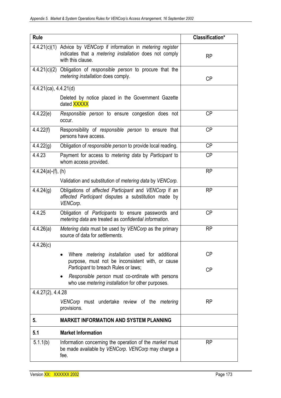| <b>Rule</b>                 |                                                                                                                                                   | Classification* |
|-----------------------------|---------------------------------------------------------------------------------------------------------------------------------------------------|-----------------|
|                             | 4.4.21(c)(1) Advice by VENCorp if information in metering register<br>indicates that a metering installation does not comply<br>with this clause. | <b>RP</b>       |
|                             | $4.4.21(c)(2)$ Obligation of responsible person to procure that the<br>metering installation does comply.                                         | <b>CP</b>       |
| $4.4.21$ (ca), $4.4.21$ (d) |                                                                                                                                                   |                 |
|                             | Deleted by notice placed in the Government Gazette<br>dated XXXXX                                                                                 |                 |
| 4.4.22(e)                   | Responsible person to ensure congestion does not<br>occur.                                                                                        | <b>CP</b>       |
| 4.4.22(f)                   | Responsibility of responsible person to ensure that<br>persons have access.                                                                       | <b>CP</b>       |
| 4.4.22(g)                   | Obligation of responsible person to provide local reading.                                                                                        | <b>CP</b>       |
| 4.4.23                      | Payment for access to metering data by Participant to<br>whom access provided.                                                                    | <b>CP</b>       |
| $4.4.24(a)-(f), (h)$        |                                                                                                                                                   | <b>RP</b>       |
|                             | Validation and substitution of <i>metering data</i> by VENCorp.                                                                                   |                 |
| 4.4.24(g)                   | Obligations of affected Participant and VENCorp if an<br>affected Participant disputes a substitution made by<br>VENCorp.                         | <b>RP</b>       |
| 4.4.25                      | Obligation of Participants to ensure passwords and<br>metering data are treated as confidential information.                                      | <b>CP</b>       |
| 4.4.26(a)                   | Metering data must be used by VENCorp as the primary<br>source of data for settlements.                                                           | <b>RP</b>       |
| 4.4.26(c)                   |                                                                                                                                                   |                 |
|                             | Where metering installation used for additional<br>purpose, must not be inconsistent with, or cause                                               | <b>CP</b>       |
|                             | Participant to breach Rules or laws;                                                                                                              | <b>CP</b>       |
|                             | Responsible person must co-ordinate with persons<br>who use metering installation for other purposes.                                             |                 |
| 4.4.27(2), 4.4.28           |                                                                                                                                                   |                 |
|                             | VENCorp must undertake review of the metering<br>provisions.                                                                                      | <b>RP</b>       |
| 5.                          | <b>MARKET INFORMATION AND SYSTEM PLANNING</b>                                                                                                     |                 |
| 5.1                         | <b>Market Information</b>                                                                                                                         |                 |
| 5.1.1(b)                    | Information concerning the operation of the <i>market</i> must<br>be made available by VENCorp. VENCorp may charge a<br>fee.                      | <b>RP</b>       |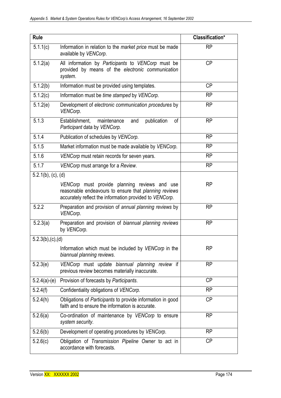| <b>Rule</b>           |                                                                                                                                                                   | Classification* |
|-----------------------|-------------------------------------------------------------------------------------------------------------------------------------------------------------------|-----------------|
| 5.1.1(c)              | Information in relation to the <i>market price</i> must be made<br>available by VENCorp.                                                                          | <b>RP</b>       |
| 5.1.2(a)              | All information by Participants to VENCorp must be<br>provided by means of the electronic communication<br>system.                                                | <b>CP</b>       |
| $\overline{5}.1.2(b)$ | Information must be provided using templates.                                                                                                                     | <b>CP</b>       |
| 5.1.2(c)              | Information must be time stamped by VENCorp.                                                                                                                      | <b>RP</b>       |
| 5.1.2(e)              | Development of electronic communication procedures by<br>VENCorp.                                                                                                 | <b>RP</b>       |
| 5.1.3                 | publication<br>Establishment,<br>maintenance<br>of<br>and<br>Participant data by VENCorp.                                                                         | <b>RP</b>       |
| 5.1.4                 | Publication of schedules by VENCorp.                                                                                                                              | <b>RP</b>       |
| 5.1.5                 | Market information must be made available by VENCorp.                                                                                                             | <b>RP</b>       |
| 5.1.6                 | VENCorp must retain records for seven years.                                                                                                                      | <b>RP</b>       |
| 5.1.7                 | VENCorp must arrange for a Review.                                                                                                                                | <b>RP</b>       |
| $5.2.1(b)$ , (c), (d) |                                                                                                                                                                   |                 |
|                       | VENCorp must provide planning reviews and use<br>reasonable endeavours to ensure that planning reviews<br>accurately reflect the information provided to VENCorp. | <b>RP</b>       |
| 5.2.2                 | Preparation and provision of annual planning reviews by<br>VENCorp.                                                                                               | <b>RP</b>       |
| 5.2.3(a)              | Preparation and provision of biannual planning reviews<br>by VENCorp.                                                                                             | <b>RP</b>       |
| $5.2.3(b)$ , (c), (d) |                                                                                                                                                                   |                 |
|                       | Information which must be included by VENCorp in the<br>biannual planning reviews.                                                                                | <b>RP</b>       |
| 5.2.3(e)              | VENCorp must update biannual planning review if<br>previous review becomes materially inaccurate.                                                                 | <b>RP</b>       |
| $5.2.4(a)-(e)$        | Provision of forecasts by Participants.                                                                                                                           | <b>CP</b>       |
| 5.2.4(f)              | Confidentiality obligations of VENCorp.                                                                                                                           | RP              |
| 5.2.4(h)              | Obligations of Participants to provide information in good<br>faith and to ensure the information is accurate.                                                    | <b>CP</b>       |
| 5.2.6(a)              | Co-ordination of maintenance by VENCorp to ensure<br>system security.                                                                                             | <b>RP</b>       |
| 5.2.6(b)              | Development of operating procedures by VENCorp.                                                                                                                   | <b>RP</b>       |
| 5.2.6(c)              | Obligation of Transmission Pipeline Owner to act in<br>accordance with forecasts.                                                                                 | <b>CP</b>       |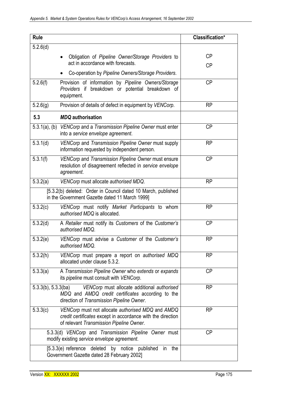| <b>Rule</b>                                                                                                                                                               |                                                                                                                                                              | Classification* |  |
|---------------------------------------------------------------------------------------------------------------------------------------------------------------------------|--------------------------------------------------------------------------------------------------------------------------------------------------------------|-----------------|--|
| 5.2.6(d)                                                                                                                                                                  |                                                                                                                                                              |                 |  |
|                                                                                                                                                                           | Obligation of Pipeline Owner/Storage Providers to                                                                                                            | <b>CP</b>       |  |
|                                                                                                                                                                           | act in accordance with forecasts.                                                                                                                            | <b>CP</b>       |  |
|                                                                                                                                                                           | Co-operation by Pipeline Owners/Storage Providers.                                                                                                           |                 |  |
| 5.2.6(f)                                                                                                                                                                  | Provision of information by Pipeline Owners/Storage<br>Providers if breakdown or potential breakdown of<br>equipment.                                        | <b>CP</b>       |  |
| 5.2.6(g)                                                                                                                                                                  | Provision of details of defect in equipment by VENCorp.                                                                                                      | <b>RP</b>       |  |
| 5.3                                                                                                                                                                       | <b>MDQ</b> authorisation                                                                                                                                     |                 |  |
|                                                                                                                                                                           | 5.3.1(a), (b) VENCorp and a Transmission Pipeline Owner must enter<br>into a service envelope agreement.                                                     | <b>CP</b>       |  |
| 5.3.1(d)                                                                                                                                                                  | VENCorp and Transmission Pipeline Owner must supply<br>information requested by independent person.                                                          | <b>RP</b>       |  |
| 5.3.1(f)                                                                                                                                                                  | VENCorp and Transmission Pipeline Owner must ensure<br>resolution of disagreement reflected in service envelope<br>agreement.                                | <b>CP</b>       |  |
| 5.3.2(a)<br><b>RP</b><br>VENCorp must allocate authorised MDQ.                                                                                                            |                                                                                                                                                              |                 |  |
| [5.3.2(b) deleted: Order in Council dated 10 March, published<br>in the Government Gazette dated 11 March 1999]                                                           |                                                                                                                                                              |                 |  |
| 5.3.2(c)                                                                                                                                                                  | VENCorp must notify Market Participants to whom<br>authorised MDQ is allocated.                                                                              | <b>RP</b>       |  |
| 5.3.2(d)                                                                                                                                                                  | A Retailer must notify its Customers of the Customer's<br>authorised MDQ.                                                                                    | <b>CP</b>       |  |
| 5.3.2(e)                                                                                                                                                                  | VENCorp must advise a Customer of the Customer's<br>authorised MDQ.                                                                                          | <b>RP</b>       |  |
| 5.3.2(h)                                                                                                                                                                  | VENCorp must prepare a report on authorised MDQ<br>allocated under clause 5.3.2.                                                                             | <b>RP</b>       |  |
| 5.3.3(a)                                                                                                                                                                  | A Transmission Pipeline Owner who extends or expands<br>its pipeline must consult with VENCorp.                                                              | <b>CP</b>       |  |
| $5.3.3(b)$ , $5.3.3(ba)$<br>VENCorp must allocate additional authorised<br>MDQ and AMDQ credit certificates according to the<br>direction of Transmission Pipeline Owner. |                                                                                                                                                              | <b>RP</b>       |  |
| 5.3.3(c)                                                                                                                                                                  | VENCorp must not allocate authorised MDQ and AMDQ<br>credit certificates except in accordance with the direction<br>of relevant Transmission Pipeline Owner. | <b>RP</b>       |  |
|                                                                                                                                                                           | <b>CP</b><br>5.3.3(d) VENCorp and Transmission Pipeline Owner must<br>modify existing service envelope agreement.                                            |                 |  |
| [5.3.3(e) reference deleted by notice published<br>in<br>the<br>Government Gazette dated 28 February 2002]                                                                |                                                                                                                                                              |                 |  |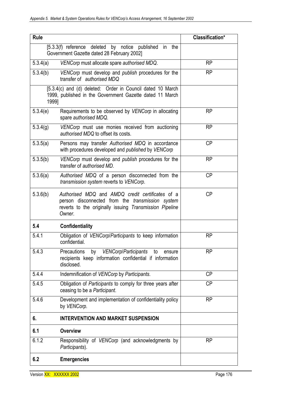| <b>Rule</b> |                                                                                                                                                                                  | Classification* |
|-------------|----------------------------------------------------------------------------------------------------------------------------------------------------------------------------------|-----------------|
|             | [5.3.3(f) reference deleted by notice published<br>the<br>in<br>Government Gazette dated 28 February 2002]                                                                       |                 |
| 5.3.4(a)    | VENCorp must allocate spare authorised MDQ.                                                                                                                                      | <b>RP</b>       |
| 5.3.4(b)    | VENCorp must develop and publish procedures for the<br>transfer of authorised MDQ                                                                                                | <b>RP</b>       |
| 1999]       | [5.3.4(c) and (d) deleted: Order in Council dated 10 March<br>1999, published in the Government Gazette dated 11 March                                                           |                 |
| 5.3.4(e)    | Requirements to be observed by VENCorp in allocating<br>spare authorised MDQ.                                                                                                    | <b>RP</b>       |
| 5.3.4(g)    | VENCorp must use monies received from auctioning<br>authorised MDQ to offset its costs.                                                                                          | <b>RP</b>       |
| 5.3.5(a)    | Persons may transfer Authorised MDQ in accordance<br>with procedures developed and <i>published</i> by VENCorp                                                                   | <b>CP</b>       |
| 5.3.5(b)    | VENCorp must develop and publish procedures for the<br>transfer of <i>authorised MD</i> .                                                                                        | <b>RP</b>       |
| 5.3.6(a)    | Authorised MDQ of a person disconnected from the<br>transmission system reverts to VENCorp.                                                                                      | <b>CP</b>       |
| 5.3.6(b)    | Authorised MDQ and AMDQ credit certificates of a<br>person disconnected from the <i>transmission</i> system<br>reverts to the originally issuing Transmission Pipeline<br>Owner. | <b>CP</b>       |
| 5.4         | <b>Confidentiality</b>                                                                                                                                                           |                 |
| 5.4.1       | Obligation of VENCorp/Participants to keep information<br>confidential.                                                                                                          | <b>RP</b>       |
| 5.4.3       | <b>VENCorp/Participants</b><br>Precautions<br>by<br>to<br>ensure<br>recipients keep information confidential if information<br>disclosed.                                        | <b>RP</b>       |
| 5.4.4       | Indemnification of VENCorp by Participants.                                                                                                                                      | <b>CP</b>       |
| 5.4.5       | Obligation of Participants to comply for three years after<br>ceasing to be a Participant.                                                                                       | <b>CP</b>       |
| 5.4.6       | Development and implementation of confidentiality policy<br>by VENCorp.                                                                                                          | <b>RP</b>       |
| 6.          | <b>INTERVENTION AND MARKET SUSPENSION</b>                                                                                                                                        |                 |
| 6.1         | <b>Overview</b>                                                                                                                                                                  |                 |
| 6.1.2       | Responsibility of VENCorp (and acknowledgments by<br>Participants).                                                                                                              | <b>RP</b>       |
| 6.2         | <b>Emergencies</b>                                                                                                                                                               |                 |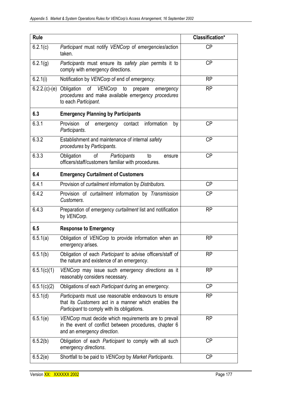| <b>Rule</b>    |                                                                                                                                                                           | Classification* |
|----------------|---------------------------------------------------------------------------------------------------------------------------------------------------------------------------|-----------------|
| 6.2.1(c)       | Participant must notify VENCorp of emergencies/action<br><b>CP</b><br>taken.                                                                                              |                 |
| 6.2.1(g)       | <b>CP</b><br>Participants must ensure its safety plan permits it to<br>comply with emergency directions.                                                                  |                 |
| 6.2.1(i)       | Notification by VENCorp of end of emergency.                                                                                                                              | <b>RP</b>       |
| $6.2.2(c)-(e)$ | Obligation of VENCorp to<br>prepare<br>emergency<br>procedures and make available emergency procedures<br>to each Participant.                                            | <b>RP</b>       |
| 6.3            | <b>Emergency Planning by Participants</b>                                                                                                                                 |                 |
| 6.3.1          | Provision<br>оf<br>information<br>contact<br>emergency<br>by<br>Participants.                                                                                             | <b>CP</b>       |
| 6.3.2          | <b>CP</b><br>Establishment and maintenance of internal safety<br>procedures by Participants.                                                                              |                 |
| 6.3.3          | <b>CP</b><br>Participants<br>Obligation<br>of<br>to<br>ensure<br>officers/staff/customers familiar with procedures.                                                       |                 |
| 6.4            | <b>Emergency Curtailment of Customers</b>                                                                                                                                 |                 |
| 6.4.1          | Provision of curtailment information by Distributors.<br><b>CP</b>                                                                                                        |                 |
| 6.4.2          | Provision of curtailment information by Transmission<br><b>CP</b><br>Customers.                                                                                           |                 |
| 6.4.3          | Preparation of emergency curtailment list and notification<br><b>RP</b><br>by VENCorp.                                                                                    |                 |
| 6.5            | <b>Response to Emergency</b>                                                                                                                                              |                 |
| 6.5.1(a)       | Obligation of VENCorp to provide information when an<br><b>RP</b><br>emergency arises.                                                                                    |                 |
| 6.5.1(b)       | Obligation of each Participant to advise officers/staff of<br><b>RP</b><br>the nature and existence of an emergency.                                                      |                 |
| 6.5.1(c)(1)    | <b>RP</b><br>VENCorp may issue such emergency directions as it<br>reasonably considers necessary.                                                                         |                 |
| 6.5.1(c)(2)    | Obligations of each Participant during an emergency.<br><b>CP</b>                                                                                                         |                 |
| 6.5.1(d)       | Participants must use reasonable endeavours to ensure<br><b>RP</b><br>that its Customers act in a manner which enables the<br>Participant to comply with its obligations. |                 |
| 6.5.1(e)       | <b>RP</b><br>VENCorp must decide which requirements are to prevail<br>in the event of conflict between procedures, chapter 6<br>and an emergency direction.               |                 |
| 6.5.2(b)       | Obligation of each <i>Participant</i> to comply with all such<br>emergency directions.                                                                                    | <b>CP</b>       |
| 6.5.2(e)       | Shortfall to be paid to VENCorp by Market Participants.                                                                                                                   | <b>CP</b>       |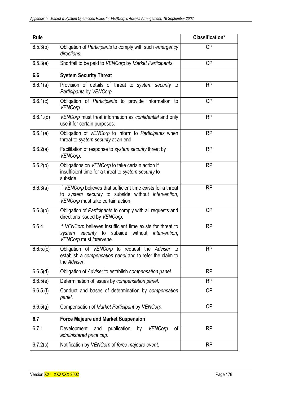| <b>Rule</b> |                                                                                                                                                          | Classification* |
|-------------|----------------------------------------------------------------------------------------------------------------------------------------------------------|-----------------|
| 6.5.3(b)    | Obligation of Participants to comply with such emergency<br>directions.                                                                                  | <b>CP</b>       |
| 6.5.3(e)    | Shortfall to be paid to VENCorp by Market Participants.                                                                                                  | <b>CP</b>       |
| 6.6         | <b>System Security Threat</b>                                                                                                                            |                 |
| 6.6.1(a)    | Provision of details of threat to system security to<br>Participants by VENCorp.                                                                         | <b>RP</b>       |
| 6.6.1(c)    | Obligation of Participants to provide information to<br>VENCorp.                                                                                         | <b>CP</b>       |
| 6.6.1(d)    | VENCorp must treat information as confidential and only<br>use it for certain purposes.                                                                  | <b>RP</b>       |
| 6.6.1(e)    | Obligation of VENCorp to inform to Participants when<br>threat to system security at an end.                                                             | <b>RP</b>       |
| 6.6.2(a)    | Facilitation of response to system security threat by<br>VENCorp.                                                                                        | <b>RP</b>       |
| 6.6.2(b)    | Obligations on VENCorp to take certain action if<br>insufficient time for a threat to system security to<br>subside.                                     | <b>RP</b>       |
| 6.6.3(a)    | If VENCorp believes that sufficient time exists for a threat<br>to system security to subside without intervention,<br>VENCorp must take certain action. | RP              |
| 6.6.3(b)    | Obligation of Participants to comply with all requests and<br>directions issued by VENCorp.                                                              | <b>CP</b>       |
| 6.6.4       | If VENCorp believes insufficient time exists for threat to<br>system security to subside without intervention,<br>VENCorp must intervene.                | <b>RP</b>       |
| 6.6.5(c)    | Obligation of VENCorp to request the Adviser to<br>establish a compensation panel and to refer the claim to<br>the Adviser.                              | <b>RP</b>       |
| 6.6.5(d)    | Obligation of Adviser to establish compensation panel.                                                                                                   | RP              |
| 6.6.5(e)    | Determination of issues by compensation panel.                                                                                                           | <b>RP</b>       |
| 6.6.5(f)    | Conduct and bases of determination by compensation<br>panel.                                                                                             | <b>CP</b>       |
| 6.6.5(g)    | Compensation of Market Participant by VENCorp.                                                                                                           | <b>CP</b>       |
| 6.7         | <b>Force Majeure and Market Suspension</b>                                                                                                               |                 |
| 6.7.1       | publication<br><b>VENCorp</b><br>Development<br>by<br>of<br>and<br>administered price cap.                                                               | <b>RP</b>       |
| 6.7.2(c)    | Notification by VENCorp of force majeure event.                                                                                                          | <b>RP</b>       |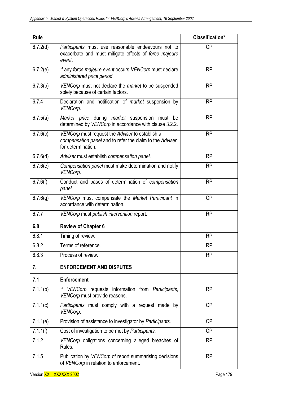| <b>Rule</b> |                                                                                                                                   | Classification* |
|-------------|-----------------------------------------------------------------------------------------------------------------------------------|-----------------|
| 6.7.2(d)    | Participants must use reasonable endeavours not to<br>exacerbate and must mitigate effects of force majeure<br>event.             | <b>CP</b>       |
| 6.7.2(e)    | If any force majeure event occurs VENCorp must declare<br>administered price period.                                              | <b>RP</b>       |
| 6.7.3(b)    | VENCorp must not declare the market to be suspended<br>solely because of certain factors.                                         | <b>RP</b>       |
| 6.7.4       | Declaration and notification of <i>market</i> suspension by<br>VENCorp.                                                           | <b>RP</b>       |
| 6.7.5(a)    | Market price during market suspension must be<br>determined by VENCorp in accordance with clause 3.2.2.                           | <b>RP</b>       |
| 6.7.6(c)    | VENCorp must request the Adviser to establish a<br>compensation panel and to refer the claim to the Adviser<br>for determination. | <b>RP</b>       |
| 6.7.6(d)    | Adviser must establish compensation panel.                                                                                        | <b>RP</b>       |
| 6.7.6(e)    | Compensation panel must make determination and notify<br>VENCorp.                                                                 | <b>RP</b>       |
| 6.7.6(f)    | Conduct and bases of determination of compensation<br>panel.                                                                      | <b>RP</b>       |
| 6.7.6(g)    | VENCorp must compensate the Market Participant in<br>accordance with determination.                                               | <b>CP</b>       |
| 6.7.7       | VENCorp must publish intervention report.                                                                                         | <b>RP</b>       |
| 6.8         | <b>Review of Chapter 6</b>                                                                                                        |                 |
| 6.8.1       | Timing of review.                                                                                                                 | <b>RP</b>       |
| 6.8.2       | Terms of reference.                                                                                                               | <b>RP</b>       |
| 6.8.3       | Process of review.                                                                                                                | <b>RP</b>       |
| 7.          | <b>ENFORCEMENT AND DISPUTES</b>                                                                                                   |                 |
| 7.1         | <b>Enforcement</b>                                                                                                                |                 |
| 7.1.1(b)    | If VENCorp requests information from Participants,<br>VENCorp must provide reasons.                                               | <b>RP</b>       |
| 7.1.1(c)    | Participants must comply with a request made by<br>VENCorp.                                                                       | <b>CP</b>       |
| 7.1.1(e)    | Provision of assistance to investigator by Participants.                                                                          | <b>CP</b>       |
| 7.1.1(f)    | Cost of investigation to be met by Participants.                                                                                  | <b>CP</b>       |
| 7.1.2       | VENCorp obligations concerning alleged breaches of<br>Rules.                                                                      | <b>RP</b>       |
| 7.1.5       | Publication by VENCorp of report summarising decisions<br>of VENCorp in relation to enforcement.                                  | <b>RP</b>       |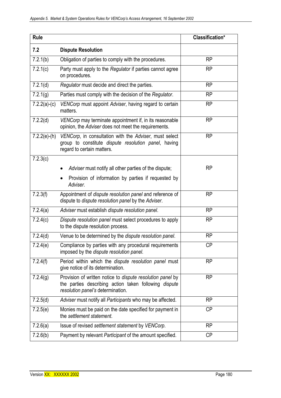| <b>Rule</b>    |                                                                                                                                                                 | Classification* |
|----------------|-----------------------------------------------------------------------------------------------------------------------------------------------------------------|-----------------|
| 7.2            | <b>Dispute Resolution</b>                                                                                                                                       |                 |
| 7.2.1(b)       | Obligation of parties to comply with the procedures.                                                                                                            | <b>RP</b>       |
| 7.2.1(c)       | Party must apply to the Regulator if parties cannot agree<br>on procedures.                                                                                     | <b>RP</b>       |
| 7.2.1(d)       | Regulator must decide and direct the parties.                                                                                                                   | <b>RP</b>       |
| 7.2.1(g)       | Parties must comply with the decision of the Regulator.                                                                                                         | <b>RP</b>       |
| $7.2.2(a)-(c)$ | <b>RP</b><br>VENCorp must appoint Adviser, having regard to certain<br>matters.                                                                                 |                 |
| 7.2.2(d)       | VENCorp may terminate appointment if, in its reasonable<br>opinion, the Adviser does not meet the requirements.                                                 | <b>RP</b>       |
| $7.2.2(e)-(h)$ | VENCorp, in consultation with the Adviser, must select<br>group to constitute dispute resolution panel, having<br>regard to certain matters.                    | <b>RP</b>       |
| 7.2.3(c)       |                                                                                                                                                                 |                 |
|                | Adviser must notify all other parties of the dispute;                                                                                                           | <b>RP</b>       |
|                | Provision of information by parties if requested by<br>Adviser.                                                                                                 |                 |
| 7.2.3(f)       | Appointment of dispute resolution panel and reference of<br>dispute to <i>dispute resolution panel</i> by the Adviser.                                          | <b>RP</b>       |
| 7.2.4(a)       | Adviser must establish dispute resolution panel.                                                                                                                | <b>RP</b>       |
| 7.2.4(c)       | Dispute resolution panel must select procedures to apply<br>to the dispute resolution process.                                                                  | <b>RP</b>       |
| 7.2.4(d)       | Venue to be determined by the dispute resolution panel.                                                                                                         | <b>RP</b>       |
| 7.2.4(e)       | Compliance by parties with any procedural requirements<br>imposed by the dispute resolution panel.                                                              | <b>CP</b>       |
| 7.2.4(f)       | Period within which the dispute resolution panel must<br>give notice of its determination.                                                                      | <b>RP</b>       |
| 7.2.4(g)       | Provision of written notice to <i>dispute resolution panel</i> by<br>the parties describing action taken following dispute<br>resolution panel's determination. | <b>RP</b>       |
| 7.2.5(d)       | Adviser must notify all Participants who may be affected.                                                                                                       | <b>RP</b>       |
| 7.2.5(e)       | Monies must be paid on the date specified for payment in<br>the settlement statement.                                                                           | <b>CP</b>       |
| 7.2.6(a)       | Issue of revised settlement statement by VENCorp.                                                                                                               | <b>RP</b>       |
| 7.2.6(b)       | Payment by relevant Participant of the amount specified.                                                                                                        | <b>CP</b>       |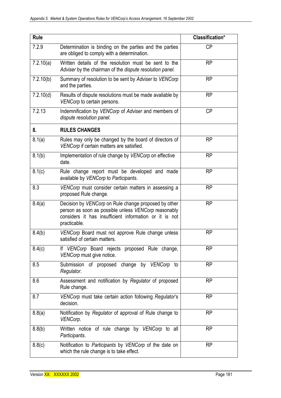| <b>Rule</b> |                                                                                                                                                                                        | Classification* |
|-------------|----------------------------------------------------------------------------------------------------------------------------------------------------------------------------------------|-----------------|
| 7.2.9       | Determination is binding on the parties and the parties<br>are obliged to comply with a determination.                                                                                 | <b>CP</b>       |
| 7.2.10(a)   | Written details of the resolution must be sent to the<br>Adviser by the chairman of the dispute resolution panel.                                                                      | <b>RP</b>       |
| 7.2.10(b)   | Summary of resolution to be sent by Adviser to VENCorp<br>and the parties.                                                                                                             | <b>RP</b>       |
| 7.2.10(d)   | Results of dispute resolutions must be made available by<br>VENCorp to certain persons.                                                                                                | <b>RP</b>       |
| 7.2.13      | <b>CP</b><br>Indemnification by VENCorp of Adviser and members of<br>dispute resolution panel.                                                                                         |                 |
| 8.          | <b>RULES CHANGES</b>                                                                                                                                                                   |                 |
| 8.1(a)      | Rules may only be changed by the board of directors of<br>VENCorp if certain matters are satisfied.                                                                                    | <b>RP</b>       |
| 8.1(b)      | Implementation of rule change by VENCorp on effective<br>date.                                                                                                                         | <b>RP</b>       |
| 8.1(c)      | Rule change report must be developed and made<br>available by VENCorp to Participants.                                                                                                 | <b>RP</b>       |
| 8.3         | VENCorp must consider certain matters in assessing a<br>proposed Rule change.                                                                                                          | <b>RP</b>       |
| 8.4(a)      | Decision by VENCorp on Rule change proposed by other<br>person as soon as possible unless VENCorp reasonably<br>considers it has insufficient information or it is not<br>practicable. | <b>RP</b>       |
| 8.4(b)      | VENCorp Board must not approve Rule change unless<br>satisfied of certain matters.                                                                                                     | <b>RP</b>       |
| 8.4(c)      | If VENCorp Board rejects proposed Rule change,<br>VENCorp must give notice.                                                                                                            | <b>RP</b>       |
| 8.5         | Submission of proposed change by VENCorp to<br>Regulator.                                                                                                                              | <b>RP</b>       |
| 8.6         | Assessment and notification by Regulator of proposed<br>Rule change.                                                                                                                   | <b>RP</b>       |
| 8.7         | VENCorp must take certain action following Regulator's<br>decision.                                                                                                                    | <b>RP</b>       |
| 8.8(a)      | Notification by Regulator of approval of Rule change to<br>VENCorp.                                                                                                                    | <b>RP</b>       |
| 8.8(b)      | Written notice of rule change by VENCorp to all<br>Participants.                                                                                                                       | <b>RP</b>       |
| 8.8(c)      | Notification to Participants by VENCorp of the date on<br>which the rule change is to take effect.                                                                                     | <b>RP</b>       |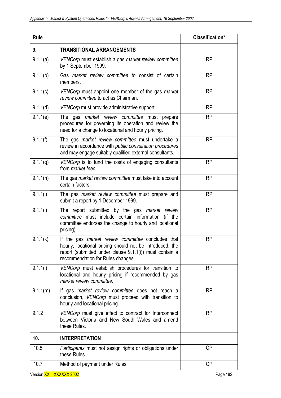| <b>Rule</b> |                                                                                                                                                                                                               | Classification* |
|-------------|---------------------------------------------------------------------------------------------------------------------------------------------------------------------------------------------------------------|-----------------|
| 9.          | <b>TRANSITIONAL ARRANGEMENTS</b>                                                                                                                                                                              |                 |
| 9.1.1(a)    | VENCorp must establish a gas market review committee<br>by 1 September 1999.                                                                                                                                  | <b>RP</b>       |
| 9.1.1(b)    | Gas market review committee to consist of certain<br>members.                                                                                                                                                 | <b>RP</b>       |
| 9.1.1(c)    | VENCorp must appoint one member of the gas market<br>review committee to act as Chairman.                                                                                                                     | <b>RP</b>       |
| 9.1.1(d)    | VENCorp must provide administrative support.                                                                                                                                                                  | <b>RP</b>       |
| 9.1.1(e)    | The gas market review committee must prepare<br>procedures for governing its operation and review the<br>need for a change to locational and hourly pricing.                                                  | <b>RP</b>       |
| 9.1.1(f)    | The gas market review committee must undertake a<br>review in accordance with public consultation procedures<br>and may engage suitably qualified external consultants.                                       | <b>RP</b>       |
| 9.1.1(g)    | VENCorp is to fund the costs of engaging consultants<br>from <i>market</i> fees.                                                                                                                              | <b>RP</b>       |
| 9.1.1(h)    | The gas market review committee must take into account<br>certain factors.                                                                                                                                    | <b>RP</b>       |
| 9.1.1(i)    | The gas market review committee must prepare and<br>submit a report by 1 December 1999.                                                                                                                       | <b>RP</b>       |
| 9.1.1(j)    | The report submitted by the gas market review<br>committee must include certain information (if the<br>committee endorses the change to hourly and locational<br>pricing).                                    | <b>RP</b>       |
| 9.1.1(k)    | If the gas market review committee concludes that<br>hourly, locational pricing should not be introduced, the<br>report (submitted under clause 9.1.1(i)) must contain a<br>recommendation for Rules changes. | <b>RP</b>       |
| 9.1.1(1)    | VENCorp must establish procedures for transition to<br>locational and hourly pricing if recommended by gas<br>market review committee.                                                                        | <b>RP</b>       |
| 9.1.1(m)    | If gas market review committee does not reach a<br>conclusion, VENCorp must proceed with transition to<br>hourly and locational pricing.                                                                      | <b>RP</b>       |
| 9.1.2       | VENCorp must give effect to contract for Interconnect<br>between Victoria and New South Wales and amend<br>these Rules.                                                                                       | <b>RP</b>       |
| 10.         | <b>INTERPRETATION</b>                                                                                                                                                                                         |                 |
| 10.5        | Participants must not assign rights or obligations under<br>these Rules.                                                                                                                                      | СP              |
| 10.7        | Method of payment under Rules.                                                                                                                                                                                | СP              |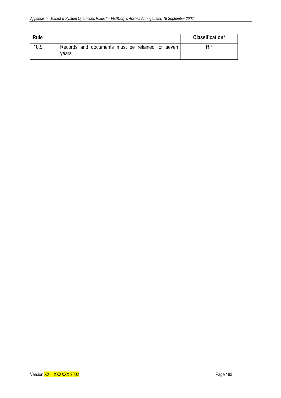| Rule |                                                            | Classification* |
|------|------------------------------------------------------------|-----------------|
| 10.9 | Records and documents must be retained for seven<br>vears. | <b>RP</b>       |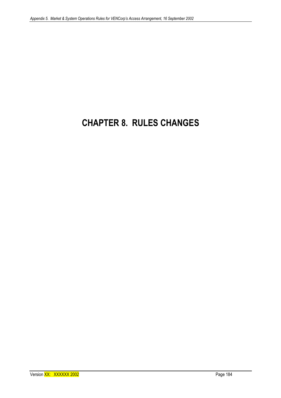## **CHAPTER 8. RULES CHANGES**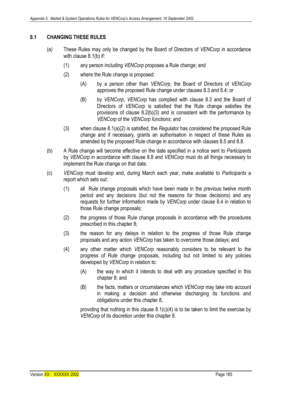## **8.1 CHANGING THESE RULES**

- (a) These Rules may only be changed by the Board of Directors of *VENCorp* in accordance with clause 8.1(b) if:
	- (1) any person including *VENCorp* proposes a Rule change; and
	- (2) where the Rule change is proposed:
		- (A) by a person other than *VENCorp*, the Board of Directors of *VENCorp*  approves the proposed Rule change under clauses 8.3 and 8.4; or
		- (B) by *VENCorp*, *VENCorp* has complied with clause 8.3 and the Board of Directors of *VENCorp* is satisfied that the Rule change satisfies the provisions of clause 8.2(b)(3) and is consistent with the performance by *VENCorp* of the *VENCorp functions*; and
	- (3) when clause 8.1(a)(2) is satisfied, the *Regulator* has considered the proposed Rule change and if necessary, grants an authorisation in respect of these Rules as amended by the proposed Rule change in accordance with clauses 8.5 and 8.8.
- (b) A Rule change will become effective on the date specified in a notice sent to *Participants* by *VENCorp* in accordance with clause 8.8 and *VENCorp* must do all things necessary to implement the Rule change on that date.
- (c) *VENCorp* must develop and, during March each year, make available to *Participants* a report which sets out:
	- (1) all Rule change proposals which have been made in the previous twelve month period and any decisions (but not the reasons for those decisions) and any requests for further information made by *VENCorp* under clause 8.4 in relation to those Rule change proposals;
	- (2) the progress of those Rule change proposals in accordance with the procedures prescribed in this chapter 8;
	- (3) the reason for any delays in relation to the progress of those Rule change proposals and any action *VENCorp* has taken to overcome those delays; and
	- (4) any other matter which *VENCorp* reasonably considers to be relevant to the progress of Rule change proposals, including but not limited to any policies developed by *VENCorp* in relation to:
		- (A) the way in which it intends to deal with any procedure specified in this chapter 8; and
		- (B) the facts, matters or circumstances which *VENCorp* may take into account in making a decision and otherwise discharging its functions and obligations under this chapter 8,

providing that nothing in this clause  $8.1(c)(4)$  is to be taken to limit the exercise by *VENCorp* of its discretion under this chapter 8.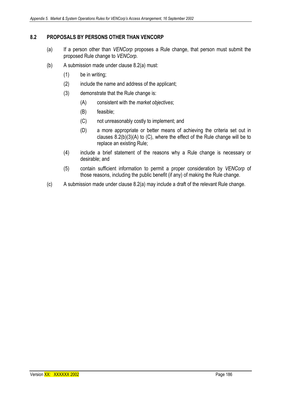## **8.2 PROPOSALS BY PERSONS OTHER THAN VENCORP**

- (a) If a person other than *VENCorp* proposes a Rule change, that person must submit the proposed Rule change to *VENCorp*.
- (b) A submission made under clause 8.2(a) must:
	- (1) be in writing;
	- (2) include the name and address of the applicant;
	- (3) demonstrate that the Rule change is:
		- (A) consistent with the *market objectives*;
		- (B) feasible;
		- (C) not unreasonably costly to implement; and
		- (D) a more appropriate or better means of achieving the criteria set out in clauses 8.2(b)(3)(A) to (C), where the effect of the Rule change will be to replace an existing Rule;
	- (4) include a brief statement of the reasons why a Rule change is necessary or desirable; and
	- (5) contain sufficient information to permit a proper consideration by *VENCorp* of those reasons, including the public benefit (if any) of making the Rule change.
- (c) A submission made under clause 8.2(a) may include a draft of the relevant Rule change.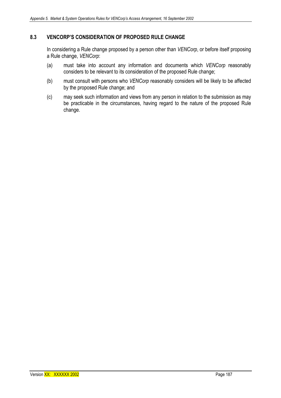## **8.3 VENCORP'S CONSIDERATION OF PROPOSED RULE CHANGE**

In considering a Rule change proposed by a person other than *VENCorp*, or before itself proposing a Rule change, *VENCorp*:

- (a) must take into account any information and documents which *VENCorp* reasonably considers to be relevant to its consideration of the proposed Rule change;
- (b) must consult with persons who *VENCorp* reasonably considers will be likely to be affected by the proposed Rule change; and
- (c) may seek such information and views from any person in relation to the submission as may be practicable in the circumstances, having regard to the nature of the proposed Rule change.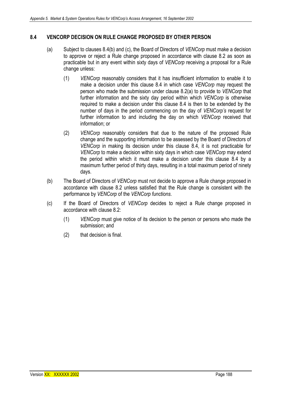## **8.4 VENCORP DECISION ON RULE CHANGE PROPOSED BY OTHER PERSON**

- (a) Subject to clauses 8.4(b) and (c), the Board of Directors of *VENCorp* must make a decision to approve or reject a Rule change proposed in accordance with clause 8.2 as soon as practicable but in any event within sixty days of *VENCorp* receiving a proposal for a Rule change unless:
	- (1) *VENCorp* reasonably considers that it has insufficient information to enable it to make a decision under this clause 8.4 in which case *VENCorp* may request the person who made the submission under clause 8.2(a) to provide to *VENCorp* that further information and the sixty day period within which *VENCorp* is otherwise required to make a decision under this clause 8.4 is then to be extended by the number of days in the period commencing on the day of *VENCorp's* request for further information to and including the day on which *VENCorp* received that information; or
	- (2) *VENCorp* reasonably considers that due to the nature of the proposed Rule change and the supporting information to be assessed by the Board of Directors of *VENCorp* in making its decision under this clause 8.4, it is not practicable for *VENCorp* to make a decision within sixty days in which case *VENCorp* may extend the period within which it must make a decision under this clause 8.4 by a maximum further period of thirty days, resulting in a total maximum period of ninety days.
- (b) The Board of Directors of *VENCorp* must not decide to approve a Rule change proposed in accordance with clause 8.2 unless satisfied that the Rule change is consistent with the performance by *VENCorp* of the *VENCorp functions*.
- (c) If the Board of Directors of *VENCorp* decides to reject a Rule change proposed in accordance with clause 8.2:
	- (1) *VENCorp* must give notice of its decision to the person or persons who made the submission; and
	- (2) that decision is final.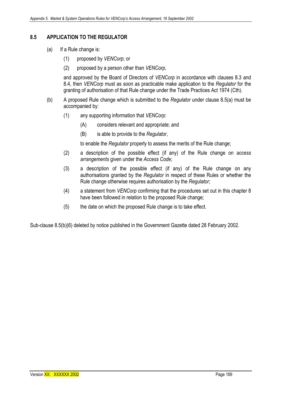## **8.5 APPLICATION TO THE REGULATOR**

- (a) If a Rule change is:
	- (1) proposed by *VENCorp*; or
	- (2) proposed by a person other than *VENCorp*,

and approved by the Board of Directors of *VENCorp* in accordance with clauses 8.3 and 8.4, then *VENCorp* must as soon as practicable make application to the *Regulator* for the granting of authorisation of that Rule change under the Trade Practices Act 1974 (Cth).

- (b) A proposed Rule change which is submitted to the *Regulator* under clause 8.5(a) must be accompanied by:
	- (1) any supporting information that *VENCorp*:
		- (A) considers relevant and appropriate; and
		- (B) is able to provide to the *Regulator*,

to enable the *Regulator* properly to assess the merits of the Rule change;

- (2) a description of the possible effect (if any) of the Rule change on *access arrangements* given under the *Access Code*;
- (3) a description of the possible effect (if any) of the Rule change on any authorisations granted by the *Regulator* in respect of these Rules or whether the Rule change otherwise requires authorisation by the *Regulator*;
- (4) a statement from *VENCorp* confirming that the procedures set out in this chapter 8 have been followed in relation to the proposed Rule change;
- (5) the date on which the proposed Rule change is to take effect.

Sub-clause 8.5(b)(6) deleted by notice published in the Government Gazette dated 28 February 2002.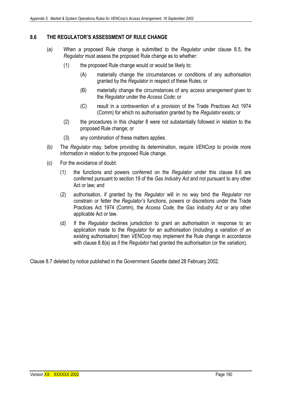## **8.6 THE REGULATOR'S ASSESSMENT OF RULE CHANGE**

- (a) When a proposed Rule change is submitted to the *Regulator* under clause 8.5, the *Regulator* must assess the proposed Rule change as to whether:
	- (1) the proposed Rule change would or would be likely to:
		- (A) materially change the circumstances or conditions of any authorisation granted by the *Regulator* in respect of these Rules; or
		- (B) materially change the circumstances of any *access arrangement* given to the *Regulator* under the *Access Code*; or
		- (C) result in a contravention of a provision of the Trade Practices Act 1974 (Comm) for which no authorisation granted by the *Regulator* exists; or
	- (2) the procedures in this chapter 8 were not substantially followed in relation to the proposed Rule change; or
	- (3) any combination of these matters applies.
- (b) The *Regulator* may, before providing its determination, require *VENCorp* to provide more information in relation to the proposed Rule change.
- (c) For the avoidance of doubt:
	- (1) the functions and powers conferred on the *Regulator* under this clause 8.6 are conferred pursuant to section 19 of the *Gas Industry Act* and not pursuant to any other Act or law; and
	- (2) authorisation, if granted by the *Regulator* will in no way bind the *Regulator* nor constrain or fetter the *Regulator's* functions, powers or discretions under the Trade Practices Act 1974 (Comm), the *Access Code*, the *Gas Industry Act* or any other applicable Act or law.
	- (d) If the *Regulator* declines jurisdiction to grant an authorisation in response to an application made to the *Regulator* for an authorisation (including a variation of an existing authorisation) then *VENCorp* may implement the Rule change in accordance with clause 8.8(a) as if the *Regulator* had granted the authorisation (or the variation).

Clause 8.7 deleted by notice published in the Government Gazette dated 28 February 2002.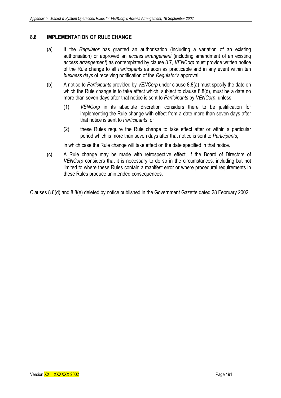## **8.8 IMPLEMENTATION OF RULE CHANGE**

- (a) If the *Regulator* has granted an authorisation (including a variation of an existing authorisation) or approved an *access arrangement* (including amendment of an existing *access arrangement*) as contemplated by clause 8.7, *VENCorp* must provide written notice of the Rule change to all *Participants* as soon as practicable and in any event within ten *business days* of receiving notification of the *Regulator's* approval.
- (b) A notice to *Participants* provided by *VENCorp* under clause 8.8(a) must specify the date on which the Rule change is to take effect which, subject to clause 8.8(d), must be a date no more than seven days after that notice is sent to *Participants* by *VENCorp*, unless:
	- (1) *VENCorp* in its absolute discretion considers there to be justification for implementing the Rule change with effect from a date more than seven days after that notice is sent to *Participants*; or
	- (2) these Rules require the Rule change to take effect after or within a particular period which is more than seven days after that notice is sent to *Participants*,

in which case the Rule change will take effect on the date specified in that notice.

(c) A Rule change may be made with retrospective effect, if the Board of Directors of *VENCorp* considers that it is necessary to do so in the circumstances, including but not limited to where these Rules contain a manifest error or where procedural requirements in these Rules produce unintended consequences.

Clauses 8.8(d) and 8.8(e) deleted by notice published in the Government Gazette dated 28 February 2002.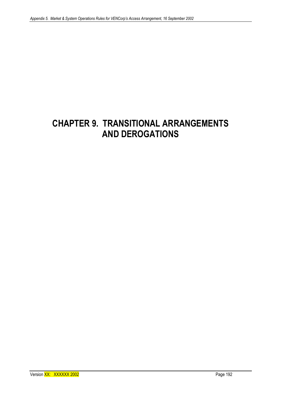## **CHAPTER 9. TRANSITIONAL ARRANGEMENTS AND DEROGATIONS**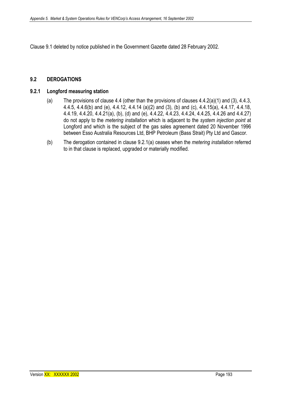Clause 9.1 deleted by notice published in the Government Gazette dated 28 February 2002.

## **9.2 DEROGATIONS**

### **9.2.1 Longford measuring station**

- (a) The provisions of clause 4.4 (other than the provisions of clauses 4.4.2(a)(1) and (3), 4.4.3, 4.4.5, 4.4.6(b) and (e), 4.4.12, 4.4.14 (a)(2) and (3), (b) and (c), 4.4.15(a), 4.4.17, 4.4.18, 4.4.19, 4.4.20, 4.4.21(a), (b), (d) and (e), 4.4.22, 4.4.23, 4.4.24, 4.4.25, 4.4.26 and 4.4.27) do not apply to the *metering installation* which is adjacent to the *system injection point* at Longford and which is the subject of the gas sales agreement dated 20 November 1996 between Esso Australia Resources Ltd, BHP Petroleum (Bass Strait) Pty Ltd and Gascor.
- (b) The derogation contained in clause 9.2.1(a) ceases when the *metering installation* referred to in that clause is replaced, upgraded or materially modified.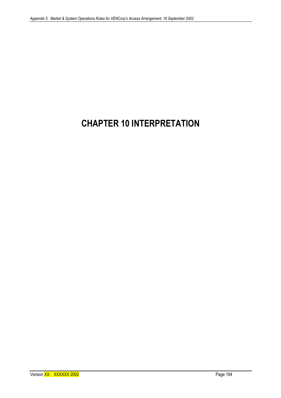## **CHAPTER 10 INTERPRETATION**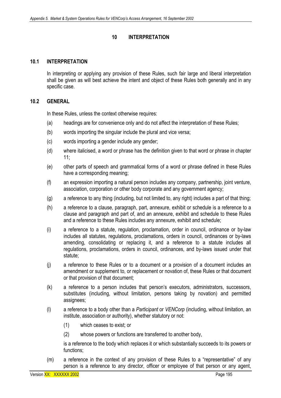### **10 INTERPRETATION**

#### **10.1 INTERPRETATION**

In interpreting or applying any provision of these Rules, such fair large and liberal interpretation shall be given as will best achieve the intent and object of these Rules both generally and in any specific case.

#### **10.2 GENERAL**

In these Rules, unless the context otherwise requires:

- (a) headings are for convenience only and do not affect the interpretation of these Rules;
- (b) words importing the singular include the plural and vice versa;
- (c) words importing a gender include any gender;
- (d) where italicised, a word or phrase has the definition given to that word or phrase in chapter 11;
- (e) other parts of speech and grammatical forms of a word or phrase defined in these Rules have a corresponding meaning;
- (f) an expression importing a natural person includes any company, partnership, joint venture, association, corporation or other body corporate and any government agency;
- (g) a reference to any thing (including, but not limited to, any right) includes a part of that thing;
- (h) a reference to a clause, paragraph, part, annexure, exhibit or schedule is a reference to a clause and paragraph and part of, and an annexure, exhibit and schedule to these Rules and a reference to these Rules includes any annexure, exhibit and schedule;
- (i) a reference to a statute, regulation, proclamation, order in council, ordinance or by-law includes all statutes, regulations, proclamations, orders in council, ordinances or by-laws amending, consolidating or replacing it, and a reference to a statute includes all regulations, proclamations, orders in council, ordinances, and by-laws issued under that statute;
- (j) a reference to these Rules or to a document or a provision of a document includes an amendment or supplement to, or replacement or novation of, these Rules or that document or that provision of that document;
- (k) a reference to a person includes that person's executors, administrators, successors, substitutes (including, without limitation, persons taking by novation) and permitted assignees;
- (l) a reference to a body other than a *Participant* or *VENCorp* (including, without limitation, an institute, association or authority), whether statutory or not:
	- (1) which ceases to exist; or
	- (2) whose powers or functions are transferred to another body,

is a reference to the body which replaces it or which substantially succeeds to its powers or functions;

(m) a reference in the context of any provision of these Rules to a "representative" of any person is a reference to any director, officer or employee of that person or any agent,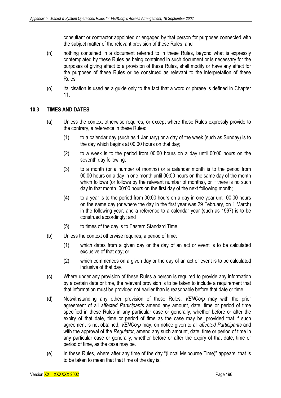consultant or contractor appointed or engaged by that person for purposes connected with the subject matter of the relevant provision of these Rules; and

- (n) nothing contained in a document referred to in these Rules, beyond what is expressly contemplated by these Rules as being contained in such document or is necessary for the purposes of giving effect to a provision of these Rules, shall modify or have any effect for the purposes of these Rules or be construed as relevant to the interpretation of these Rules.
- (o) italicisation is used as a guide only to the fact that a word or phrase is defined in Chapter 11.

## **10.3 TIMES AND DATES**

- (a) Unless the context otherwise requires, or except where these Rules expressly provide to the contrary, a reference in these Rules:
	- (1) to a calendar day (such as 1 January) or a day of the week (such as Sunday) is to the day which begins at 00:00 hours on that day;
	- (2) to a week is to the period from 00:00 hours on a day until 00:00 hours on the seventh day following;
	- (3) to a month (or a number of months) or a calendar month is to the period from 00:00 hours on a day in one month until 00:00 hours on the same day of the month which follows (or follows by the relevant number of months), or if there is no such day in that month, 00:00 hours on the first day of the next following month;
	- (4) to a year is to the period from 00:00 hours on a day in one year until 00:00 hours on the same day (or where the day in the first year was 29 February, on 1 March) in the following year, and a reference to a calendar year (such as 1997) is to be construed accordingly; and
	- (5) to times of the day is to Eastern Standard Time.
- (b) Unless the context otherwise requires, a period of time:
	- (1) which dates from a given day or the day of an act or event is to be calculated exclusive of that day; or
	- (2) which commences on a given day or the day of an act or event is to be calculated inclusive of that day.
- (c) Where under any provision of these Rules a person is required to provide any information by a certain date or time, the relevant provision is to be taken to include a requirement that that information must be provided not earlier than is reasonable before that date or time.
- (d) Notwithstanding any other provision of these Rules, *VENCorp* may with the prior agreement of all *affected Participants* amend any amount, date, time or period of time specified in these Rules in any particular case or generally, whether before or after the expiry of that date, time or period of time as the case may be, provided that if such agreement is not obtained, *VENCorp* may, on notice given to all *affected Participants* and with the approval of the *Regulator*, amend any such amount, date, time or period of time in any particular case or generally, whether before or after the expiry of that date, time or period of time, as the case may be.
- (e) In these Rules, where after any time of the day "(Local Melbourne Time)" appears, that is to be taken to mean that that time of the day is: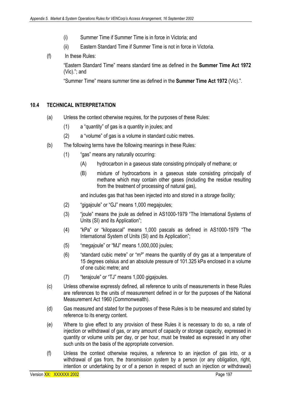- (i) Summer Time if Summer Time is in force in Victoria; and
- (ii) Eastern Standard Time if Summer Time is not in force in Victoria.
- (f) In these Rules:

 "Eastern Standard Time" means standard time as defined in the **Summer Time Act 1972** (Vic)."; and

"Summer Time" means summer time as defined in the **Summer Time Act 1972** (Vic).".

## **10.4 TECHNICAL INTERPRETATION**

- (a) Unless the context otherwise requires, for the purposes of these Rules:
	- (1) a "quantity" of gas is a quantity in joules; and
	- (2) a "volume" of gas is a volume in standard cubic metres.
- (b) The following terms have the following meanings in these Rules:
	- (1) "gas" means any naturally occurring:
		- (A) hydrocarbon in a gaseous state consisting principally of methane; or
		- (B) mixture of hydrocarbons in a gaseous state consisting principally of methane which may contain other gases (including the residue resulting from the treatment of processing of natural gas),

and includes gas that has been injected into and stored in a *storage facility;*

- (2) "gigajoule" or "GJ" means 1,000 megajoules;
- (3) "joule" means the joule as defined in AS1000-1979 "The International Systems of Units (SI) and its Application";
- (4) "kPa" or "kilopascal" means 1,000 pascals as defined in AS1000-1979 "The International System of Units (SI) and its Application";
- (5) "megajoule" or "MJ" means 1,000,000 joules;
- $(6)$  "standard cubic metre" or "m<sup>3</sup>" means the quantity of dry gas at a temperature of 15 degrees celsius and an absolute pressure of 101.325 kPa enclosed in a volume of one cubic metre; and
- (7) "terajoule" or "TJ" means 1,000 gigajoules.
- (c) Unless otherwise expressly defined, all reference to units of measurements in these Rules are references to the units of measurement defined in or for the purposes of the National Measurement Act 1960 (Commonwealth).
- (d) Gas measured and stated for the purposes of these Rules is to be measured and stated by reference to its energy content.
- (e) Where to give effect to any provision of these Rules it is necessary to do so, a rate of injection or withdrawal of gas, or any amount of capacity or storage capacity, expressed in quantity or volume units per day, or per hour, must be treated as expressed in any other such units on the basis of the appropriate conversion.
- (f) Unless the context otherwise requires, a reference to an injection of gas into, or a withdrawal of gas from, the *transmission system* by a person (or any obligation, right, intention or undertaking by or of a person in respect of such an injection or withdrawal)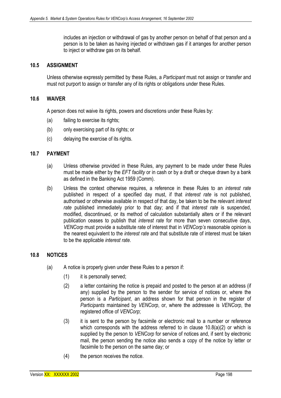includes an injection or withdrawal of gas by another person on behalf of that person and a person is to be taken as having injected or withdrawn gas if it arranges for another person to inject or withdraw gas on its behalf.

#### **10.5 ASSIGNMENT**

Unless otherwise expressly permitted by these Rules, a *Participant* must not assign or transfer and must not purport to assign or transfer any of its rights or obligations under these Rules.

#### **10.6 WAIVER**

A person does not waive its rights, powers and discretions under these Rules by:

- (a) failing to exercise its rights;
- (b) only exercising part of its rights; or
- (c) delaying the exercise of its rights.

#### **10.7 PAYMENT**

- (a) Unless otherwise provided in these Rules, any payment to be made under these Rules must be made either by the *EFT facility* or in cash or by a draft or cheque drawn by a bank as defined in the Banking Act 1959 (Comm).
- (b) Unless the context otherwise requires, a reference in these Rules to an *interest rate*  published in respect of a specified day must, if that *interest rate* is not published, authorised or otherwise available in respect of that day, be taken to be the relevant *interest rate* published immediately prior to that day; and if that *interest rate* is suspended, modified, discontinued, or its method of calculation substantially alters or if the relevant publication ceases to publish that *interest rate* for more than seven consecutive days, *VENCorp* must provide a substitute rate of interest that in *VENCorp's* reasonable opinion is the nearest equivalent to the *interest rate* and that substitute rate of interest must be taken to be the applicable *interest rate*.

## **10.8 NOTICES**

- (a) A notice is properly given under these Rules to a person if:
	- (1) it is personally served;
	- (2) a letter containing the notice is prepaid and posted to the person at an address (if any) supplied by the person to the sender for service of notices or, where the person is a *Participant*, an address shown for that person in the register of *Participants* maintained by *VENCorp*, or, where the addressee is *VENCorp*, the registered office of *VENCorp*;
	- (3) it is sent to the person by facsimile or electronic mail to a number or reference which corresponds with the address referred to in clause 10.8(a)(2) or which is supplied by the person to *VENCorp* for service of notices and, if sent by electronic mail, the person sending the notice also sends a copy of the notice by letter or facsimile to the person on the same day; or
	- (4) the person receives the notice.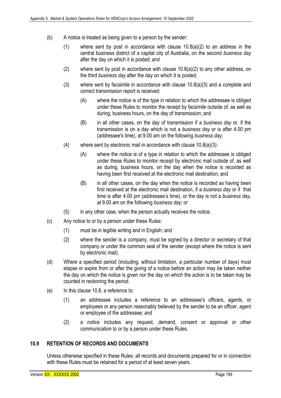- (b) A notice is treated as being given to a person by the sender:
	- (1) where sent by post in accordance with clause 10.8(a)(2) to an address in the central business district of a capital city of Australia, on the second *business day* after the day on which it is posted; and
	- (2) where sent by post in accordance with clause 10.8(a)(2) to any other address, on the third *business day* after the day on which it is posted;
	- (3) where sent by facsimile in accordance with clause 10.8(a)(3) and a complete and correct transmission report is received:
		- (A) where the notice is of the type in relation to which the addressee is obliged under these Rules to monitor the receipt by facsimile outside of, as well as during, business hours, on the day of transmission; and
		- (B) in all other cases, on the day of transmission if a *business day* or, if the transmission is on a day which is not a *business day* or is after 4.00 pm (addressee's time), at 9.00 am on the following *business day*;
	- (4) where sent by electronic mail in accordance with clause  $10.8(a)(3)$ :
		- (A) where the notice is of a type in relation to which the addressee is obliged under these Rules to monitor receipt by electronic mail outside of, as well as during, business hours, on the day when the notice is recorded as having been first received at the electronic mail destination; and
		- (B) in all other cases, on the day when the notice is recorded as having been first received at the electronic mail destination, if a *business day* or if that time is after 4.00 pm (addressee's time), or the day is not a *business day*, at 9.00 am on the following *business day*; or
	- (5) in any other case, when the person actually receives the notice.
- (c) Any notice to or by a person under these Rules:
	- (1) must be in legible writing and in English; and
	- (2) where the sender is a company, must be signed by a director or secretary of that company or under the common seal of the sender (except where the notice is sent by electronic mail).
- (d) Where a specified period (including, without limitation, a particular number of days) must elapse or expire from or after the giving of a notice before an action may be taken neither the day on which the notice is given nor the day on which the action is to be taken may be counted in reckoning the period.
- (e) In this clause 10.8, a reference to:
	- (1) an addressee includes a reference to an addressee's officers, agents, or employees or any person reasonably believed by the sender to be an officer, agent or employee of the addressee; and
	- (2) a notice includes any request, demand, consent or approval or other communication to or by a person under these Rules*.*

## **10.9 RETENTION OF RECORDS AND DOCUMENTS**

Unless otherwise specified in these Rules, all records and documents prepared for or in connection with these Rules must be retained for a period of at least seven years.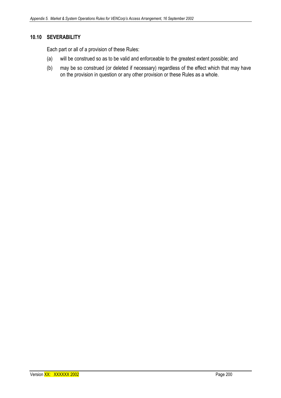#### **10.10 SEVERABILITY**

Each part or all of a provision of these Rules:

- (a) will be construed so as to be valid and enforceable to the greatest extent possible; and
- (b) may be so construed (or deleted if necessary) regardless of the effect which that may have on the provision in question or any other provision or these Rules as a whole.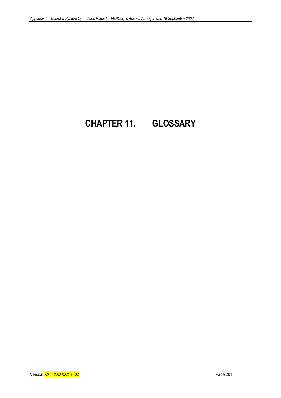# **CHAPTER 11. GLOSSARY**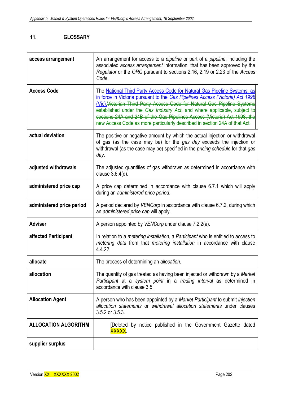## **11. GLOSSARY**

| access arrangement          | An arrangement for access to a <i>pipeline</i> or part of a <i>pipeline</i> , including the<br>associated access arrangement information, that has been approved by the<br>Regulator or the ORG pursuant to sections 2.16, 2.19 or 2.23 of the Access<br>Code.                                                                                                                                                                                                                 |
|-----------------------------|--------------------------------------------------------------------------------------------------------------------------------------------------------------------------------------------------------------------------------------------------------------------------------------------------------------------------------------------------------------------------------------------------------------------------------------------------------------------------------|
| <b>Access Code</b>          | The National Third Party Access Code for Natural Gas Pipeline Systems, as<br>in force in Victoria pursuant to the Gas Pipelines Access (Victoria) Act 1998<br>(Vic). Victorian Third Party Access Code for Natural Gas Pipeline Systems<br>established under the Gas Industry Act, and where applicable, subject to<br>sections 24A and 24B of the Gas Pipelines Access (Victoria) Act 1998, the<br>new Access Code as more particularly described in section 24A of that Act. |
| actual deviation            | The positive or negative amount by which the actual injection or withdrawal<br>of gas (as the case may be) for the gas day exceeds the injection or<br>withdrawal (as the case may be) specified in the pricing schedule for that gas<br>day.                                                                                                                                                                                                                                  |
| adjusted withdrawals        | The adjusted quantities of gas withdrawn as determined in accordance with<br>clause $3.6.4(d)$ .                                                                                                                                                                                                                                                                                                                                                                               |
| administered price cap      | A price cap determined in accordance with clause 6.7.1 which will apply<br>during an administered price period.                                                                                                                                                                                                                                                                                                                                                                |
| administered price period   | A period declared by VENCorp in accordance with clause 6.7.2, during which<br>an administered price cap will apply.                                                                                                                                                                                                                                                                                                                                                            |
| <b>Adviser</b>              | A person appointed by VENCorp under clause 7.2.2(a).                                                                                                                                                                                                                                                                                                                                                                                                                           |
| affected Participant        | In relation to a <i>metering installation</i> , a <i>Participant</i> who is entitled to access to<br>metering data from that metering installation in accordance with clause<br>4.4.22.                                                                                                                                                                                                                                                                                        |
| allocate                    | The process of determining an allocation.                                                                                                                                                                                                                                                                                                                                                                                                                                      |
| allocation                  | The quantity of gas treated as having been injected or withdrawn by a Market<br>Participant at a system point in a trading interval as determined in<br>accordance with clause 3.5.                                                                                                                                                                                                                                                                                            |
| <b>Allocation Agent</b>     | A person who has been appointed by a Market Participant to submit injection<br>allocation statements or withdrawal allocation statements under clauses<br>3.5.2 or 3.5.3.                                                                                                                                                                                                                                                                                                      |
| <b>ALLOCATION ALGORITHM</b> | [Deleted by notice published in the Government Gazette dated<br>XXXXX.                                                                                                                                                                                                                                                                                                                                                                                                         |
| supplier surplus            |                                                                                                                                                                                                                                                                                                                                                                                                                                                                                |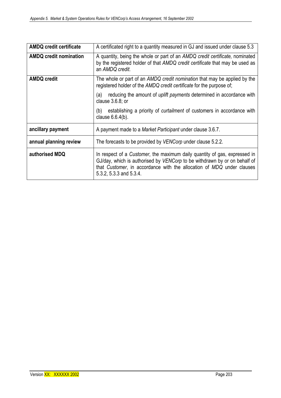| <b>AMDQ credit certificate</b> | A certificated right to a quantity measured in GJ and issued under clause 5.3                                                                                                                                                                              |
|--------------------------------|------------------------------------------------------------------------------------------------------------------------------------------------------------------------------------------------------------------------------------------------------------|
| <b>AMDQ credit nomination</b>  | A quantity, being the whole or part of an AMDQ credit certificate, nominated<br>by the registered holder of that AMDQ credit certificate that may be used as<br>an AMDQ credit.                                                                            |
| <b>AMDQ credit</b>             | The whole or part of an AMDQ credit nomination that may be applied by the<br>registered holder of the AMDQ credit certificate for the purpose of:                                                                                                          |
|                                | reducing the amount of <i>uplift payments</i> determined in accordance with<br>(a)<br>clause $3.6.8$ ; or                                                                                                                                                  |
|                                | establishing a priority of <i>curtailment</i> of customers in accordance with<br>(b)<br>clause $6.6.4(b)$ .                                                                                                                                                |
| ancillary payment              | A payment made to a Market Participant under clause 3.6.7.                                                                                                                                                                                                 |
| annual planning review         | The forecasts to be provided by VENCorp under clause 5.2.2.                                                                                                                                                                                                |
| authorised MDQ                 | In respect of a Customer, the maximum daily quantity of gas, expressed in<br>GJ/day, which is authorised by VENCorp to be withdrawn by or on behalf of<br>that Customer, in accordance with the allocation of MDQ under clauses<br>5.3.2, 5.3.3 and 5.3.4. |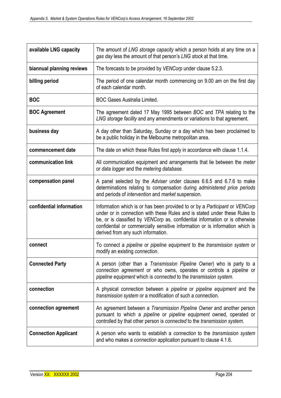| available LNG capacity      | The amount of LNG storage capacity which a person holds at any time on a<br>gas day less the amount of that person's LNG stock at that time.                                                                                                                                                                                                                     |
|-----------------------------|------------------------------------------------------------------------------------------------------------------------------------------------------------------------------------------------------------------------------------------------------------------------------------------------------------------------------------------------------------------|
| biannual planning reviews   | The forecasts to be provided by VENCorp under clause 5.2.3.                                                                                                                                                                                                                                                                                                      |
| billing period              | The period of one calendar month commencing on 9.00 am on the first day<br>of each calendar month.                                                                                                                                                                                                                                                               |
| <b>BOC</b>                  | <b>BOC Gases Australia Limited.</b>                                                                                                                                                                                                                                                                                                                              |
| <b>BOC Agreement</b>        | The agreement dated 17 May 1995 between BOC and TPA relating to the<br>LNG storage facility and any amendments or variations to that agreement.                                                                                                                                                                                                                  |
| business day                | A day other than Saturday, Sunday or a day which has been proclaimed to<br>be a public holiday in the Melbourne metropolitan area.                                                                                                                                                                                                                               |
| commencement date           | The date on which these Rules first apply in accordance with clause 1.1.4.                                                                                                                                                                                                                                                                                       |
| communication link          | All communication equipment and arrangements that lie between the meter<br>or data logger and the metering database.                                                                                                                                                                                                                                             |
| compensation panel          | A panel selected by the Adviser under clauses 6.6.5 and 6.7.6 to make<br>determinations relating to compensation during administered price periods<br>and periods of intervention and market suspension.                                                                                                                                                         |
| confidential information    | Information which is or has been provided to or by a Participant or VENCorp<br>under or in connection with these Rules and is stated under these Rules to<br>be, or is classified by VENCorp as, confidential information or is otherwise<br>confidential or commercially sensitive information or is information which is<br>derived from any such information. |
| connect                     | To connect a pipeline or pipeline equipment to the transmission system or<br>modify an existing connection.                                                                                                                                                                                                                                                      |
| <b>Connected Party</b>      | A person (other than a Transmission Pipeline Owner) who is party to a<br>connection agreement or who owns, operates or controls a pipeline or<br>pipeline equipment which is connected to the transmission system.                                                                                                                                               |
| connection                  | A physical connection between a pipeline or pipeline equipment and the<br>transmission system or a modification of such a connection.                                                                                                                                                                                                                            |
| connection agreement        | An agreement between a Transmission Pipeline Owner and another person<br>pursuant to which a <i>pipeline</i> or <i>pipeline</i> equipment owned, operated or<br>controlled by that other person is connected to the transmission system.                                                                                                                         |
| <b>Connection Applicant</b> | A person who wants to establish a connection to the transmission system<br>and who makes a <i>connection</i> application pursuant to clause 4.1.6.                                                                                                                                                                                                               |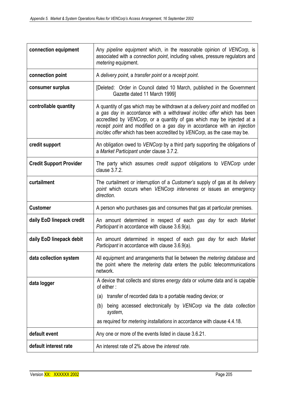| connection equipment           | Any pipeline equipment which, in the reasonable opinion of VENCorp, is<br>associated with a connection point, including valves, pressure regulators and<br>metering equipment.                                                                                                                                                                                                                |  |  |
|--------------------------------|-----------------------------------------------------------------------------------------------------------------------------------------------------------------------------------------------------------------------------------------------------------------------------------------------------------------------------------------------------------------------------------------------|--|--|
| connection point               | A delivery point, a transfer point or a receipt point.                                                                                                                                                                                                                                                                                                                                        |  |  |
| consumer surplus               | [Deleted: Order in Council dated 10 March, published in the Government<br>Gazette dated 11 March 1999]                                                                                                                                                                                                                                                                                        |  |  |
| controllable quantity          | A quantity of gas which may be withdrawn at a <i>delivery point</i> and modified on<br>a gas day in accordance with a withdrawal inc/dec offer which has been<br>accredited by VENCorp, or a quantity of gas which may be injected at a<br>receipt point and modified on a gas day in accordance with an injection<br>inc/dec offer which has been accredited by VENCorp, as the case may be. |  |  |
| credit support                 | An obligation owed to VENCorp by a third party supporting the obligations of<br>a Market Participant under clause 3.7.2.                                                                                                                                                                                                                                                                      |  |  |
| <b>Credit Support Provider</b> | The party which assumes credit support obligations to VENCorp under<br>clause 3.7.2.                                                                                                                                                                                                                                                                                                          |  |  |
| curtailment                    | The curtailment or interruption of a Customer's supply of gas at its delivery<br>point which occurs when VENCorp intervenes or issues an emergency<br>direction.                                                                                                                                                                                                                              |  |  |
| <b>Customer</b>                | A person who purchases gas and consumes that gas at particular premises.                                                                                                                                                                                                                                                                                                                      |  |  |
| daily EoD linepack credit      | An amount determined in respect of each gas day for each Market<br>Participant in accordance with clause 3.6.9(a).                                                                                                                                                                                                                                                                            |  |  |
| daily EoD linepack debit       | An amount determined in respect of each gas day for each Market<br>Participant in accordance with clause 3.6.9(a).                                                                                                                                                                                                                                                                            |  |  |
| data collection system         | All equipment and arrangements that lie between the metering database and<br>the point where the <i>metering data</i> enters the public telecommunications<br>network.                                                                                                                                                                                                                        |  |  |
| data logger                    | A device that collects and stores energy data or volume data and is capable<br>of either:                                                                                                                                                                                                                                                                                                     |  |  |
|                                | transfer of recorded data to a portable reading device; or<br>(a)                                                                                                                                                                                                                                                                                                                             |  |  |
|                                | being accessed electronically by VENCorp via the data collection<br>(b)<br>system,                                                                                                                                                                                                                                                                                                            |  |  |
|                                | as required for <i>metering installations</i> in accordance with clause 4.4.18.                                                                                                                                                                                                                                                                                                               |  |  |
| default event                  | Any one or more of the events listed in clause 3.6.21.                                                                                                                                                                                                                                                                                                                                        |  |  |
| default interest rate          | An interest rate of 2% above the <i>interest rate</i> .                                                                                                                                                                                                                                                                                                                                       |  |  |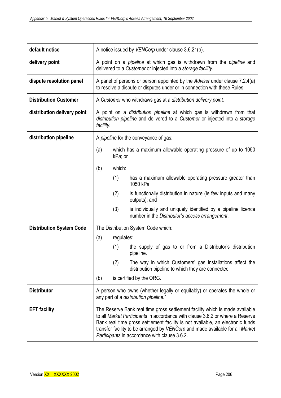| default notice                  | A notice issued by VENCorp under clause 3.6.21(b).                                                                                                                                                                                                                                                                                                                                |            |                                                                                                                  |
|---------------------------------|-----------------------------------------------------------------------------------------------------------------------------------------------------------------------------------------------------------------------------------------------------------------------------------------------------------------------------------------------------------------------------------|------------|------------------------------------------------------------------------------------------------------------------|
| delivery point                  | A point on a <i>pipeline</i> at which gas is withdrawn from the <i>pipeline</i> and<br>delivered to a Customer or injected into a storage facility.                                                                                                                                                                                                                               |            |                                                                                                                  |
| dispute resolution panel        | A panel of persons or person appointed by the Adviser under clause 7.2.4(a)<br>to resolve a dispute or disputes under or in connection with these Rules.                                                                                                                                                                                                                          |            |                                                                                                                  |
| <b>Distribution Customer</b>    | A Customer who withdraws gas at a distribution delivery point.                                                                                                                                                                                                                                                                                                                    |            |                                                                                                                  |
| distribution delivery point     | A point on a <i>distribution pipeline</i> at which gas is withdrawn from that<br>distribution pipeline and delivered to a Customer or injected into a storage<br>facility.                                                                                                                                                                                                        |            |                                                                                                                  |
| distribution pipeline           | A pipeline for the conveyance of gas:                                                                                                                                                                                                                                                                                                                                             |            |                                                                                                                  |
|                                 | (a)                                                                                                                                                                                                                                                                                                                                                                               | kPa; or    | which has a maximum allowable operating pressure of up to 1050                                                   |
|                                 | (b)                                                                                                                                                                                                                                                                                                                                                                               | which:     |                                                                                                                  |
|                                 |                                                                                                                                                                                                                                                                                                                                                                                   | (1)        | has a maximum allowable operating pressure greater than<br>1050 kPa;                                             |
|                                 |                                                                                                                                                                                                                                                                                                                                                                                   | (2)        | is functionally distribution in nature (ie few inputs and many<br>outputs); and                                  |
|                                 |                                                                                                                                                                                                                                                                                                                                                                                   | (3)        | is individually and uniquely identified by a pipeline licence<br>number in the Distributor's access arrangement. |
| <b>Distribution System Code</b> |                                                                                                                                                                                                                                                                                                                                                                                   |            | The Distribution System Code which:                                                                              |
|                                 | (a)                                                                                                                                                                                                                                                                                                                                                                               | regulates: |                                                                                                                  |
|                                 |                                                                                                                                                                                                                                                                                                                                                                                   | (1)        | the supply of gas to or from a Distributor's distribution<br>pipeline.                                           |
|                                 |                                                                                                                                                                                                                                                                                                                                                                                   | (2)        | The way in which Customers' gas installations affect the<br>distribution pipeline to which they are connected    |
|                                 | (b)                                                                                                                                                                                                                                                                                                                                                                               |            | is certified by the ORG.                                                                                         |
| <b>Distributor</b>              | A person who owns (whether legally or equitably) or operates the whole or<br>any part of a distribution pipeline."                                                                                                                                                                                                                                                                |            |                                                                                                                  |
| <b>EFT</b> facility             | The Reserve Bank real time gross settlement facility which is made available<br>to all Market Participants in accordance with clause 3.6.2 or where a Reserve<br>Bank real time gross settlement facility is not available, an electronic funds<br>transfer facility to be arranged by VENCorp and made available for all Market<br>Participants in accordance with clause 3.6.2. |            |                                                                                                                  |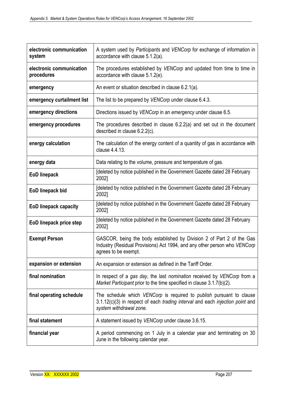| electronic communication<br>system     | A system used by Participants and VENCorp for exchange of information in<br>accordance with clause $5.1.2(a)$ .                                                                         |
|----------------------------------------|-----------------------------------------------------------------------------------------------------------------------------------------------------------------------------------------|
| electronic communication<br>procedures | The procedures established by VENCorp and updated from time to time in<br>accordance with clause $5.1.2(e)$ .                                                                           |
| emergency                              | An event or situation described in clause 6.2.1(a).                                                                                                                                     |
| emergency curtailment list             | The list to be prepared by VENCorp under clause 6.4.3.                                                                                                                                  |
| emergency directions                   | Directions issued by VENCorp in an emergency under clause 6.5.                                                                                                                          |
| emergency procedures                   | The procedures described in clause $6.2.2(a)$ and set out in the document<br>described in clause $6.2.2(c)$ .                                                                           |
| energy calculation                     | The calculation of the energy content of a quantity of gas in accordance with<br>clause 4.4.13.                                                                                         |
| energy data                            | Data relating to the volume, pressure and temperature of gas.                                                                                                                           |
| <b>EoD linepack</b>                    | [deleted by notice published in the Government Gazette dated 28 February<br>2002]                                                                                                       |
| EoD linepack bid                       | [deleted by notice published in the Government Gazette dated 28 February<br>2002]                                                                                                       |
| <b>EoD linepack capacity</b>           | [deleted by notice published in the Government Gazette dated 28 February<br>2002]                                                                                                       |
| EoD linepack price step                | Ideleted by notice published in the Government Gazette dated 28 February<br>2002]                                                                                                       |
| <b>Exempt Person</b>                   | GASCOR, being the body established by Division 2 of Part 2 of the Gas<br>Industry (Residual Provisions) Act 1994, and any other person who VENCorp<br>agrees to be exempt.              |
| expansion or extension                 | An expansion or extension as defined in the Tariff Order.                                                                                                                               |
| final nomination                       | In respect of a gas day, the last nomination received by VENCorp from a<br>Market Participant prior to the time specified in clause 3.1.7(b)(2).                                        |
| final operating schedule               | The schedule which VENCorp is required to <i>publish</i> pursuant to clause<br>3.1.12(c)(3) in respect of each trading interval and each injection point and<br>system withdrawal zone. |
| final statement                        | A statement issued by VENCorp under clause 3.6.15.                                                                                                                                      |
| financial year                         | A period commencing on 1 July in a calendar year and terminating on 30<br>June in the following calendar year.                                                                          |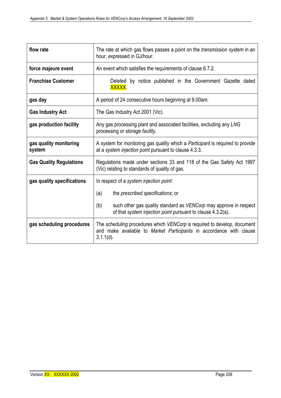| flow rate                        | The rate at which gas flows passes a point on the <i>transmission system</i> in an<br>hour, expressed in GJ/hour.                                               |  |  |  |
|----------------------------------|-----------------------------------------------------------------------------------------------------------------------------------------------------------------|--|--|--|
| force majeure event              | An event which satisfies the requirements of clause 6.7.2.                                                                                                      |  |  |  |
| <b>Franchise Customer</b>        | Deleted by notice published in the Government Gazette dated<br>XXXXX.                                                                                           |  |  |  |
| gas day                          | A period of 24 consecutive hours beginning at 9.00am.                                                                                                           |  |  |  |
| <b>Gas Industry Act</b>          | The Gas Industry Act 2001 (Vic).                                                                                                                                |  |  |  |
| gas production facility          | Any gas processing plant and associated facilities, excluding any LNG<br>processing or storage facility.                                                        |  |  |  |
| gas quality monitoring<br>system | A system for monitoring gas quality which a Participant is required to provide<br>at a system injection point pursuant to clause 4.3.3.                         |  |  |  |
| <b>Gas Quality Regulations</b>   | Regulations made under sections 33 and 118 of the Gas Safety Act 1997<br>(Vic) relating to standards of quality of gas.                                         |  |  |  |
| gas quality specifications       | In respect of a system injection point:                                                                                                                         |  |  |  |
|                                  | the <i>prescribed</i> specifications; or<br>(a)                                                                                                                 |  |  |  |
|                                  | (b)<br>such other gas quality standard as VENCorp may approve in respect<br>of that system injection point pursuant to clause 4.3.2(a).                         |  |  |  |
| gas scheduling procedures        | The scheduling procedures which VENCorp is required to develop, document<br>and make available to Market Participants in accordance with clause<br>$3.1.1(d)$ . |  |  |  |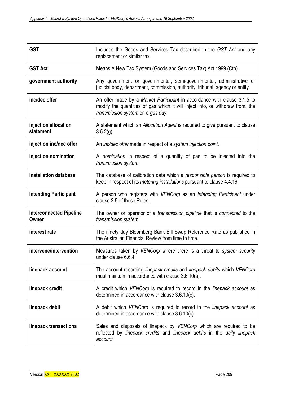| <b>GST</b>                              | Includes the Goods and Services Tax described in the GST Act and any<br>replacement or similar tax.                                                                                            |
|-----------------------------------------|------------------------------------------------------------------------------------------------------------------------------------------------------------------------------------------------|
| <b>GST Act</b>                          | Means A New Tax System (Goods and Services Tax) Act 1999 (Cth).                                                                                                                                |
| government authority                    | Any government or governmental, semi-governmental, administrative or<br>judicial body, department, commission, authority, tribunal, agency or entity.                                          |
| inc/dec offer                           | An offer made by a Market Participant in accordance with clause 3.1.5 to<br>modify the quantities of gas which it will inject into, or withdraw from, the<br>transmission system on a gas day. |
| injection allocation<br>statement       | A statement which an Allocation Agent is required to give pursuant to clause<br>$3.5.2(g)$ .                                                                                                   |
| injection inc/dec offer                 | An inc/dec offer made in respect of a system injection point.                                                                                                                                  |
| injection nomination                    | A nomination in respect of a quantity of gas to be injected into the<br>transmission system.                                                                                                   |
| installation database                   | The database of calibration data which a responsible person is required to<br>keep in respect of its metering installations pursuant to clause 4.4.19.                                         |
| <b>Intending Participant</b>            | A person who registers with VENCorp as an Intending Participant under<br>clause 2.5 of these Rules.                                                                                            |
| <b>Interconnected Pipeline</b><br>Owner | The owner or operator of a <i>transmission pipeline</i> that is <i>connected</i> to the<br>transmission system.                                                                                |
| interest rate                           | The ninety day Bloomberg Bank Bill Swap Reference Rate as published in<br>the Australian Financial Review from time to time.                                                                   |
| intervene/intervention                  | Measures taken by VENCorp where there is a threat to system security<br>under clause 6.6.4.                                                                                                    |
| linepack account                        | The account recording linepack credits and linepack debits which VENCorp<br>must maintain in accordance with clause 3.6.10(a).                                                                 |
| linepack credit                         | A credit which VENCorp is required to record in the linepack account as<br>determined in accordance with clause 3.6.10(c).                                                                     |
| linepack debit                          | A debit which VENCorp is required to record in the linepack account as<br>determined in accordance with clause 3.6.10(c).                                                                      |
| linepack transactions                   | Sales and disposals of linepack by VENCorp which are required to be<br>reflected by linepack credits and linepack debits in the daily linepack<br>account.                                     |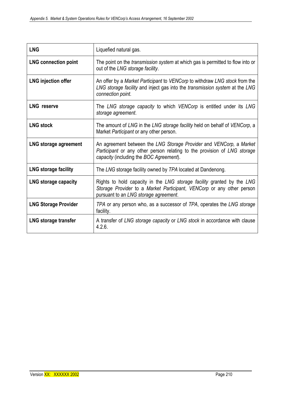| <b>LNG</b>                   | Liquefied natural gas.                                                                                                                                                                     |
|------------------------------|--------------------------------------------------------------------------------------------------------------------------------------------------------------------------------------------|
| <b>LNG connection point</b>  | The point on the <i>transmission system</i> at which gas is permitted to flow into or<br>out of the LNG storage facility.                                                                  |
| <b>LNG injection offer</b>   | An offer by a Market Participant to VENCorp to withdraw LNG stock from the<br>LNG storage facility and inject gas into the transmission system at the LNG<br>connection point.             |
| <b>LNG</b> reserve           | The LNG storage capacity to which VENCorp is entitled under its LNG<br>storage agreement.                                                                                                  |
| <b>LNG stock</b>             | The amount of LNG in the LNG storage facility held on behalf of VENCorp, a<br>Market Participant or any other person.                                                                      |
| <b>LNG storage agreement</b> | An agreement between the LNG Storage Provider and VENCorp, a Market<br>Participant or any other person relating to the provision of LNG storage<br>capacity (including the BOC Agreement). |
| <b>LNG storage facility</b>  | The LNG storage facility owned by TPA located at Dandenong.                                                                                                                                |
| LNG storage capacity         | Rights to hold capacity in the LNG storage facility granted by the LNG<br>Storage Provider to a Market Participant, VENCorp or any other person<br>pursuant to an LNG storage agreement.   |
| <b>LNG Storage Provider</b>  | TPA or any person who, as a successor of TPA, operates the LNG storage<br>facility.                                                                                                        |
| <b>LNG storage transfer</b>  | A transfer of LNG storage capacity or LNG stock in accordance with clause<br>4.2.6.                                                                                                        |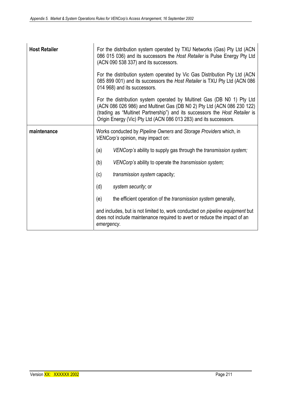| <b>Host Retailer</b> | For the distribution system operated by TXU Networks (Gas) Pty Ltd (ACN<br>086 015 036) and its successors the Host Retailer is Pulse Energy Pty Ltd<br>(ACN 090 538 337) and its successors.<br>For the distribution system operated by Vic Gas Distribution Pty Ltd (ACN<br>085 899 001) and its successors the Host Retailer is TXU Pty Ltd (ACN 086<br>014 968) and its successors. |
|----------------------|-----------------------------------------------------------------------------------------------------------------------------------------------------------------------------------------------------------------------------------------------------------------------------------------------------------------------------------------------------------------------------------------|
|                      | For the distribution system operated by Multinet Gas (DB N0 1) Pty Ltd<br>(ACN 086 026 986) and Multinet Gas (DB N0 2) Pty Ltd (ACN 086 230 122)<br>(trading as "Multinet Partnership") and its successors the Host Retailer is<br>Origin Energy (Vic) Pty Ltd (ACN 086 013 283) and its successors.                                                                                    |
| maintenance          | Works conducted by Pipeline Owners and Storage Providers which, in<br>VENCorp's opinion, may impact on:                                                                                                                                                                                                                                                                                 |
|                      | (a)<br>VENCorp's ability to supply gas through the transmission system;                                                                                                                                                                                                                                                                                                                 |
|                      | (b)<br>VENCorp's ability to operate the transmission system;                                                                                                                                                                                                                                                                                                                            |
|                      | (c)<br>transmission system capacity;                                                                                                                                                                                                                                                                                                                                                    |
|                      | (d)<br>system security; or                                                                                                                                                                                                                                                                                                                                                              |
|                      | (e)<br>the efficient operation of the <i>transmission system</i> generally,                                                                                                                                                                                                                                                                                                             |
|                      | and includes, but is not limited to, work conducted on <i>pipeline equipment</i> but<br>does not include maintenance required to avert or reduce the impact of an<br>emergency.                                                                                                                                                                                                         |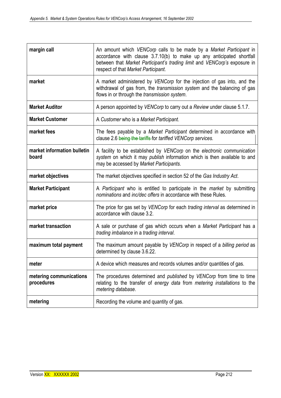| margin call                           | An amount which VENCorp calls to be made by a Market Participant in<br>accordance with clause 3.7.10(b) to make up any anticipated shortfall<br>between that Market Participant's trading limit and VENCorp's exposure in<br>respect of that Market Participant. |
|---------------------------------------|------------------------------------------------------------------------------------------------------------------------------------------------------------------------------------------------------------------------------------------------------------------|
| market                                | A market administered by VENCorp for the injection of gas into, and the<br>withdrawal of gas from, the transmission system and the balancing of gas<br>flows in or through the transmission system.                                                              |
| <b>Market Auditor</b>                 | A person appointed by VENCorp to carry out a Review under clause 5.1.7.                                                                                                                                                                                          |
| <b>Market Customer</b>                | A Customer who is a Market Participant.                                                                                                                                                                                                                          |
| market fees                           | The fees payable by a Market Participant determined in accordance with<br>clause 2.6 being the tariffs for tariffed VENCorp services.                                                                                                                            |
| market information bulletin<br>board  | A facility to be established by VENCorp on the electronic communication<br>system on which it may publish information which is then available to and<br>may be accessed by Market Participants.                                                                  |
| market objectives                     | The market objectives specified in section 52 of the Gas Industry Act.                                                                                                                                                                                           |
| <b>Market Participant</b>             | A Participant who is entitled to participate in the market by submitting<br>nominations and inc/dec offers in accordance with these Rules.                                                                                                                       |
| market price                          | The price for gas set by VENCorp for each <i>trading interval</i> as determined in<br>accordance with clause 3.2.                                                                                                                                                |
| market transaction                    | A sale or purchase of gas which occurs when a Market Participant has a<br>trading imbalance in a trading interval.                                                                                                                                               |
| maximum total payment                 | The maximum amount payable by VENCorp in respect of a billing period as<br>determined by clause 3.6.22.                                                                                                                                                          |
| meter                                 | A device which measures and records volumes and/or quantities of gas.                                                                                                                                                                                            |
| metering communications<br>procedures | The procedures determined and <i>published</i> by VENCorp from time to time<br>relating to the transfer of energy data from metering installations to the<br>metering database.                                                                                  |
| metering                              | Recording the volume and quantity of gas.                                                                                                                                                                                                                        |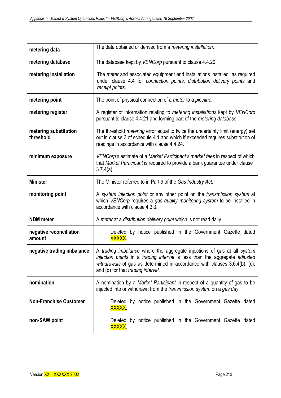| metering data                      | The data obtained or derived from a <i>metering installation</i> .                                                                                                                                                                                                        |
|------------------------------------|---------------------------------------------------------------------------------------------------------------------------------------------------------------------------------------------------------------------------------------------------------------------------|
| metering database                  | The database kept by VENCorp pursuant to clause 4.4.20.                                                                                                                                                                                                                   |
| metering installation              | The <i>meter</i> and associated equipment and installations installed as required<br>under clause 4.4 for connection points, distribution delivery points and<br>receipt points.                                                                                          |
| metering point                     | The point of physical connection of a meter to a pipeline.                                                                                                                                                                                                                |
| metering register                  | A register of information relating to metering installations kept by VENCorp<br>pursuant to clause 4.4.21 and forming part of the metering database.                                                                                                                      |
| metering substitution<br>threshold | The threshold <i>metering</i> error equal to twice the uncertainty limit (energy) set<br>out in clause 3 of schedule 4.1 and which if exceeded requires substitution of<br>readings in accordance with clause 4.4.24.                                                     |
| minimum exposure                   | VENCorp's estimate of a Market Participant's market fees in respect of which<br>that Market Participant is required to provide a bank guarantee under clause<br>$3.7.4(a)$ .                                                                                              |
| <b>Minister</b>                    | The Minister referred to in Part 9 of the Gas Industry Act.                                                                                                                                                                                                               |
| monitoring point                   | A system injection point or any other point on the transmission system at<br>which VENCorp requires a gas quality monitoring system to be installed in<br>accordance with clause 4.3.3.                                                                                   |
| <b>NDM</b> meter                   | A meter at a distribution delivery point which is not read daily.                                                                                                                                                                                                         |
| negative reconciliation<br>amount  | Deleted by notice published in the Government Gazette dated<br>XXXXX.                                                                                                                                                                                                     |
| negative trading imbalance         | A trading imbalance where the aggregate injections of gas at all system<br>injection points in a trading interval is less than the aggregate adjusted<br>withdrawals of gas as determined in accordance with clauses 3.6.4(b), (c),<br>and (d) for that trading interval. |
| nomination                         | A nomination by a Market Participant in respect of a quantity of gas to be<br>injected into or withdrawn from the transmission system on a gas day.                                                                                                                       |
| <b>Non-Franchise Customer</b>      | Deleted by notice published in the Government Gazette dated<br>XXXXX.                                                                                                                                                                                                     |
| non-SAW point                      | Deleted by notice published in the Government Gazette dated<br>XXXXX.                                                                                                                                                                                                     |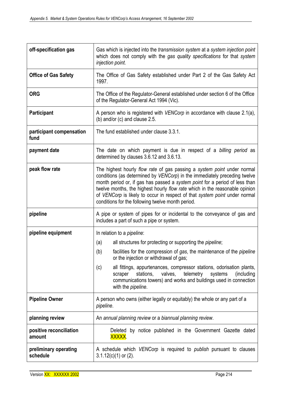| off-specification gas             | Gas which is injected into the transmission system at a system injection point<br>which does not comply with the gas quality specifications for that system<br>injection point.                                                                                                                                                                                                                                                                       |
|-----------------------------------|-------------------------------------------------------------------------------------------------------------------------------------------------------------------------------------------------------------------------------------------------------------------------------------------------------------------------------------------------------------------------------------------------------------------------------------------------------|
| <b>Office of Gas Safety</b>       | The Office of Gas Safety established under Part 2 of the Gas Safety Act<br>1997.                                                                                                                                                                                                                                                                                                                                                                      |
| <b>ORG</b>                        | The Office of the Regulator-General established under section 6 of the Office<br>of the Regulator-General Act 1994 (Vic).                                                                                                                                                                                                                                                                                                                             |
| Participant                       | A person who is registered with VENCorp in accordance with clause 2.1(a),<br>(b) and/or (c) and clause 2.5.                                                                                                                                                                                                                                                                                                                                           |
| participant compensation<br>fund  | The fund established under clause 3.3.1.                                                                                                                                                                                                                                                                                                                                                                                                              |
| payment date                      | The date on which payment is due in respect of a billing period as<br>determined by clauses 3.6.12 and 3.6.13.                                                                                                                                                                                                                                                                                                                                        |
| peak flow rate                    | The highest hourly flow rate of gas passing a system point under normal<br>conditions (as determined by VENCorp) in the immediately preceding twelve<br>month period or, if gas has passed a system point for a period of less than<br>twelve months, the highest hourly flow rate which in the reasonable opinion<br>of VENCorp is likely to occur in respect of that system point under normal<br>conditions for the following twelve month period. |
| pipeline                          | A pipe or system of pipes for or incidental to the conveyance of gas and<br>includes a part of such a pipe or system.                                                                                                                                                                                                                                                                                                                                 |
| pipeline equipment                | In relation to a <i>pipeline</i> :                                                                                                                                                                                                                                                                                                                                                                                                                    |
|                                   | all structures for protecting or supporting the <i>pipeline</i> ;<br>(a)                                                                                                                                                                                                                                                                                                                                                                              |
|                                   | facilities for the compression of gas, the maintenance of the pipeline<br>(b)<br>or the injection or withdrawal of gas;                                                                                                                                                                                                                                                                                                                               |
|                                   | all fittings, appurtenances, compressor stations, odorisation plants,<br>(c)<br>telemetry<br>stations,<br>valves,<br>systems<br>(including)<br>scraper<br>communications towers) and works and buildings used in connection<br>with the pipeline.                                                                                                                                                                                                     |
| <b>Pipeline Owner</b>             | A person who owns (either legally or equitably) the whole or any part of a<br>pipeline.                                                                                                                                                                                                                                                                                                                                                               |
| planning review                   | An annual planning review or a biannual planning review.                                                                                                                                                                                                                                                                                                                                                                                              |
| positive reconciliation<br>amount | Deleted by notice published in the Government Gazette dated<br>XXXXX.                                                                                                                                                                                                                                                                                                                                                                                 |
| preliminary operating<br>schedule | A schedule which VENCorp is required to publish pursuant to clauses<br>$3.1.12(c)(1)$ or $(2)$ .                                                                                                                                                                                                                                                                                                                                                      |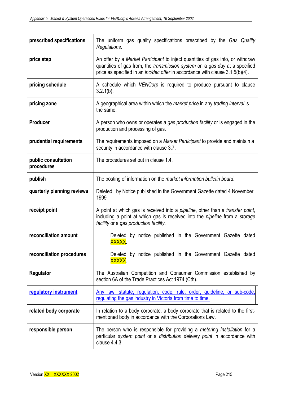| prescribed specifications         | The uniform gas quality specifications prescribed by the Gas Quality<br>Regulations.                                                                                                                                                                  |
|-----------------------------------|-------------------------------------------------------------------------------------------------------------------------------------------------------------------------------------------------------------------------------------------------------|
| price step                        | An offer by a Market Participant to inject quantities of gas into, or withdraw<br>quantities of gas from, the transmission system on a gas day at a specified<br>price as specified in an <i>inc/dec offer</i> in accordance with clause 3.1.5(b)(4). |
| pricing schedule                  | A schedule which VENCorp is required to produce pursuant to clause<br>$3.2.1(b)$ .                                                                                                                                                                    |
| pricing zone                      | A geographical area within which the market price in any trading interval is<br>the same.                                                                                                                                                             |
| <b>Producer</b>                   | A person who owns or operates a gas production facility or is engaged in the<br>production and processing of gas.                                                                                                                                     |
| prudential requirements           | The requirements imposed on a Market Participant to provide and maintain a<br>security in accordance with clause 3.7.                                                                                                                                 |
| public consultation<br>procedures | The procedures set out in clause 1.4.                                                                                                                                                                                                                 |
| publish                           | The posting of information on the market information bulletin board.                                                                                                                                                                                  |
| quarterly planning reviews        | Deleted: by Notice published in the Government Gazette dated 4 November<br>1999                                                                                                                                                                       |
| receipt point                     | A point at which gas is received into a <i>pipeline</i> , other than a <i>transfer point</i> ,<br>including a point at which gas is received into the <i>pipeline</i> from a <i>storage</i><br>facility or a gas production facility.                 |
| reconciliation amount             | Deleted by notice published in the Government Gazette dated<br>XXXXX.                                                                                                                                                                                 |
| reconciliation procedures         | Deleted by notice published in the Government Gazette dated<br>XXXXX.                                                                                                                                                                                 |
| Regulator                         | The Australian Competition and Consumer Commission established by<br>section 6A of the Trade Practices Act 1974 (Cth).                                                                                                                                |
| regulatory instrument             | Any law, statute, regulation, code, rule, order, guideline, or sub-code,<br>regulating the gas industry in Victoria from time to time.                                                                                                                |
| related body corporate            | In relation to a body corporate, a body corporate that is related to the first-<br>mentioned body in accordance with the Corporations Law.                                                                                                            |
| responsible person                | The person who is responsible for providing a <i>metering installation</i> for a<br>particular system point or a distribution delivery point in accordance with<br>clause 4.4.3.                                                                      |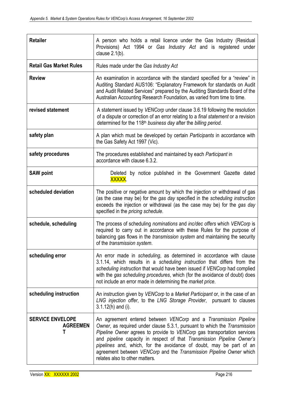| <b>Retailer</b>                                 | A person who holds a retail licence under the Gas Industry (Residual<br>Provisions) Act 1994 or Gas Industry Act and is registered under<br>clause $2.1(b)$ .                                                                                                                                                                                                                                                                                                                      |
|-------------------------------------------------|------------------------------------------------------------------------------------------------------------------------------------------------------------------------------------------------------------------------------------------------------------------------------------------------------------------------------------------------------------------------------------------------------------------------------------------------------------------------------------|
| <b>Retail Gas Market Rules</b>                  | Rules made under the Gas Industry Act                                                                                                                                                                                                                                                                                                                                                                                                                                              |
| <b>Review</b>                                   | An examination in accordance with the standard specified for a "review" in<br>Auditing Standard AUS106: "Explanatory Framework for standards on Audit<br>and Audit Related Services" prepared by the Auditing Standards Board of the<br>Australian Accounting Research Foundation, as varied from time to time.                                                                                                                                                                    |
| revised statement                               | A statement issued by VENCorp under clause 3.6.19 following the resolution<br>of a dispute or correction of an error relating to a final statement or a revision<br>determined for the 118 <sup>th</sup> business day after the billing period.                                                                                                                                                                                                                                    |
| safety plan                                     | A plan which must be developed by certain Participants in accordance with<br>the Gas Safety Act 1997 (Vic).                                                                                                                                                                                                                                                                                                                                                                        |
| safety procedures                               | The procedures established and maintained by each Participant in<br>accordance with clause 6.3.2.                                                                                                                                                                                                                                                                                                                                                                                  |
| <b>SAW point</b>                                | Deleted by notice published in the Government Gazette dated<br>XXXXX.                                                                                                                                                                                                                                                                                                                                                                                                              |
| scheduled deviation                             | The positive or negative amount by which the injection or withdrawal of gas<br>(as the case may be) for the gas day specified in the scheduling instruction<br>exceeds the injection or withdrawal (as the case may be) for the gas day<br>specified in the <i>pricing</i> schedule.                                                                                                                                                                                               |
| schedule, scheduling                            | The process of scheduling nominations and inc/dec offers which VENCorp is<br>required to carry out in accordance with these Rules for the purpose of<br>balancing gas flows in the <i>transmission system</i> and maintaining the security<br>of the transmission system.                                                                                                                                                                                                          |
| scheduling error                                | An error made in scheduling, as determined in accordance with clause<br>3.1.14, which results in a scheduling instruction that differs from the<br>scheduling instruction that would have been issued if VENCorp had complied<br>with the gas scheduling procedures, which (for the avoidance of doubt) does<br>not include an error made in determining the market price.                                                                                                         |
| scheduling instruction                          | An instruction given by VENCorp to a Market Participant or, in the case of an<br>LNG injection offer, to the LNG Storage Provider, pursuant to clauses<br>$3.1.12(h)$ and (i).                                                                                                                                                                                                                                                                                                     |
| <b>SERVICE ENVELOPE</b><br><b>AGREEMEN</b><br>Т | An agreement entered between VENCorp and a Transmission Pipeline<br>Owner, as required under clause 5.3.1, pursuant to which the Transmission<br>Pipeline Owner agrees to provide to VENCorp gas transportation services<br>and pipeline capacity in respect of that Transmission Pipeline Owner's<br>pipelines and, which, for the avoidance of doubt, may be part of an<br>agreement between VENCorp and the Transmission Pipeline Owner which<br>relates also to other matters. |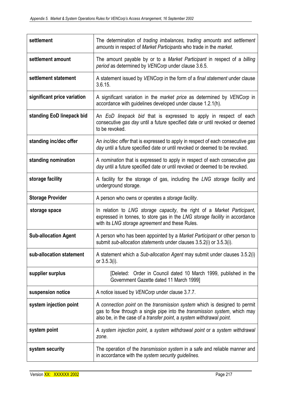| settlement                  | The determination of trading imbalances, trading amounts and settlement<br>amounts in respect of Market Participants who trade in the market.                                                                                          |
|-----------------------------|----------------------------------------------------------------------------------------------------------------------------------------------------------------------------------------------------------------------------------------|
| settlement amount           | The amount payable by or to a Market Participant in respect of a billing<br>period as determined by VENCorp under clause 3.6.5.                                                                                                        |
| settlement statement        | A statement issued by VENCorp in the form of a final statement under clause<br>3.6.15.                                                                                                                                                 |
| significant price variation | A significant variation in the market price as determined by VENCorp in<br>accordance with guidelines developed under clause 1.2.1(h).                                                                                                 |
| standing EoD linepack bid   | An EoD linepack bid that is expressed to apply in respect of each<br>consecutive gas day until a future specified date or until revoked or deemed<br>to be revoked.                                                                    |
| standing inc/dec offer      | An inc/dec offer that is expressed to apply in respect of each consecutive gas<br>day until a future specified date or until revoked or deemed to be revoked.                                                                          |
| standing nomination         | A nomination that is expressed to apply in respect of each consecutive gas<br>day until a future specified date or until revoked or deemed to be revoked.                                                                              |
| storage facility            | A facility for the storage of gas, including the LNG storage facility and<br>underground storage.                                                                                                                                      |
| <b>Storage Provider</b>     | A person who owns or operates a storage facility.                                                                                                                                                                                      |
| storage space               | In relation to LNG storage capacity, the right of a Market Participant,<br>expressed in tonnes, to store gas in the LNG storage facility in accordance<br>with its LNG storage agreement and these Rules.                              |
| <b>Sub-allocation Agent</b> | A person who has been appointed by a Market Participant or other person to<br>submit sub-allocation statements under clauses 3.5.2(i) or 3.5.3(i).                                                                                     |
| sub-allocation statement    | A statement which a Sub-allocation Agent may submit under clauses 3.5.2(i)<br>or $3.5.3(i)$ .                                                                                                                                          |
| supplier surplus            | [Deleted: Order in Council dated 10 March 1999, published in the<br>Government Gazette dated 11 March 1999]                                                                                                                            |
| suspension notice           | A notice issued by VENCorp under clause 3.7.7.                                                                                                                                                                                         |
| system injection point      | A connection point on the transmission system which is designed to permit<br>gas to flow through a single pipe into the <i>transmission system</i> , which may<br>also be, in the case of a transfer point, a system withdrawal point. |
| system point                | A system injection point, a system withdrawal point or a system withdrawal<br>zone.                                                                                                                                                    |
| system security             | The operation of the <i>transmission system</i> in a safe and reliable manner and<br>in accordance with the system security guidelines.                                                                                                |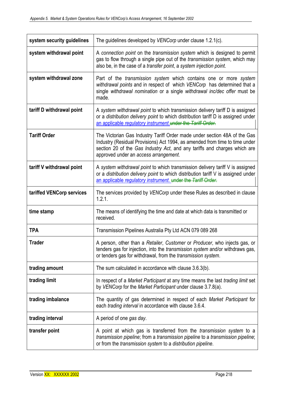| system security guidelines | The guidelines developed by VENCorp under clause 1.2.1(c).                                                                                                                                                                                                                     |
|----------------------------|--------------------------------------------------------------------------------------------------------------------------------------------------------------------------------------------------------------------------------------------------------------------------------|
| system withdrawal point    | A connection point on the transmission system which is designed to permit<br>gas to flow through a single pipe out of the transmission system, which may<br>also be, in the case of a transfer point, a system injection point.                                                |
| system withdrawal zone     | Part of the <i>transmission</i> system which contains one or more system<br>withdrawal points and in respect of which VENCorp has determined that a<br>single withdrawal nomination or a single withdrawal inc/dec offer must be<br>made.                                      |
| tariff D withdrawal point  | A system withdrawal point to which transmission delivery tariff D is assigned<br>or a distribution delivery point to which distribution tariff D is assigned under<br>an applicable regulatory instrument under the Tariff Order.                                              |
| <b>Tariff Order</b>        | The Victorian Gas Industry Tariff Order made under section 48A of the Gas<br>Industry (Residual Provisions) Act 1994, as amended from time to time under<br>section 20 of the Gas Industry Act, and any tariffs and charges which are<br>approved under an access arrangement. |
| tariff V withdrawal point  | A system withdrawal point to which transmission delivery tariff V is assigned<br>or a distribution delivery point to which distribution tariff V is assigned under<br>an applicable regulatory instrument. under the Tariff Order.                                             |
| tariffed VENCorp services  | The services provided by VENCorp under these Rules as described in clause<br>1.2.1.                                                                                                                                                                                            |
| time stamp                 | The means of identifying the time and date at which data is transmitted or<br>received.                                                                                                                                                                                        |
| <b>TPA</b>                 | Transmission Pipelines Australia Pty Ltd ACN 079 089 268                                                                                                                                                                                                                       |
| <b>Trader</b>              | A person, other than a Retailer, Customer or Producer, who injects gas, or<br>tenders gas for injection, into the <i>transmission system</i> and/or withdraws gas,<br>or tenders gas for withdrawal, from the <i>transmission system</i> .                                     |
| trading amount             | The sum calculated in accordance with clause 3.6.3(b).                                                                                                                                                                                                                         |
| trading limit              | In respect of a Market Participant at any time means the last trading limit set<br>by VENCorp for the Market Participant under clause 3.7.8(a).                                                                                                                                |
| trading imbalance          | The quantity of gas determined in respect of each Market Participant for<br>each trading interval in accordance with clause 3.6.4.                                                                                                                                             |
| trading interval           | A period of one gas day.                                                                                                                                                                                                                                                       |
| transfer point             | A point at which gas is transferred from the <i>transmission system</i> to a<br>transmission pipeline; from a transmission pipeline to a transmission pipeline;<br>or from the transmission system to a distribution pipeline.                                                 |